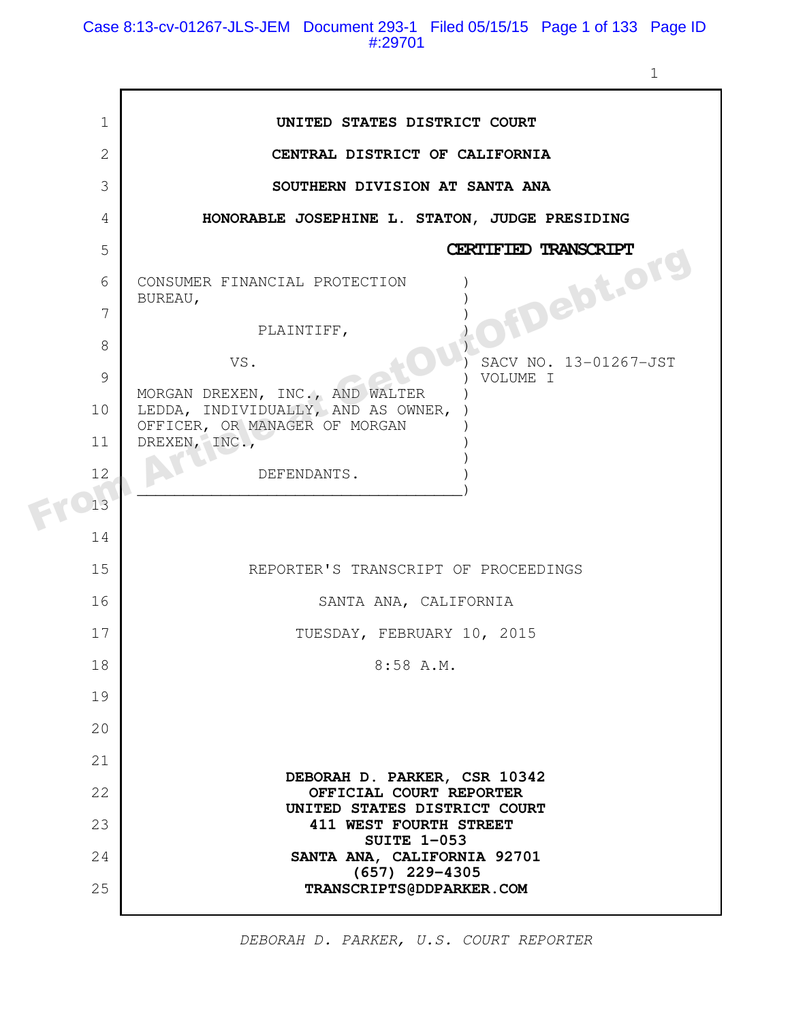Case 8:13-cv-01267-JLS-JEM Document 293-1 Filed 05/15/15 Page 1 of 133 Page ID #:29701

1

| $\mathbf 1$    | UNITED STATES DISTRICT COURT                                          |
|----------------|-----------------------------------------------------------------------|
| $\mathbf{2}$   | CENTRAL DISTRICT OF CALIFORNIA                                        |
| 3              | SOUTHERN DIVISION AT SANTA ANA                                        |
| $\overline{4}$ | HONORABLE JOSEPHINE L. STATON, JUDGE PRESIDING                        |
| 5              | CERTIFIED TRANSCRIPT                                                  |
| 6              | <b>FDebt.org</b><br>CONSUMER FINANCIAL PROTECTION                     |
| $\overline{7}$ | BUREAU,                                                               |
| 8              | PLAINTIFF,<br>SACV NO. 13-01267-JST                                   |
| 9              | VS.<br>VOLUME I                                                       |
| 10             | MORGAN DREXEN, INC., AND WALTER<br>LEDDA, INDIVIDUALLY, AND AS OWNER, |
| 11             | OFFICER, OR MANAGER OF MORGAN<br>DREXEN, INC.,                        |
| 12             | DEFENDANTS.                                                           |
| 13             |                                                                       |
| 14             |                                                                       |
| 15             | REPORTER'S TRANSCRIPT OF PROCEEDINGS                                  |
| 16             | SANTA ANA, CALIFORNIA                                                 |
| 17             | TUESDAY, FEBRUARY 10, 2015                                            |
| 18             | 8:58 A.M.                                                             |
| 19             |                                                                       |
| 20             |                                                                       |
| 21             | DEBORAH D. PARKER, CSR 10342                                          |
| 22             | OFFICIAL COURT REPORTER<br>UNITED STATES DISTRICT COURT               |
| 23             | 411 WEST FOURTH STREET<br><b>SUITE 1-053</b>                          |
| 24             | SANTA ANA, CALIFORNIA 92701<br>$(657)$ 229-4305                       |
| 25             | TRANSCRIPTS@DDPARKER.COM                                              |
|                |                                                                       |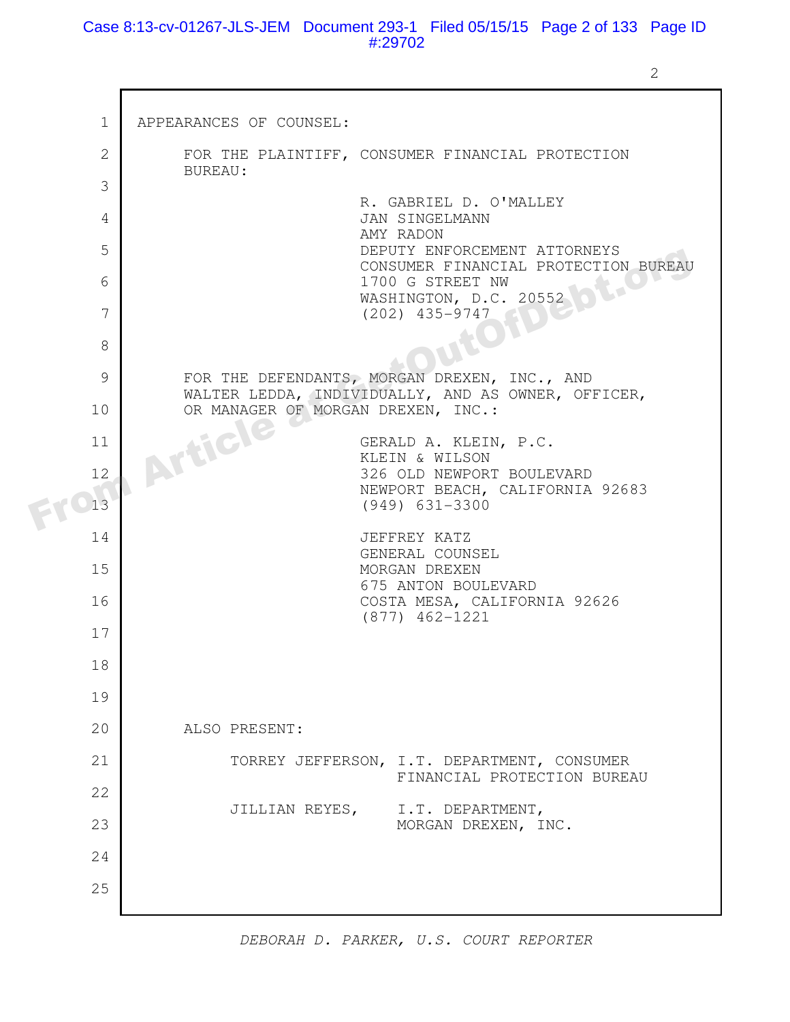Case 8:13-cv-01267-JLS-JEM Document 293-1 Filed 05/15/15 Page 2 of 133 Page ID #:29702

2

| $\mathbf{1}$ | APPEARANCES OF COUNSEL:                                                                            |
|--------------|----------------------------------------------------------------------------------------------------|
| $\mathbf{2}$ | FOR THE PLAINTIFF, CONSUMER FINANCIAL PROTECTION<br>BUREAU:                                        |
| 3            | R. GABRIEL D. O'MALLEY                                                                             |
| 4            | JAN SINGELMANN                                                                                     |
| 5            | AMY RADON<br>DEPUTY ENFORCEMENT ATTORNEYS<br>CONSUMER FINANCIAL PROTECTION BUREAU                  |
| 6            | 1700 G STREET NW<br>$\mathcal{C}_{\mathcal{A}}$<br>WASHINGTON, D.C. 20552                          |
| 7            | $(202)$ 435-9747                                                                                   |
| 8            |                                                                                                    |
| 9            | FOR THE DEFENDANTS, MORGAN DREXEN, INC., AND<br>WALTER LEDDA, INDIVIDUALLY, AND AS OWNER, OFFICER, |
| 10           | OR MANAGER OF MORGAN DREXEN, INC.:                                                                 |
| 11           | Article<br>GERALD A. KLEIN, P.C.<br>KLEIN & WILSON                                                 |
| 12           | 326 OLD NEWPORT BOULEVARD                                                                          |
| 13           | NEWPORT BEACH, CALIFORNIA 92683<br>$(949)$ 631-3300                                                |
| 14           | JEFFREY KATZ<br>GENERAL COUNSEL                                                                    |
| 15           | MORGAN DREXEN<br>675 ANTON BOULEVARD                                                               |
| 16           | COSTA MESA, CALIFORNIA 92626<br>$(877)$ 462-1221                                                   |
| 17           |                                                                                                    |
| 18           |                                                                                                    |
| 19           |                                                                                                    |
| 20           | ALSO PRESENT:                                                                                      |
| 21           | TORREY JEFFERSON, I.T. DEPARTMENT, CONSUMER<br>FINANCIAL PROTECTION BUREAU                         |
| 22           |                                                                                                    |
| 23           | JILLIAN REYES,<br>I.T. DEPARTMENT,<br>MORGAN DREXEN, INC.                                          |
| 24           |                                                                                                    |
| 25           |                                                                                                    |
|              |                                                                                                    |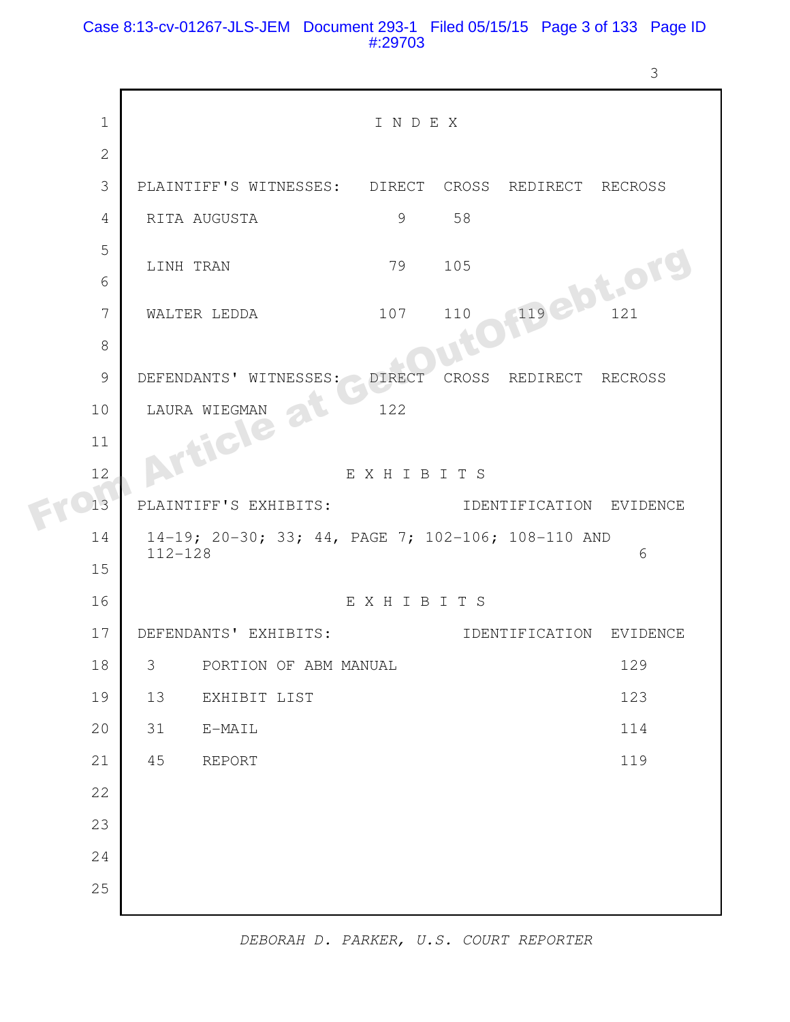#### Case 8:13-cv-01267-JLS-JEM Document 293-1 Filed 05/15/15 Page 3 of 133 Page ID #:29703

```
I N D E X 
          PLAINTIFF'S WITNESSES: DIRECT CROSS REDIRECT RECROSS 
          RITA AUGUSTA 19 58
          LINH TRAN 79 105
          WALTER LEDDA 107 110 119 121
          DEFENDANTS' WITNESSES: DIRECT CROSS REDIRECT RECROSS 
          LAURA WIEGMAN 122
                             E X H I B I T S 
         PLAINTIFF'S EXHIBITS: IDENTIFICATION EVIDENCE 
            14-19; 20-30; 33; 44, PAGE 7; 102-106; 108-110 AND
            112-128 6 
                             E X H I B I T S 
          DEFENDANTS' EXHIBITS: IDENTIFICATION EVIDENCE 
          3 PORTION OF ABM MANUAL 129
          13 EXHIBIT LIST 123
           31 E-MAIL 114
          45 REPORT 119
       1
       2
       3
       4
       5
       6
       7
       8
       9
     10
     11
     12
     13
     14
     15
     16
     17
     18
     19
     20
     21
     22
     23
     24
     25
FROM CONSTRUES ON THE SEED OF THE CONSTRUCT ON THE CONSTRUCT OF THE CONSTRUCT OF THE CONSTRUCT OF THE CONSTRUCT OF THE CONSTRUCT OF THE CONSTRUCT OF THE CONSTRUCT OF THE CONSTRUCT OF THE CONSTRUCT OF THE CONSTRUCT OF THE C
```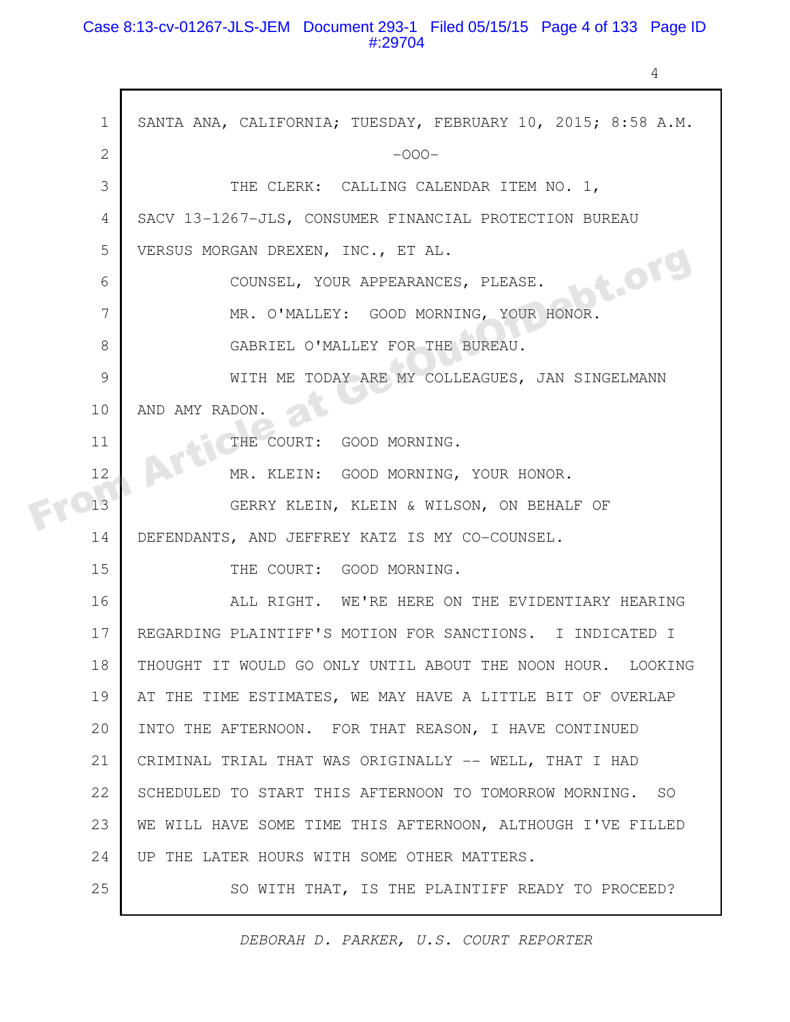#### Case 8:13-cv-01267-JLS-JEM Document 293-1 Filed 05/15/15 Page 4 of 133 Page ID #:29704

4

| $\mathbf{1}$ | SANTA ANA, CALIFORNIA; TUESDAY, FEBRUARY 10, 2015; 8:58 A.M. |
|--------------|--------------------------------------------------------------|
| $\mathbf{2}$ | $-000-$                                                      |
| 3            | THE CLERK: CALLING CALENDAR ITEM NO. 1,                      |
| 4            | SACV 13-1267-JLS, CONSUMER FINANCIAL PROTECTION BUREAU       |
| 5            | VERSUS MORGAN DREXEN, INC., ET AL.                           |
| 6            | <b>St.Org</b><br>COUNSEL, YOUR APPEARANCES, PLEASE.          |
| 7            | MR. O'MALLEY: GOOD MORNING, YOUR HONOR.                      |
| 8            | GABRIEL O'MALLEY FOR THE BUREAU.                             |
| 9            | WITH ME TODAY ARE MY COLLEAGUES, JAN SINGELMANN              |
| 10           | AND AMY RADON.                                               |
| 11           | THE COURT:<br>GOOD MORNING.                                  |
| 12           | MR. KLEIN: GOOD MORNING, YOUR HONOR.                         |
| 13           | GERRY KLEIN, KLEIN & WILSON, ON BEHALF OF                    |
| 14           | DEFENDANTS, AND JEFFREY KATZ IS MY CO-COUNSEL.               |
| 15           | THE COURT: GOOD MORNING.                                     |
| 16           | ALL RIGHT. WE'RE HERE ON THE EVIDENTIARY HEARING             |
| 17           | REGARDING PLAINTIFF'S MOTION FOR SANCTIONS. I INDICATED I    |
| 18           | THOUGHT IT WOULD GO ONLY UNTIL ABOUT THE NOON HOUR. LOOKING  |
| 19           | AT THE TIME ESTIMATES, WE MAY HAVE A LITTLE BIT OF OVERLAP   |
| 20           | INTO THE AFTERNOON. FOR THAT REASON, I HAVE CONTINUED        |
| 21           | CRIMINAL TRIAL THAT WAS ORIGINALLY -- WELL, THAT I HAD       |
| 22           | SCHEDULED TO START THIS AFTERNOON TO TOMORROW MORNING. SO    |
| 23           | WE WILL HAVE SOME TIME THIS AFTERNOON, ALTHOUGH I'VE FILLED  |
| 24           | UP THE LATER HOURS WITH SOME OTHER MATTERS.                  |
| 25           | SO WITH THAT, IS THE PLAINTIFF READY TO PROCEED?             |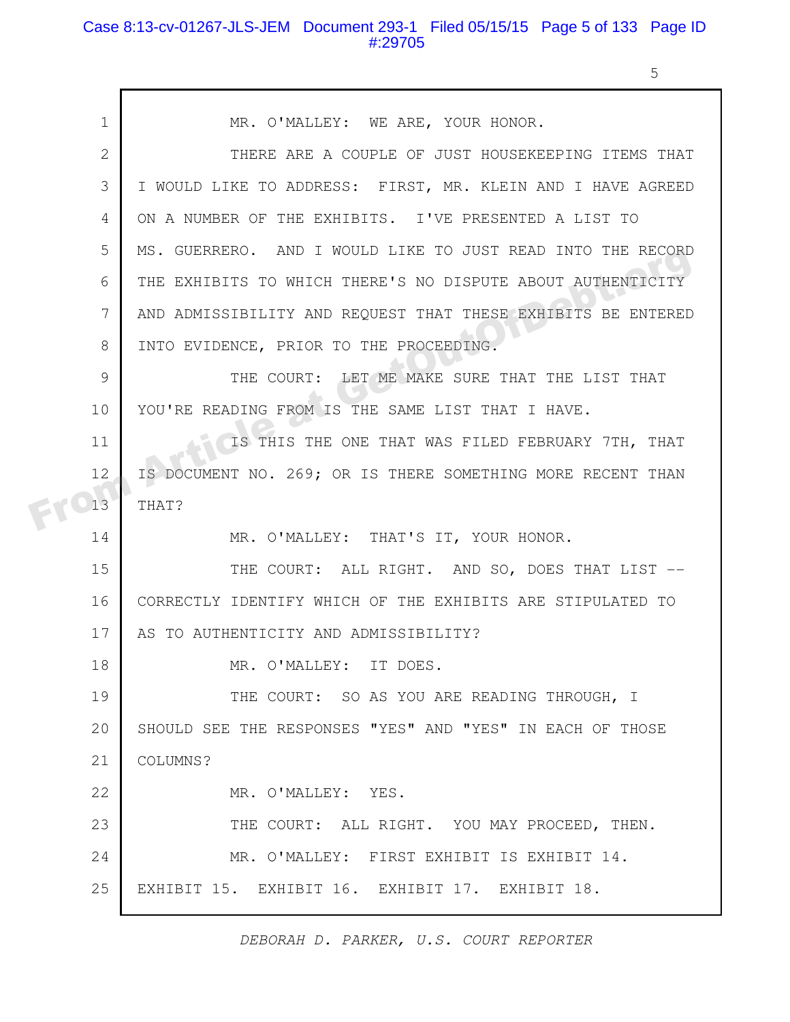## Case 8:13-cv-01267-JLS-JEM Document 293-1 Filed 05/15/15 Page 5 of 133 Page ID #:29705

5

|  | $\mathbf{1}$ | MR. O'MALLEY: WE ARE, YOUR HONOR.                            |
|--|--------------|--------------------------------------------------------------|
|  | 2            | THERE ARE A COUPLE OF JUST HOUSEKEEPING ITEMS THAT           |
|  | 3            | I WOULD LIKE TO ADDRESS: FIRST, MR. KLEIN AND I HAVE AGREED  |
|  | 4            | ON A NUMBER OF THE EXHIBITS. I'VE PRESENTED A LIST TO        |
|  | 5            | MS. GUERRERO. AND I WOULD LIKE TO JUST READ INTO THE RECORD  |
|  | 6            | THE EXHIBITS TO WHICH THERE'S NO DISPUTE ABOUT AUTHENTICITY  |
|  | 7            | AND ADMISSIBILITY AND REQUEST THAT THESE EXHIBITS BE ENTERED |
|  | 8            | INTO EVIDENCE, PRIOR TO THE PROCEEDING.                      |
|  | 9            | THE COURT: LET ME MAKE SURE THAT THE LIST THAT               |
|  | 10           | YOU'RE READING FROM IS THE SAME LIST THAT I HAVE.            |
|  | 11           | IS THIS THE ONE THAT WAS FILED FEBRUARY 7TH, THAT            |
|  | 12           | IS DOCUMENT NO. 269; OR IS THERE SOMETHING MORE RECENT THAN  |
|  | 13           | THAT?                                                        |
|  | 14           | MR. O'MALLEY: THAT'S IT, YOUR HONOR.                         |
|  | 15           | THE COURT: ALL RIGHT. AND SO, DOES THAT LIST --              |
|  | 16           | CORRECTLY IDENTIFY WHICH OF THE EXHIBITS ARE STIPULATED TO   |
|  | 17           | AS TO AUTHENTICITY AND ADMISSIBILITY?                        |
|  | 18           | MR. O'MALLEY: IT DOES                                        |
|  | 19           | THE COURT: SO AS YOU ARE READING THROUGH, I                  |
|  | 20           | SHOULD SEE THE RESPONSES "YES" AND "YES" IN EACH OF THOSE    |
|  | 21           | COLUMNS?                                                     |
|  | 22           | MR. O'MALLEY: YES.                                           |
|  | 23           | THE COURT: ALL RIGHT. YOU MAY PROCEED, THEN.                 |
|  | 24           | MR. O'MALLEY: FIRST EXHIBIT IS EXHIBIT 14.                   |
|  | 25           | EXHIBIT 15. EXHIBIT 16. EXHIBIT 17. EXHIBIT 18.              |
|  |              |                                                              |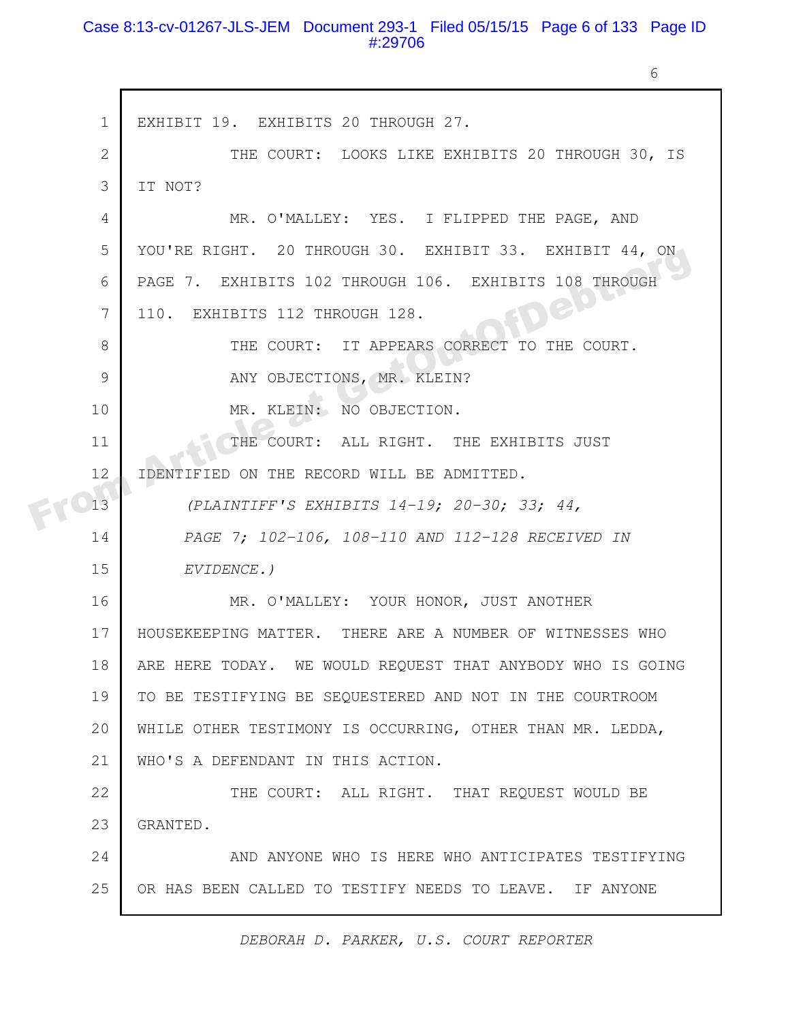#### Case 8:13-cv-01267-JLS-JEM Document 293-1 Filed 05/15/15 Page 6 of 133 Page ID #:29706

6

| $\mathbf{1}$ | EXHIBIT 19. EXHIBITS 20 THROUGH 27.                        |
|--------------|------------------------------------------------------------|
| $\mathbf{2}$ | THE COURT: LOOKS LIKE EXHIBITS 20 THROUGH 30, IS           |
| 3            | IT NOT?                                                    |
| 4            | MR. O'MALLEY: YES. I FLIPPED THE PAGE, AND                 |
| 5            | YOU'RE RIGHT. 20 THROUGH 30. EXHIBIT 33. EXHIBIT 44, ON    |
| 6            | PAGE 7. EXHIBITS 102 THROUGH 106. EXHIBITS 108 THROUGH     |
| 7            | 110. EXHIBITS 112 THROUGH 128.                             |
| 8            | THE COURT: IT APPEARS CORRECT TO THE COURT.                |
| 9            | ANY OBJECTIONS, MR. KLEIN?                                 |
| 10           | MR. KLEIN: NO OBJECTION.                                   |
| 11           | THE COURT: ALL RIGHT. THE EXHIBITS JUST                    |
| 12           | IDENTIFIED ON THE RECORD WILL BE ADMITTED.                 |
| 13           | (PLAINTIFF'S EXHIBITS 14-19; 20-30; 33; 44,                |
| 14           | PAGE 7; 102-106, 108-110 AND 112-128 RECEIVED IN           |
| 15           | EVIDENCE.)                                                 |
| 16           | MR. O'MALLEY: YOUR HONOR, JUST ANOTHER                     |
| 17           | HOUSEKEEPING MATTER. THERE ARE A NUMBER OF WITNESSES WHO   |
| 18           | ARE HERE TODAY. WE WOULD REQUEST THAT ANYBODY WHO IS GOING |
| 19           | TO BE TESTIFYING BE SEQUESTERED AND NOT IN THE COURTROOM   |
| 20           | WHILE OTHER TESTIMONY IS OCCURRING, OTHER THAN MR. LEDDA,  |
| 21           | WHO'S A DEFENDANT IN THIS ACTION.                          |
| 22           | THE COURT: ALL RIGHT. THAT REQUEST WOULD BE                |
| 23           | GRANTED.                                                   |
| 24           | AND ANYONE WHO IS HERE WHO ANTICIPATES TESTIFYING          |
| 25           | OR HAS BEEN CALLED TO TESTIFY NEEDS TO LEAVE. IF ANYONE    |
|              |                                                            |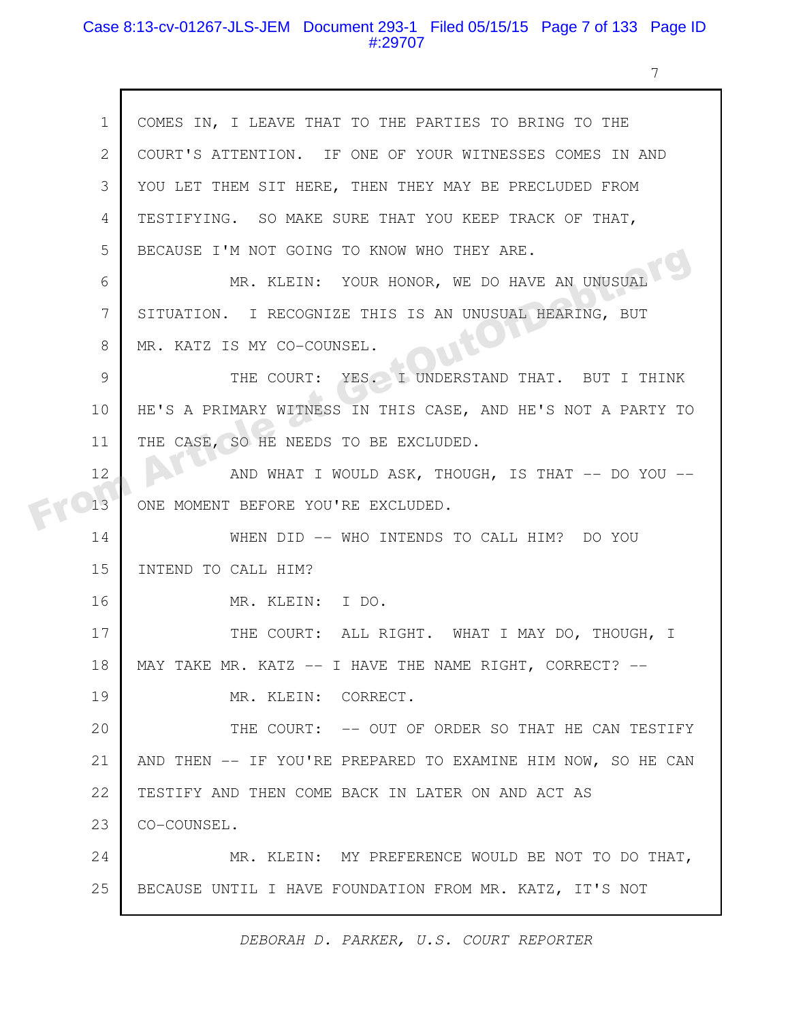#### Case 8:13-cv-01267-JLS-JEM Document 293-1 Filed 05/15/15 Page 7 of 133 Page ID #:29707

7

| $\mathbf{1}$ | COMES IN, I LEAVE THAT TO THE PARTIES TO BRING TO THE        |
|--------------|--------------------------------------------------------------|
| $\mathbf{2}$ | COURT'S ATTENTION. IF ONE OF YOUR WITNESSES COMES IN AND     |
| 3            | YOU LET THEM SIT HERE, THEN THEY MAY BE PRECLUDED FROM       |
| 4            | TESTIFYING. SO MAKE SURE THAT YOU KEEP TRACK OF THAT,        |
| 5            | BECAUSE I'M NOT GOING TO KNOW WHO THEY ARE.                  |
| 6            | MR. KLEIN: YOUR HONOR, WE DO HAVE AN UNUSUAL                 |
| 7            | SITUATION. I RECOGNIZE THIS IS AN UNUSUAL HEARING, BUT       |
| 8            | MR. KATZ IS MY CO-COUNSEL.                                   |
| 9            | THE COURT: YES. I UNDERSTAND THAT. BUT I THINK               |
| 10           | HE'S A PRIMARY WITNESS IN THIS CASE, AND HE'S NOT A PARTY TO |
| 11           | THE CASE, SO HE NEEDS TO BE EXCLUDED.                        |
| 12           | AND WHAT I WOULD ASK, THOUGH, IS THAT -- DO YOU --           |
| 13           | ONE MOMENT BEFORE YOU'RE EXCLUDED.                           |
| 14           | WHEN DID -- WHO INTENDS TO CALL HIM? DO YOU                  |
| 15           | INTEND TO CALL HIM?                                          |
| 16           | MR. KLEIN: I DO.                                             |
| 17           | THE COURT: ALL RIGHT. WHAT I MAY DO, THOUGH, I               |
| 18           | MAY TAKE MR. KATZ -- I HAVE THE NAME RIGHT, CORRECT? --      |
| 19           | MR. KLEIN: CORRECT.                                          |
| 20           | THE COURT: -- OUT OF ORDER SO THAT HE CAN TESTIFY            |
| 21           | AND THEN -- IF YOU'RE PREPARED TO EXAMINE HIM NOW, SO HE CAN |
| 22           | TESTIFY AND THEN COME BACK IN LATER ON AND ACT AS            |
| 23           | CO-COUNSEL.                                                  |
| 24           | MR. KLEIN: MY PREFERENCE WOULD BE NOT TO DO THAT,            |
| 25           | BECAUSE UNTIL I HAVE FOUNDATION FROM MR. KATZ, IT'S NOT      |
|              |                                                              |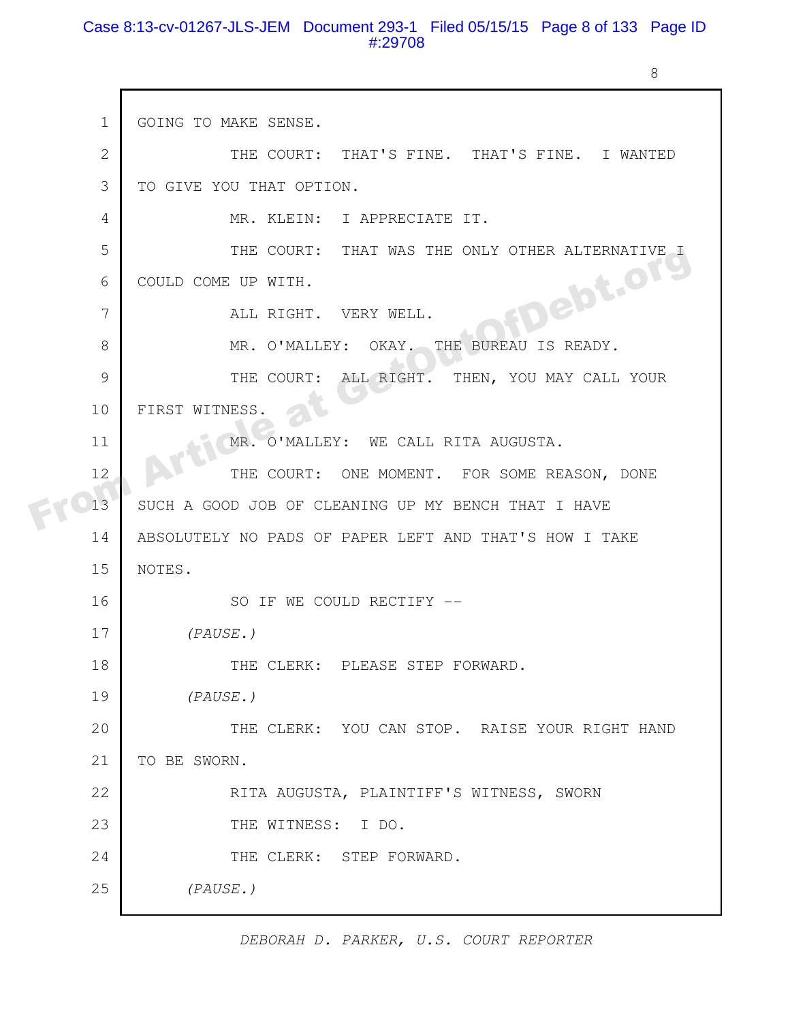#### Case 8:13-cv-01267-JLS-JEM Document 293-1 Filed 05/15/15 Page 8 of 133 Page ID #:29708

 $\mathsf{r}$ 

8

| $\mathbf 1$    | GOING TO MAKE SENSE.                                   |
|----------------|--------------------------------------------------------|
| $\overline{2}$ | THE COURT: THAT'S FINE. THAT'S FINE. I WANTED          |
| 3              | TO GIVE YOU THAT OPTION.                               |
| 4              | MR. KLEIN: I APPRECIATE IT.                            |
| 5              | THE COURT: THAT WAS THE ONLY OTHER ALTERNATIVE I       |
| 6              | COULD COME UP WITH.                                    |
| 7              | <b>FDebt.org</b><br>ALL RIGHT. VERY WELL.              |
| 8              | MR. O'MALLEY: OKAY. THE BUREAU IS READY.               |
| 9              | THE COURT: ALL RIGHT. THEN, YOU MAY CALL YOUR          |
| 10             | FIRST WITNESS.                                         |
| 11             | MR. O'MALLEY: WE CALL RITA AUGUSTA.                    |
| 12             | THE COURT: ONE MOMENT. FOR SOME REASON, DONE           |
| 13             | SUCH A GOOD JOB OF CLEANING UP MY BENCH THAT I HAVE    |
| 14             | ABSOLUTELY NO PADS OF PAPER LEFT AND THAT'S HOW I TAKE |
| 15             | NOTES.                                                 |
| 16             | SO IF WE COULD RECTIFY --                              |
| 17             | (PAUSE.)                                               |
| 18             | THE CLERK: PLEASE STEP FORWARD.                        |
| 19             | (PAUSE.)                                               |
| 20             | THE CLERK: YOU CAN STOP. RAISE YOUR RIGHT HAND         |
| 21             | TO BE SWORN.                                           |
| 22             | RITA AUGUSTA, PLAINTIFF'S WITNESS, SWORN               |
| 23             | THE WITNESS: I DO.                                     |
| 24             | THE CLERK: STEP FORWARD.                               |
| 25             | (PAUSE.)                                               |
|                |                                                        |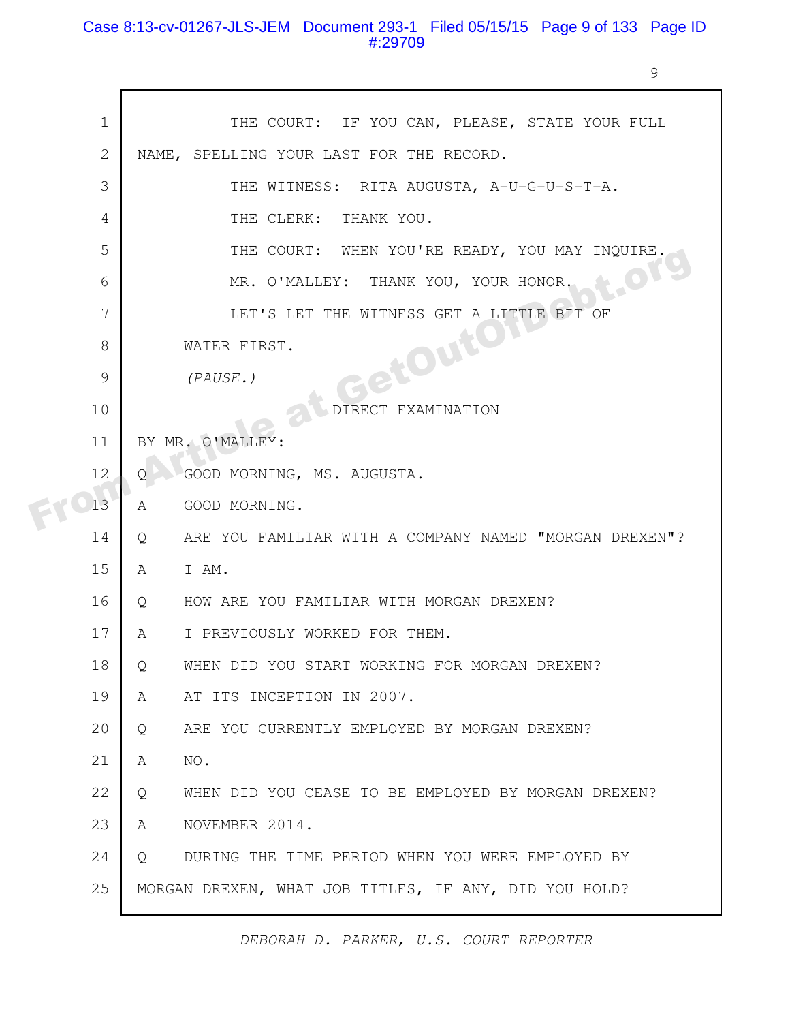## Case 8:13-cv-01267-JLS-JEM Document 293-1 Filed 05/15/15 Page 9 of 133 Page ID #:29709

9

| $\mathbf 1$  | THE COURT: IF YOU CAN, PLEASE, STATE YOUR FULL              |
|--------------|-------------------------------------------------------------|
| $\mathbf{2}$ | NAME, SPELLING YOUR LAST FOR THE RECORD.                    |
| 3            | THE WITNESS: RITA AUGUSTA, A-U-G-U-S-T-A.                   |
| 4            | THE CLERK:<br>THANK YOU.                                    |
| 5            | THE COURT: WHEN YOU'RE READY, YOU MAY INQUIRE.              |
| 6            | LOTg<br>MR. O'MALLEY: THANK YOU, YOUR HONOR.                |
| 7            | LET'S LET THE WITNESS GET A LITTLE BIT OF                   |
| 8            | GetOutor<br>WATER FIRST.                                    |
| 9            | (PAUSE.)                                                    |
| 10           | EXAMINATION<br>DIRECT                                       |
| 11           | BY MR. O'MALLEY:                                            |
| 12           | GOOD MORNING, MS. AUGUSTA.<br>Q                             |
| 13           | GOOD MORNING.<br>A                                          |
| 14           | ARE YOU FAMILIAR WITH A COMPANY NAMED "MORGAN DREXEN"?<br>Q |
| 15           | I AM.<br>A                                                  |
| 16           | HOW ARE YOU FAMILIAR WITH MORGAN DREXEN?<br>Q               |
| 17           | I PREVIOUSLY WORKED FOR THEM.<br>A                          |
| 18           | WHEN DID YOU START WORKING FOR MORGAN DREXEN?<br>Q          |
| 19           | AT ITS INCEPTION IN 2007.<br>A                              |
| 20           | ARE YOU CURRENTLY EMPLOYED BY MORGAN DREXEN?<br>Q           |
| 21           | NO.<br>A                                                    |
| 22           | WHEN DID YOU CEASE TO BE EMPLOYED BY MORGAN DREXEN?<br>Q    |
| 23           | NOVEMBER 2014.<br>A                                         |
| 24           | DURING THE TIME PERIOD WHEN YOU WERE EMPLOYED BY<br>$\circ$ |
| 25           | MORGAN DREXEN, WHAT JOB TITLES, IF ANY, DID YOU HOLD?       |
|              |                                                             |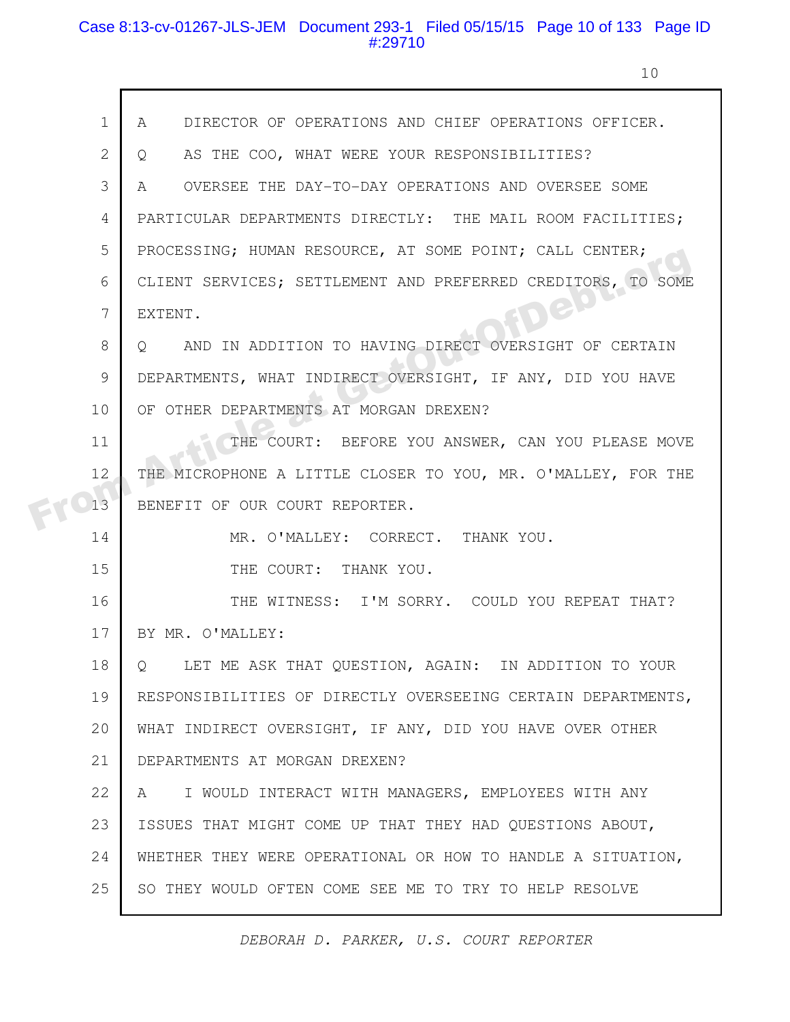#### Case 8:13-cv-01267-JLS-JEM Document 293-1 Filed 05/15/15 Page 10 of 133 Page ID #:29710

10

|    | $\mathbf 1$<br>DIRECTOR OF OPERATIONS AND CHIEF OPERATIONS OFFICER.<br>A    |
|----|-----------------------------------------------------------------------------|
|    | $\mathbf{2}$<br>AS THE COO, WHAT WERE YOUR RESPONSIBILITIES?<br>Q           |
|    | 3<br>OVERSEE THE DAY-TO-DAY OPERATIONS AND OVERSEE SOME<br>A                |
|    | PARTICULAR DEPARTMENTS DIRECTLY: THE MAIL ROOM FACILITIES;<br>4             |
|    | 5<br>PROCESSING; HUMAN RESOURCE, AT SOME POINT; CALL CENTER;                |
|    | CLIENT SERVICES; SETTLEMENT AND PREFERRED CREDITORS, TO SOME<br>6           |
|    | <b>ICP</b><br>7<br>EXTENT.                                                  |
|    | 8<br>AND IN ADDITION TO HAVING DIRECT OVERSIGHT OF CERTAIN<br>$Q_{\rm c}$   |
|    | $\mathcal{G}$<br>DEPARTMENTS, WHAT INDIRECT OVERSIGHT, IF ANY, DID YOU HAVE |
| 10 | OF OTHER DEPARTMENTS AT MORGAN DREXEN?                                      |
| 11 | THE COURT: BEFORE YOU ANSWER, CAN YOU PLEASE MOVE                           |
| 12 | THE MICROPHONE A LITTLE CLOSER TO YOU, MR. O'MALLEY, FOR THE                |
| 13 | BENEFIT OF OUR COURT REPORTER.                                              |
| 14 | MR. O'MALLEY: CORRECT. THANK YOU.                                           |
| 15 | THE COURT: THANK YOU.                                                       |
| 16 | THE WITNESS: I'M SORRY. COULD YOU REPEAT THAT?                              |
| 17 | BY MR. O'MALLEY:                                                            |
| 18 | LET ME ASK THAT QUESTION, AGAIN: IN ADDITION TO YOUR<br>Q                   |
| 19 | RESPONSIBILITIES OF DIRECTLY OVERSEEING CERTAIN DEPARTMENTS,                |
| 20 | WHAT INDIRECT OVERSIGHT, IF ANY, DID YOU HAVE OVER OTHER                    |
| 21 | DEPARTMENTS AT MORGAN DREXEN?                                               |
| 22 | I WOULD INTERACT WITH MANAGERS, EMPLOYEES WITH ANY<br>A                     |
| 23 | ISSUES THAT MIGHT COME UP THAT THEY HAD QUESTIONS ABOUT,                    |
| 24 | WHETHER THEY WERE OPERATIONAL OR HOW TO HANDLE A SITUATION,                 |
| 25 | SO THEY WOULD OFTEN COME SEE ME TO TRY TO HELP RESOLVE                      |
|    |                                                                             |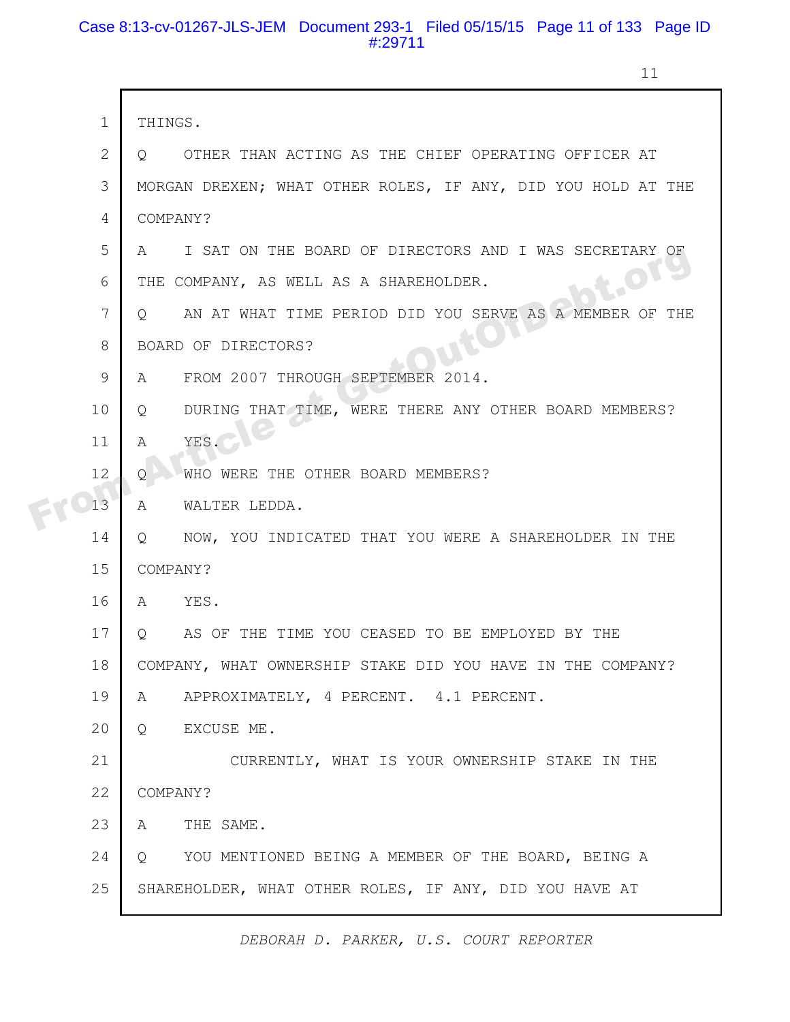### Case 8:13-cv-01267-JLS-JEM Document 293-1 Filed 05/15/15 Page 11 of 133 Page ID #:29711

11

| $\mathbf 1$ | THINGS.                                                          |
|-------------|------------------------------------------------------------------|
| 2           | OTHER THAN ACTING AS THE CHIEF OPERATING OFFICER AT<br>O.        |
| 3           | MORGAN DREXEN; WHAT OTHER ROLES, IF ANY, DID YOU HOLD AT THE     |
| 4           | COMPANY?                                                         |
| 5           | I SAT ON THE BOARD OF DIRECTORS AND I WAS SECRETARY OF<br>A      |
| 6           | LOT<br>THE COMPANY, AS WELL AS A SHAREHOLDER.                    |
| 7           | AN AT WHAT TIME PERIOD DID YOU SERVE AS A MEMBER OF THE<br>Q     |
| 8           | BOARD OF DIRECTORS?                                              |
| 9           | FROM 2007 THROUGH SEPTEMBER 2014.<br>A                           |
| 10          | DURING THAT TIME, WERE THERE ANY OTHER BOARD MEMBERS?<br>$\circ$ |
| 11          | YES.<br>$\mathcal{A}$                                            |
| 12          | WHO WERE THE OTHER BOARD MEMBERS?<br>Q.                          |
| 13          | WALTER LEDDA.<br>A                                               |
| 14          | NOW, YOU INDICATED THAT YOU WERE A SHAREHOLDER IN THE<br>$\circ$ |
| 15          | COMPANY?                                                         |
| 16          | YES.<br>A                                                        |
| 17          | AS OF THE TIME YOU CEASED TO BE EMPLOYED BY THE<br>$Q_{\rm max}$ |
| 18          | COMPANY, WHAT OWNERSHIP STAKE DID YOU HAVE IN THE COMPANY?       |
| 19          | APPROXIMATELY, 4 PERCENT. 4.1 PERCENT.<br>A                      |
| 20          | EXCUSE ME.<br>$Q \qquad \qquad$                                  |
| 21          | CURRENTLY, WHAT IS YOUR OWNERSHIP STAKE IN THE                   |
| 22          | COMPANY?                                                         |
| 23          | THE SAME.<br>A                                                   |
| 24          | YOU MENTIONED BEING A MEMBER OF THE BOARD, BEING A<br>Q          |
| 25          | SHAREHOLDER, WHAT OTHER ROLES, IF ANY, DID YOU HAVE AT           |
|             |                                                                  |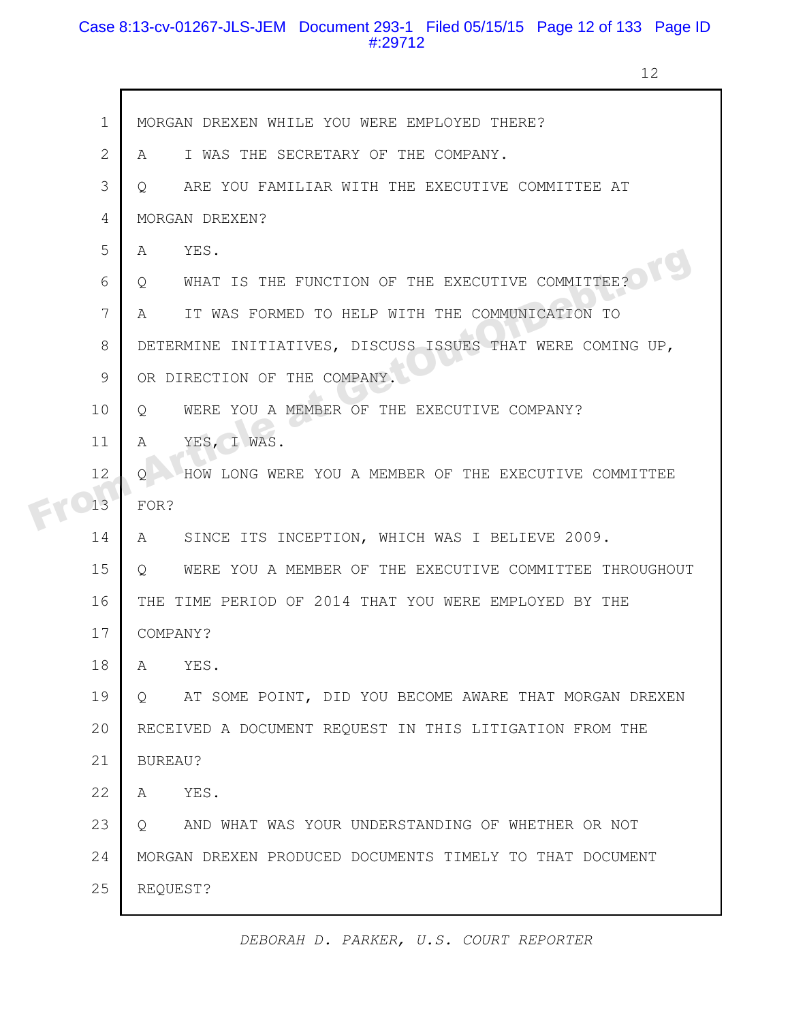## Case 8:13-cv-01267-JLS-JEM Document 293-1 Filed 05/15/15 Page 12 of 133 Page ID #:29712

12

| $\mathbf 1$  | MORGAN DREXEN WHILE YOU WERE EMPLOYED THERE?                             |
|--------------|--------------------------------------------------------------------------|
| $\mathbf{2}$ | I WAS THE SECRETARY OF THE COMPANY.<br>A                                 |
| 3            | ARE YOU FAMILIAR WITH THE EXECUTIVE COMMITTEE AT<br>$\circ$              |
| 4            | MORGAN DREXEN?                                                           |
| 5            | YES.<br>A                                                                |
| 6            | WHAT IS THE FUNCTION OF THE EXECUTIVE COMMITTEE?<br>Q                    |
| 7            | IT WAS FORMED TO HELP WITH THE COMMUNICATION TO<br>A                     |
| 8            | DETERMINE INITIATIVES, DISCUSS ISSUES THAT WERE COMING UP,               |
| 9            | OR DIRECTION OF THE COMPANY.                                             |
| 10           | WERE YOU A MEMBER OF THE EXECUTIVE COMPANY?<br>Q                         |
| 11           | YES, I WAS.<br>A                                                         |
| 12           | HOW LONG WERE YOU A MEMBER OF THE EXECUTIVE COMMITTEE<br>O               |
| 13           | FOR?                                                                     |
| 14           | SINCE ITS INCEPTION, WHICH WAS I BELIEVE 2009.<br>A                      |
| 15           | WERE YOU A MEMBER OF THE EXECUTIVE COMMITTEE THROUGHOUT<br>$\circ$       |
| 16           | THE TIME PERIOD OF 2014 THAT YOU WERE EMPLOYED BY THE                    |
| 17           | COMPANY?                                                                 |
| 18           | YES.<br>A                                                                |
| 19           | AT SOME POINT, DID YOU BECOME AWARE THAT MORGAN DREXEN<br>$\overline{Q}$ |
| 20           | RECEIVED A DOCUMENT REQUEST IN THIS LITIGATION FROM THE                  |
| 21           | BUREAU?                                                                  |
| 22           | YES.<br>A                                                                |
| 23           | AND WHAT WAS YOUR UNDERSTANDING OF WHETHER OR NOT<br>$\circ$             |
| 24           | MORGAN DREXEN PRODUCED DOCUMENTS TIMELY TO THAT DOCUMENT                 |
| 25           | REQUEST?                                                                 |
|              |                                                                          |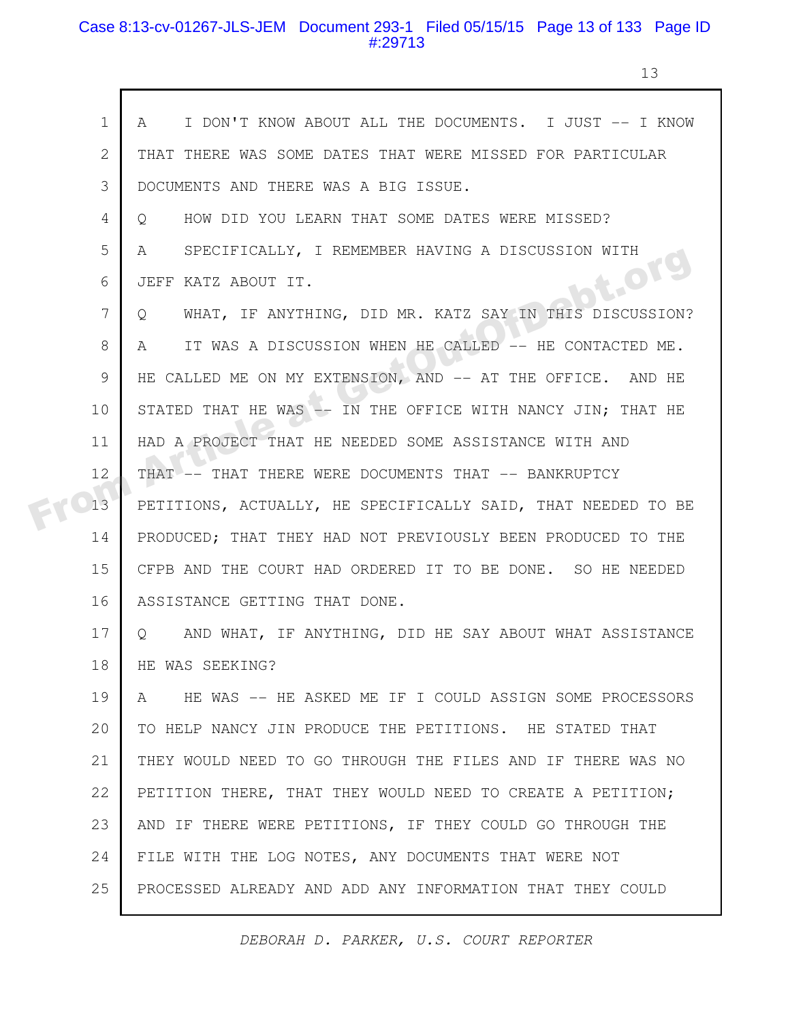## Case 8:13-cv-01267-JLS-JEM Document 293-1 Filed 05/15/15 Page 13 of 133 Page ID #:29713

 $\mathsf{r}$ 

13

| $\mathbf 1$  | I DON'T KNOW ABOUT ALL THE DOCUMENTS. I JUST -- I KNOW<br>A            |
|--------------|------------------------------------------------------------------------|
| $\mathbf{2}$ | THAT THERE WAS SOME DATES THAT WERE MISSED FOR PARTICULAR              |
| 3            | DOCUMENTS AND THERE WAS A BIG ISSUE.                                   |
| 4            | HOW DID YOU LEARN THAT SOME DATES WERE MISSED?<br>Q                    |
| 5            | SPECIFICALLY, I REMEMBER HAVING A DISCUSSION WITH<br>A                 |
| 6            | <b>DE-OT!</b><br>JEFF KATZ ABOUT IT.                                   |
| 7            | WHAT, IF ANYTHING, DID MR. KATZ SAY IN THIS DISCUSSION?<br>$\circ$     |
| 8            | IT WAS A DISCUSSION WHEN HE CALLED -- HE CONTACTED ME.<br>A            |
| 9            | HE CALLED ME ON MY EXTENSION, AND -- AT THE OFFICE. AND HE             |
| 10           | STATED THAT HE WAS -- IN THE OFFICE WITH NANCY JIN; THAT HE            |
| 11           | HAD A PROJECT THAT HE NEEDED SOME ASSISTANCE WITH AND                  |
| 12           | THAT -- THAT THERE WERE DOCUMENTS THAT -- BANKRUPTCY                   |
| 13           | PETITIONS, ACTUALLY, HE SPECIFICALLY SAID, THAT NEEDED TO BE           |
| 14           | PRODUCED; THAT THEY HAD NOT PREVIOUSLY BEEN PRODUCED TO THE            |
| 15           | CFPB AND THE COURT HAD ORDERED IT TO BE DONE. SO HE NEEDED             |
| 16           | ASSISTANCE GETTING THAT DONE.                                          |
| 17           | AND WHAT, IF ANYTHING, DID HE SAY ABOUT WHAT ASSISTANCE<br>$Q_{\perp}$ |
| 18           | HE WAS SEEKING?                                                        |
| 19           | HE WAS -- HE ASKED ME IF I COULD ASSIGN SOME PROCESSORS<br>A           |
| 20           | TO HELP NANCY JIN PRODUCE THE PETITIONS. HE STATED THAT                |
| 21           | THEY WOULD NEED TO GO THROUGH THE FILES AND IF THERE WAS NO            |
| 22           | PETITION THERE, THAT THEY WOULD NEED TO CREATE A PETITION;             |
| 23           | AND IF THERE WERE PETITIONS, IF THEY COULD GO THROUGH THE              |
| 24           | FILE WITH THE LOG NOTES, ANY DOCUMENTS THAT WERE NOT                   |
| 25           | PROCESSED ALREADY AND ADD ANY INFORMATION THAT THEY COULD              |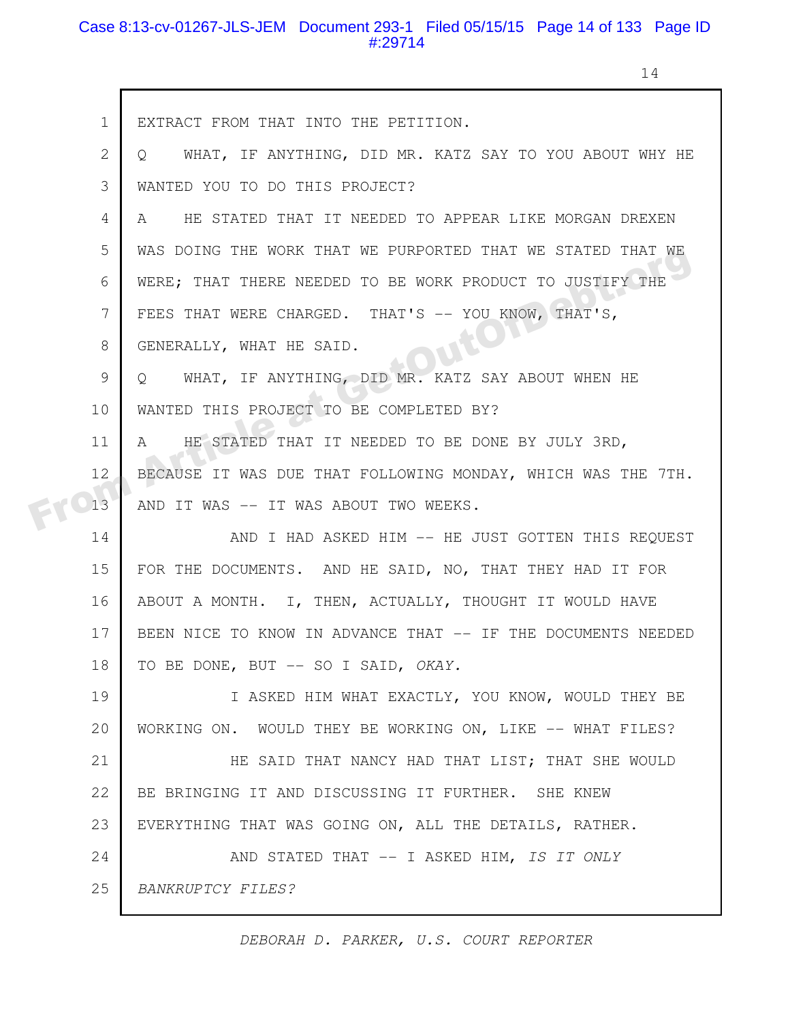### Case 8:13-cv-01267-JLS-JEM Document 293-1 Filed 05/15/15 Page 14 of 133 Page ID #:29714

14

|  | $\mathbf 1$ | EXTRACT FROM THAT INTO THE PETITION.                         |
|--|-------------|--------------------------------------------------------------|
|  | 2           | WHAT, IF ANYTHING, DID MR. KATZ SAY TO YOU ABOUT WHY HE<br>Q |
|  | 3           | WANTED YOU TO DO THIS PROJECT?                               |
|  | 4           | HE STATED THAT IT NEEDED TO APPEAR LIKE MORGAN DREXEN<br>A   |
|  | 5           | WAS DOING THE WORK THAT WE PURPORTED THAT WE STATED THAT WE  |
|  | 6           | WERE; THAT THERE NEEDED TO BE WORK PRODUCT TO JUSTIFY THE    |
|  | 7           | FEES THAT WERE CHARGED. THAT'S -- YOU KNOW, THAT'S,          |
|  | 8           | GENERALLY, WHAT HE SAID.                                     |
|  | 9           | WHAT, IF ANYTHING, DID MR. KATZ SAY ABOUT WHEN HE<br>$\circ$ |
|  | 10          | WANTED THIS PROJECT TO BE COMPLETED BY?                      |
|  | 11          | HE STATED THAT IT NEEDED TO BE DONE BY JULY 3RD,<br>A        |
|  | 12          | BECAUSE IT WAS DUE THAT FOLLOWING MONDAY, WHICH WAS THE 7TH. |
|  | 13          | AND IT WAS -- IT WAS ABOUT TWO WEEKS.                        |
|  | 14          | AND I HAD ASKED HIM -- HE JUST GOTTEN THIS REQUEST           |
|  | 15          | FOR THE DOCUMENTS. AND HE SAID, NO, THAT THEY HAD IT FOR     |
|  | 16          | ABOUT A MONTH. I, THEN, ACTUALLY, THOUGHT IT WOULD HAVE      |
|  | 17          | BEEN NICE TO KNOW IN ADVANCE THAT -- IF THE DOCUMENTS NEEDED |
|  | 18          | TO BE DONE, BUT -- SO I SAID, OKAY.                          |
|  | 19          | I ASKED HIM WHAT EXACTLY, YOU KNOW, WOULD THEY BE            |
|  | 20          | WORKING ON. WOULD THEY BE WORKING ON, LIKE -- WHAT FILES?    |
|  | 21          | HE SAID THAT NANCY HAD THAT LIST; THAT SHE WOULD             |
|  | 22          | BE BRINGING IT AND DISCUSSING IT FURTHER. SHE KNEW           |
|  | 23          | EVERYTHING THAT WAS GOING ON, ALL THE DETAILS, RATHER.       |
|  | 24          | AND STATED THAT -- I ASKED HIM, IS IT ONLY                   |
|  | 25          | BANKRUPTCY FILES?                                            |
|  |             |                                                              |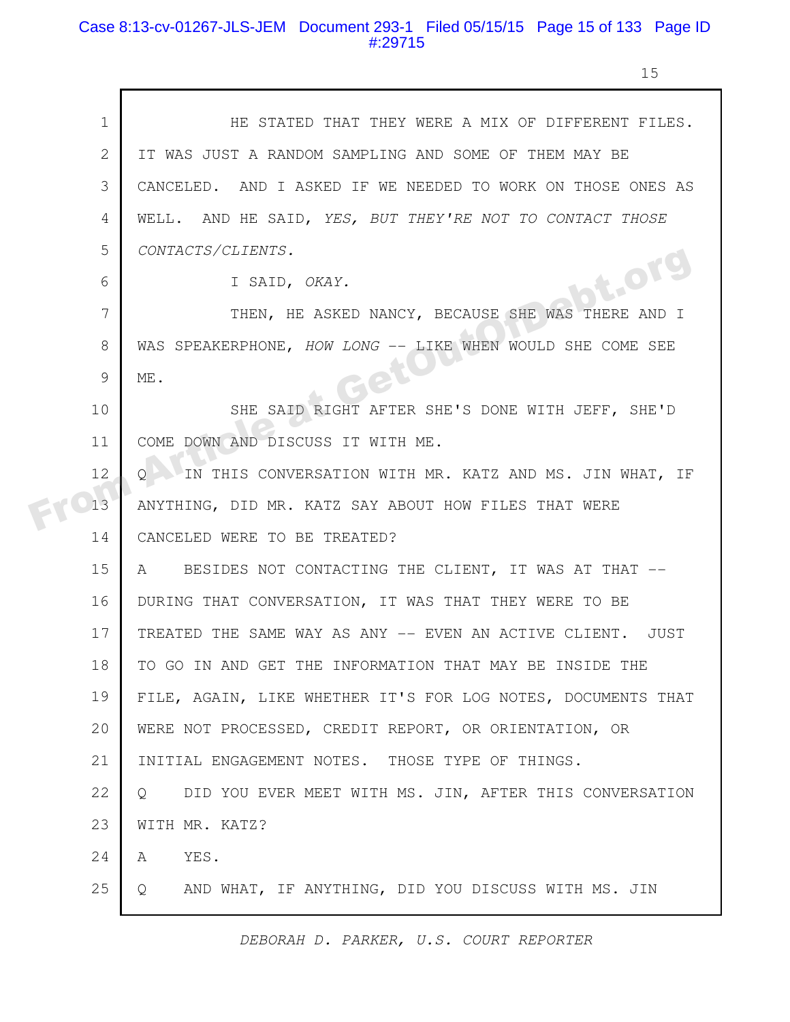#### Case 8:13-cv-01267-JLS-JEM Document 293-1 Filed 05/15/15 Page 15 of 133 Page ID #:29715

15

|    | HE STATED THAT THEY WERE A MIX OF DIFFERENT FILES.           |
|----|--------------------------------------------------------------|
|    | IT WAS JUST A RANDOM SAMPLING AND SOME OF THEM MAY BE        |
|    | CANCELED. AND I ASKED IF WE NEEDED TO WORK ON THOSE ONES AS  |
|    | WELL. AND HE SAID, YES, BUT THEY'RE NOT TO CONTACT THOSE     |
|    | CONTACTS/CLIENTS.                                            |
|    | bt.or<br>I SAID, OKAY.                                       |
|    | THEN, HE ASKED NANCY, BECAUSE SHE WAS THERE AND I            |
|    | WAS SPEAKERPHONE, HOW LONG -- LIKE WHEN WOULD SHE COME SEE   |
|    | ME.                                                          |
| 10 | SHE SAID RIGHT AFTER SHE'S DONE WITH JEFF, SHE'D             |
| 11 | COME DOWN AND DISCUSS IT WITH ME.                            |
| 12 | IN THIS CONVERSATION WITH MR. KATZ AND MS. JIN WHAT, IF      |
| 13 | ANYTHING, DID MR. KATZ SAY ABOUT HOW FILES THAT WERE         |
| 14 | CANCELED WERE TO BE TREATED?                                 |
| 15 | BESIDES NOT CONTACTING THE CLIENT, IT WAS AT THAT --<br>A    |
| 16 | DURING THAT CONVERSATION, IT WAS THAT THEY WERE TO BE        |
| 17 | TREATED THE SAME WAY AS ANY -- EVEN AN ACTIVE CLIENT. JUST   |
| 18 | TO GO IN AND GET THE INFORMATION THAT MAY BE INSIDE THE      |
| 19 | FILE, AGAIN, LIKE WHETHER IT'S FOR LOG NOTES, DOCUMENTS THAT |
| 20 | WERE NOT PROCESSED, CREDIT REPORT, OR ORIENTATION, OR        |
| 21 | INITIAL ENGAGEMENT NOTES. THOSE TYPE OF THINGS.              |
| 22 | DID YOU EVER MEET WITH MS. JIN, AFTER THIS CONVERSATION<br>Q |
| 23 | WITH MR. KATZ?                                               |
| 24 | YES.<br>A                                                    |
| 25 | AND WHAT, IF ANYTHING, DID YOU DISCUSS WITH MS. JIN<br>Q     |
|    |                                                              |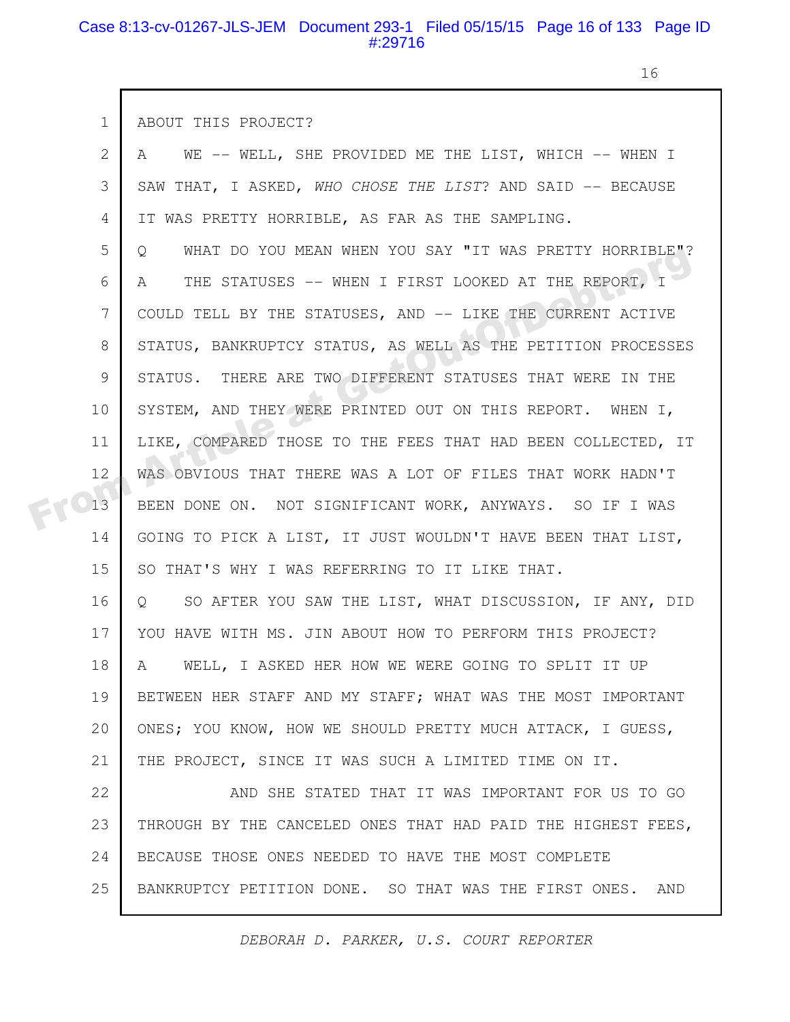#### Case 8:13-cv-01267-JLS-JEM Document 293-1 Filed 05/15/15 Page 16 of 133 Page ID #:29716

 $\Gamma$ 

16

| $\mathbf 1$ | ABOUT THIS PROJECT?                                                    |
|-------------|------------------------------------------------------------------------|
| 2           | WE -- WELL, SHE PROVIDED ME THE LIST, WHICH -- WHEN I<br>A             |
| 3           | SAW THAT, I ASKED, WHO CHOSE THE LIST? AND SAID -- BECAUSE             |
| 4           | IT WAS PRETTY HORRIBLE, AS FAR AS THE SAMPLING.                        |
| 5           | WHAT DO YOU MEAN WHEN YOU SAY "IT WAS PRETTY HORRIBLE"?<br>$\circ$     |
| 6           | THE STATUSES -- WHEN I FIRST LOOKED AT THE REPORT, I<br>A              |
| 7           | COULD TELL BY THE STATUSES, AND -- LIKE THE CURRENT ACTIVE             |
| 8           | STATUS, BANKRUPTCY STATUS, AS WELL AS THE PETITION PROCESSES           |
| 9           | STATUS. THERE ARE TWO DIFFERENT STATUSES THAT WERE IN THE              |
| 10          | SYSTEM, AND THEY WERE PRINTED OUT ON THIS REPORT. WHEN I,              |
| 11          | LIKE, COMPARED THOSE TO THE FEES THAT HAD BEEN COLLECTED, IT           |
| 12          | WAS OBVIOUS THAT THERE WAS A LOT OF FILES THAT WORK HADN'T             |
| 13          | BEEN DONE ON. NOT SIGNIFICANT WORK, ANYWAYS. SO IF I WAS               |
| 14          | GOING TO PICK A LIST, IT JUST WOULDN'T HAVE BEEN THAT LIST,            |
| 15          | SO THAT'S WHY I WAS REFERRING TO IT LIKE THAT.                         |
| 16          | SO AFTER YOU SAW THE LIST, WHAT DISCUSSION, IF ANY, DID<br>$Q_{\rm c}$ |
| 17          | YOU HAVE WITH MS. JIN ABOUT HOW TO PERFORM THIS PROJECT?               |
| 18          | WELL, I ASKED HER HOW WE WERE GOING TO SPLIT IT UP<br>A                |
| 19          | BETWEEN HER STAFF AND MY STAFF; WHAT WAS THE MOST IMPORTANT            |
| 20          | ONES; YOU KNOW, HOW WE SHOULD PRETTY MUCH ATTACK, I GUESS,             |
| 21          | THE PROJECT, SINCE IT WAS SUCH A LIMITED TIME ON IT.                   |
| 22          | AND SHE STATED THAT IT WAS IMPORTANT FOR US TO GO                      |
| 23          | THROUGH BY THE CANCELED ONES THAT HAD PAID THE HIGHEST FEES,           |
| 24          | BECAUSE THOSE ONES NEEDED TO HAVE THE MOST COMPLETE                    |
| 25          | BANKRUPTCY PETITION DONE. SO THAT WAS THE FIRST ONES.<br>AND           |
|             |                                                                        |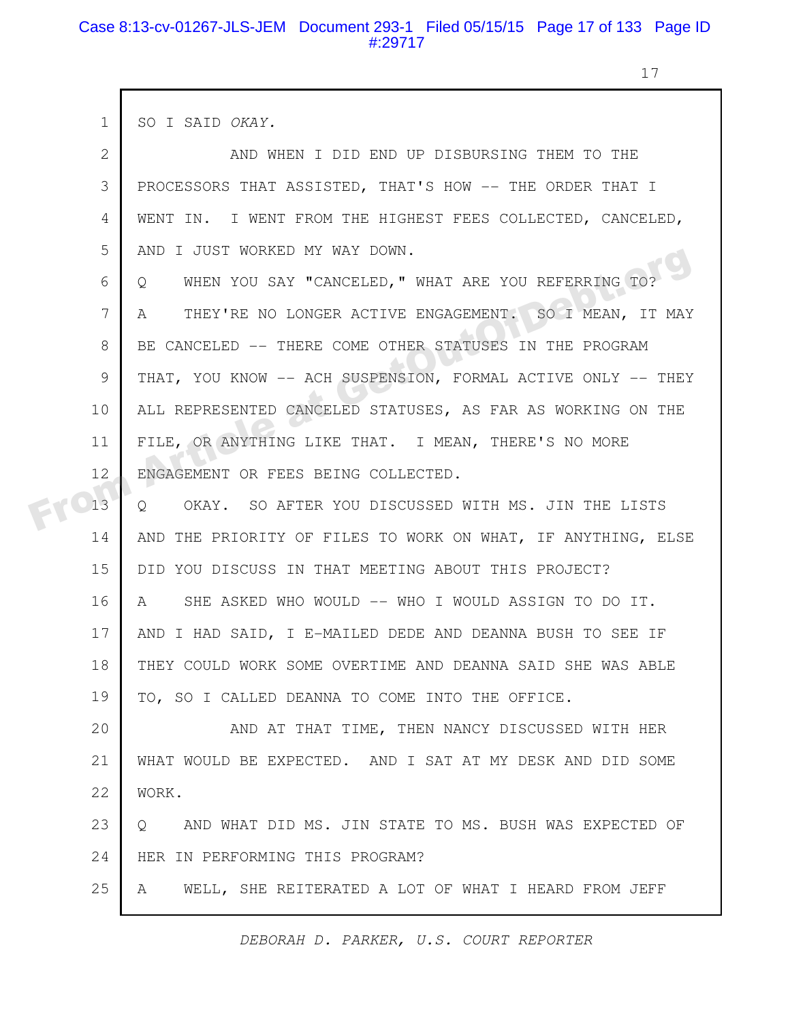### Case 8:13-cv-01267-JLS-JEM Document 293-1 Filed 05/15/15 Page 17 of 133 Page ID #:29717

17

| $\mathbf 1$ | SO I SAID OKAY.                                                   |
|-------------|-------------------------------------------------------------------|
| 2           | AND WHEN I DID END UP DISBURSING THEM TO THE                      |
| 3           | PROCESSORS THAT ASSISTED, THAT'S HOW -- THE ORDER THAT I          |
| 4           | WENT IN. I WENT FROM THE HIGHEST FEES COLLECTED, CANCELED,        |
| 5           | AND I JUST WORKED MY WAY DOWN.                                    |
| 6           | WHEN YOU SAY "CANCELED, " WHAT ARE YOU REFERRING TO?<br>Q         |
| 7           | THEY'RE NO LONGER ACTIVE ENGAGEMENT. SO I MEAN, IT MAY<br>A       |
| 8           | BE CANCELED -- THERE COME OTHER STATUSES IN THE PROGRAM           |
| 9           | THAT, YOU KNOW -- ACH SUSPENSION, FORMAL ACTIVE ONLY -- THEY      |
| 10          | ALL REPRESENTED CANCELED STATUSES, AS FAR AS WORKING ON THE       |
| 11          | FILE, OR ANYTHING LIKE THAT. I MEAN, THERE'S NO MORE              |
| 12          | ENGAGEMENT OR FEES BEING COLLECTED.                               |
| 13          | OKAY. SO AFTER YOU DISCUSSED WITH MS. JIN THE LISTS<br>Q          |
| 14          | AND THE PRIORITY OF FILES TO WORK ON WHAT, IF ANYTHING, ELSE      |
| 15          | DID YOU DISCUSS IN THAT MEETING ABOUT THIS PROJECT?               |
| 16          | SHE ASKED WHO WOULD -- WHO I WOULD ASSIGN TO DO IT.<br>A          |
| 17          | AND I HAD SAID, I E-MAILED DEDE AND DEANNA BUSH TO SEE IF         |
| 18          | THEY COULD WORK SOME OVERTIME AND DEANNA SAID SHE WAS ABLE        |
| 19          | TO, SO I CALLED DEANNA TO COME INTO THE OFFICE.                   |
| 20          | AND AT THAT TIME, THEN NANCY DISCUSSED WITH HER                   |
| 21          | WHAT WOULD BE EXPECTED. AND I SAT AT MY DESK AND DID SOME         |
| 22          | WORK.                                                             |
| 23          | AND WHAT DID MS. JIN STATE TO MS. BUSH WAS EXPECTED OF<br>$\circ$ |
| 24          | HER IN PERFORMING THIS PROGRAM?                                   |
| 25          | WELL, SHE REITERATED A LOT OF WHAT I HEARD FROM JEFF<br>A         |
|             |                                                                   |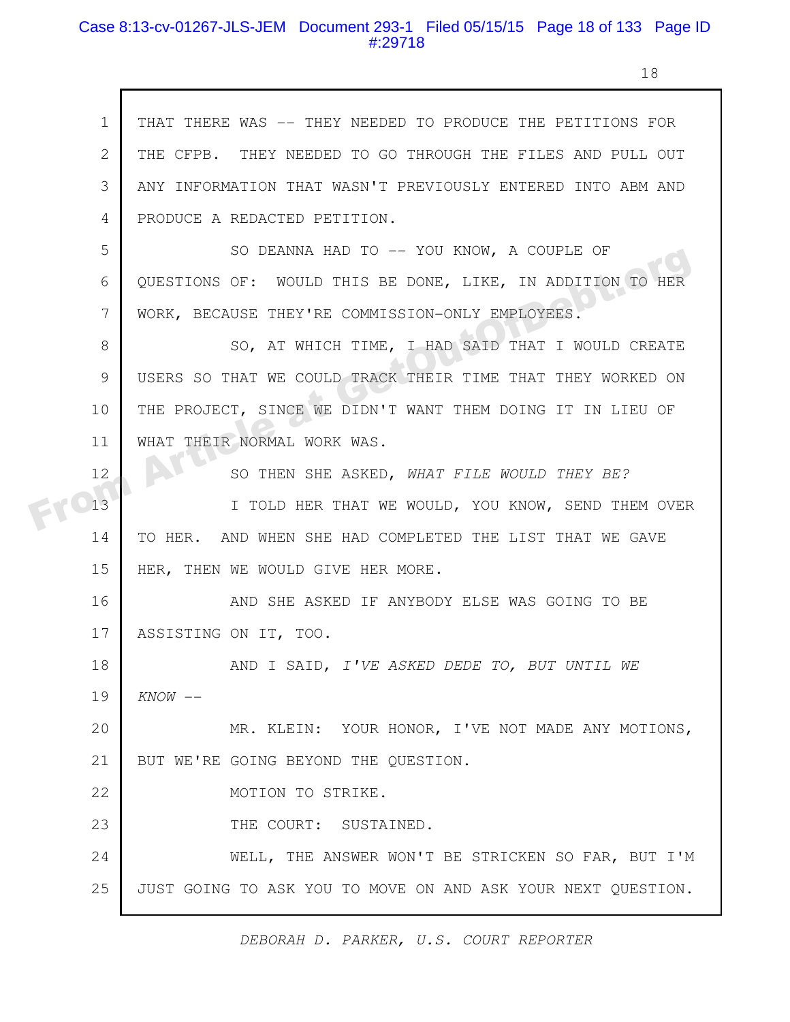#### Case 8:13-cv-01267-JLS-JEM Document 293-1 Filed 05/15/15 Page 18 of 133 Page ID #:29718

18

THAT THERE WAS -- THEY NEEDED TO PRODUCE THE PETITIONS FOR THE CFPB. THEY NEEDED TO GO THROUGH THE FILES AND PULL OUT ANY INFORMATION THAT WASN'T PREVIOUSLY ENTERED INTO ABM AND PRODUCE A REDACTED PETITION. SO DEANNA HAD TO -- YOU KNOW, A COUPLE OF QUESTIONS OF: WOULD THIS BE DONE, LIKE, IN ADDITION TO HER WORK, BECAUSE THEY'RE COMMISSION-ONLY EMPLOYEES. SO, AT WHICH TIME, I HAD SAID THAT I WOULD CREATE USERS SO THAT WE COULD TRACK THEIR TIME THAT THEY WORKED ON THE PROJECT, SINCE WE DIDN'T WANT THEM DOING IT IN LIEU OF WHAT THEIR NORMAL WORK WAS. SO THEN SHE ASKED, *WHAT FILE WOULD THEY BE?* I TOLD HER THAT WE WOULD, YOU KNOW, SEND THEM OVER TO HER. AND WHEN SHE HAD COMPLETED THE LIST THAT WE GAVE HER, THEN WE WOULD GIVE HER MORE. AND SHE ASKED IF ANYBODY ELSE WAS GOING TO BE ASSISTING ON IT, TOO. AND I SAID, *I'VE ASKED DEDE TO, BUT UNTIL WE KNOW* -- MR. KLEIN: YOUR HONOR, I'VE NOT MADE ANY MOTIONS, BUT WE'RE GOING BEYOND THE QUESTION. MOTION TO STRIKE. THE COURT: SUSTAINED. WELL, THE ANSWER WON'T BE STRICKEN SO FAR, BUT I'M JUST GOING TO ASK YOU TO MOVE ON AND ASK YOUR NEXT QUESTION. 1 2 3 4 5 6 7 8 9 10 11 12 13 14 15 16 17 18 19 20 21 22 23 24 25 SO DEANNA HAD 10 -- TOO KNOW, A COOPLE OF<br>
FROM A COURS OF: WOULD THIS BE DONE, LIKE, IN ADDITION TO HER<br>
WORK, BECAUSE THEY'RE COMMISSION-ONLY EMPLOYEES.<br>
SO, AT WHICH TIME, I HAD SAID THAT I WOULD CREATE<br>
USERS SO THAT W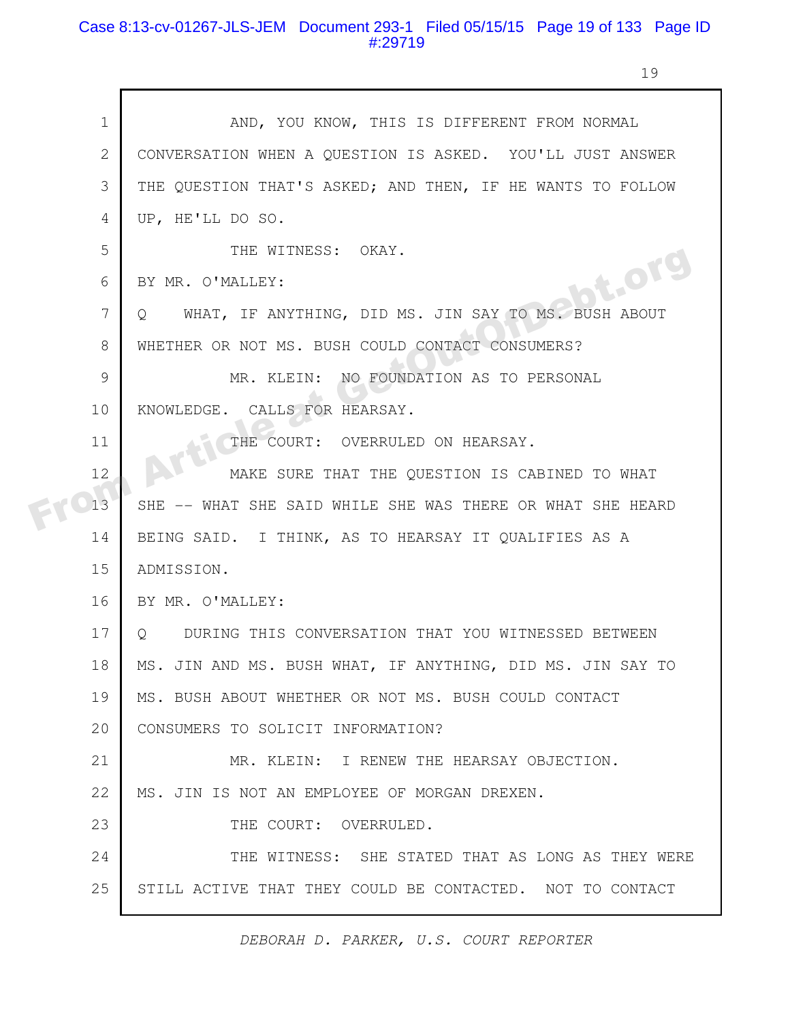### Case 8:13-cv-01267-JLS-JEM Document 293-1 Filed 05/15/15 Page 19 of 133 Page ID #:29719

г

19

| $\mathbf 1$ | AND, YOU KNOW, THIS IS DIFFERENT FROM NORMAL                    |
|-------------|-----------------------------------------------------------------|
| 2           | CONVERSATION WHEN A QUESTION IS ASKED. YOU'LL JUST ANSWER       |
| 3           | THE QUESTION THAT'S ASKED; AND THEN, IF HE WANTS TO FOLLOW      |
| 4           | UP, HE'LL DO SO.                                                |
| 5           | THE WITNESS: OKAY.                                              |
| 6           | bt.org<br>BY MR. O'MALLEY:                                      |
| 7           | WHAT, IF ANYTHING, DID MS. JIN SAY TO MS. BUSH ABOUT<br>$\circ$ |
| 8           | WHETHER OR NOT MS. BUSH COULD CONTACT CONSUMERS?                |
| 9           | MR. KLEIN: NO FOUNDATION AS TO PERSONAL                         |
| 10          | KNOWLEDGE. CALLS FOR HEARSAY.                                   |
| 11          | THE COURT: OVERRULED ON HEARSAY.                                |
| 12          | MAKE SURE THAT THE QUESTION IS CABINED TO WHAT                  |
| 13          | SHE -- WHAT SHE SAID WHILE SHE WAS THERE OR WHAT SHE HEARD      |
| 14          | BEING SAID. I THINK, AS TO HEARSAY IT QUALIFIES AS A            |
| 15          | ADMISSION.                                                      |
| 16          | BY MR. O'MALLEY:                                                |
| 17          | Q DURING THIS CONVERSATION THAT YOU WITNESSED BETWEEN           |
| 18          | MS. JIN AND MS. BUSH WHAT, IF ANYTHING, DID MS. JIN SAY TO      |
| 19          | MS. BUSH ABOUT WHETHER OR NOT MS. BUSH COULD CONTACT            |
| 20          | CONSUMERS TO SOLICIT INFORMATION?                               |
| 21          | MR. KLEIN: I RENEW THE HEARSAY OBJECTION.                       |
| 22          | MS. JIN IS NOT AN EMPLOYEE OF MORGAN DREXEN.                    |
| 23          | THE COURT: OVERRULED.                                           |
| 24          | THE WITNESS: SHE STATED THAT AS LONG AS THEY WERE               |
| 25          | STILL ACTIVE THAT THEY COULD BE CONTACTED. NOT TO CONTACT       |
|             |                                                                 |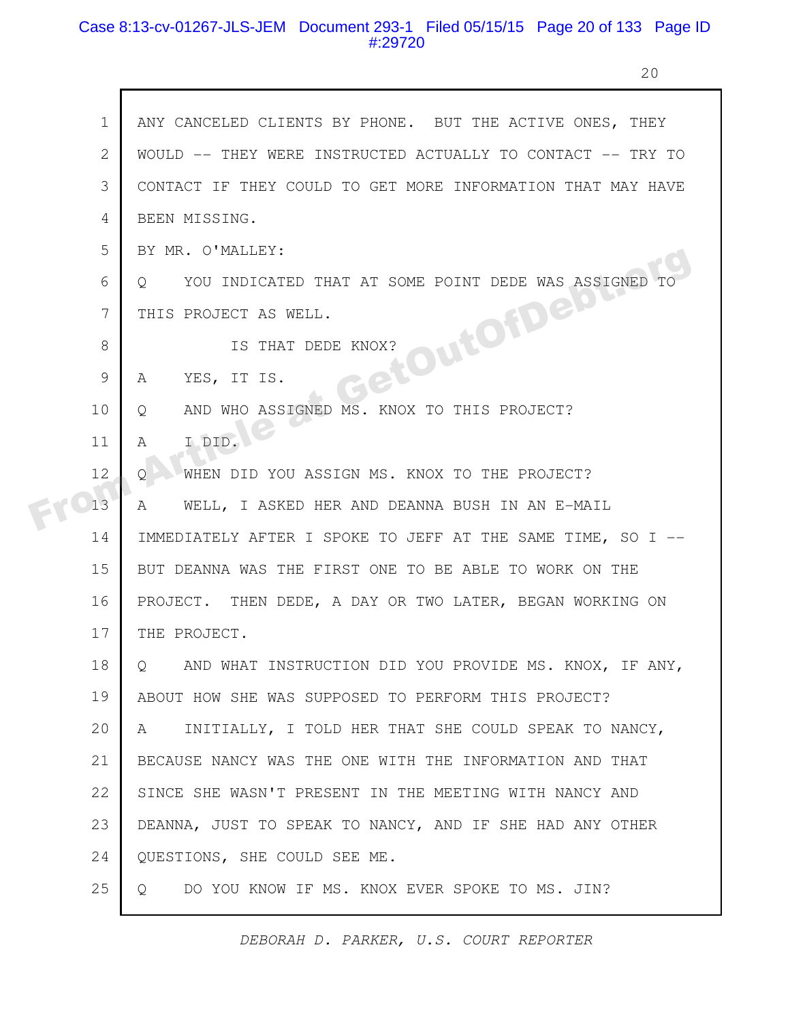### Case 8:13-cv-01267-JLS-JEM Document 293-1 Filed 05/15/15 Page 20 of 133 Page ID #:29720

h

20

| $\mathbf 1$  | ANY CANCELED CLIENTS BY PHONE. BUT THE ACTIVE ONES, THEY    |
|--------------|-------------------------------------------------------------|
| $\mathbf{2}$ | WOULD -- THEY WERE INSTRUCTED ACTUALLY TO CONTACT -- TRY TO |
| 3            | CONTACT IF THEY COULD TO GET MORE INFORMATION THAT MAY HAVE |
| 4            | BEEN MISSING.                                               |
| 5            | BY MR. O'MALLEY:                                            |
| 6            | YOU INDICATED THAT AT SOME POINT DEDE WAS ASSIGNED<br>O     |
| 7            | THIS PROJECT AS WELL.                                       |
| 8            | etOutOfDeast<br>IS THAT DEDE KNOX?                          |
| 9            | YES, IT IS.<br>A                                            |
| 10           | AND WHO ASSIGNED MS. KNOX TO THIS PROJECT?<br>Q             |
| 11           | I DID.<br>Α                                                 |
| 12           | WHEN DID YOU ASSIGN MS. KNOX TO THE PROJECT?<br>O           |
| 13           | WELL, I ASKED HER AND DEANNA BUSH IN AN E-MAIL<br>A         |
| 14           | IMMEDIATELY AFTER I SPOKE TO JEFF AT THE SAME TIME, SO I -- |
| 15           | BUT DEANNA WAS THE FIRST ONE TO BE ABLE TO WORK ON THE      |
| 16           | PROJECT. THEN DEDE, A DAY OR TWO LATER, BEGAN WORKING ON    |
| 17           | THE PROJECT.                                                |
| 18           | AND WHAT INSTRUCTION DID YOU PROVIDE MS. KNOX, IF ANY,<br>Q |
| 19           | ABOUT HOW SHE WAS SUPPOSED TO PERFORM THIS PROJECT?         |
| 20           | INITIALLY, I TOLD HER THAT SHE COULD SPEAK TO NANCY,<br>A   |
| 21           | BECAUSE NANCY WAS THE ONE WITH THE INFORMATION AND THAT     |
| 22           | SINCE SHE WASN'T PRESENT IN THE MEETING WITH NANCY AND      |
| 23           | DEANNA, JUST TO SPEAK TO NANCY, AND IF SHE HAD ANY OTHER    |
| 24           | QUESTIONS, SHE COULD SEE ME.                                |
| 25           | DO YOU KNOW IF MS. KNOX EVER SPOKE TO MS. JIN?<br>$\circ$   |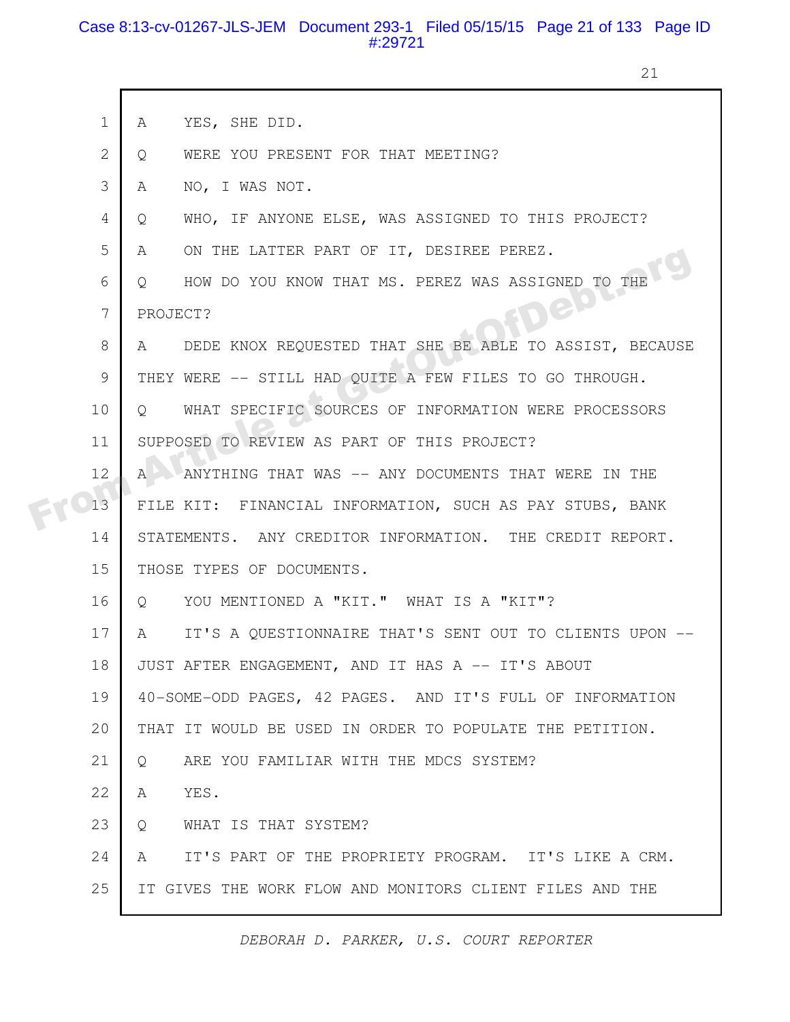### Case 8:13-cv-01267-JLS-JEM Document 293-1 Filed 05/15/15 Page 21 of 133 Page ID #:29721

21

|  | $\mathbf 1$    | YES, SHE DID.<br>A                                              |
|--|----------------|-----------------------------------------------------------------|
|  | $\overline{2}$ | WERE YOU PRESENT FOR THAT MEETING?<br>Q                         |
|  | 3              | NO, I WAS NOT.<br>A                                             |
|  | 4              | WHO, IF ANYONE ELSE, WAS ASSIGNED TO THIS PROJECT?<br>Q         |
|  | 5              | ON THE LATTER PART OF IT, DESIREE PEREZ.<br>A                   |
|  | 6              | HOW DO YOU KNOW THAT MS. PEREZ WAS ASSIGNED TO THE<br>$\circ$   |
|  | 7              | Dep<br>PROJECT?                                                 |
|  | 8              | DEDE KNOX REQUESTED THAT SHE BE ABLE TO ASSIST, BECAUSE<br>A    |
|  | 9              | THEY WERE -- STILL HAD QUITE A FEW FILES TO GO THROUGH.         |
|  | 10             | WHAT SPECIFIC SOURCES OF INFORMATION WERE PROCESSORS<br>$\circ$ |
|  | 11             | SUPPOSED TO REVIEW AS PART OF THIS PROJECT?                     |
|  | 12             | A MANYTHING THAT WAS -- ANY DOCUMENTS THAT WERE IN THE          |
|  | 13             | FILE KIT: FINANCIAL INFORMATION, SUCH AS PAY STUBS, BANK        |
|  | 14             | STATEMENTS. ANY CREDITOR INFORMATION. THE CREDIT REPORT.        |
|  | 15             | THOSE TYPES OF DOCUMENTS.                                       |
|  | 16             | YOU MENTIONED A "KIT." WHAT IS A "KIT"?<br>$Q_{\rm c}$          |
|  | 17             | IT'S A QUESTIONNAIRE THAT'S SENT OUT TO CLIENTS UPON --<br>A    |
|  | 18             | JUST AFTER ENGAGEMENT, AND IT HAS A -- IT'S ABOUT               |
|  | 19             | 40-SOME-ODD PAGES, 42 PAGES. AND IT'S FULL OF INFORMATION       |
|  | 20             | THAT IT WOULD BE USED IN ORDER TO POPULATE THE PETITION.        |
|  | 21             | ARE YOU FAMILIAR WITH THE MDCS SYSTEM?<br>Q                     |
|  | 22             | YES.<br>A                                                       |
|  | 23             | WHAT IS THAT SYSTEM?<br>Q                                       |
|  | 24             | IT'S PART OF THE PROPRIETY PROGRAM. IT'S LIKE A CRM.<br>A       |
|  | 25             | IT GIVES THE WORK FLOW AND MONITORS CLIENT FILES AND THE        |
|  |                |                                                                 |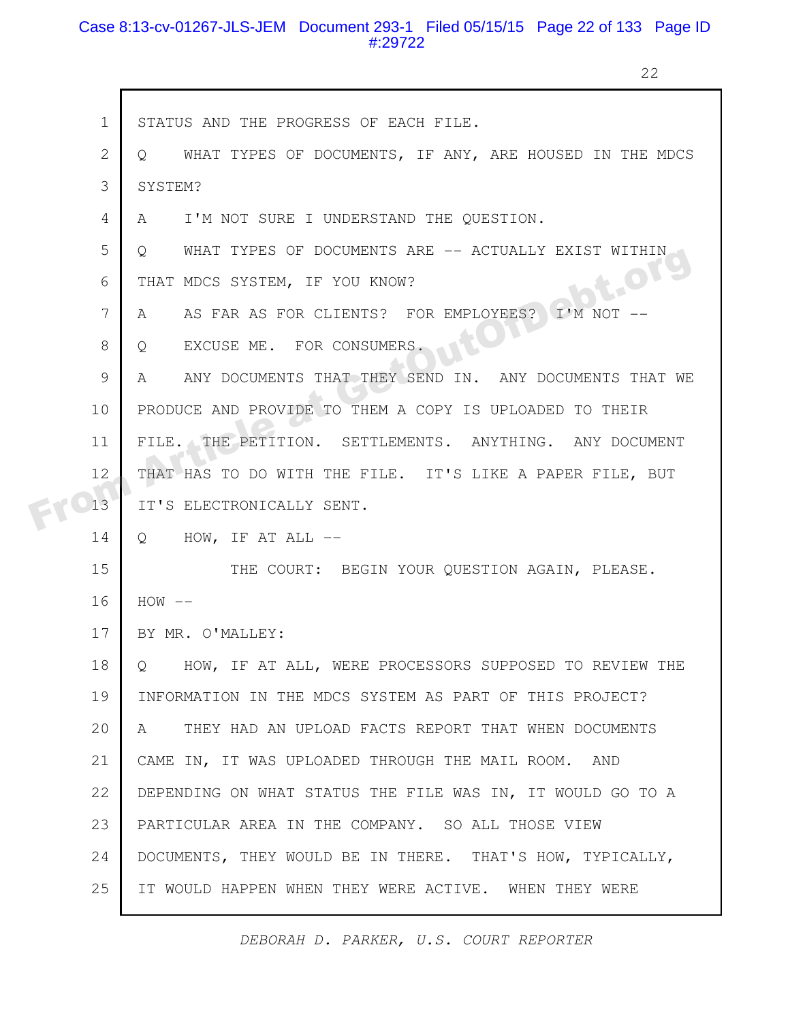#### Case 8:13-cv-01267-JLS-JEM Document 293-1 Filed 05/15/15 Page 22 of 133 Page ID #:29722

г

22

|  | $\mathbf{1}$ | STATUS AND THE PROGRESS OF EACH FILE.                                      |
|--|--------------|----------------------------------------------------------------------------|
|  | 2            | WHAT TYPES OF DOCUMENTS, IF ANY, ARE HOUSED IN THE MDCS<br>$\circ$         |
|  | 3            | SYSTEM?                                                                    |
|  | 4            | I'M NOT SURE I UNDERSTAND THE QUESTION.<br>A                               |
|  | 5            | WHAT TYPES OF DOCUMENTS ARE -- ACTUALLY EXIST WITHIN<br>$\circ$            |
|  | 6            | <b>DIE-OFS</b><br>THAT MDCS SYSTEM, IF YOU KNOW?                           |
|  | 7            | AS FAR AS FOR CLIENTS? FOR EMPLOYEES?<br>I'M NOT<br>A                      |
|  | 8            | EXCUSE ME. FOR CONSUMERS.<br>Q                                             |
|  | 9            | ANY DOCUMENTS THAT THEY SEND IN. ANY DOCUMENTS THAT WE<br>$A \quad \alpha$ |
|  | 10           | PRODUCE AND PROVIDE TO THEM A COPY IS UPLOADED TO THEIR                    |
|  | 11           | FILE. THE PETITION. SETTLEMENTS. ANYTHING. ANY DOCUMENT                    |
|  | 12           | THAT HAS TO DO WITH THE FILE. IT'S LIKE A PAPER FILE, BUT                  |
|  | 13           | IT'S ELECTRONICALLY SENT.                                                  |
|  | 14           | Q HOW, IF AT ALL --                                                        |
|  | 15           | THE COURT: BEGIN YOUR QUESTION AGAIN, PLEASE.                              |
|  | 16           | $HOW$ --                                                                   |
|  | 17           | BY MR. O'MALLEY:                                                           |
|  | 18           | Q HOW, IF AT ALL, WERE PROCESSORS SUPPOSED TO REVIEW THE                   |
|  | 19           | INFORMATION IN THE MDCS SYSTEM AS PART OF THIS PROJECT?                    |
|  | 20           | THEY HAD AN UPLOAD FACTS REPORT THAT WHEN DOCUMENTS<br>A                   |
|  | 21           | CAME IN, IT WAS UPLOADED THROUGH THE MAIL ROOM. AND                        |
|  | 22           | DEPENDING ON WHAT STATUS THE FILE WAS IN, IT WOULD GO TO A                 |
|  | 23           | PARTICULAR AREA IN THE COMPANY. SO ALL THOSE VIEW                          |
|  | 24           | DOCUMENTS, THEY WOULD BE IN THERE. THAT'S HOW, TYPICALLY,                  |
|  | 25           | IT WOULD HAPPEN WHEN THEY WERE ACTIVE. WHEN THEY WERE                      |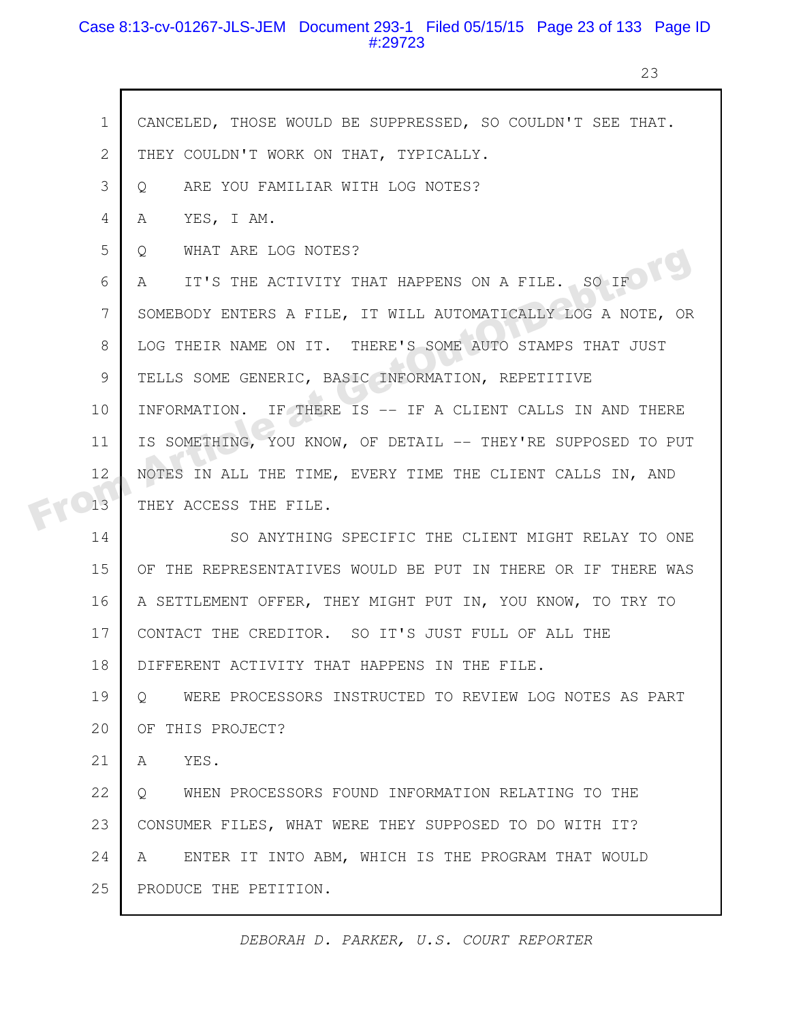## Case 8:13-cv-01267-JLS-JEM Document 293-1 Filed 05/15/15 Page 23 of 133 Page ID #:29723

23

|  | $\mathbf 1$  | CANCELED, THOSE WOULD BE SUPPRESSED, SO COULDN'T SEE THAT.        |
|--|--------------|-------------------------------------------------------------------|
|  | $\mathbf{2}$ | THEY COULDN'T WORK ON THAT, TYPICALLY.                            |
|  | 3            | ARE YOU FAMILIAR WITH LOG NOTES?<br>Q                             |
|  | 4            | YES, I AM.<br>A                                                   |
|  | 5            | WHAT ARE LOG NOTES?<br>$\circ$                                    |
|  | 6            | IT'S THE ACTIVITY THAT HAPPENS ON A FILE. SO IF<br>A              |
|  | 7            | SOMEBODY ENTERS A FILE, IT WILL AUTOMATICALLY LOG A NOTE, OR      |
|  | 8            | LOG THEIR NAME ON IT. THERE'S SOME AUTO STAMPS THAT JUST          |
|  | 9            | TELLS SOME GENERIC, BASIC INFORMATION, REPETITIVE                 |
|  | 10           | INFORMATION. IF THERE IS -- IF A CLIENT CALLS IN AND THERE        |
|  | 11           | IS SOMETHING, YOU KNOW, OF DETAIL -- THEY'RE SUPPOSED TO PUT      |
|  | 12           | NOTES IN ALL THE TIME, EVERY TIME THE CLIENT CALLS IN, AND        |
|  | 13           | THEY ACCESS THE FILE.                                             |
|  | 14           | SO ANYTHING SPECIFIC THE CLIENT MIGHT RELAY TO ONE                |
|  | 15           | OF THE REPRESENTATIVES WOULD BE PUT IN THERE OR IF THERE WAS      |
|  | 16           | A SETTLEMENT OFFER, THEY MIGHT PUT IN, YOU KNOW, TO TRY TO        |
|  | 17           | CONTACT THE CREDITOR. SO IT'S JUST FULL OF ALL THE                |
|  | 18           | DIFFERENT ACTIVITY THAT HAPPENS IN THE FILE.                      |
|  | 19           | WERE PROCESSORS INSTRUCTED TO REVIEW LOG NOTES AS PART<br>$\circ$ |
|  | 20           | OF THIS PROJECT?                                                  |
|  | 21           | $\mathbb{A}$<br>YES.                                              |
|  | 22           | WHEN PROCESSORS FOUND INFORMATION RELATING TO THE<br>$Q_{\perp}$  |
|  | 23           | CONSUMER FILES, WHAT WERE THEY SUPPOSED TO DO WITH IT?            |
|  | 24           | ENTER IT INTO ABM, WHICH IS THE PROGRAM THAT WOULD<br>A           |
|  | 25           | PRODUCE THE PETITION.                                             |
|  |              |                                                                   |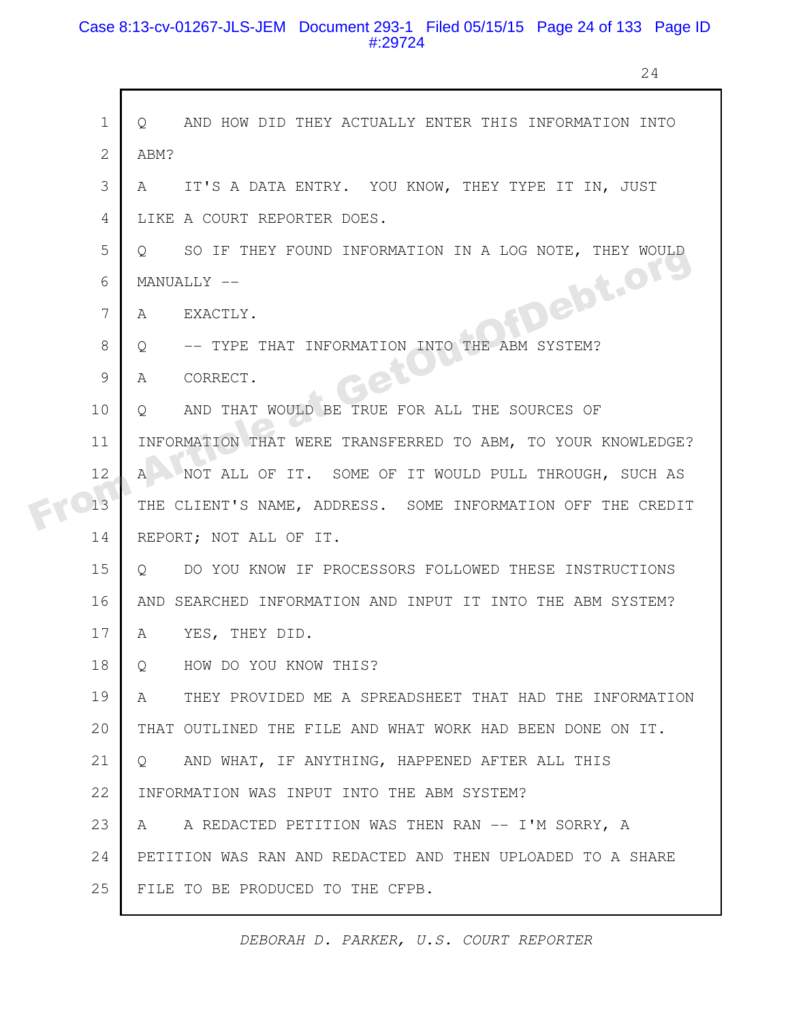## Case 8:13-cv-01267-JLS-JEM Document 293-1 Filed 05/15/15 Page 24 of 133 Page ID #:29724

24

|  | $\mathbf 1$  | AND HOW DID THEY ACTUALLY ENTER THIS INFORMATION INTO<br>$\circ$  |
|--|--------------|-------------------------------------------------------------------|
|  | $\mathbf{2}$ | ABM?                                                              |
|  | 3            | IT'S A DATA ENTRY. YOU KNOW, THEY TYPE IT IN, JUST<br>A           |
|  | 4            | LIKE A COURT REPORTER DOES.                                       |
|  | 5            | SO IF THEY FOUND INFORMATION IN A LOG NOTE, THEY WOULD<br>$\circ$ |
|  | 6            | MANUALLY --                                                       |
|  | 7            | FDebt.org<br>EXACTLY.<br>A                                        |
|  | 8            | -- TYPE THAT INFORMATION INTO THE ABM SYSTEM?<br>Q                |
|  | 9            | CORRECT.<br>A                                                     |
|  | 10           | AND THAT WOULD BE TRUE FOR ALL THE SOURCES OF<br>$\circ$          |
|  | 11           | INFORMATION THAT WERE TRANSFERRED TO ABM, TO YOUR KNOWLEDGE?      |
|  | 12           | A NOT ALL OF IT. SOME OF IT WOULD PULL THROUGH, SUCH AS           |
|  | 13           | THE CLIENT'S NAME, ADDRESS. SOME INFORMATION OFF THE CREDIT       |
|  | 14           | REPORT; NOT ALL OF IT.                                            |
|  | 15           | DO YOU KNOW IF PROCESSORS FOLLOWED THESE INSTRUCTIONS<br>Q        |
|  | 16           | AND SEARCHED INFORMATION AND INPUT IT INTO THE ABM SYSTEM?        |
|  | 17           | YES, THEY DID.<br>A                                               |
|  | 18           | HOW DO YOU KNOW THIS?<br>Q                                        |
|  | 19           | THEY PROVIDED ME A SPREADSHEET THAT HAD THE INFORMATION<br>A      |
|  | 20           | THAT OUTLINED THE FILE AND WHAT WORK HAD BEEN DONE ON IT.         |
|  | 21           | AND WHAT, IF ANYTHING, HAPPENED AFTER ALL THIS<br>$\cup$          |
|  | 22           | INFORMATION WAS INPUT INTO THE ABM SYSTEM?                        |
|  | 23           | A REDACTED PETITION WAS THEN RAN -- I'M SORRY, A<br>A             |
|  | 24           | PETITION WAS RAN AND REDACTED AND THEN UPLOADED TO A SHARE        |
|  | 25           | FILE TO BE PRODUCED TO THE CFPB.                                  |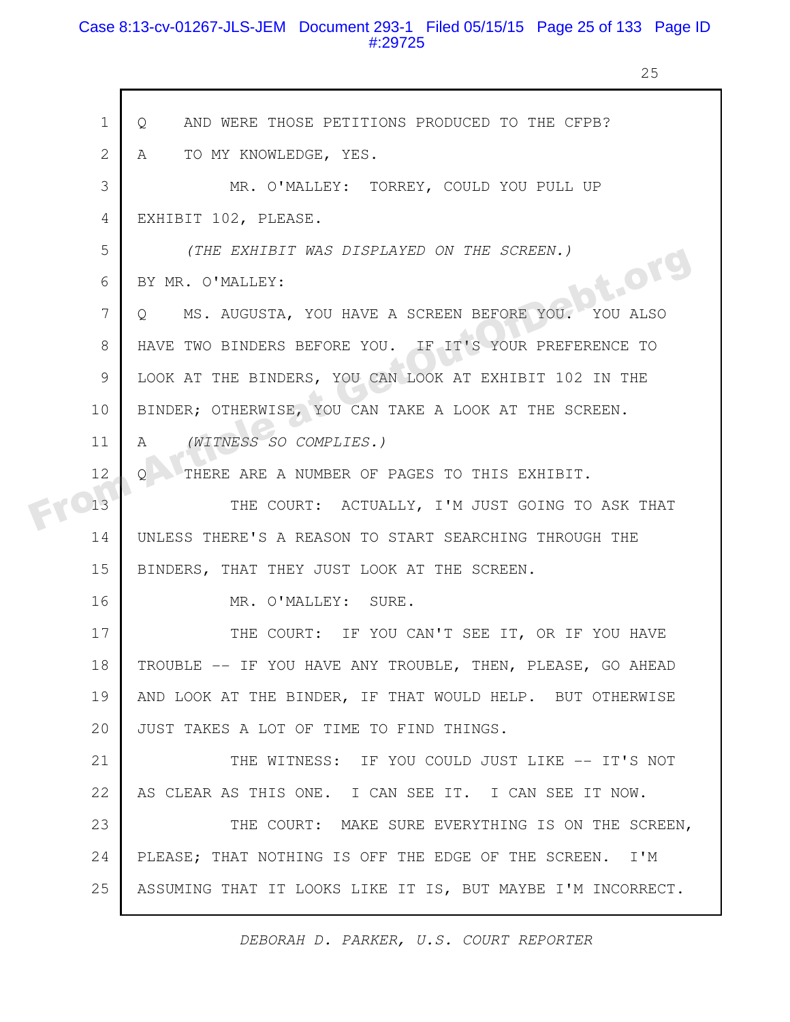## Case 8:13-cv-01267-JLS-JEM Document 293-1 Filed 05/15/15 Page 25 of 133 Page ID #:29725

25

| $\mathbf 1$   | AND WERE THOSE PETITIONS PRODUCED TO THE CFPB?<br>Q            |
|---------------|----------------------------------------------------------------|
| 2             | TO MY KNOWLEDGE, YES.<br>A                                     |
| 3             | MR. O'MALLEY: TORREY, COULD YOU PULL UP                        |
| 4             | EXHIBIT 102, PLEASE.                                           |
| 5             | (THE EXHIBIT WAS DISPLAYED ON THE SCREEN.)                     |
| 6             | bt.org<br>BY MR. O'MALLEY:                                     |
| 7             | MS. AUGUSTA, YOU HAVE A SCREEN BEFORE YOU. YOU ALSO<br>$\circ$ |
| 8             | HAVE TWO BINDERS BEFORE YOU. IF IT'S YOUR PREFERENCE TO        |
| $\mathcal{G}$ | LOOK AT THE BINDERS, YOU CAN LOOK AT EXHIBIT 102 IN THE        |
| 10            | BINDER; OTHERWISE, YOU CAN TAKE A LOOK AT THE SCREEN.          |
| 11            | (WITNESS SO COMPLIES.)<br>A                                    |
| 12            | THERE ARE A NUMBER OF PAGES TO THIS EXHIBIT.<br>O              |
| 13            | THE COURT: ACTUALLY, I'M JUST GOING TO ASK THAT                |
| 14            | UNLESS THERE'S A REASON TO START SEARCHING THROUGH THE         |
| 15            | BINDERS, THAT THEY JUST LOOK AT THE SCREEN.                    |
| 16            | MR. O'MALLEY: SURE.                                            |
| 17            | THE COURT: IF YOU CAN'T SEE IT, OR IF YOU HAVE                 |
| 18            | TROUBLE -- IF YOU HAVE ANY TROUBLE, THEN, PLEASE, GO AHEAD     |
| 19            | AND LOOK AT THE BINDER, IF THAT WOULD HELP. BUT OTHERWISE      |
| 20            | JUST TAKES A LOT OF TIME TO FIND THINGS.                       |
| 21            | THE WITNESS: IF YOU COULD JUST LIKE -- IT'S NOT                |
| 22            | AS CLEAR AS THIS ONE. I CAN SEE IT. I CAN SEE IT NOW.          |
| 23            | THE COURT: MAKE SURE EVERYTHING IS ON THE SCREEN,              |
| 24            | PLEASE; THAT NOTHING IS OFF THE EDGE OF THE SCREEN. I'M        |
| 25            | ASSUMING THAT IT LOOKS LIKE IT IS, BUT MAYBE I'M INCORRECT.    |
|               |                                                                |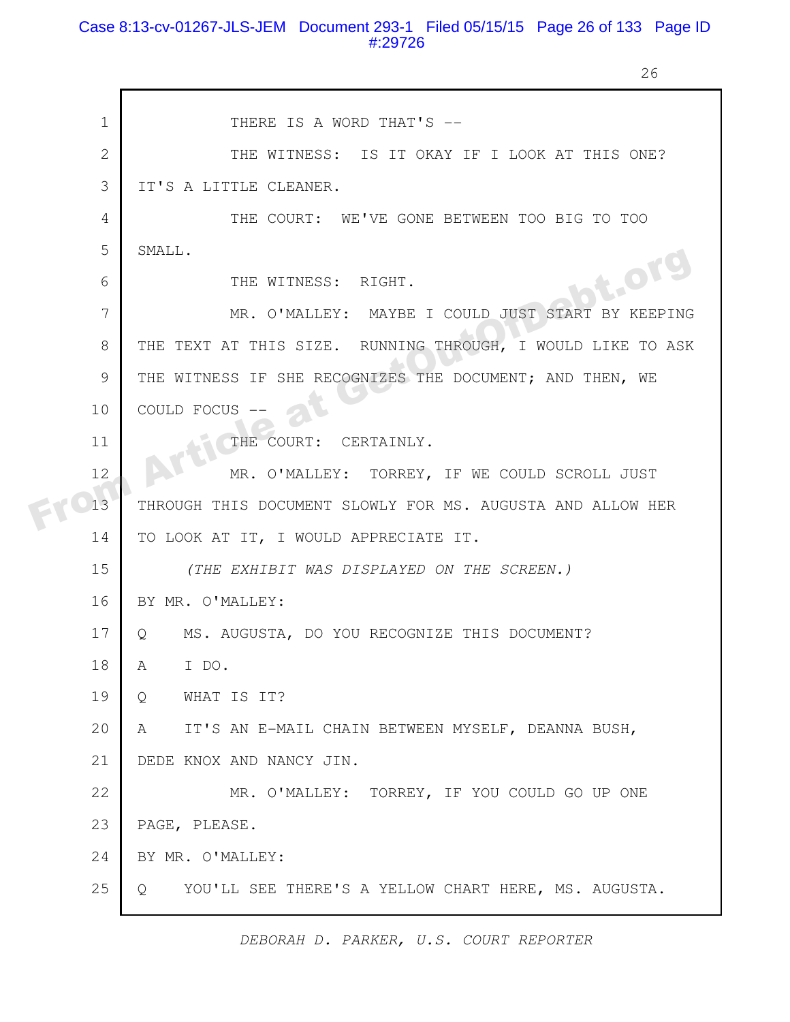### Case 8:13-cv-01267-JLS-JEM Document 293-1 Filed 05/15/15 Page 26 of 133 Page ID #:29726

26

|  | $\mathbf 1$    | THERE IS A WORD THAT'S --                                   |
|--|----------------|-------------------------------------------------------------|
|  | $\overline{2}$ | THE WITNESS: IS IT OKAY IF I LOOK AT THIS ONE?              |
|  | 3              | IT'S A LITTLE CLEANER.                                      |
|  | 4              | THE COURT: WE'VE GONE BETWEEN TOO BIG TO TOO                |
|  | 5              | SMALL.                                                      |
|  | 6              | bt.or<br>THE WITNESS: RIGHT.                                |
|  | 7              | MR. O'MALLEY: MAYBE I COULD JUST START BY KEEPING           |
|  | 8              | THE TEXT AT THIS SIZE. RUNNING THROUGH, I WOULD LIKE TO ASK |
|  | 9              | THE WITNESS IF SHE RECOGNIZES THE DOCUMENT; AND THEN, WE    |
|  | 10             | COULD FOCUS                                                 |
|  | 11             | THE COURT:<br>CERTAINLY.                                    |
|  | 12             | MR. O'MALLEY: TORREY, IF WE COULD SCROLL JUST               |
|  | 13             | THROUGH THIS DOCUMENT SLOWLY FOR MS. AUGUSTA AND ALLOW HER  |
|  | 14             | TO LOOK AT IT, I WOULD APPRECIATE IT.                       |
|  | 15             | (THE EXHIBIT WAS DISPLAYED ON THE SCREEN.)                  |
|  | 16             | BY MR. O'MALLEY:                                            |
|  | 17             | MS. AUGUSTA, DO YOU RECOGNIZE THIS DOCUMENT?<br>$\circ$     |
|  | 18             | I DO.<br>A                                                  |
|  | 19             | WHAT IS IT?<br>$\circ$                                      |
|  | 20             | IT'S AN E-MAIL CHAIN BETWEEN MYSELF, DEANNA BUSH,<br>A      |
|  | 21             | DEDE KNOX AND NANCY JIN.                                    |
|  | 22             | MR. O'MALLEY: TORREY, IF YOU COULD GO UP ONE                |
|  | 23             | PAGE, PLEASE.                                               |
|  | 24             | BY MR. O'MALLEY:                                            |
|  | 25             | YOU'LL SEE THERE'S A YELLOW CHART HERE, MS. AUGUSTA.<br>Q   |
|  |                |                                                             |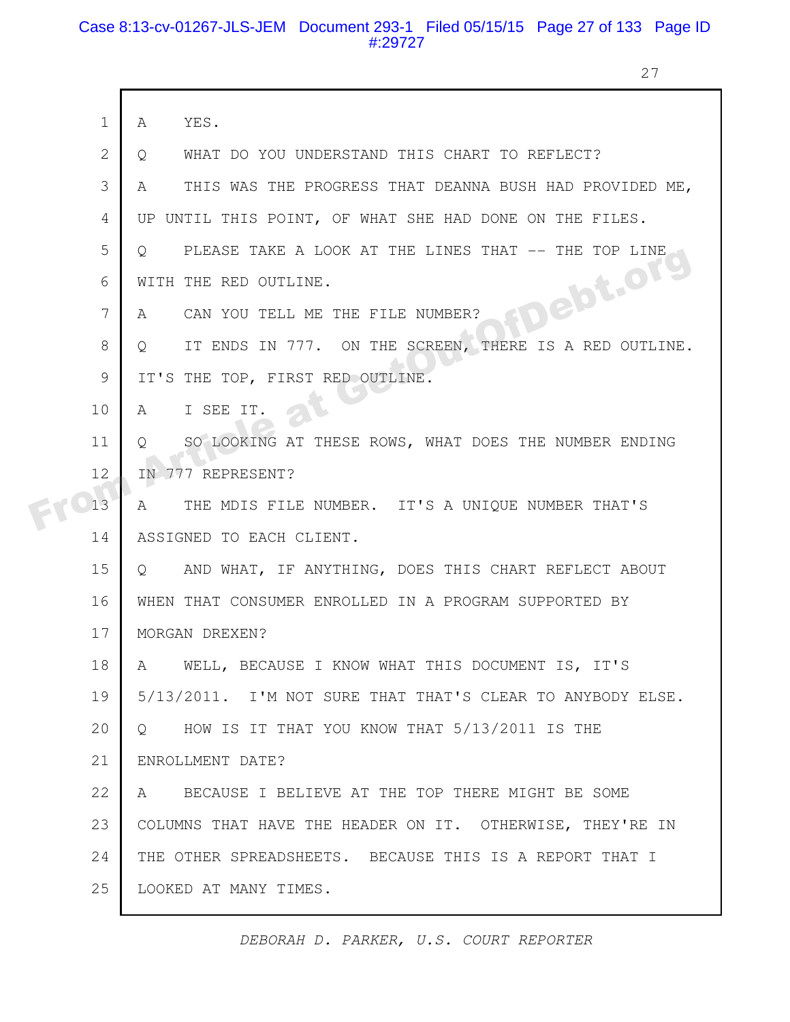## Case 8:13-cv-01267-JLS-JEM Document 293-1 Filed 05/15/15 Page 27 of 133 Page ID #:29727

27

|  | $\mathbf 1$    | YES.<br>A                                                         |
|--|----------------|-------------------------------------------------------------------|
|  | $\overline{2}$ | WHAT DO YOU UNDERSTAND THIS CHART TO REFLECT?<br>Q                |
|  | 3              | THIS WAS THE PROGRESS THAT DEANNA BUSH HAD PROVIDED ME,<br>A      |
|  | 4              | UP UNTIL THIS POINT, OF WHAT SHE HAD DONE ON THE FILES.           |
|  | 5              | PLEASE TAKE A LOOK AT THE LINES THAT -- THE TOP LINE<br>$\circ$   |
|  | 6              | WITH THE RED OUTLINE.                                             |
|  | 7              | <b>FDebt.org</b><br>CAN YOU TELL ME THE FILE NUMBER?<br>A         |
|  | 8              | IT ENDS IN 777. ON THE SCREEN, THERE IS A RED OUTLINE.<br>$\circ$ |
|  | 9              | IT'S THE TOP, FIRST RED OUTLINE.                                  |
|  | 10             | I SEE IT.<br>A                                                    |
|  | 11             | SO LOOKING AT THESE ROWS, WHAT DOES THE NUMBER ENDING<br>$\circ$  |
|  | 12             | IN 777 REPRESENT?                                                 |
|  | 13             | THE MDIS FILE NUMBER. IT'S A UNIQUE NUMBER THAT'S<br>A            |
|  | 14             | ASSIGNED TO EACH CLIENT.                                          |
|  | 15             | AND WHAT, IF ANYTHING, DOES THIS CHART REFLECT ABOUT<br>$\circ$   |
|  | 16             | WHEN THAT CONSUMER ENROLLED IN A PROGRAM SUPPORTED BY             |
|  | 17             | MORGAN DREXEN?                                                    |
|  | 18             | WELL, BECAUSE I KNOW WHAT THIS DOCUMENT IS, IT'S<br>A             |
|  | 19             | 5/13/2011. I'M NOT SURE THAT THAT'S CLEAR TO ANYBODY ELSE.        |
|  | 20             | HOW IS IT THAT YOU KNOW THAT 5/13/2011 IS THE<br>$\circ$          |
|  | 21             | ENROLLMENT DATE?                                                  |
|  | 22             | BECAUSE I BELIEVE AT THE TOP THERE MIGHT BE SOME<br>A             |
|  | 23             | COLUMNS THAT HAVE THE HEADER ON IT. OTHERWISE, THEY'RE IN         |
|  | 24             | THE OTHER SPREADSHEETS. BECAUSE THIS IS A REPORT THAT I           |
|  | 25             | LOOKED AT MANY TIMES.                                             |
|  |                |                                                                   |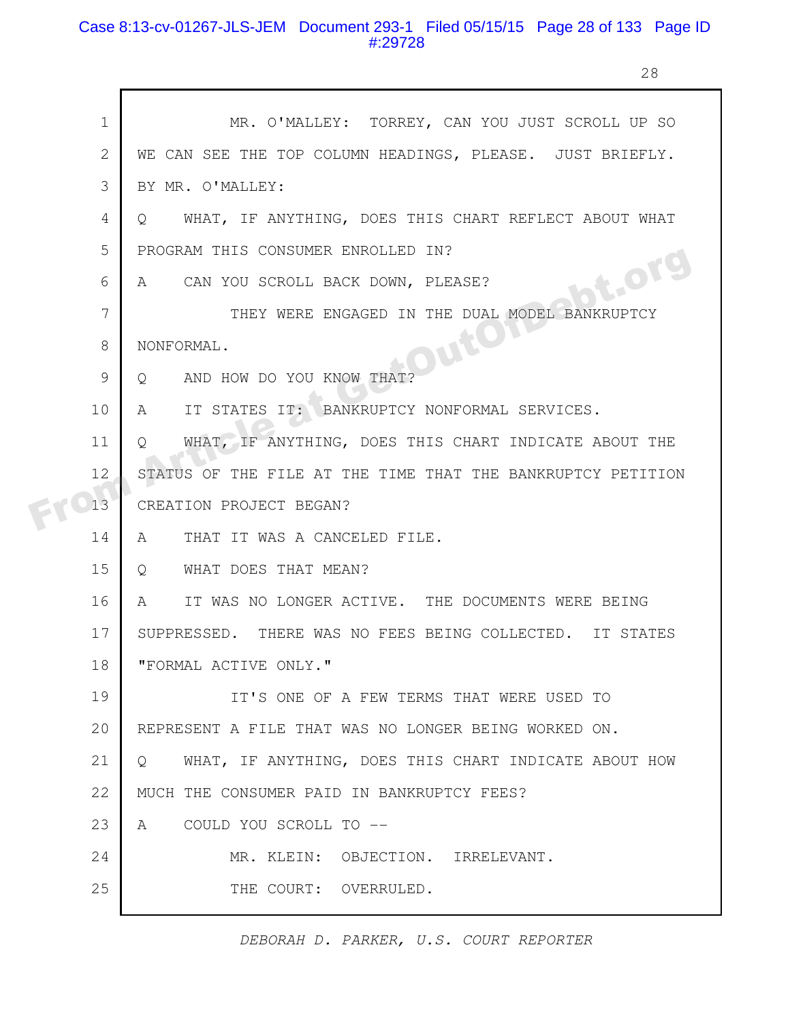## Case 8:13-cv-01267-JLS-JEM Document 293-1 Filed 05/15/15 Page 28 of 133 Page ID #:29728

28

|  | $\mathbf 1$    | MR. O'MALLEY: TORREY, CAN YOU JUST SCROLL UP SO                   |
|--|----------------|-------------------------------------------------------------------|
|  | $\overline{2}$ | WE CAN SEE THE TOP COLUMN HEADINGS, PLEASE. JUST BRIEFLY.         |
|  | 3              | BY MR. O'MALLEY:                                                  |
|  | 4              | WHAT, IF ANYTHING, DOES THIS CHART REFLECT ABOUT WHAT<br>$\circ$  |
|  | 5              | PROGRAM THIS CONSUMER ENROLLED IN?                                |
|  | 6              | bt.org<br>A CAN YOU SCROLL BACK DOWN, PLEASE?                     |
|  | 7              | THEY WERE ENGAGED IN THE DUAL MODEL BANKRUPTCY                    |
|  | 8              | OUION<br>NONFORMAL.                                               |
|  | 9              | Q AND HOW DO YOU KNOW THAT?                                       |
|  | 10             | A<br>IT STATES IT: \ BANKRUPTCY NONFORMAL SERVICES.               |
|  | 11             | WHAT, IF ANYTHING, DOES THIS CHART INDICATE ABOUT THE<br>$\circ$  |
|  | 12             | STATUS OF THE FILE AT THE TIME THAT THE BANKRUPTCY PETITION       |
|  | 13             | CREATION PROJECT BEGAN?                                           |
|  | 14             | THAT IT WAS A CANCELED FILE.<br>A                                 |
|  | 15             | WHAT DOES THAT MEAN?<br>$Q_{\cdot}$                               |
|  | 16             | IT WAS NO LONGER ACTIVE. THE DOCUMENTS WERE BEING<br>$\mathbf{A}$ |
|  | 17             | SUPPRESSED. THERE WAS NO FEES BEING COLLECTED. IT STATES          |
|  | 18             | "FORMAL ACTIVE ONLY."                                             |
|  | 19             | IT'S ONE OF A FEW TERMS THAT WERE USED TO                         |
|  | 20             | REPRESENT A FILE THAT WAS NO LONGER BEING WORKED ON.              |
|  | 21             | WHAT, IF ANYTHING, DOES THIS CHART INDICATE ABOUT HOW<br>$\circ$  |
|  | 22             | MUCH THE CONSUMER PAID IN BANKRUPTCY FEES?                        |
|  | 23             | COULD YOU SCROLL TO --<br>A                                       |
|  | 24             | MR. KLEIN: OBJECTION. IRRELEVANT.                                 |
|  | 25             | THE COURT: OVERRULED.                                             |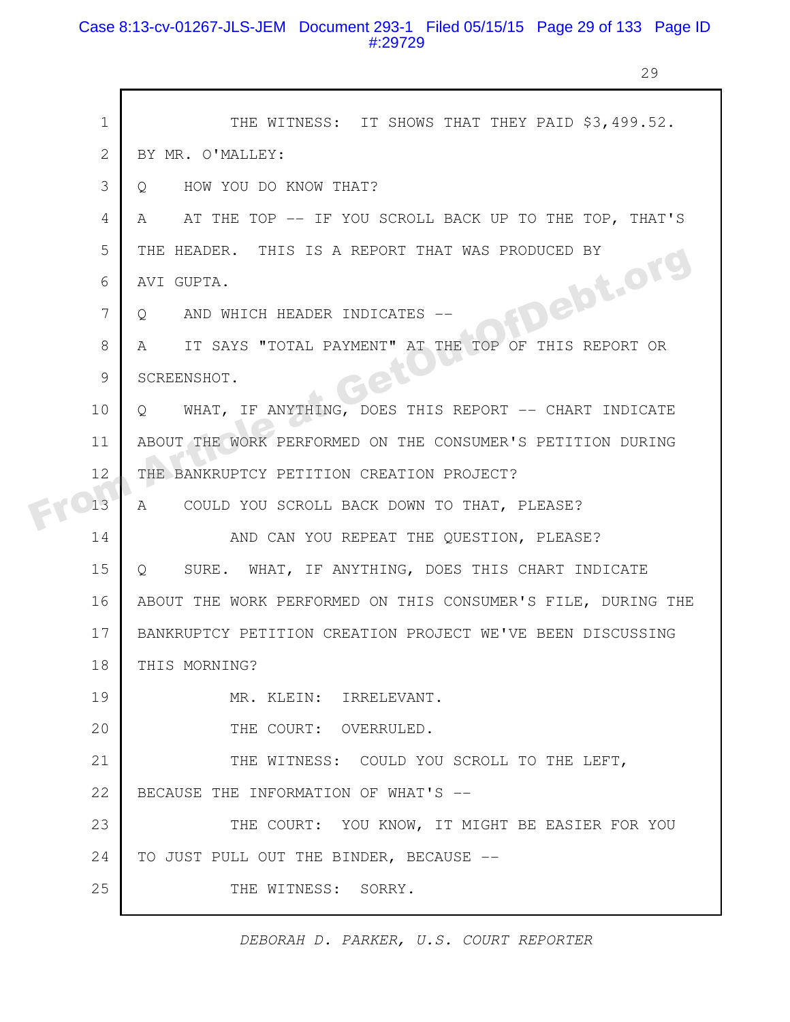## Case 8:13-cv-01267-JLS-JEM Document 293-1 Filed 05/15/15 Page 29 of 133 Page ID #:29729

г

29

| $\mathbf 1$  | THE WITNESS: IT SHOWS THAT THEY PAID \$3,499.52.             |
|--------------|--------------------------------------------------------------|
| $\mathbf{2}$ | BY MR. O'MALLEY:                                             |
| 3            | HOW YOU DO KNOW THAT?<br>O                                   |
| 4            | AT THE TOP -- IF YOU SCROLL BACK UP TO THE TOP, THAT'S<br>A  |
| 5            | THE HEADER. THIS IS A REPORT THAT WAS PRODUCED BY            |
| 6            | FDebt.org<br>AVI GUPTA.                                      |
| 7            | AND WHICH HEADER INDICATES<br>$\circ$                        |
| 8            | IT SAYS "TOTAL PAYMENT" AT THE TOP OF THIS REPORT OR<br>A    |
| 9            | SCREENSHOT.                                                  |
| 10           | WHAT, IF ANYTHING, DOES THIS REPORT -- CHART INDICATE<br>O   |
| 11           | ABOUT THE WORK PERFORMED ON THE CONSUMER'S PETITION DURING   |
| 12           | THE BANKRUPTCY PETITION CREATION PROJECT?                    |
| 13           | COULD YOU SCROLL BACK DOWN TO THAT, PLEASE?<br>A             |
| 14           | AND CAN YOU REPEAT THE QUESTION, PLEASE?                     |
| 15           | SURE. WHAT, IF ANYTHING, DOES THIS CHART INDICATE<br>$\circ$ |
| 16           | ABOUT THE WORK PERFORMED ON THIS CONSUMER'S FILE, DURING THE |
| 17           | BANKRUPTCY PETITION CREATION PROJECT WE'VE BEEN DISCUSSING   |
| 18           | THIS MORNING?                                                |
| 19           | MR. KLEIN: IRRELEVANT.                                       |
| 20           | THE COURT: OVERRULED.                                        |
| 21           | THE WITNESS: COULD YOU SCROLL TO THE LEFT,                   |
| 22           | BECAUSE THE INFORMATION OF WHAT'S --                         |
| 23           | THE COURT: YOU KNOW, IT MIGHT BE EASIER FOR YOU              |
| 24           | TO JUST PULL OUT THE BINDER, BECAUSE --                      |
| 25           | THE WITNESS: SORRY.                                          |
|              |                                                              |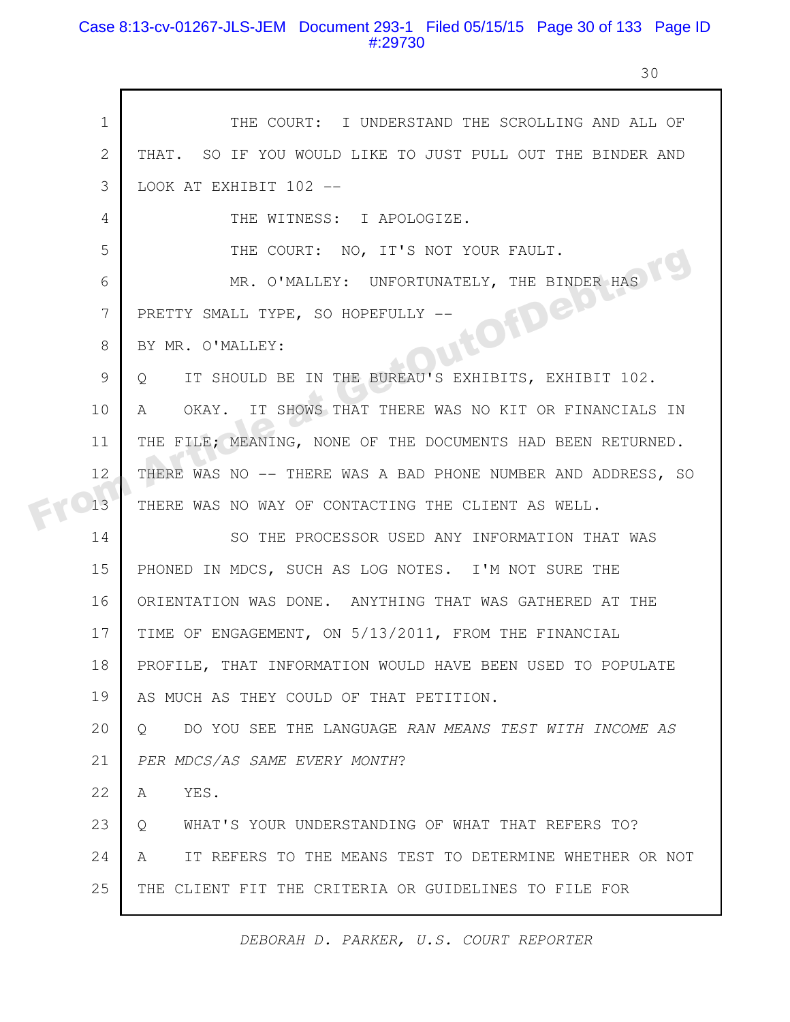## Case 8:13-cv-01267-JLS-JEM Document 293-1 Filed 05/15/15 Page 30 of 133 Page ID #:29730

r

30

| $\mathbf{1}$ | THE COURT: I UNDERSTAND THE SCROLLING AND ALL OF                 |
|--------------|------------------------------------------------------------------|
| $\mathbf{2}$ | THAT. SO IF YOU WOULD LIKE TO JUST PULL OUT THE BINDER AND       |
| 3            | LOOK AT EXHIBIT 102 --                                           |
| 4            | THE WITNESS: I APOLOGIZE.                                        |
| 5            | THE COURT: NO, IT'S NOT YOUR FAULT.                              |
| 6            | MR. O'MALLEY: UNFORTUNATELY, THE BINDER HAS                      |
| 7            | JutOfDelot<br>PRETTY SMALL TYPE, SO HOPEFULLY --                 |
| 8            | BY MR. O'MALLEY:                                                 |
| 9            | IT SHOULD BE IN THE BUREAU'S EXHIBITS, EXHIBIT 102.<br>Q         |
| 10           | OKAY. IT SHOWS THAT THERE WAS NO KIT OR FINANCIALS IN<br>A       |
| 11           | THE FILE; MEANING, NONE OF THE DOCUMENTS HAD BEEN RETURNED.      |
| 12           | THERE WAS NO -- THERE WAS A BAD PHONE NUMBER AND ADDRESS, SO     |
| 13           | THERE WAS NO WAY OF CONTACTING THE CLIENT AS WELL.               |
| 14           | SO THE PROCESSOR USED ANY INFORMATION THAT WAS                   |
| 15           | PHONED IN MDCS, SUCH AS LOG NOTES. I'M NOT SURE THE              |
| 16           | ORIENTATION WAS DONE. ANYTHING THAT WAS GATHERED AT THE          |
| 17           | TIME OF ENGAGEMENT, ON 5/13/2011, FROM THE FINANCIAL             |
| 18           | PROFILE, THAT INFORMATION WOULD HAVE BEEN USED TO POPULATE       |
| 19           | AS MUCH AS THEY COULD OF THAT PETITION.                          |
| 20           | DO YOU SEE THE LANGUAGE RAN MEANS TEST WITH INCOME AS<br>$\circ$ |
| 21           | PER MDCS/AS SAME EVERY MONTH?                                    |
| 22           | YES.<br>A                                                        |
| 23           | WHAT'S YOUR UNDERSTANDING OF WHAT THAT REFERS TO?<br>$\circ$     |
| 24           | IT REFERS TO THE MEANS TEST TO DETERMINE WHETHER OR NOT<br>A     |
| 25           | THE CLIENT FIT THE CRITERIA OR GUIDELINES TO FILE FOR            |
|              |                                                                  |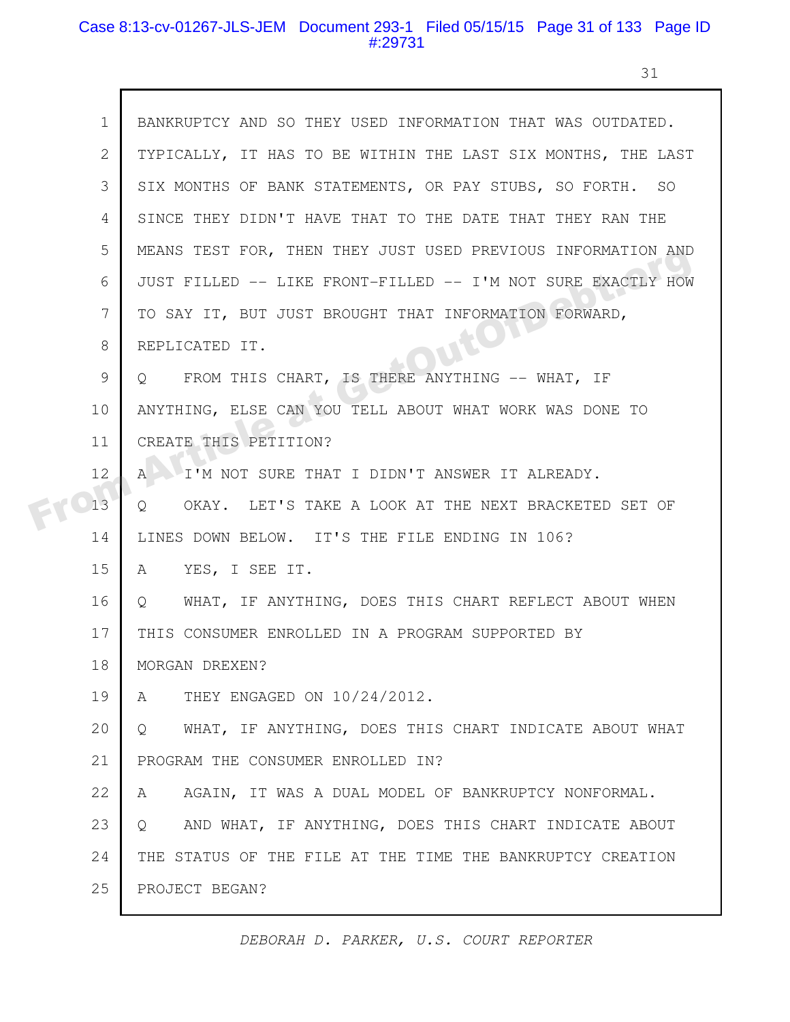## Case 8:13-cv-01267-JLS-JEM Document 293-1 Filed 05/15/15 Page 31 of 133 Page ID #:29731

31

|  | $\mathbf 1$  | BANKRUPTCY AND SO THEY USED INFORMATION THAT WAS OUTDATED.            |
|--|--------------|-----------------------------------------------------------------------|
|  | $\mathbf{2}$ | TYPICALLY, IT HAS TO BE WITHIN THE LAST SIX MONTHS, THE LAST          |
|  | 3            | SIX MONTHS OF BANK STATEMENTS, OR PAY STUBS, SO FORTH. SO             |
|  | 4            | SINCE THEY DIDN'T HAVE THAT TO THE DATE THAT THEY RAN THE             |
|  | 5            | MEANS TEST FOR, THEN THEY JUST USED PREVIOUS INFORMATION AND          |
|  | 6            | JUST FILLED -- LIKE FRONT-FILLED -- I'M NOT SURE EXACTLY HOW          |
|  | 7            | TO SAY IT, BUT JUST BROUGHT THAT INFORMATION FORWARD,                 |
|  | 8            | REPLICATED IT.                                                        |
|  | 9            | FROM THIS CHART, IS THERE ANYTHING -- WHAT, IF<br>$\circ$             |
|  | 10           | ANYTHING, ELSE CAN YOU TELL ABOUT WHAT WORK WAS DONE TO               |
|  | 11           | CREATE THIS PETITION?                                                 |
|  | 12           | I'M NOT SURE THAT I DIDN'T ANSWER IT ALREADY.<br>$\mathsf{A}$         |
|  | 13           | OKAY. LET'S TAKE A LOOK AT THE NEXT BRACKETED SET OF<br>Q             |
|  | 14           | LINES DOWN BELOW. IT'S THE FILE ENDING IN 106?                        |
|  | 15           | YES, I SEE IT.<br>A                                                   |
|  | 16           | WHAT, IF ANYTHING, DOES THIS CHART REFLECT ABOUT WHEN<br>Q            |
|  | 17           | THIS CONSUMER ENROLLED IN A PROGRAM SUPPORTED BY                      |
|  | 18           | MORGAN DREXEN?                                                        |
|  | 19           | THEY ENGAGED ON 10/24/2012.<br>A                                      |
|  | 20           | WHAT, IF ANYTHING, DOES THIS CHART INDICATE ABOUT WHAT<br>$Q_{\cdot}$ |
|  | 21           | PROGRAM THE CONSUMER ENROLLED IN?                                     |
|  | 22           | AGAIN, IT WAS A DUAL MODEL OF BANKRUPTCY NONFORMAL.<br>A              |
|  | 23           | AND WHAT, IF ANYTHING, DOES THIS CHART INDICATE ABOUT<br>$\circ$      |
|  | 24           | THE STATUS OF THE FILE AT THE TIME THE BANKRUPTCY CREATION            |
|  | 25           | PROJECT BEGAN?                                                        |
|  |              |                                                                       |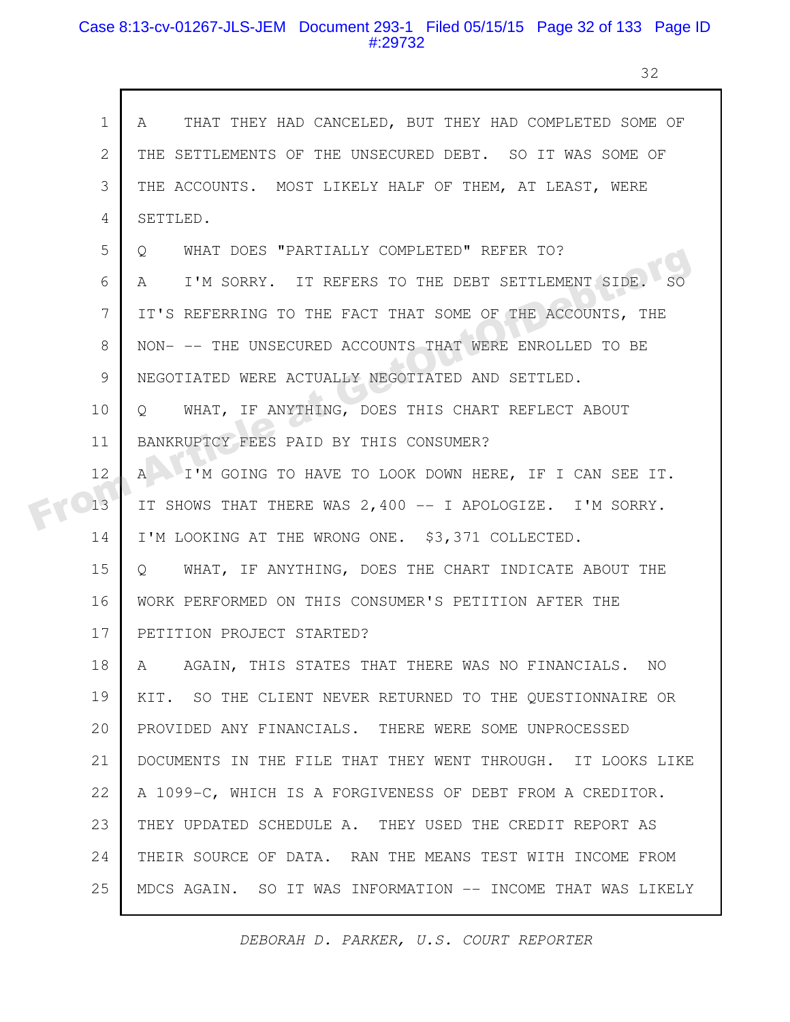### Case 8:13-cv-01267-JLS-JEM Document 293-1 Filed 05/15/15 Page 32 of 133 Page ID #:29732

г

32

| $\mathbf 1$ | A THAT THEY HAD CANCELED, BUT THEY HAD COMPLETED SOME OF          |
|-------------|-------------------------------------------------------------------|
| 2           | THE SETTLEMENTS OF THE UNSECURED DEBT. SO IT WAS SOME OF          |
| 3           | THE ACCOUNTS. MOST LIKELY HALF OF THEM, AT LEAST, WERE            |
| 4           | SETTLED.                                                          |
| 5           | WHAT DOES "PARTIALLY COMPLETED" REFER TO?<br>$\circ$              |
| 6           | I'M SORRY. IT REFERS TO THE DEBT SETTLEMENT SIDE<br>A             |
| 7           | IT'S REFERRING TO THE FACT THAT SOME OF THE ACCOUNTS, THE         |
| 8           | NON- -- THE UNSECURED ACCOUNTS THAT WERE ENROLLED TO BE           |
| 9           | NEGOTIATED WERE ACTUALLY NEGOTIATED AND SETTLED.                  |
| 10          | WHAT, IF ANYTHING, DOES THIS CHART REFLECT ABOUT<br>$Q_{\rm c}$   |
| 11          | BANKRUPTCY FEES PAID BY THIS CONSUMER?                            |
| 12          | I'M GOING TO HAVE TO LOOK DOWN HERE, IF I CAN SEE IT.<br>$A \cup$ |
| 13          | IT SHOWS THAT THERE WAS 2,400 -- I APOLOGIZE. I'M SORRY.          |
| 14          | I'M LOOKING AT THE WRONG ONE. \$3,371 COLLECTED.                  |
| 15          | Q WHAT, IF ANYTHING, DOES THE CHART INDICATE ABOUT THE            |
| 16          | WORK PERFORMED ON THIS CONSUMER'S PETITION AFTER THE              |
| 17          | PETITION PROJECT STARTED?                                         |
| 18          | A AGAIN, THIS STATES THAT THERE WAS NO FINANCIALS. NO             |
| 19          | KIT. SO THE CLIENT NEVER RETURNED TO THE QUESTIONNAIRE OR         |
| 20          | PROVIDED ANY FINANCIALS. THERE WERE SOME UNPROCESSED              |
| 21          | DOCUMENTS IN THE FILE THAT THEY WENT THROUGH. IT LOOKS LIKE       |
| 22          | A 1099-C, WHICH IS A FORGIVENESS OF DEBT FROM A CREDITOR.         |
| 23          | THEY UPDATED SCHEDULE A. THEY USED THE CREDIT REPORT AS           |
| 24          | THEIR SOURCE OF DATA. RAN THE MEANS TEST WITH INCOME FROM         |
| 25          | MDCS AGAIN. SO IT WAS INFORMATION -- INCOME THAT WAS LIKELY       |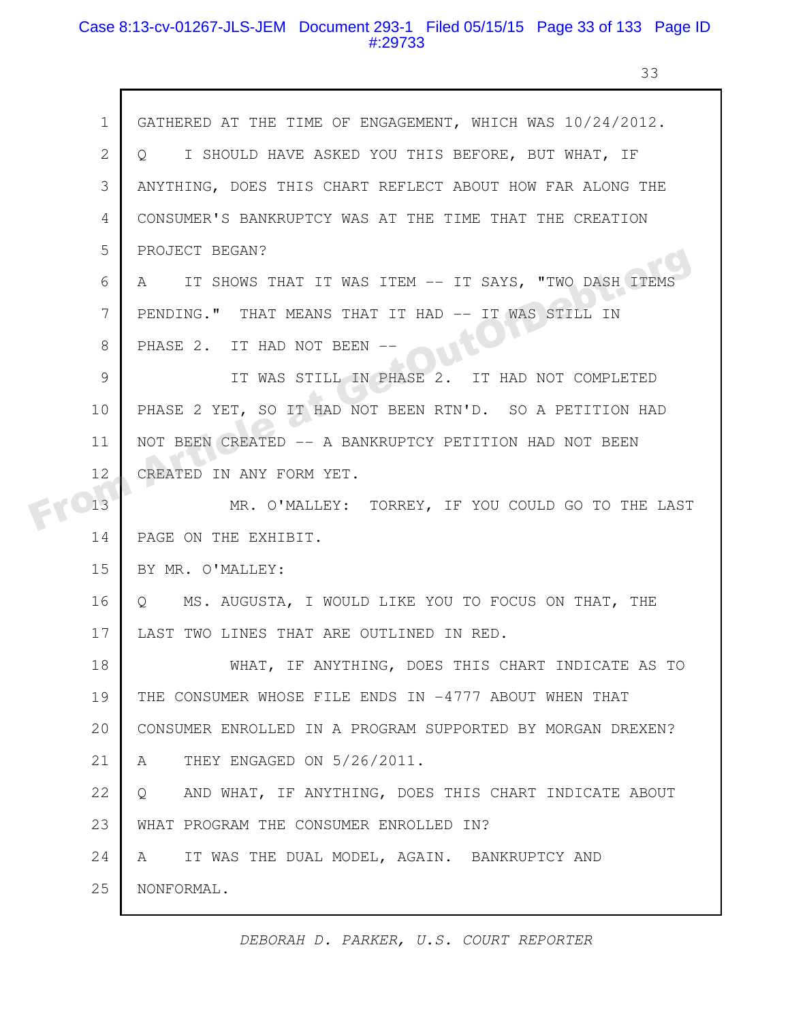### Case 8:13-cv-01267-JLS-JEM Document 293-1 Filed 05/15/15 Page 33 of 133 Page ID #:29733

33

|  | $\mathbf 1$    | GATHERED AT THE TIME OF ENGAGEMENT, WHICH WAS 10/24/2012.      |
|--|----------------|----------------------------------------------------------------|
|  | 2              | Q I SHOULD HAVE ASKED YOU THIS BEFORE, BUT WHAT, IF            |
|  | 3              | ANYTHING, DOES THIS CHART REFLECT ABOUT HOW FAR ALONG THE      |
|  | 4              | CONSUMER'S BANKRUPTCY WAS AT THE TIME THAT THE CREATION        |
|  | 5              | PROJECT BEGAN?                                                 |
|  | 6              | A IT SHOWS THAT IT WAS ITEM -- IT SAYS, "TWO DASH ITEMS        |
|  | $\overline{7}$ | PENDING." THAT MEANS THAT IT HAD -- IT WAS STILL IN            |
|  | 8              | PHASE 2. IT HAD NOT BEEN --                                    |
|  | 9              | IT WAS STILL IN PHASE 2. IT HAD NOT COMPLETED                  |
|  | 10             | PHASE 2 YET, SO IT HAD NOT BEEN RTN'D. SO A PETITION HAD       |
|  | 11             | NOT BEEN CREATED -- A BANKRUPTCY PETITION HAD NOT BEEN         |
|  | 12             | CREATED IN ANY FORM YET.                                       |
|  | 13             | MR. O'MALLEY: TORREY, IF YOU COULD GO TO THE LAST              |
|  | 14             | PAGE ON THE EXHIBIT.                                           |
|  | 15             | BY MR. O'MALLEY:                                               |
|  | 16             | MS. AUGUSTA, I WOULD LIKE YOU TO FOCUS ON THAT, THE<br>$\circ$ |
|  | 17             | LAST TWO LINES THAT ARE OUTLINED IN RED.                       |
|  | 18             | IF ANYTHING, DOES THIS CHART INDICATE AS TO<br>WHAT,           |
|  | 19             | THE CONSUMER WHOSE FILE ENDS IN -4777 ABOUT WHEN THAT          |
|  | 20             | CONSUMER ENROLLED IN A PROGRAM SUPPORTED BY MORGAN DREXEN?     |
|  | 21             | THEY ENGAGED ON 5/26/2011.<br>A                                |
|  | 22             | AND WHAT, IF ANYTHING, DOES THIS CHART INDICATE ABOUT<br>Q     |
|  | 23             | WHAT PROGRAM THE CONSUMER ENROLLED IN?                         |
|  | 24             | IT WAS THE DUAL MODEL, AGAIN. BANKRUPTCY AND<br>A              |
|  | 25             | NONFORMAL.                                                     |
|  |                |                                                                |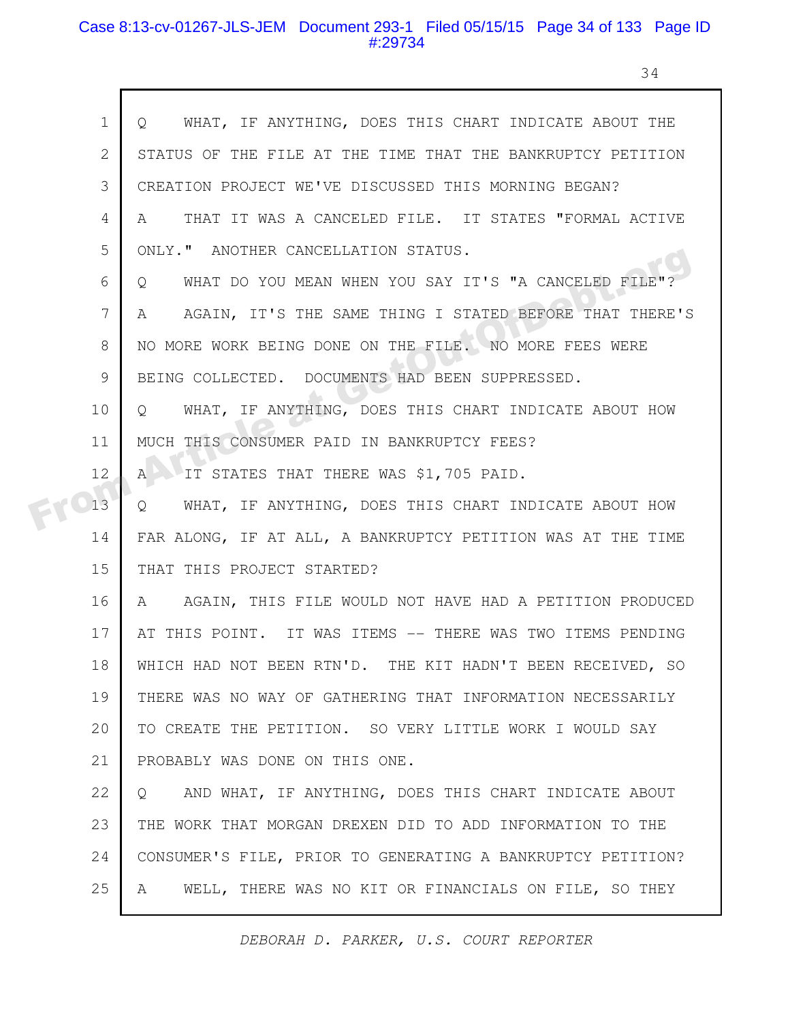#### Case 8:13-cv-01267-JLS-JEM Document 293-1 Filed 05/15/15 Page 34 of 133 Page ID #:29734

 $\mathsf{r}$ 

34

| $\mathbf 1$  | WHAT, IF ANYTHING, DOES THIS CHART INDICATE ABOUT THE<br>$Q_{\rm c}$        |
|--------------|-----------------------------------------------------------------------------|
| $\mathbf{2}$ | STATUS OF THE FILE AT THE TIME THAT THE BANKRUPTCY PETITION                 |
| 3            | CREATION PROJECT WE'VE DISCUSSED THIS MORNING BEGAN?                        |
| 4            | THAT IT WAS A CANCELED FILE. IT STATES "FORMAL ACTIVE<br>A                  |
| 5            | ONLY." ANOTHER CANCELLATION STATUS.                                         |
| 6            | WHAT DO YOU MEAN WHEN YOU SAY IT'S "A CANCELED FILE"?<br>$\circ$            |
| 7            | AGAIN, IT'S THE SAME THING I STATED BEFORE THAT THERE'S<br>A                |
| 8            | NO MORE WORK BEING DONE ON THE FILE. NO MORE FEES WERE                      |
| 9            | BEING COLLECTED. DOCUMENTS HAD BEEN SUPPRESSED.                             |
| 10           | WHAT, IF ANYTHING, DOES THIS CHART INDICATE ABOUT HOW<br>$\circ$            |
| 11           | MUCH THIS CONSUMER PAID IN BANKRUPTCY FEES?                                 |
| 12           | IT STATES THAT THERE WAS \$1,705 PAID.<br>$A^{\perp}$                       |
| 13           | WHAT, IF ANYTHING, DOES THIS CHART INDICATE ABOUT HOW<br>$Q_{\cdot}$        |
| 14           | FAR ALONG, IF AT ALL, A BANKRUPTCY PETITION WAS AT THE TIME                 |
| 15           | THAT THIS PROJECT STARTED?                                                  |
| 16           | AGAIN, THIS FILE WOULD NOT HAVE HAD A PETITION PRODUCED<br>$A \quad \alpha$ |
| 17           | AT THIS POINT. IT WAS ITEMS -- THERE WAS TWO ITEMS PENDING                  |
| 18           | WHICH HAD NOT BEEN RTN'D. THE KIT HADN'T BEEN RECEIVED, SO                  |
| 19           | THERE WAS NO WAY OF GATHERING THAT INFORMATION NECESSARILY                  |
| 20           | TO CREATE THE PETITION. SO VERY LITTLE WORK I WOULD SAY                     |
| 21           | PROBABLY WAS DONE ON THIS ONE.                                              |
| 22           | AND WHAT, IF ANYTHING, DOES THIS CHART INDICATE ABOUT<br>$\circ$            |
| 23           | THE WORK THAT MORGAN DREXEN DID TO ADD INFORMATION TO THE                   |
| 24           | CONSUMER'S FILE, PRIOR TO GENERATING A BANKRUPTCY PETITION?                 |
| 25           | WELL, THERE WAS NO KIT OR FINANCIALS ON FILE, SO THEY<br>A                  |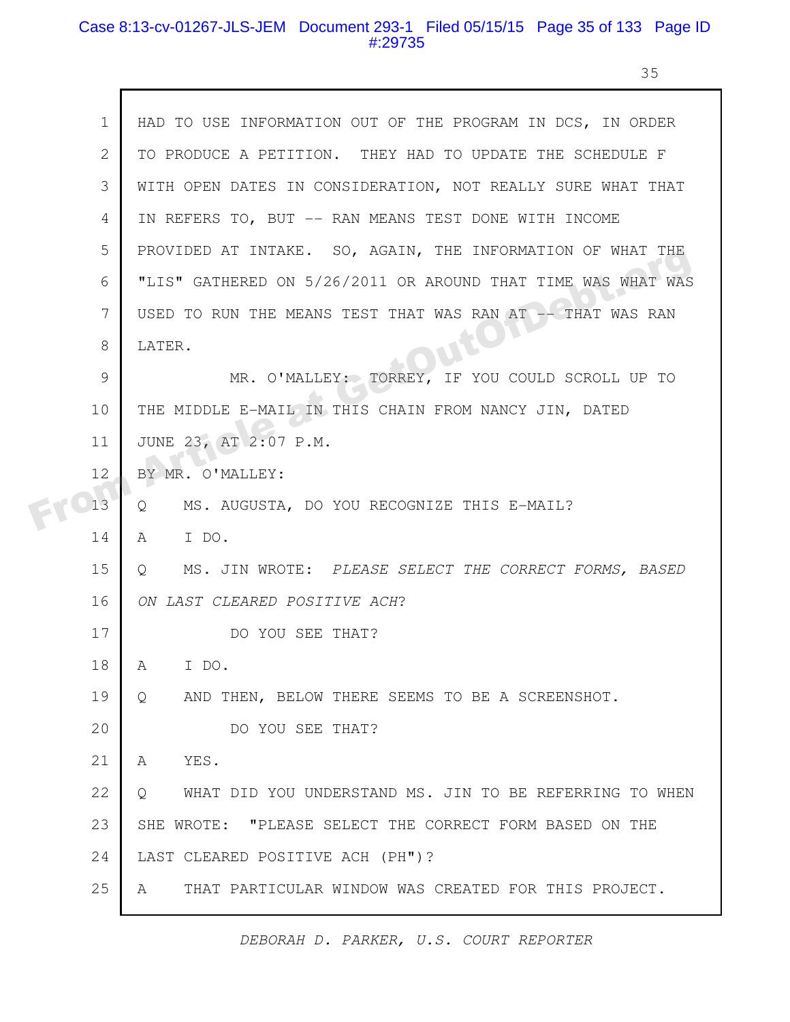#### Case 8:13-cv-01267-JLS-JEM Document 293-1 Filed 05/15/15 Page 35 of 133 Page ID #:29735

35

| $\mathbf 1$ | HAD TO USE INFORMATION OUT OF THE PROGRAM IN DCS, IN ORDER         |
|-------------|--------------------------------------------------------------------|
| 2           | TO PRODUCE A PETITION. THEY HAD TO UPDATE THE SCHEDULE F           |
| 3           | WITH OPEN DATES IN CONSIDERATION, NOT REALLY SURE WHAT THAT        |
| 4           | IN REFERS TO, BUT -- RAN MEANS TEST DONE WITH INCOME               |
| 5           | PROVIDED AT INTAKE. SO, AGAIN, THE INFORMATION OF WHAT THE         |
| 6           | "LIS" GATHERED ON 5/26/2011 OR AROUND THAT TIME WAS WHAT WAS       |
| 7           | USED TO RUN THE MEANS TEST THAT WAS RAN AT -- THAT WAS RAN         |
| 8           | LATER.                                                             |
| 9           | MR. O'MALLEY: TORREY, IF YOU COULD SCROLL UP TO                    |
| 10          | THE MIDDLE E-MAIL IN THIS CHAIN FROM NANCY JIN, DATED              |
| 11          | JUNE 23, AT 2:07 P.M.                                              |
| 12          | BY MR. O'MALLEY:                                                   |
| 13          | MS. AUGUSTA, DO YOU RECOGNIZE THIS E-MAIL?<br>Q                    |
| 14          | $\mathbb{A}$<br>I DO.                                              |
| 15          | MS. JIN WROTE: PLEASE SELECT THE CORRECT FORMS, BASED<br>Q         |
| 16          | ON LAST CLEARED POSITIVE ACH?                                      |
| 17          | DO YOU SEE THAT?                                                   |
| 18          | I DO.<br>A                                                         |
| 19          | AND THEN, BELOW THERE SEEMS TO BE A SCREENSHOT.<br>Q               |
| 20          | DO YOU SEE THAT?                                                   |
| 21          | YES.<br>A                                                          |
| 22          | WHAT DID YOU UNDERSTAND MS. JIN TO BE REFERRING TO WHEN<br>$\circ$ |
| 23          | SHE WROTE: "PLEASE SELECT THE CORRECT FORM BASED ON THE            |
| 24          | LAST CLEARED POSITIVE ACH (PH")?                                   |
| 25          | THAT PARTICULAR WINDOW WAS CREATED FOR THIS PROJECT.<br>A          |
|             |                                                                    |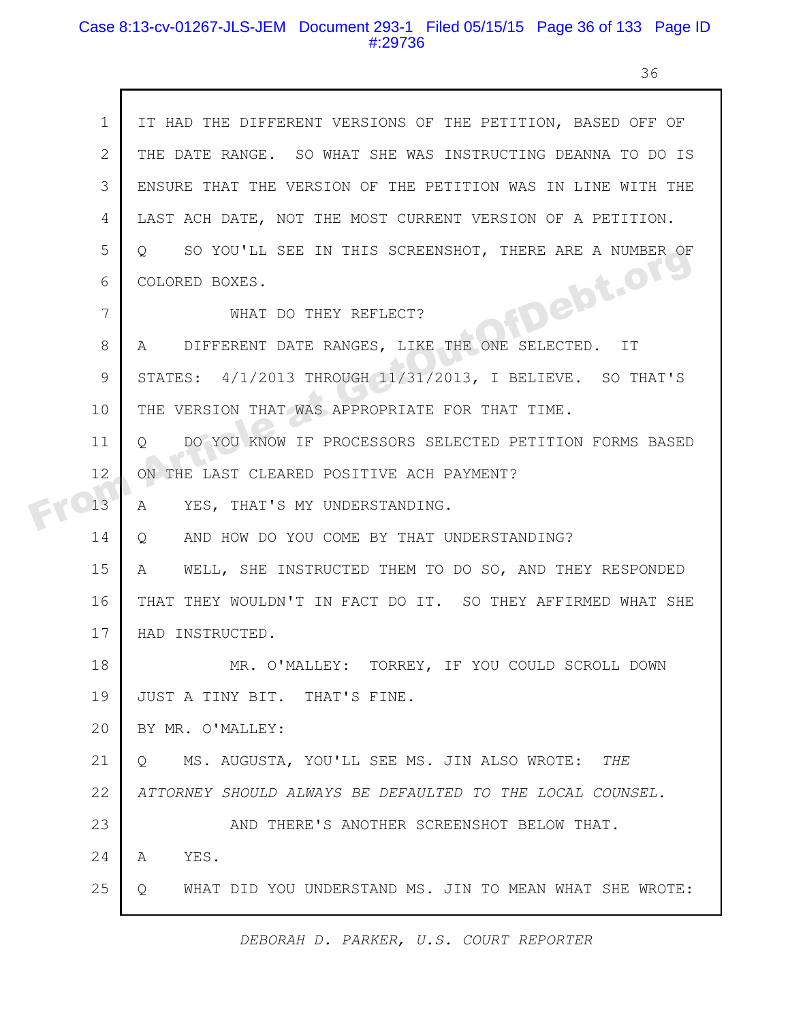#### Case 8:13-cv-01267-JLS-JEM Document 293-1 Filed 05/15/15 Page 36 of 133 Page ID #:29736

36

|  | $\mathbf 1$  | IT HAD THE DIFFERENT VERSIONS OF THE PETITION, BASED OFF OF        |
|--|--------------|--------------------------------------------------------------------|
|  | $\mathbf{2}$ | THE DATE RANGE. SO WHAT SHE WAS INSTRUCTING DEANNA TO DO IS        |
|  | 3            | ENSURE THAT THE VERSION OF THE PETITION WAS IN LINE WITH THE       |
|  | 4            | LAST ACH DATE, NOT THE MOST CURRENT VERSION OF A PETITION.         |
|  | 5            | SO YOU'LL SEE IN THIS SCREENSHOT, THERE ARE A NUMBER OF<br>$\circ$ |
|  | 6            | COLORED BOXES.                                                     |
|  | 7            | HDebt.org<br>WHAT DO THEY REFLECT?                                 |
|  | 8            | A DIFFERENT DATE RANGES, LIKE THE ONE SELECTED. IT                 |
|  | 9            | STATES: 4/1/2013 THROUGH 11/31/2013, I BELIEVE. SO THAT'S          |
|  | 10           | THE VERSION THAT WAS APPROPRIATE FOR THAT TIME.                    |
|  | 11           | DO YOU KNOW IF PROCESSORS SELECTED PETITION FORMS BASED<br>$\circ$ |
|  | 12           | ON THE LAST CLEARED POSITIVE ACH PAYMENT?                          |
|  | 13           | YES, THAT'S MY UNDERSTANDING.<br>A                                 |
|  | 14           | AND HOW DO YOU COME BY THAT UNDERSTANDING?<br>Q                    |
|  | 15           | WELL, SHE INSTRUCTED THEM TO DO SO, AND THEY RESPONDED<br>A        |
|  | 16           | THAT THEY WOULDN'T IN FACT DO IT. SO THEY AFFIRMED WHAT SHE        |
|  | 17           | HAD INSTRUCTED.                                                    |
|  | 18           | MR. O'MALLEY: TORREY, IF YOU COULD SCROLL DOWN                     |
|  | 19           | JUST A TINY BIT. THAT'S FINE.                                      |
|  | 20           | BY MR. O'MALLEY:                                                   |
|  | 21           | MS. AUGUSTA, YOU'LL SEE MS. JIN ALSO WROTE: THE<br>O.              |
|  | 22           | ATTORNEY SHOULD ALWAYS BE DEFAULTED TO THE LOCAL COUNSEL.          |
|  | 23           | AND THERE'S ANOTHER SCREENSHOT BELOW THAT.                         |
|  | 24           | YES.<br>A                                                          |
|  | 25           | WHAT DID YOU UNDERSTAND MS. JIN TO MEAN WHAT SHE WROTE:<br>Q       |
|  |              |                                                                    |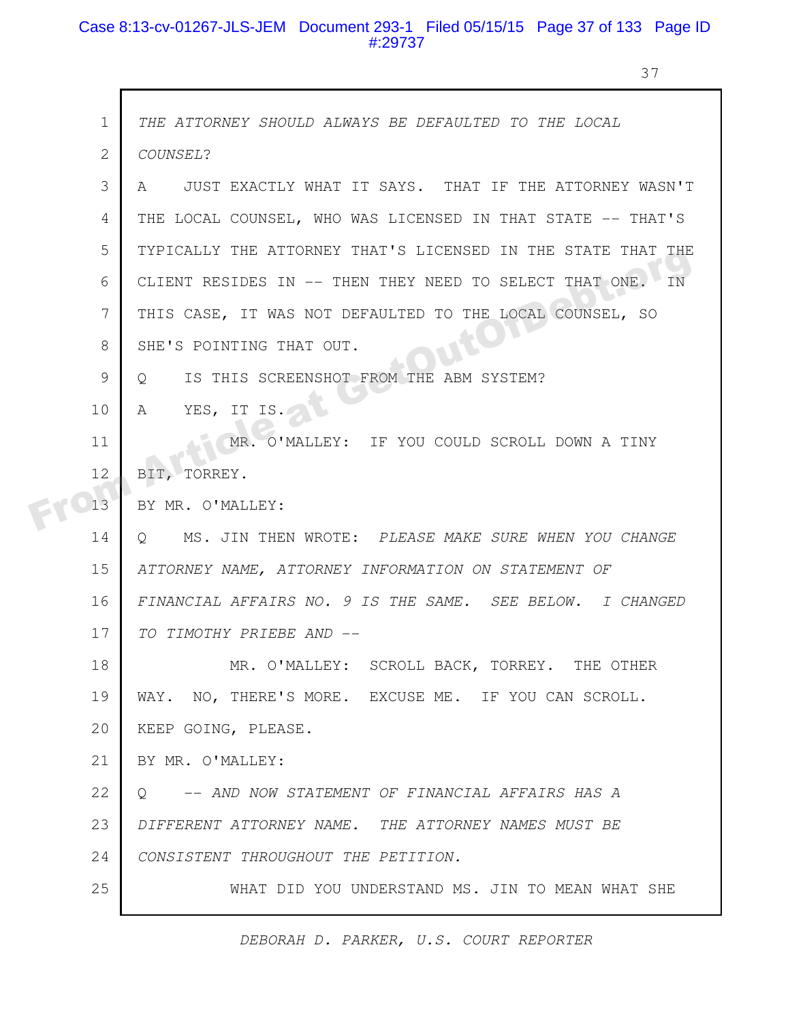#### Case 8:13-cv-01267-JLS-JEM Document 293-1 Filed 05/15/15 Page 37 of 133 Page ID #:29737

37

|  | $\mathbf 1$    | THE ATTORNEY SHOULD ALWAYS BE DEFAULTED TO THE LOCAL            |
|--|----------------|-----------------------------------------------------------------|
|  | $\overline{2}$ | COUNSEL?                                                        |
|  | 3              | JUST EXACTLY WHAT IT SAYS. THAT IF THE ATTORNEY WASN'T<br>A     |
|  | 4              | THE LOCAL COUNSEL, WHO WAS LICENSED IN THAT STATE -- THAT'S     |
|  | 5              | TYPICALLY THE ATTORNEY THAT'S LICENSED IN THE STATE THAT THE    |
|  | 6              | CLIENT RESIDES IN -- THEN THEY NEED TO SELECT THAT ONE.<br>IN   |
|  | 7              | THIS CASE, IT WAS NOT DEFAULTED TO THE LOCAL COUNSEL, SO        |
|  | 8              | SHE'S POINTING THAT OUT.                                        |
|  | 9              | IS THIS SCREENSHOT FROM THE ABM SYSTEM?<br>$\circ$              |
|  | 10             | YES, IT IS.<br>$\mathsf{A}$                                     |
|  | 11             | MR. O'MALLEY: IF YOU COULD SCROLL DOWN A TINY                   |
|  | 12             | BIT, TORREY.                                                    |
|  | 13             | BY MR. O'MALLEY:                                                |
|  | 14             | MS. JIN THEN WROTE: PLEASE MAKE SURE WHEN YOU CHANGE<br>$\circ$ |
|  | 15             | ATTORNEY NAME, ATTORNEY INFORMATION ON STATEMENT OF             |
|  | 16             | FINANCIAL AFFAIRS NO. 9 IS THE SAME. SEE BELOW. I CHANGED       |
|  | 17             | TO TIMOTHY PRIEBE AND --                                        |
|  | 18             | MR. O'MALLEY: SCROLL BACK, TORREY. THE OTHER                    |
|  | 19             | WAY. NO, THERE'S MORE. EXCUSE ME. IF YOU CAN SCROLL.            |
|  | 20             | KEEP GOING, PLEASE.                                             |
|  | 21             | BY MR. O'MALLEY:                                                |
|  | 22             | -- AND NOW STATEMENT OF FINANCIAL AFFAIRS HAS A<br>$\cup$       |
|  | 23             | DIFFERENT ATTORNEY NAME. THE ATTORNEY NAMES MUST BE             |
|  | 24             | CONSISTENT THROUGHOUT THE PETITION.                             |
|  | 25             | WHAT DID YOU UNDERSTAND MS. JIN TO MEAN WHAT SHE                |
|  |                |                                                                 |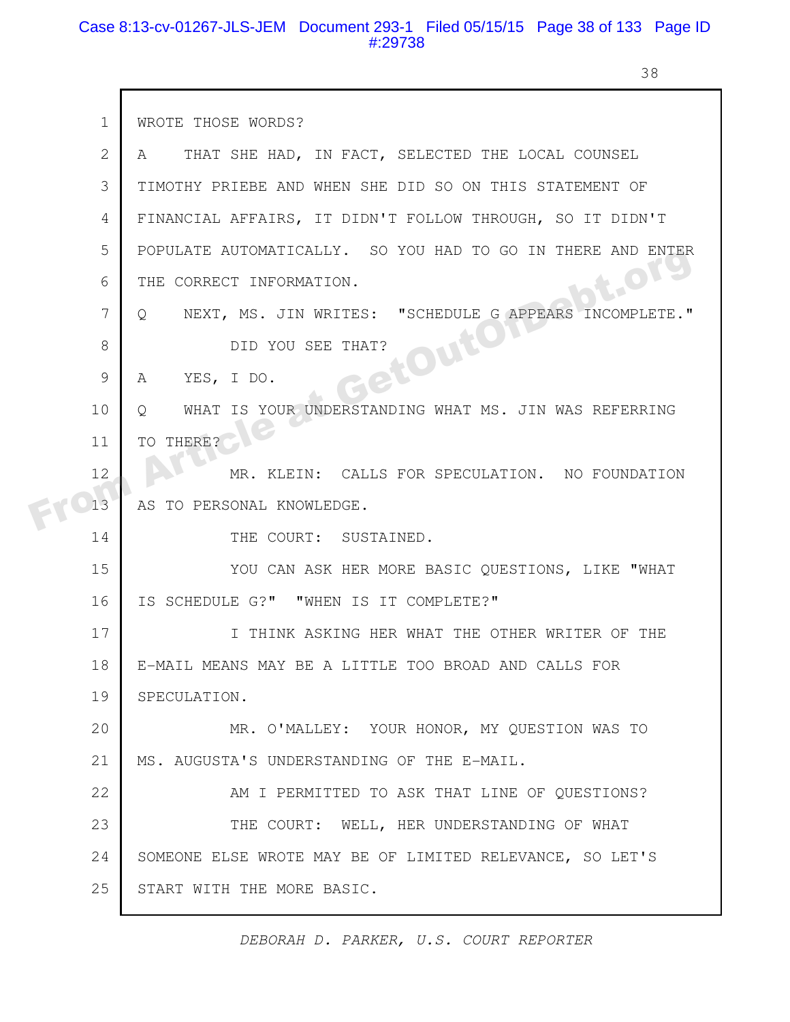#### Case 8:13-cv-01267-JLS-JEM Document 293-1 Filed 05/15/15 Page 38 of 133 Page ID #:29738

 $\mathsf{r}$ 

38

| $\mathbf{1}$  | WROTE THOSE WORDS?                                                  |
|---------------|---------------------------------------------------------------------|
| 2             | THAT SHE HAD, IN FACT, SELECTED THE LOCAL COUNSEL<br>A              |
| 3             | TIMOTHY PRIEBE AND WHEN SHE DID SO ON THIS STATEMENT OF             |
| 4             | FINANCIAL AFFAIRS, IT DIDN'T FOLLOW THROUGH, SO IT DIDN'T           |
| 5             | POPULATE AUTOMATICALLY. SO YOU HAD TO GO IN THERE AND ENTER         |
| 6             | <b>bt.Or</b><br>THE CORRECT INFORMATION.                            |
| 7             | NEXT, MS. JIN WRITES: "SCHEDULE G APPEARS INCOMPLETE."<br>$\circ$   |
| 8             | <b>JetOutO</b><br>DID YOU SEE THAT?                                 |
| $\mathcal{G}$ | YES, I DO.<br>A                                                     |
| 10            | IS YOUR UNDERSTANDING WHAT MS. JIN WAS REFERRING<br>WHAT<br>$\circ$ |
| 11            | THERE?<br>TO.                                                       |
| 12            | MR. KLEIN: CALLS FOR SPECULATION. NO FOUNDATION                     |
| 13            | AS<br>TO PERSONAL KNOWLEDGE.                                        |
| 14            | THE COURT: SUSTAINED.                                               |
| 15            | YOU CAN ASK HER MORE BASIC QUESTIONS, LIKE "WHAT                    |
| 16            | IS SCHEDULE G?" "WHEN IS IT COMPLETE?"                              |
| 17            | I THINK ASKING HER WHAT THE OTHER WRITER OF THE                     |
| 18            | E-MAIL MEANS MAY BE A LITTLE TOO BROAD AND CALLS FOR                |
| 19            | SPECULATION.                                                        |
| 20            | MR. O'MALLEY: YOUR HONOR, MY QUESTION WAS TO                        |
| 21            | MS. AUGUSTA'S UNDERSTANDING OF THE E-MAIL.                          |
| 22            | AM I PERMITTED TO ASK THAT LINE OF QUESTIONS?                       |
| 23            | THE COURT: WELL, HER UNDERSTANDING OF WHAT                          |
| 24            | SOMEONE ELSE WROTE MAY BE OF LIMITED RELEVANCE, SO LET'S            |
| 25            | START WITH THE MORE BASIC.                                          |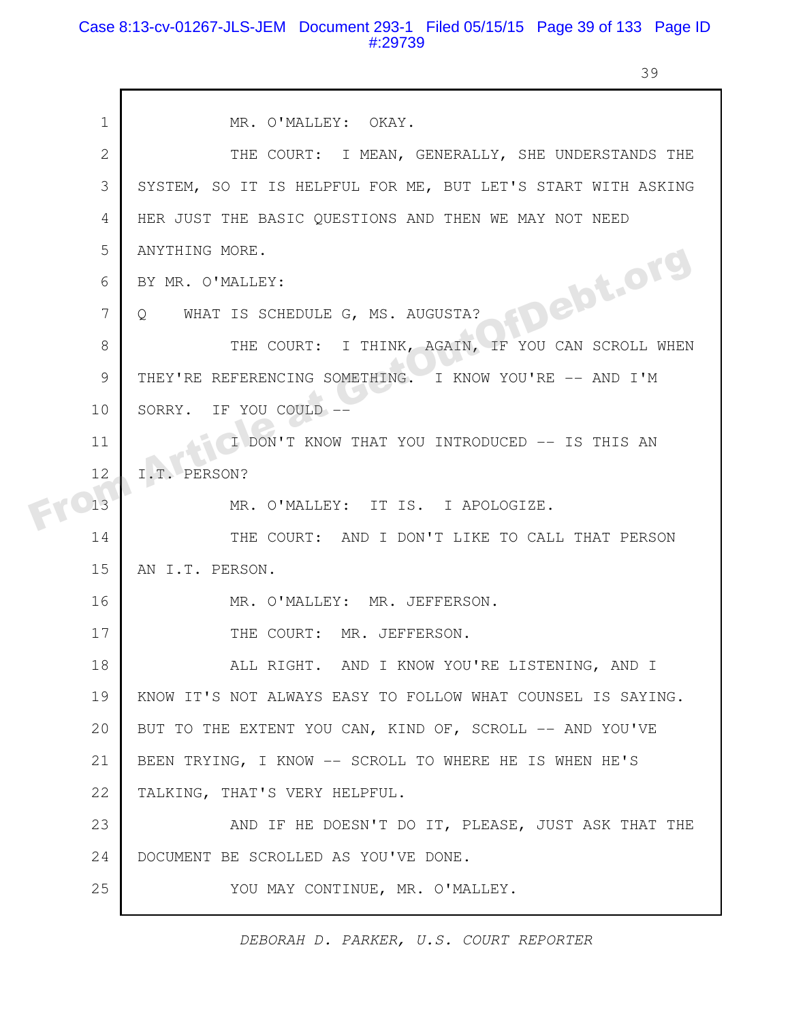#### Case 8:13-cv-01267-JLS-JEM Document 293-1 Filed 05/15/15 Page 39 of 133 Page ID #:29739

39

| $\mathbf{1}$ | MR. O'MALLEY: OKAY.                                          |
|--------------|--------------------------------------------------------------|
|              |                                                              |
| $\mathbf{2}$ | THE COURT: I MEAN, GENERALLY, SHE UNDERSTANDS THE            |
| 3            | SYSTEM, SO IT IS HELPFUL FOR ME, BUT LET'S START WITH ASKING |
| 4            | HER JUST THE BASIC QUESTIONS AND THEN WE MAY NOT NEED        |
| 5            | ANYTHING MORE.                                               |
| 6            | BY MR. O'MALLEY:                                             |
| 7            | FDebt.org<br>Q WHAT IS SCHEDULE G, MS. AUGUSTA?              |
| 8            | THE COURT: I THINK, AGAIN, IF YOU CAN SCROLL WHEN            |
| 9            | THEY'RE REFERENCING SOMETHING. I KNOW YOU'RE -- AND I'M      |
| 10           | SORRY. IF YOU COULD --                                       |
| 11           | I DON'T KNOW THAT YOU INTRODUCED -- IS THIS AN               |
| 12           | I.T. PERSON?                                                 |
| 13           | MR. O'MALLEY: IT IS. I APOLOGIZE.                            |
| 14           | THE COURT: AND I DON'T LIKE TO CALL THAT PERSON              |
| 15           | AN I.T. PERSON.                                              |
| 16           | MR. O'MALLEY: MR. JEFFERSON.                                 |
| 17           | THE COURT: MR. JEFFERSON.                                    |
| 18           | ALL RIGHT. AND I KNOW YOU'RE LISTENING, AND I                |
| 19           | KNOW IT'S NOT ALWAYS EASY TO FOLLOW WHAT COUNSEL IS SAYING.  |
| 20           | BUT TO THE EXTENT YOU CAN, KIND OF, SCROLL -- AND YOU'VE     |
| 21           | BEEN TRYING, I KNOW -- SCROLL TO WHERE HE IS WHEN HE'S       |
| 22           | TALKING, THAT'S VERY HELPFUL.                                |
| 23           | AND IF HE DOESN'T DO IT, PLEASE, JUST ASK THAT THE           |
| 24           | DOCUMENT BE SCROLLED AS YOU'VE DONE.                         |
| 25           | YOU MAY CONTINUE, MR. O'MALLEY.                              |
|              |                                                              |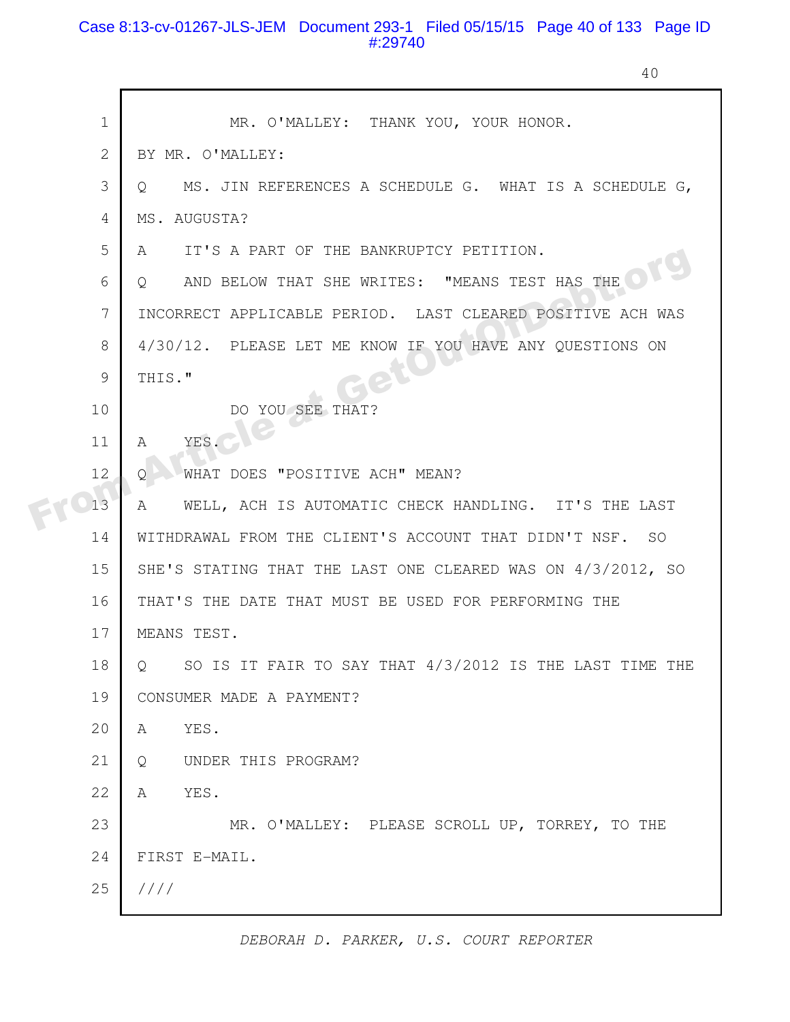### Case 8:13-cv-01267-JLS-JEM Document 293-1 Filed 05/15/15 Page 40 of 133 Page ID #:29740

40

| $\mathbf 1$  | MR. O'MALLEY: THANK YOU, YOUR HONOR.                              |
|--------------|-------------------------------------------------------------------|
| $\mathbf{2}$ | BY MR. O'MALLEY:                                                  |
| 3            | MS. JIN REFERENCES A SCHEDULE G. WHAT IS A SCHEDULE G,<br>$\circ$ |
| 4            | MS. AUGUSTA?                                                      |
| 5            | IT'S A PART OF THE BANKRUPTCY PETITION.<br>A                      |
| 6            | AND BELOW THAT SHE WRITES: "MEANS TEST HAS THE<br>Q               |
| 7            | INCORRECT APPLICABLE PERIOD. LAST CLEARED POSITIVE ACH WAS        |
| 8            | 4/30/12. PLEASE LET ME KNOW IF YOU HAVE ANY QUESTIONS ON          |
| 9            | THIS."                                                            |
| 10           | DO YOU SEE THAT?                                                  |
| 11           | YES.<br>A                                                         |
| 12           | WHAT DOES "POSITIVE ACH" MEAN?<br>O                               |
| 13           | WELL, ACH IS AUTOMATIC CHECK HANDLING. IT'S THE LAST<br>A         |
| 14           | WITHDRAWAL FROM THE CLIENT'S ACCOUNT THAT DIDN'T NSF. SO          |
| 15           | SHE'S STATING THAT THE LAST ONE CLEARED WAS ON 4/3/2012, SO       |
| 16           | THAT'S THE DATE THAT MUST BE USED FOR PERFORMING THE              |
| 17           | MEANS TEST.                                                       |
| 18           | SO IS IT FAIR TO SAY THAT 4/3/2012 IS THE LAST TIME THE<br>Q      |
| 19           | CONSUMER MADE A PAYMENT?                                          |
| 20           | YES.<br>A                                                         |
| 21           | UNDER THIS PROGRAM?<br>Q                                          |
| 22           | YES.<br>A                                                         |
| 23           | MR. O'MALLEY: PLEASE SCROLL UP, TORREY, TO THE                    |
| 24           | FIRST E-MAIL.                                                     |
| 25           | 1111                                                              |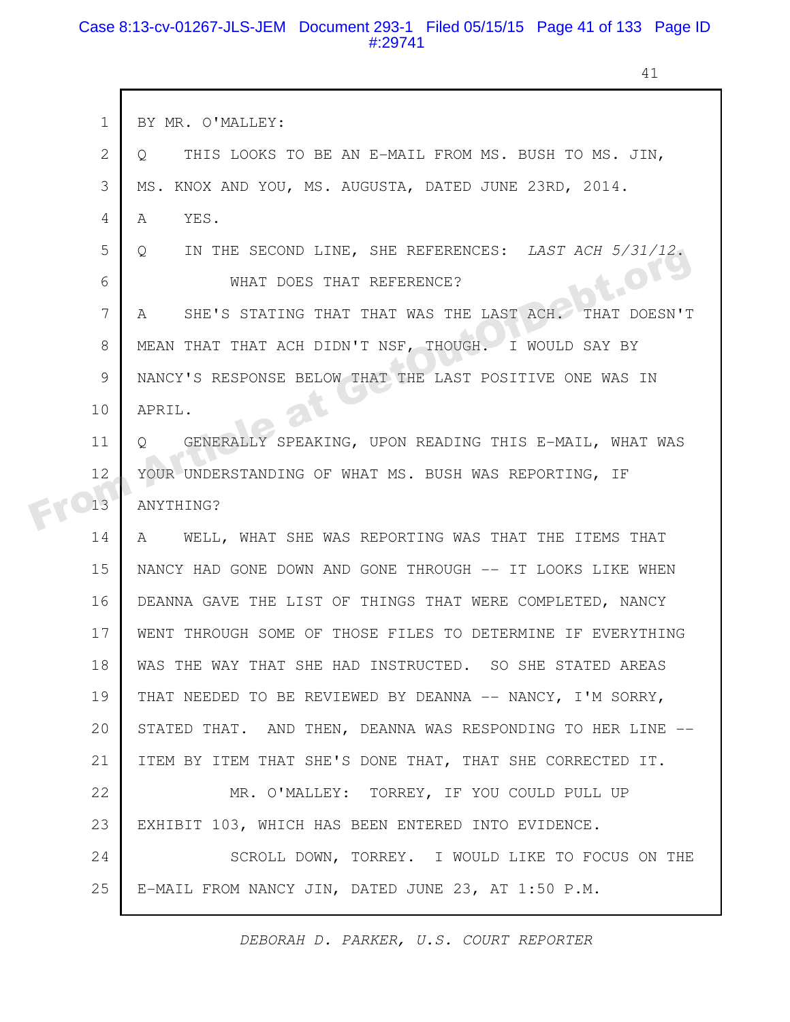## Case 8:13-cv-01267-JLS-JEM Document 293-1 Filed 05/15/15 Page 41 of 133 Page ID #:29741

41

|  | $\mathbf 1$  | BY MR. O'MALLEY:                                                  |
|--|--------------|-------------------------------------------------------------------|
|  | $\mathbf{2}$ | THIS LOOKS TO BE AN E-MAIL FROM MS. BUSH TO MS. JIN,<br>Q         |
|  | 3            | MS. KNOX AND YOU, MS. AUGUSTA, DATED JUNE 23RD, 2014.             |
|  | 4            | YES.<br>A                                                         |
|  | 5            | IN THE SECOND LINE, SHE REFERENCES: LAST ACH 5/31/12.<br>$\circ$  |
|  | 6            | OLS<br>WHAT DOES THAT REFERENCE?                                  |
|  | 7            | SHE'S STATING THAT THAT WAS THE LAST ACH. THAT DOESN'T<br>A       |
|  | 8            | MEAN THAT THAT ACH DIDN'T NSF, THOUGH. I WOULD SAY BY             |
|  | 9            | NANCY'S RESPONSE BELOW THAT THE LAST POSITIVE ONE WAS IN          |
|  | 10           | APRIL.                                                            |
|  | 11           | GENERALLY SPEAKING, UPON READING THIS E-MAIL, WHAT WAS<br>$\circ$ |
|  | 12           | YOUR UNDERSTANDING OF WHAT MS. BUSH WAS REPORTING, IF             |
|  | 13           | ANYTHING?                                                         |
|  | 14           | A WELL, WHAT SHE WAS REPORTING WAS THAT THE ITEMS THAT            |
|  | 15           | NANCY HAD GONE DOWN AND GONE THROUGH -- IT LOOKS LIKE WHEN        |
|  | 16           | DEANNA GAVE THE LIST OF THINGS THAT WERE COMPLETED, NANCY         |
|  | 17           | WENT THROUGH SOME OF THOSE FILES TO DETERMINE IF EVERYTHING       |
|  | 18           | WAS THE WAY THAT SHE HAD INSTRUCTED. SO SHE STATED AREAS          |
|  | 19           | THAT NEEDED TO BE REVIEWED BY DEANNA -- NANCY, I'M SORRY,         |
|  | 20           | STATED THAT. AND THEN, DEANNA WAS RESPONDING TO HER LINE --       |
|  | 21           | ITEM BY ITEM THAT SHE'S DONE THAT, THAT SHE CORRECTED IT.         |
|  | 22           | MR. O'MALLEY: TORREY, IF YOU COULD PULL UP                        |
|  | 23           | EXHIBIT 103, WHICH HAS BEEN ENTERED INTO EVIDENCE.                |
|  | 24           | SCROLL DOWN, TORREY. I WOULD LIKE TO FOCUS ON THE                 |
|  | 25           | E-MAIL FROM NANCY JIN, DATED JUNE 23, AT 1:50 P.M.                |
|  |              |                                                                   |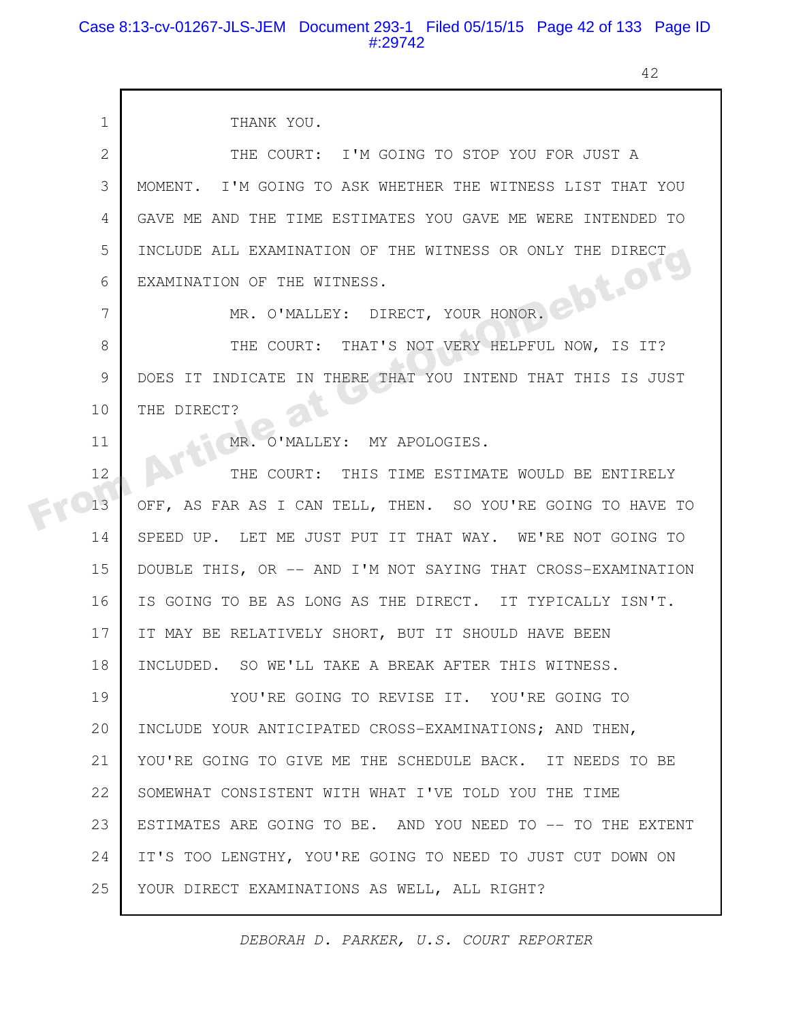#### Case 8:13-cv-01267-JLS-JEM Document 293-1 Filed 05/15/15 Page 42 of 133 Page ID #:29742

42

| $\mathbf{1}$ | THANK YOU.                                                   |
|--------------|--------------------------------------------------------------|
| 2            | THE COURT: I'M GOING TO STOP YOU FOR JUST A                  |
| 3            | MOMENT. I'M GOING TO ASK WHETHER THE WITNESS LIST THAT YOU   |
| 4            | GAVE ME AND THE TIME ESTIMATES YOU GAVE ME WERE INTENDED TO  |
| 5            | INCLUDE ALL EXAMINATION OF THE WITNESS OR ONLY THE DIRECT    |
| 6            | ebt.org<br>EXAMINATION OF THE WITNESS.                       |
| 7            | MR. O'MALLEY: DIRECT, YOUR HONOR.                            |
| 8            | THE COURT: THAT'S NOT VERY HELPFUL NOW, IS IT?               |
| 9            | DOES IT INDICATE IN THERE THAT YOU INTEND THAT THIS IS JUST  |
| 10           | THE DIRECT?                                                  |
| 11           | MR. O'MALLEY: MY APOLOGIES.                                  |
| 12           | THE COURT: THIS TIME ESTIMATE WOULD BE ENTIRELY              |
| 13           | OFF, AS FAR AS I CAN TELL, THEN. SO YOU'RE GOING TO HAVE TO  |
| 14           | SPEED UP. LET ME JUST PUT IT THAT WAY. WE'RE NOT GOING TO    |
| 15           | DOUBLE THIS, OR -- AND I'M NOT SAYING THAT CROSS-EXAMINATION |
| 16           | IS GOING TO BE AS LONG AS THE DIRECT. IT TYPICALLY ISN'T.    |
| 17           | IT MAY BE RELATIVELY SHORT, BUT IT SHOULD HAVE BEEN          |
| 18           | INCLUDED. SO WE'LL TAKE A BREAK AFTER THIS WITNESS.          |
| 19           | YOU'RE GOING TO REVISE IT. YOU'RE GOING TO                   |
| 20           | INCLUDE YOUR ANTICIPATED CROSS-EXAMINATIONS; AND THEN,       |
| 21           | YOU'RE GOING TO GIVE ME THE SCHEDULE BACK. IT NEEDS TO BE    |
| 22           | SOMEWHAT CONSISTENT WITH WHAT I'VE TOLD YOU THE TIME         |
| 23           | ESTIMATES ARE GOING TO BE. AND YOU NEED TO -- TO THE EXTENT  |
| 24           | IT'S TOO LENGTHY, YOU'RE GOING TO NEED TO JUST CUT DOWN ON   |
| 25           | YOUR DIRECT EXAMINATIONS AS WELL, ALL RIGHT?                 |
|              |                                                              |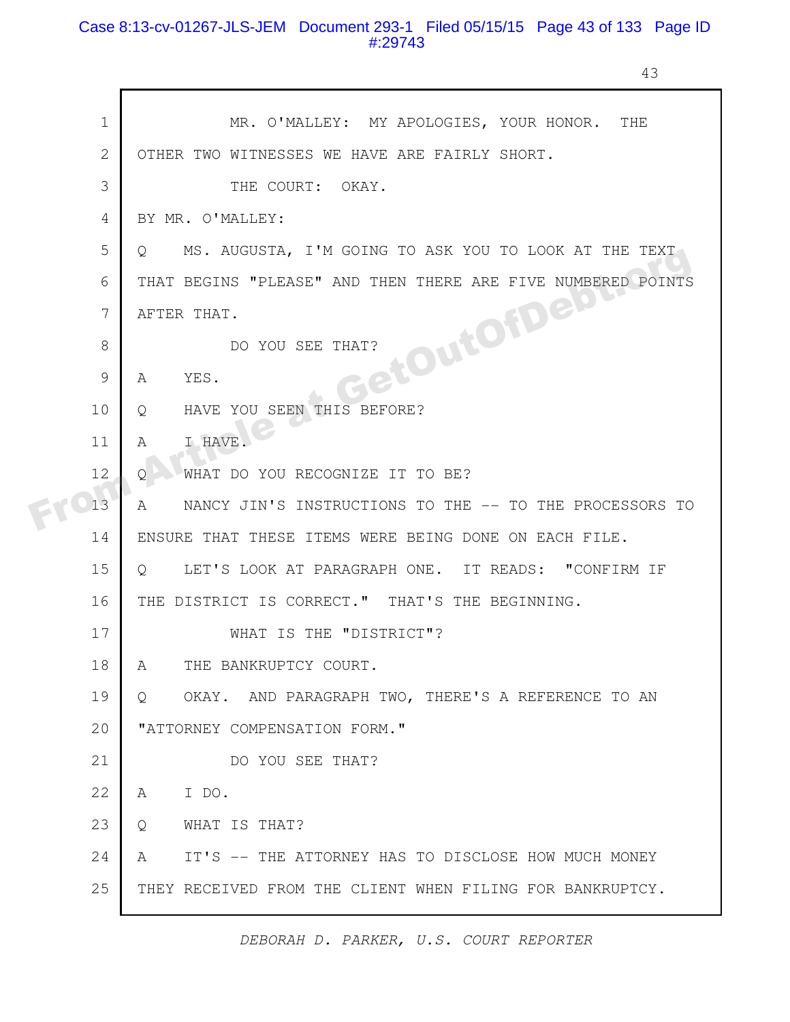## Case 8:13-cv-01267-JLS-JEM Document 293-1 Filed 05/15/15 Page 43 of 133 Page ID #:29743

43

| $\mathbf 1$    | MR. O'MALLEY: MY APOLOGIES, YOUR HONOR. THE                      |
|----------------|------------------------------------------------------------------|
| $\mathbf{2}$   | OTHER TWO WITNESSES WE HAVE ARE FAIRLY SHORT.                    |
| 3              | THE COURT: OKAY.                                                 |
| $\overline{4}$ | BY MR. O'MALLEY:                                                 |
| 5              | MS. AUGUSTA, I'M GOING TO ASK YOU TO LOOK AT THE TEXT<br>$\circ$ |
| 6              | THAT BEGINS "PLEASE" AND THEN THERE ARE FIVE NUMBERED POINTS     |
| 7              | GetOuton Rom<br>AFTER THAT.                                      |
| 8              | DO YOU SEE THAT?                                                 |
| 9              | YES.<br>A                                                        |
| 10             | HAVE YOU SEEN THIS BEFORE?<br>Q                                  |
| 11             | I HAVE.<br>A                                                     |
| 12             | WHAT DO YOU RECOGNIZE IT TO BE?<br>Q.                            |
| 13             | NANCY JIN'S INSTRUCTIONS TO THE -- TO THE PROCESSORS TO<br>A     |
| 14             | ENSURE THAT THESE ITEMS WERE BEING DONE ON EACH FILE.            |
| 15             | LET'S LOOK AT PARAGRAPH ONE. IT READS: "CONFIRM IF<br>$\circ$    |
| 16             | THE DISTRICT IS CORRECT." THAT'S THE BEGINNING.                  |
| 17             | WHAT IS THE "DISTRICT"?                                          |
| 18             | THE BANKRUPTCY COURT.<br>A                                       |
| 19             | OKAY. AND PARAGRAPH TWO, THERE'S A REFERENCE TO AN<br>Q          |
| 20             | "ATTORNEY COMPENSATION FORM."                                    |
| 21             | DO YOU SEE THAT?                                                 |
| 22             | I DO.<br>A                                                       |
| 23             | WHAT IS THAT?<br>O                                               |
| 24             | IT'S -- THE ATTORNEY HAS TO DISCLOSE HOW MUCH MONEY<br>A         |
| 25             | THEY RECEIVED FROM THE CLIENT WHEN FILING FOR BANKRUPTCY.        |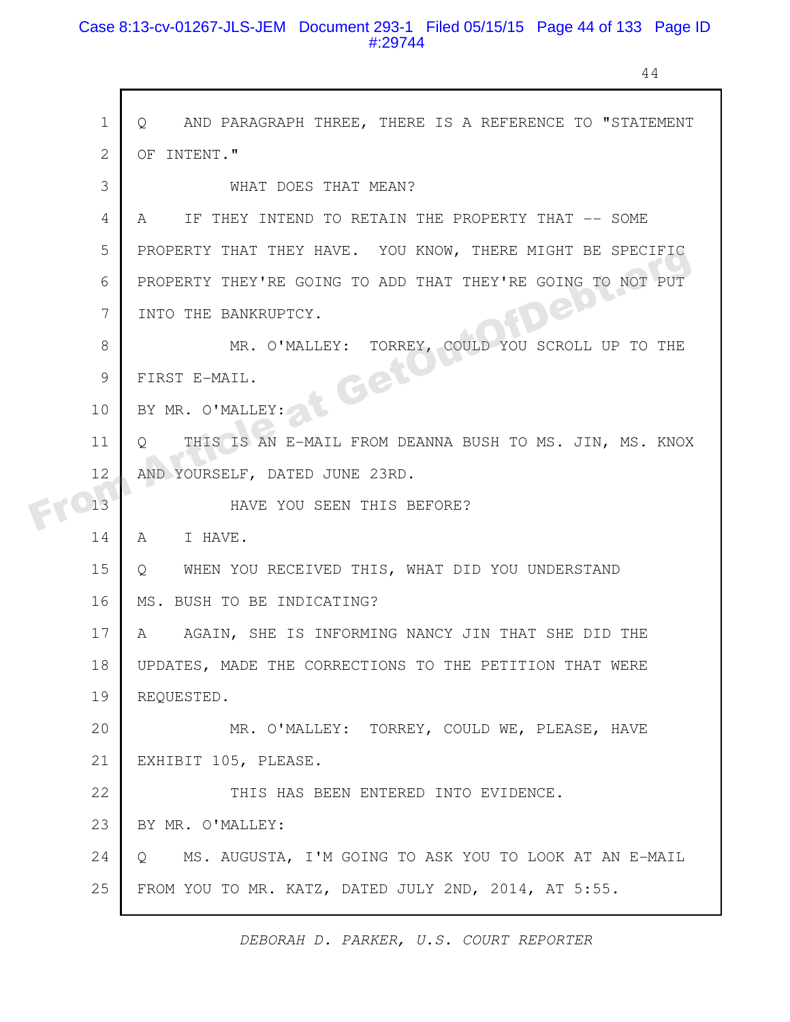#### Case 8:13-cv-01267-JLS-JEM Document 293-1 Filed 05/15/15 Page 44 of 133 Page ID #:29744

 $\mathsf{r}$ 

44

| $\mathbf 1$<br>AND PARAGRAPH THREE, THERE IS A REFERENCE TO "STATEMENT<br>$\circ$ |
|-----------------------------------------------------------------------------------|
| $\mathbf{2}$<br>OF INTENT."                                                       |
| 3<br>WHAT DOES THAT MEAN?                                                         |
| 4<br>IF THEY INTEND TO RETAIN THE PROPERTY THAT -- SOME<br>A                      |
| 5<br>PROPERTY THAT THEY HAVE. YOU KNOW, THERE MIGHT BE SPECIFIC                   |
| PROPERTY THEY'RE GOING TO ADD THAT THEY'RE GOING TO NOT PUT<br>6                  |
| IDED<br>7<br>INTO THE BANKRUPTCY.                                                 |
| 8<br>MR. O'MALLEY: TORREY, COULD YOU SCROLL UP TO THE                             |
| t Get<br>$\mathcal{G}$<br>FIRST E-MAIL.                                           |
| 10<br>BY MR. O'MALLEY:                                                            |
| 11<br>THIS IS AN E-MAIL FROM DEANNA BUSH TO MS. JIN, MS. KNOX<br>$\circ$          |
| 12<br>AND YOURSELF, DATED JUNE 23RD.                                              |
| 13<br>HAVE YOU SEEN THIS BEFORE?                                                  |
| I HAVE.<br>14<br>A                                                                |
| 15<br>WHEN YOU RECEIVED THIS, WHAT DID YOU UNDERSTAND<br>Q                        |
| 16<br>MS. BUSH TO BE INDICATING?                                                  |
| 17<br>AGAIN, SHE IS INFORMING NANCY JIN THAT SHE DID THE<br>A                     |
| 18<br>UPDATES, MADE THE CORRECTIONS TO THE PETITION THAT WERE                     |
| 19<br>REQUESTED.                                                                  |
| 20<br>MR. O'MALLEY: TORREY, COULD WE, PLEASE, HAVE                                |
| 21<br>EXHIBIT 105, PLEASE.                                                        |
| 22<br>THIS HAS BEEN ENTERED INTO EVIDENCE.                                        |
| 23<br>BY MR. O'MALLEY:                                                            |
| 24<br>MS. AUGUSTA, I'M GOING TO ASK YOU TO LOOK AT AN E-MAIL<br>Q                 |
| 25<br>FROM YOU TO MR. KATZ, DATED JULY 2ND, 2014, AT 5:55.                        |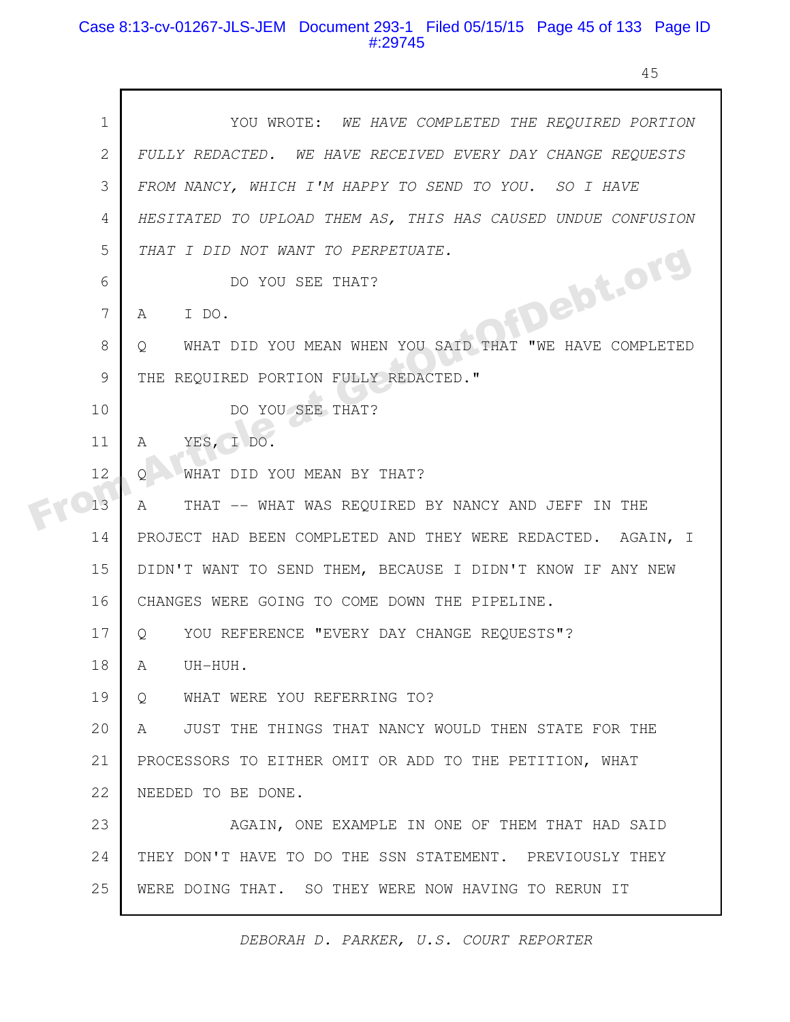#### Case 8:13-cv-01267-JLS-JEM Document 293-1 Filed 05/15/15 Page 45 of 133 Page ID #:29745

45

| $\mathbf 1$    | YOU WROTE: WE HAVE COMPLETED THE REQUIRED PORTION                 |
|----------------|-------------------------------------------------------------------|
| $\mathbf{2}$   | FULLY REDACTED. WE HAVE RECEIVED EVERY DAY CHANGE REQUESTS        |
| 3              | FROM NANCY, WHICH I'M HAPPY TO SEND TO YOU. SO I HAVE             |
| $\overline{4}$ | HESITATED TO UPLOAD THEM AS, THIS HAS CAUSED UNDUE CONFUSION      |
| 5              | THAT I DID NOT WANT TO PERPETUATE.                                |
| 6              | <b>IFDebt.org</b><br>DO YOU SEE THAT?                             |
| 7              | I DO.<br>A                                                        |
| 8              | WHAT DID YOU MEAN WHEN YOU SAID THAT "WE HAVE COMPLETED<br>Q      |
| 9              | THE REQUIRED PORTION FULLY REDACTED."                             |
| 10             | DO YOU SEE THAT?                                                  |
| 11             | YES, I DO.<br>A                                                   |
| 12             | WHAT DID YOU MEAN BY THAT?<br>O                                   |
| 13             | $\mathbb A$<br>THAT -- WHAT WAS REQUIRED BY NANCY AND JEFF IN THE |
| 14             | PROJECT HAD BEEN COMPLETED AND THEY WERE REDACTED. AGAIN, I       |
| 15             | DIDN'T WANT TO SEND THEM, BECAUSE I DIDN'T KNOW IF ANY NEW        |
| 16             | CHANGES WERE GOING TO COME DOWN THE PIPELINE.                     |
| 17             | YOU REFERENCE "EVERY DAY CHANGE REQUESTS"?<br>$\circ$             |
| 18             | A<br>UH-HUH.                                                      |
| 19             | WHAT WERE YOU REFERRING TO?<br>$Q_{\cdot}$                        |
| 20             | JUST THE THINGS THAT NANCY WOULD THEN STATE FOR THE<br>A          |
| 21             | PROCESSORS TO EITHER OMIT OR ADD TO THE PETITION, WHAT            |
| 22             | NEEDED TO BE DONE.                                                |
| 23             | AGAIN, ONE EXAMPLE IN ONE OF THEM THAT HAD SAID                   |
| 24             | THEY DON'T HAVE TO DO THE SSN STATEMENT. PREVIOUSLY THEY          |
| 25             | WERE DOING THAT. SO THEY WERE NOW HAVING TO RERUN IT              |
|                |                                                                   |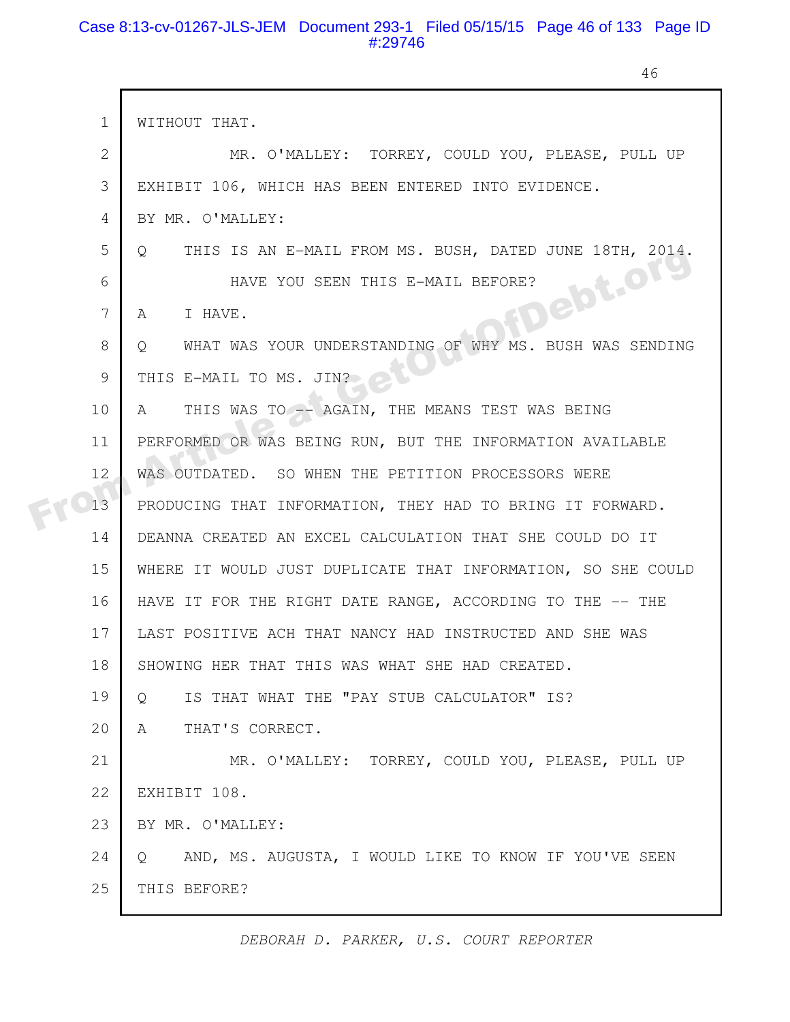#### Case 8:13-cv-01267-JLS-JEM Document 293-1 Filed 05/15/15 Page 46 of 133 Page ID #:29746

г

46

| $\mathbf 1$  | WITHOUT THAT.                                                      |
|--------------|--------------------------------------------------------------------|
| $\mathbf{2}$ | MR. O'MALLEY: TORREY, COULD YOU, PLEASE, PULL UP                   |
| 3            | EXHIBIT 106, WHICH HAS BEEN ENTERED INTO EVIDENCE.                 |
| 4            | BY MR. O'MALLEY:                                                   |
| 5            | THIS IS AN E-MAIL FROM MS. BUSH, DATED JUNE 18TH, 2014.<br>$\circ$ |
| 6            | FDebt.org<br>HAVE YOU SEEN THIS E-MAIL BEFORE?                     |
| 7            | I HAVE.<br>A                                                       |
| 8            | WHAT WAS YOUR UNDERSTANDING OF WHY MS. BUSH WAS SENDING<br>Q       |
| 9            | THIS E-MAIL TO MS. JIN?                                            |
| 10           | THIS WAS TO -- AGAIN, THE MEANS TEST WAS BEING<br>A                |
| 11           | PERFORMED OR WAS BEING RUN, BUT THE INFORMATION AVAILABLE          |
| 12           | WAS OUTDATED. SO WHEN THE PETITION PROCESSORS WERE                 |
| 13           | PRODUCING THAT INFORMATION, THEY HAD TO BRING IT FORWARD.          |
| 14           | DEANNA CREATED AN EXCEL CALCULATION THAT SHE COULD DO IT           |
| 15           | WHERE IT WOULD JUST DUPLICATE THAT INFORMATION, SO SHE COULD       |
| 16           | HAVE IT FOR THE RIGHT DATE RANGE, ACCORDING TO THE -- THE          |
| 17           | LAST POSITIVE ACH THAT NANCY HAD INSTRUCTED AND SHE WAS            |
| 18           | SHOWING HER THAT THIS WAS WHAT SHE HAD CREATED.                    |
| 19           | IS THAT WHAT THE "PAY STUB CALCULATOR" IS?<br>$\circ$              |
| 20           | THAT'S CORRECT.<br>A                                               |
| 21           | MR. O'MALLEY: TORREY, COULD YOU, PLEASE, PULL UP                   |
| 22           | EXHIBIT 108.                                                       |
| 23           | BY MR. O'MALLEY:                                                   |
| 24           | AND, MS. AUGUSTA, I WOULD LIKE TO KNOW IF YOU'VE SEEN<br>$\circ$   |
| 25           | THIS BEFORE?                                                       |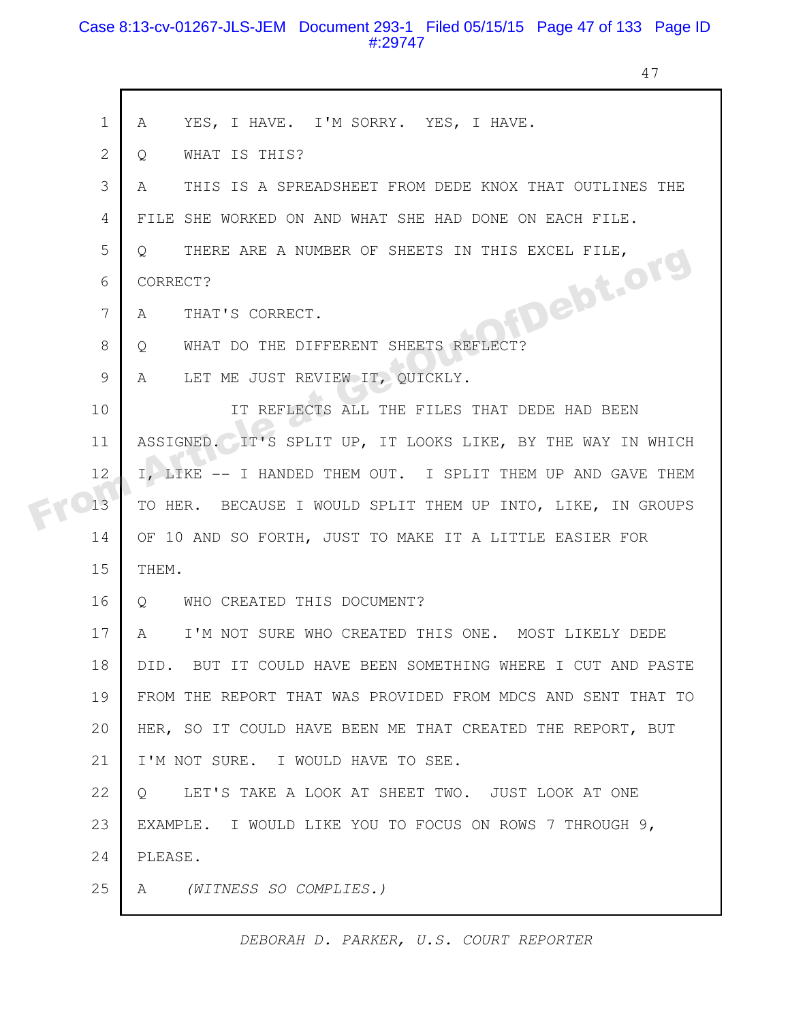#### Case 8:13-cv-01267-JLS-JEM Document 293-1 Filed 05/15/15 Page 47 of 133 Page ID #:29747

47

| $\mathbf 1$    | YES, I HAVE. I'M SORRY. YES, I HAVE.<br>A                          |
|----------------|--------------------------------------------------------------------|
| $\overline{2}$ | WHAT IS THIS?<br>Q                                                 |
| 3              | THIS IS A SPREADSHEET FROM DEDE KNOX THAT OUTLINES THE<br>A        |
| 4              | FILE SHE WORKED ON AND WHAT SHE HAD DONE ON EACH FILE.             |
| 5              | THERE ARE A NUMBER OF SHEETS IN THIS EXCEL FILE,<br>$Q_{\rm c}$    |
| 6              | CORRECT?                                                           |
| 7              | <b>MDebt.org</b><br>THAT'S CORRECT.<br>A                           |
| 8              | WHAT DO THE DIFFERENT SHEETS REFLECT?<br>$Q_{\perp}$               |
| 9              | A LET ME JUST REVIEW IT, QUICKLY.                                  |
| 10             | IT REFLECTS ALL THE FILES THAT DEDE HAD BEEN                       |
| 11             | ASSIGNED. IT'S SPLIT UP, IT LOOKS LIKE, BY THE WAY IN WHICH        |
| 12             | I, LIKE -- I HANDED THEM OUT. I SPLIT THEM UP AND GAVE THEM        |
| 13             | TO HER. BECAUSE I WOULD SPLIT THEM UP INTO, LIKE, IN GROUPS        |
| 14             | OF 10 AND SO FORTH, JUST TO MAKE IT A LITTLE EASIER FOR            |
| 15             | THEM.                                                              |
| 16             | Q WHO CREATED THIS DOCUMENT?                                       |
| 17             | $\mathbb A$<br>I'M NOT SURE WHO CREATED THIS ONE. MOST LIKELY DEDE |
| 18             | DID. BUT IT COULD HAVE BEEN SOMETHING WHERE I CUT AND PASTE        |
| 19             | FROM THE REPORT THAT WAS PROVIDED FROM MDCS AND SENT THAT TO       |
| 20             | HER, SO IT COULD HAVE BEEN ME THAT CREATED THE REPORT, BUT         |
| 21             | I'M NOT SURE. I WOULD HAVE TO SEE.                                 |
| 22             | LET'S TAKE A LOOK AT SHEET TWO. JUST LOOK AT ONE<br>$\circ$        |
| 23             | EXAMPLE. I WOULD LIKE YOU TO FOCUS ON ROWS 7 THROUGH 9,            |
| 24             | PLEASE.                                                            |
| 25             | (WITNESS SO COMPLIES.)<br>A                                        |
|                |                                                                    |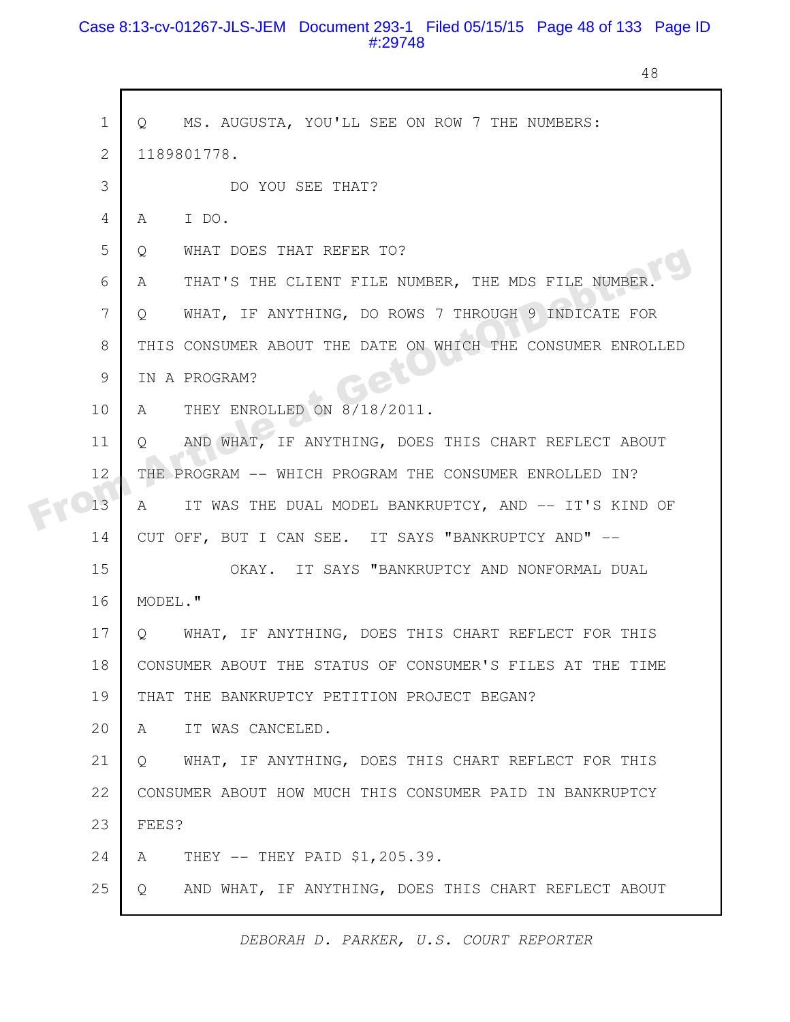#### Case 8:13-cv-01267-JLS-JEM Document 293-1 Filed 05/15/15 Page 48 of 133 Page ID #:29748

48

|  | $\mathbf 1$    | MS. AUGUSTA, YOU'LL SEE ON ROW 7 THE NUMBERS:<br>$\circ$       |
|--|----------------|----------------------------------------------------------------|
|  | $\overline{2}$ | 1189801778.                                                    |
|  | 3              | DO YOU SEE THAT?                                               |
|  | 4              | I DO.<br>A                                                     |
|  | 5              | WHAT DOES THAT REFER TO?<br>Q                                  |
|  | 6              | THAT'S THE CLIENT FILE NUMBER, THE MDS FILE NUMBER<br>A        |
|  | 7              | WHAT, IF ANYTHING, DO ROWS 7 THROUGH 9 INDICATE FOR<br>Q       |
|  | 8              | THIS CONSUMER ABOUT THE DATE ON WHICH THE CONSUMER ENROLLED    |
|  | 9              | IN A PROGRAM?                                                  |
|  | 10             | THEY ENROLLED ON 8/18/2011.<br>A                               |
|  | 11             | AND WHAT, IF ANYTHING, DOES THIS CHART REFLECT ABOUT<br>O      |
|  | 12             | THE PROGRAM -- WHICH PROGRAM THE CONSUMER ENROLLED IN?         |
|  | 13             | IT WAS THE DUAL MODEL BANKRUPTCY, AND -- IT'S KIND OF<br>A     |
|  | 14             | CUT OFF, BUT I CAN SEE. IT SAYS "BANKRUPTCY AND" --            |
|  | 15             | IT SAYS "BANKRUPTCY AND NONFORMAL DUAL<br>OKAY.                |
|  | 16             | MODEL."                                                        |
|  | 17             | WHAT, IF ANYTHING, DOES THIS CHART REFLECT FOR THIS<br>$\circ$ |
|  | 18             | CONSUMER ABOUT THE STATUS OF CONSUMER'S FILES AT THE TIME      |
|  | 19             | THAT THE BANKRUPTCY PETITION PROJECT BEGAN?                    |
|  | 20             | IT WAS CANCELED.<br>A                                          |
|  | 21             | WHAT, IF ANYTHING, DOES THIS CHART REFLECT FOR THIS<br>$\circ$ |
|  | 22             | CONSUMER ABOUT HOW MUCH THIS CONSUMER PAID IN BANKRUPTCY       |
|  | 23             | FEES?                                                          |
|  | 24             | THEY -- THEY PAID \$1,205.39.<br>A                             |
|  | 25             | AND WHAT, IF ANYTHING, DOES THIS CHART REFLECT ABOUT<br>Q      |
|  |                |                                                                |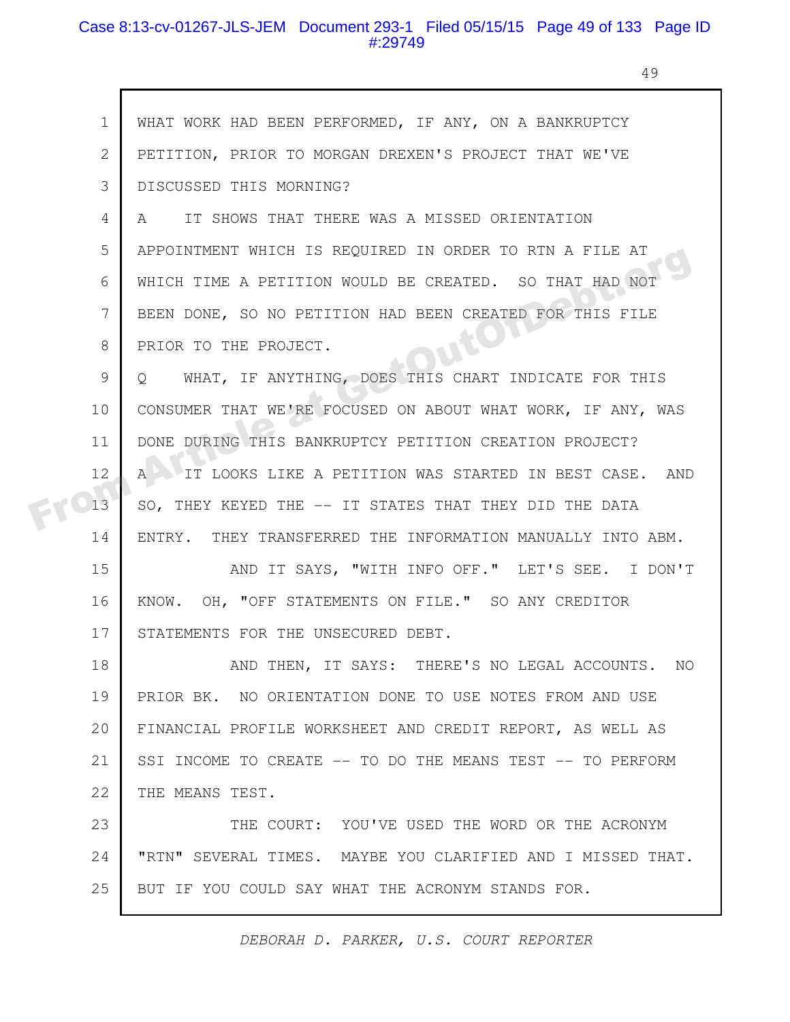#### Case 8:13-cv-01267-JLS-JEM Document 293-1 Filed 05/15/15 Page 49 of 133 Page ID #:29749

 $\mathbf{r}$ 

49

| $\mathbf 1$   | WHAT WORK HAD BEEN PERFORMED, IF ANY, ON A BANKRUPTCY              |
|---------------|--------------------------------------------------------------------|
| $\mathbf{2}$  | PETITION, PRIOR TO MORGAN DREXEN'S PROJECT THAT WE'VE              |
| 3             | DISCUSSED THIS MORNING?                                            |
| 4             | IT SHOWS THAT THERE WAS A MISSED ORIENTATION<br>A                  |
| 5             | APPOINTMENT WHICH IS REQUIRED IN ORDER TO RTN A FILE AT            |
| 6             | WHICH TIME A PETITION WOULD BE CREATED. SO THAT HAD NOT            |
| 7             | BEEN DONE, SO NO PETITION HAD BEEN CREATED FOR THIS FILE           |
| 8             | PRIOR TO THE PROJECT.                                              |
| $\mathcal{G}$ | WHAT, IF ANYTHING, DOES THIS CHART INDICATE FOR THIS<br>Q          |
| 10            | CONSUMER THAT WE'RE FOCUSED ON ABOUT WHAT WORK, IF ANY, WAS        |
| 11            | DONE DURING THIS BANKRUPTCY PETITION CREATION PROJECT?             |
| 12            | IT LOOKS LIKE A PETITION WAS STARTED IN BEST CASE. AND<br>$A \sim$ |
| 13            | SO, THEY KEYED THE -- IT STATES THAT THEY DID THE DATA             |
| 14            | ENTRY. THEY TRANSFERRED THE INFORMATION MANUALLY INTO ABM.         |
| 15            | AND IT SAYS, "WITH INFO OFF." LET'S SEE. I DON'T                   |
| 16            | KNOW. OH, "OFF STATEMENTS ON FILE." SO ANY CREDITOR                |
| 17            | STATEMENTS FOR THE UNSECURED DEBT.                                 |
| 18            | AND THEN, IT SAYS: THERE'S NO LEGAL ACCOUNTS. NO                   |
| 19            | PRIOR BK. NO ORIENTATION DONE TO USE NOTES FROM AND USE            |
| 20            | FINANCIAL PROFILE WORKSHEET AND CREDIT REPORT, AS WELL AS          |
| 21            | SSI INCOME TO CREATE -- TO DO THE MEANS TEST -- TO PERFORM         |
| 22            | THE MEANS TEST.                                                    |
| 23            | THE COURT: YOU'VE USED THE WORD OR THE ACRONYM                     |
| 24            | "RTN" SEVERAL TIMES. MAYBE YOU CLARIFIED AND I MISSED THAT.        |
| 25            | BUT IF YOU COULD SAY WHAT THE ACRONYM STANDS FOR.                  |
|               |                                                                    |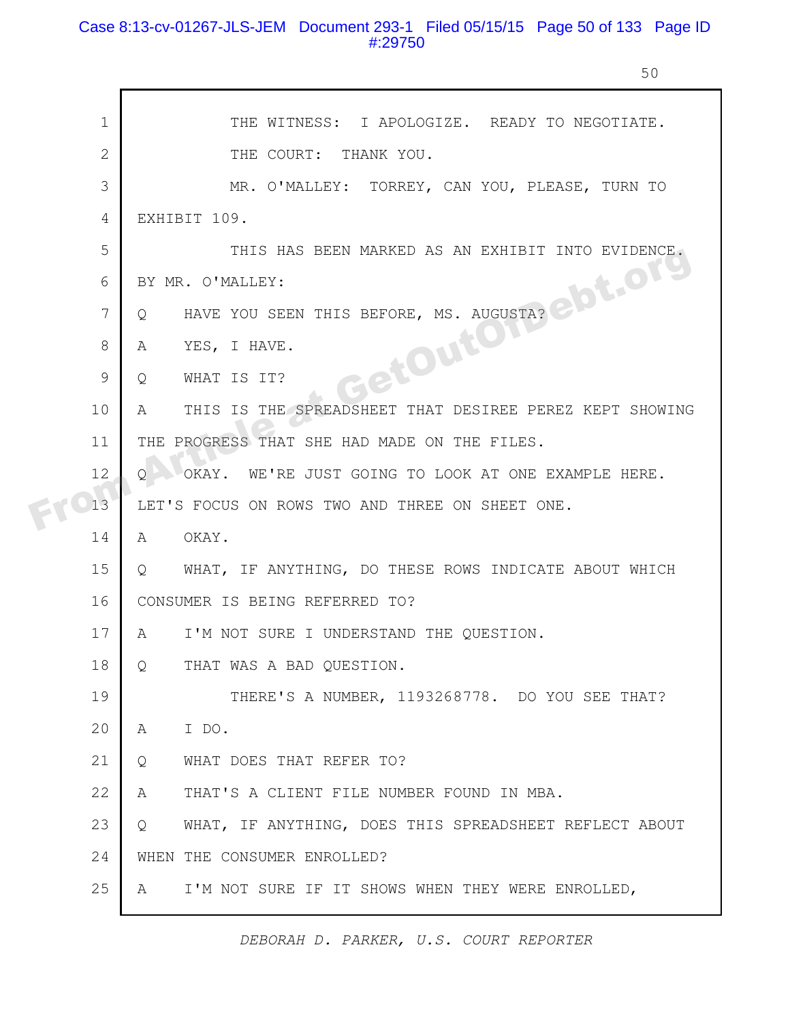### Case 8:13-cv-01267-JLS-JEM Document 293-1 Filed 05/15/15 Page 50 of 133 Page ID #:29750

50

|  | $\mathbf 1$ | THE WITNESS: I APOLOGIZE. READY TO NEGOTIATE.                |
|--|-------------|--------------------------------------------------------------|
|  | 2           | THE COURT: THANK YOU.                                        |
|  | 3           | MR. O'MALLEY: TORREY, CAN YOU, PLEASE, TURN TO               |
|  | 4           | EXHIBIT 109.                                                 |
|  | 5           | THIS HAS BEEN MARKED AS AN EXHIBIT INTO EVIDENCE.            |
|  | 6           | BY MR. O'MALLEY:                                             |
|  | 7           | HAVE YOU SEEN THIS BEFORE, MS. AUGUSTA?<br>Q                 |
|  | 8           | A                                                            |
|  | 9           | <b>BetOutON</b><br>WHAT IS IT?<br>Q                          |
|  | 10          | THIS IS THE SPREADSHEET THAT DESIREE PEREZ KEPT SHOWING<br>A |
|  | 11          | THE PROGRESS THAT SHE HAD MADE ON THE FILES.                 |
|  | 12          | OKAY. WE'RE JUST GOING TO LOOK AT ONE EXAMPLE HERE.<br>O     |
|  | 13          | LET'S FOCUS ON ROWS TWO AND THREE ON SHEET ONE.              |
|  | 14          | OKAY.<br>A                                                   |
|  | 15          | WHAT, IF ANYTHING, DO THESE ROWS INDICATE ABOUT WHICH<br>Q   |
|  | 16          | CONSUMER IS BEING REFERRED TO?                               |
|  | 17          | I'M NOT SURE I UNDERSTAND THE QUESTION.<br>A                 |
|  | 18          | THAT WAS A BAD QUESTION.<br>$\circ$                          |
|  | 19          | THERE'S A NUMBER, 1193268778. DO YOU SEE THAT?               |
|  | 20          | I DO.<br>A                                                   |
|  | 21          | WHAT DOES THAT REFER TO?<br>Q                                |
|  | 22          | THAT'S A CLIENT FILE NUMBER FOUND IN MBA.<br>A               |
|  | 23          | WHAT, IF ANYTHING, DOES THIS SPREADSHEET REFLECT ABOUT<br>Q  |
|  | 24          | WHEN THE CONSUMER ENROLLED?                                  |
|  | 25          | I'M NOT SURE IF IT SHOWS WHEN THEY WERE ENROLLED,<br>A       |
|  |             |                                                              |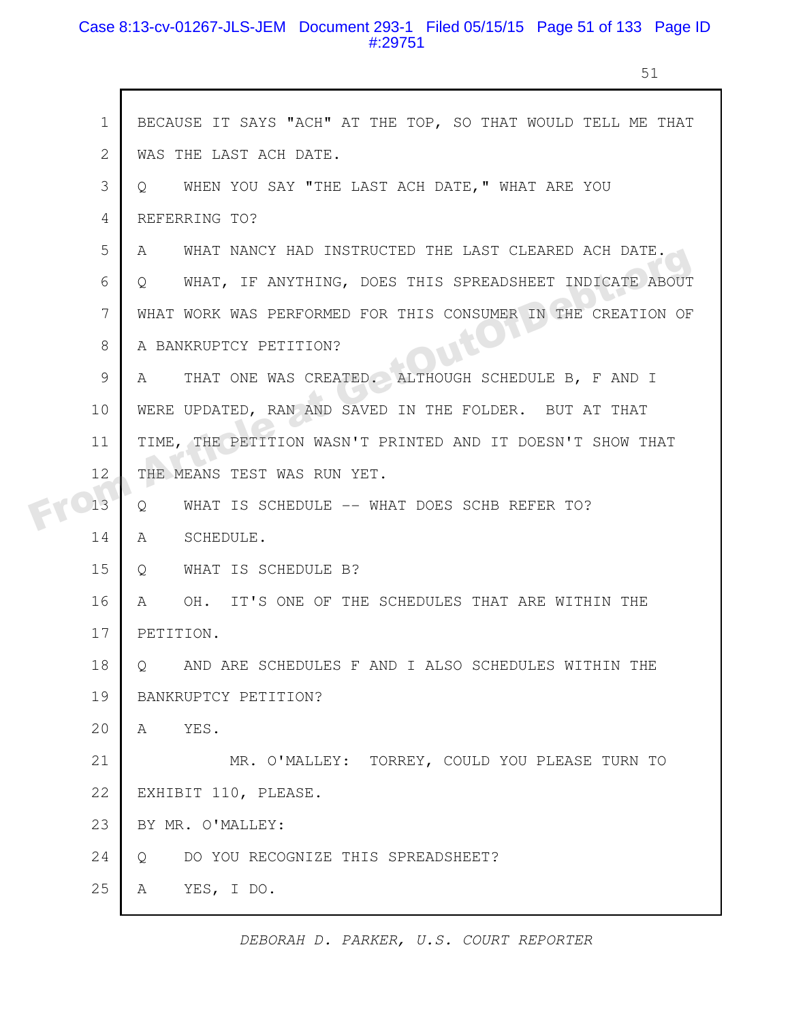#### Case 8:13-cv-01267-JLS-JEM Document 293-1 Filed 05/15/15 Page 51 of 133 Page ID #:29751

51

|  | $\mathbf 1$     | BECAUSE IT SAYS "ACH" AT THE TOP, SO THAT WOULD TELL ME THAT        |
|--|-----------------|---------------------------------------------------------------------|
|  | 2               | WAS THE LAST ACH DATE.                                              |
|  | 3               | WHEN YOU SAY "THE LAST ACH DATE," WHAT ARE YOU<br>$Q \qquad \qquad$ |
|  | 4               | REFERRING TO?                                                       |
|  | 5               | WHAT NANCY HAD INSTRUCTED THE LAST CLEARED ACH DATE.<br>A           |
|  | 6               | WHAT, IF ANYTHING, DOES THIS SPREADSHEET INDICATE ABOUT<br>$\circ$  |
|  | $7\phantom{.0}$ | WHAT WORK WAS PERFORMED FOR THIS CONSUMER IN THE CREATION OF        |
|  | 8               | A BANKRUPTCY PETITION?                                              |
|  | 9               | THAT ONE WAS CREATED. ALTHOUGH SCHEDULE B, F AND I<br>A             |
|  | 10              | WERE UPDATED, RAN AND SAVED IN THE FOLDER. BUT AT THAT              |
|  | 11              | TIME, THE PETITION WASN'T PRINTED AND IT DOESN'T SHOW THAT          |
|  | 12              | THE MEANS TEST WAS RUN YET.                                         |
|  | 13              | WHAT IS SCHEDULE -- WHAT DOES SCHB REFER TO?<br>Q                   |
|  | 14              | $\mathbb{A}$<br>SCHEDULE.                                           |
|  | 15              | WHAT IS SCHEDULE B?<br>Q                                            |
|  | 16              | OH. IT'S ONE OF THE SCHEDULES THAT ARE WITHIN THE<br>A              |
|  | 17              | PETITION.                                                           |
|  | 18              | Q AND ARE SCHEDULES F AND I ALSO SCHEDULES WITHIN THE               |
|  | 19              | BANKRUPTCY PETITION?                                                |
|  | 20              | YES.<br>A                                                           |
|  | 21              | MR. O'MALLEY: TORREY, COULD YOU PLEASE TURN TO                      |
|  | 22              | EXHIBIT 110, PLEASE.                                                |
|  | 23              | BY MR. O'MALLEY:                                                    |
|  | 24              | DO YOU RECOGNIZE THIS SPREADSHEET?<br>$\overline{Q}$                |
|  | 25              | YES, I DO.<br>A                                                     |
|  |                 |                                                                     |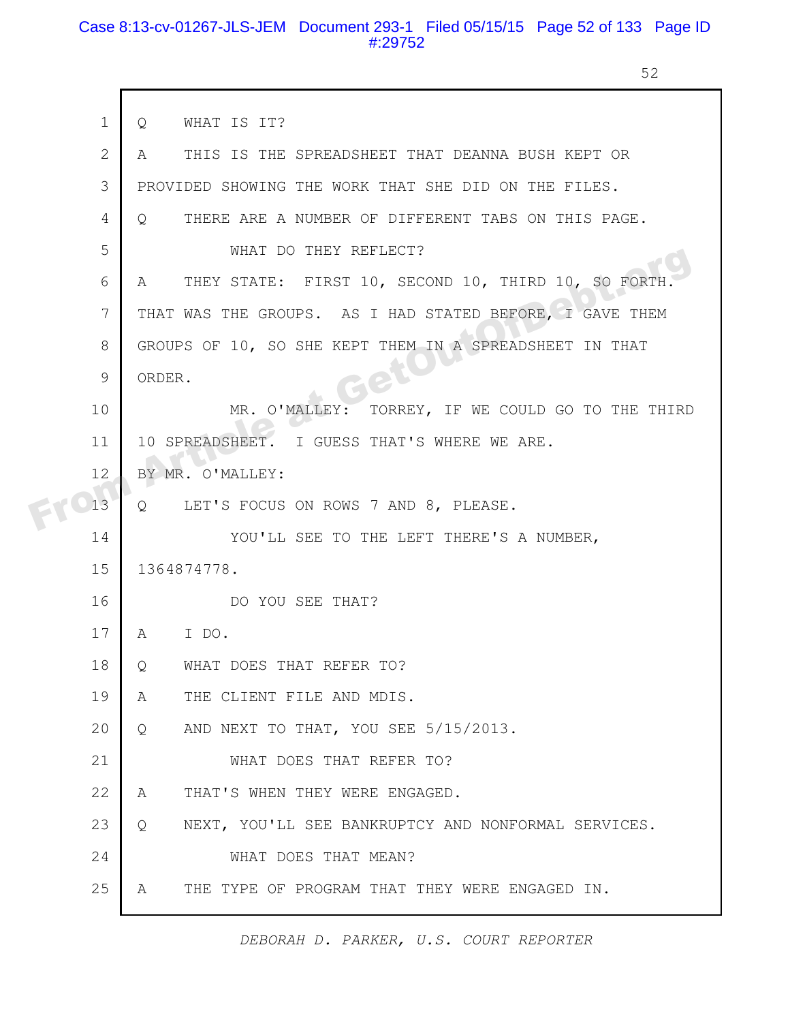#### Case 8:13-cv-01267-JLS-JEM Document 293-1 Filed 05/15/15 Page 52 of 133 Page ID #:29752

 $\mathbf{I}$ 

52

| $\mathbf{1}$   | WHAT IS IT?<br>Q                                              |
|----------------|---------------------------------------------------------------|
| $\overline{2}$ | THIS IS THE SPREADSHEET THAT DEANNA BUSH KEPT OR<br>A         |
| 3              | PROVIDED SHOWING THE WORK THAT SHE DID ON THE FILES.          |
| 4              | THERE ARE A NUMBER OF DIFFERENT TABS ON THIS PAGE.<br>$\circ$ |
| 5              | WHAT DO THEY REFLECT?                                         |
| 6              | THEY STATE: FIRST 10, SECOND 10, THIRD 10, SO FORTH<br>A      |
| 7              | THAT WAS THE GROUPS. AS I HAD STATED BEFORE, I GAVE THEM      |
| 8              | GROUPS OF 10, SO SHE KEPT THEM IN A SPREADSHEET IN THAT       |
| 9              | ORDER.                                                        |
| 10             | TORREY, IF WE COULD GO TO THE THIRD<br>MR. O'MALLEY:          |
| 11             | 10 SPREADSHEET. I GUESS THAT'S WHERE WE ARE.                  |
| 12             | BY MR. O'MALLEY:                                              |
| 13             | Q LET'S FOCUS ON ROWS 7 AND 8, PLEASE.                        |
| 14             | YOU'LL SEE TO THE LEFT THERE'S A NUMBER,                      |
| 15             | 1364874778.                                                   |
| 16             | DO YOU SEE THAT?                                              |
| 17             | I DO.<br>A                                                    |
| 18             | WHAT DOES THAT REFER TO?<br>Q                                 |
| 19             | THE CLIENT FILE AND MDIS.<br>A                                |
| 20             | AND NEXT TO THAT, YOU SEE 5/15/2013.<br>Q                     |
| 21             | WHAT DOES THAT REFER TO?                                      |
| 22             | THAT'S WHEN THEY WERE ENGAGED.<br>Α                           |
| 23             | NEXT, YOU'LL SEE BANKRUPTCY AND NONFORMAL SERVICES.<br>Q      |
| 24             | WHAT DOES THAT MEAN?                                          |
| 25             | THE TYPE OF PROGRAM THAT THEY WERE ENGAGED IN.<br>A           |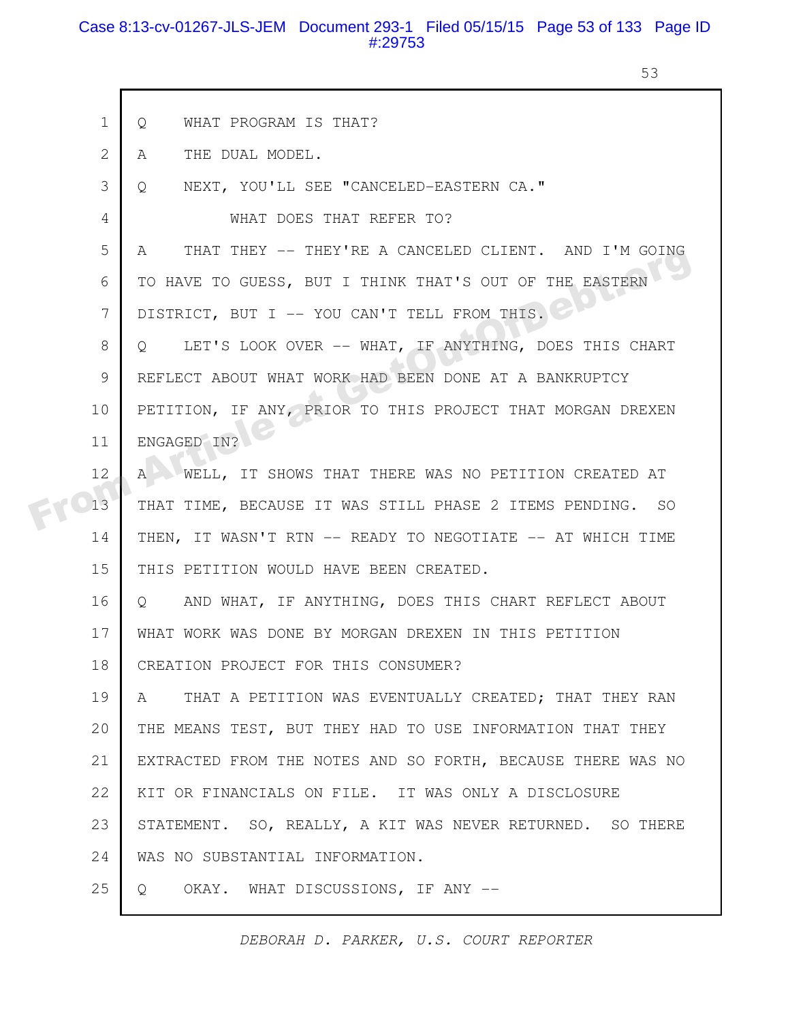#### Case 8:13-cv-01267-JLS-JEM Document 293-1 Filed 05/15/15 Page 53 of 133 Page ID #:29753

53

|  | $\mathbf 1$  | WHAT PROGRAM IS THAT?<br>$\circ$                                 |
|--|--------------|------------------------------------------------------------------|
|  | $\mathbf{2}$ | THE DUAL MODEL.<br>A                                             |
|  | 3            | NEXT, YOU'LL SEE "CANCELED-EASTERN CA."<br>Q                     |
|  | 4            | WHAT DOES THAT REFER TO?                                         |
|  | 5            | THAT THEY -- THEY'RE A CANCELED CLIENT. AND I'M GOING<br>A       |
|  | 6            | TO HAVE TO GUESS, BUT I THINK THAT'S OUT OF THE EASTERN          |
|  | 7            | DISTRICT, BUT I -- YOU CAN'T TELL FROM THIS.                     |
|  | 8            | LET'S LOOK OVER -- WHAT, IF ANYTHING, DOES THIS CHART<br>$\circ$ |
|  | 9            | REFLECT ABOUT WHAT WORK HAD BEEN DONE AT A BANKRUPTCY            |
|  | 10           | PETITION, IF ANY, PRIOR TO THIS PROJECT THAT MORGAN DREXEN       |
|  | 11           | ENGAGED IN?                                                      |
|  | 12           | A WELL, IT SHOWS THAT THERE WAS NO PETITION CREATED AT           |
|  | 13           | THAT TIME, BECAUSE IT WAS STILL PHASE 2 ITEMS PENDING. SO        |
|  | 14           | THEN, IT WASN'T RTN -- READY TO NEGOTIATE -- AT WHICH TIME       |
|  | 15           | THIS PETITION WOULD HAVE BEEN CREATED.                           |
|  | 16           | Q AND WHAT, IF ANYTHING, DOES THIS CHART REFLECT ABOUT           |
|  | 17           | WHAT WORK WAS DONE BY MORGAN DREXEN IN THIS PETITION             |
|  | 18           | CREATION PROJECT FOR THIS CONSUMER?                              |
|  | 19           | THAT A PETITION WAS EVENTUALLY CREATED; THAT THEY RAN<br>A       |
|  | 20           | THE MEANS TEST, BUT THEY HAD TO USE INFORMATION THAT THEY        |
|  | 21           | EXTRACTED FROM THE NOTES AND SO FORTH, BECAUSE THERE WAS NO      |
|  | 22           | KIT OR FINANCIALS ON FILE. IT WAS ONLY A DISCLOSURE              |
|  | 23           | STATEMENT. SO, REALLY, A KIT WAS NEVER RETURNED. SO THERE        |
|  | 24           | WAS NO SUBSTANTIAL INFORMATION.                                  |
|  | 25           | OKAY. WHAT DISCUSSIONS, IF ANY --<br>Q                           |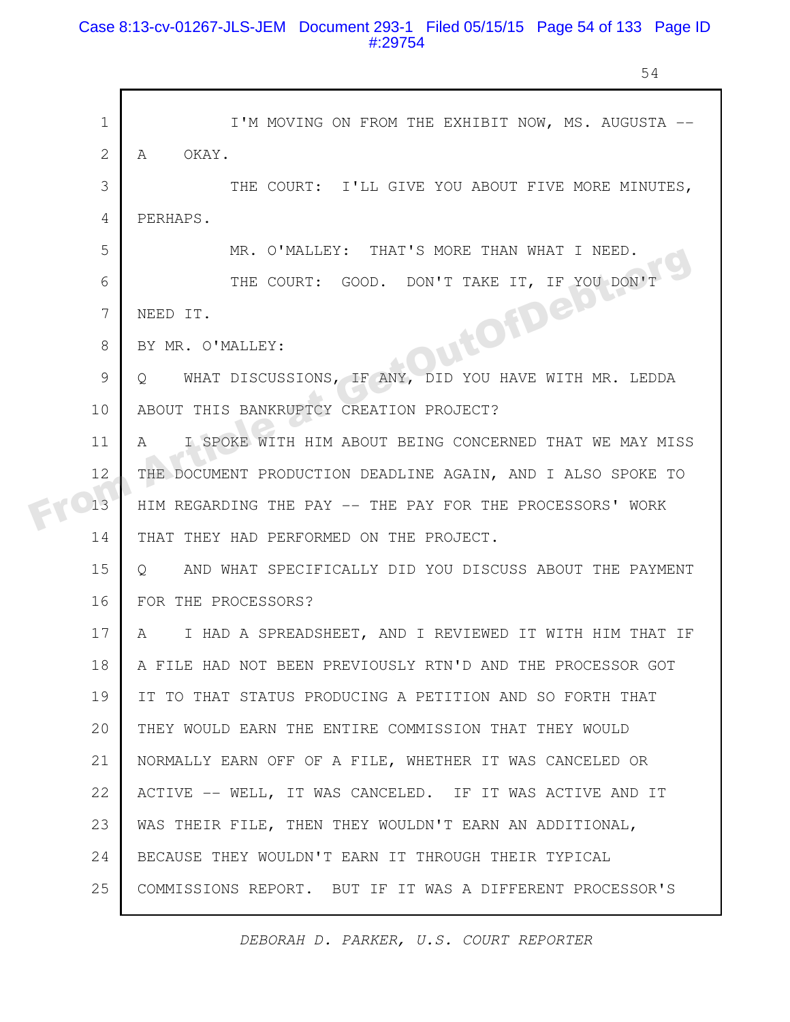### Case 8:13-cv-01267-JLS-JEM Document 293-1 Filed 05/15/15 Page 54 of 133 Page ID #:29754

54

|  | $\mathbf 1$    | I'M MOVING ON FROM THE EXHIBIT NOW, MS. AUGUSTA --                 |
|--|----------------|--------------------------------------------------------------------|
|  | 2              | OKAY.<br>A                                                         |
|  | 3              | THE COURT: I'LL GIVE YOU ABOUT FIVE MORE MINUTES,                  |
|  | $\overline{4}$ | PERHAPS.                                                           |
|  | 5              | MR. O'MALLEY: THAT'S MORE THAN WHAT I NEED.                        |
|  | 6              | THE COURT: GOOD. DON'T TAKE IT, IF YOU DON'T                       |
|  | 7              | JutOfDetou<br>NEED IT.                                             |
|  | 8              | BY MR. O'MALLEY:                                                   |
|  | 9              | WHAT DISCUSSIONS, IF ANY, DID YOU HAVE WITH MR. LEDDA<br>Q         |
|  | 10             | ABOUT THIS BANKRUPTCY CREATION PROJECT?                            |
|  | 11             | I SPOKE WITH HIM ABOUT BEING CONCERNED THAT WE MAY MISS<br>A       |
|  | 12             | THE DOCUMENT PRODUCTION DEADLINE AGAIN, AND I ALSO SPOKE TO        |
|  | 13             | HIM REGARDING THE PAY -- THE PAY FOR THE PROCESSORS' WORK          |
|  | 14             | THAT THEY HAD PERFORMED ON THE PROJECT.                            |
|  | 15             | AND WHAT SPECIFICALLY DID YOU DISCUSS ABOUT THE PAYMENT<br>$\circ$ |
|  | 16             | FOR THE PROCESSORS?                                                |
|  | 17             | I HAD A SPREADSHEET, AND I REVIEWED IT WITH HIM THAT IF<br>A       |
|  | 18             | A FILE HAD NOT BEEN PREVIOUSLY RTN'D AND THE PROCESSOR GOT         |
|  | 19             | IT TO THAT STATUS PRODUCING A PETITION AND SO FORTH THAT           |
|  | 20             | THEY WOULD EARN THE ENTIRE COMMISSION THAT THEY WOULD              |
|  | 21             | NORMALLY EARN OFF OF A FILE, WHETHER IT WAS CANCELED OR            |
|  | 22             | ACTIVE -- WELL, IT WAS CANCELED. IF IT WAS ACTIVE AND IT           |
|  | 23             | WAS THEIR FILE, THEN THEY WOULDN'T EARN AN ADDITIONAL,             |
|  | 24             | BECAUSE THEY WOULDN'T EARN IT THROUGH THEIR TYPICAL                |
|  | 25             | COMMISSIONS REPORT. BUT IF IT WAS A DIFFERENT PROCESSOR'S          |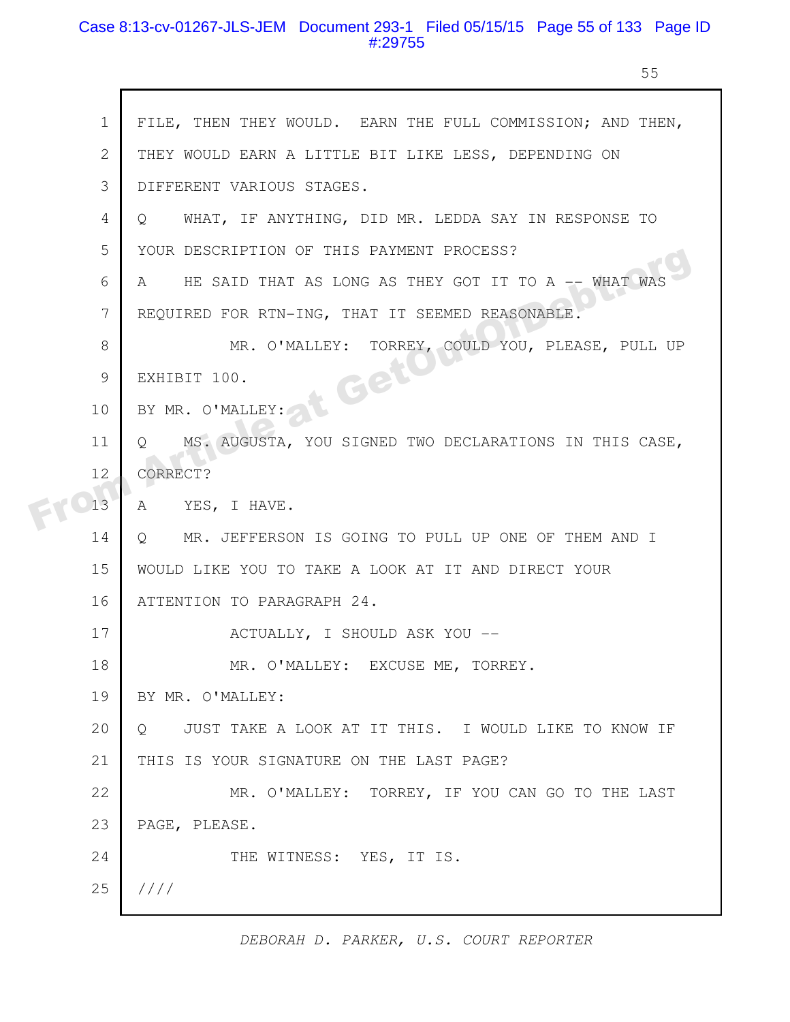### Case 8:13-cv-01267-JLS-JEM Document 293-1 Filed 05/15/15 Page 55 of 133 Page ID #:29755

r

55

| $\mathbf 1$    | FILE, THEN THEY WOULD. EARN THE FULL COMMISSION; AND THEN,            |
|----------------|-----------------------------------------------------------------------|
| $\overline{2}$ | THEY WOULD EARN A LITTLE BIT LIKE LESS, DEPENDING ON                  |
| 3              | DIFFERENT VARIOUS STAGES.                                             |
| 4              | WHAT, IF ANYTHING, DID MR. LEDDA SAY IN RESPONSE TO<br>O.             |
| 5              | YOUR DESCRIPTION OF THIS PAYMENT PROCESS?                             |
| 6              | HE SAID THAT AS LONG AS THEY GOT IT TO A -- WHAT WAS<br>A             |
| 7              | REQUIRED FOR RTN-ING, THAT IT SEEMED REASONABLE.                      |
| 8              | MR. O'MALLEY: TORREY, COULD YOU, PLEASE, PULL UP                      |
| 9              | t Get<br>EXHIBIT 100.                                                 |
| 10             | BY MR. O'MALLEY:                                                      |
| 11             | MS. AUGUSTA, YOU SIGNED TWO DECLARATIONS IN THIS CASE,<br>$\circ$     |
| 12             | CORRECT?                                                              |
| 13             | YES, I HAVE.<br>A                                                     |
| 14             | MR. JEFFERSON IS GOING TO PULL UP ONE OF THEM AND I<br>$\overline{Q}$ |
| 15             | WOULD LIKE YOU TO TAKE A LOOK AT IT AND DIRECT YOUR                   |
| 16             | ATTENTION TO PARAGRAPH 24.                                            |
| 17             | ACTUALLY, I SHOULD ASK YOU --                                         |
| 18             | MR. O'MALLEY: EXCUSE ME, TORREY.                                      |
| 19             | BY MR. O'MALLEY:                                                      |
| 20             | JUST TAKE A LOOK AT IT THIS. I WOULD LIKE TO KNOW IF<br>$\circ$       |
| 21             | THIS IS YOUR SIGNATURE ON THE LAST PAGE?                              |
| 22             | MR. O'MALLEY: TORREY, IF YOU CAN GO TO THE LAST                       |
| 23             | PAGE, PLEASE.                                                         |
| 24             | THE WITNESS: YES, IT IS.                                              |
| 25             | 1111                                                                  |
|                |                                                                       |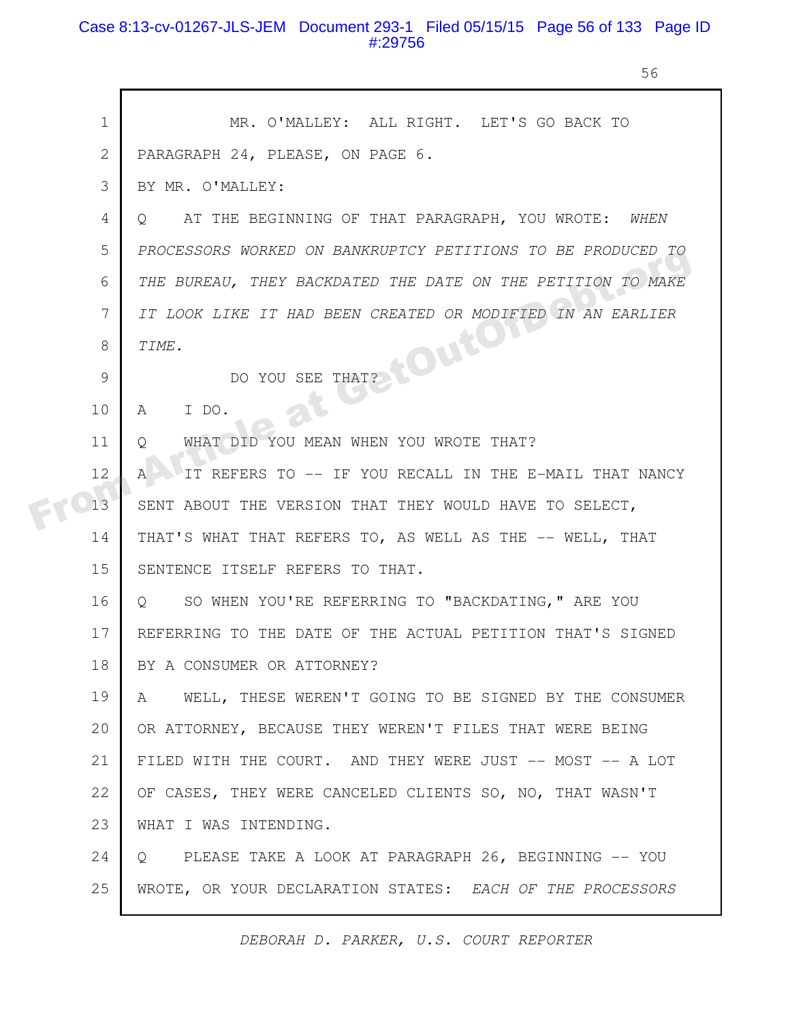#### Case 8:13-cv-01267-JLS-JEM Document 293-1 Filed 05/15/15 Page 56 of 133 Page ID #:29756

56

|  | $\mathbf 1$  | MR. O'MALLEY: ALL RIGHT. LET'S GO BACK TO                      |
|--|--------------|----------------------------------------------------------------|
|  | $\mathbf{2}$ | PARAGRAPH 24, PLEASE, ON PAGE 6.                               |
|  | 3            | BY MR. O'MALLEY:                                               |
|  | 4            | AT THE BEGINNING OF THAT PARAGRAPH, YOU WROTE: WHEN<br>$\circ$ |
|  | 5            | PROCESSORS WORKED ON BANKRUPTCY PETITIONS TO BE PRODUCED TO    |
|  | 6            | THE BUREAU, THEY BACKDATED THE DATE ON THE PETITION TO MAKE    |
|  | 7            | IT LOOK LIKE IT HAD BEEN CREATED OR MODIFIED IN AN EARLIER     |
|  | 8            | toutor<br>TIME.                                                |
|  | 9            | DO YOU SEE THAT?                                               |
|  | 10           | I DO.<br>A                                                     |
|  | 11           | WHAT DID YOU MEAN WHEN YOU WROTE THAT?<br>Q                    |
|  | 12           | IT REFERS TO -- IF YOU RECALL IN THE E-MAIL THAT NANCY<br>A    |
|  | 13           | SENT ABOUT THE VERSION THAT THEY WOULD HAVE TO SELECT,         |
|  | 14           | THAT'S WHAT THAT REFERS TO, AS WELL AS THE -- WELL, THAT       |
|  | 15           | SENTENCE ITSELF REFERS TO THAT.                                |
|  | 16           | SO WHEN YOU'RE REFERRING TO "BACKDATING," ARE YOU<br>Q         |
|  | 17           | REFERRING TO THE DATE OF THE ACTUAL PETITION THAT'S SIGNED     |
|  | 18           | BY A CONSUMER OR ATTORNEY?                                     |
|  | 19           | WELL, THESE WEREN'T GOING TO BE SIGNED BY THE CONSUMER<br>A    |
|  | 20           | OR ATTORNEY, BECAUSE THEY WEREN'T FILES THAT WERE BEING        |
|  | 21           | FILED WITH THE COURT. AND THEY WERE JUST -- MOST -- A LOT      |
|  | 22           | OF CASES, THEY WERE CANCELED CLIENTS SO, NO, THAT WASN'T       |
|  | 23           | WHAT I WAS INTENDING.                                          |
|  | 24           | PLEASE TAKE A LOOK AT PARAGRAPH 26, BEGINNING -- YOU<br>Q      |
|  | 25           | WROTE, OR YOUR DECLARATION STATES: EACH OF THE PROCESSORS      |
|  |              |                                                                |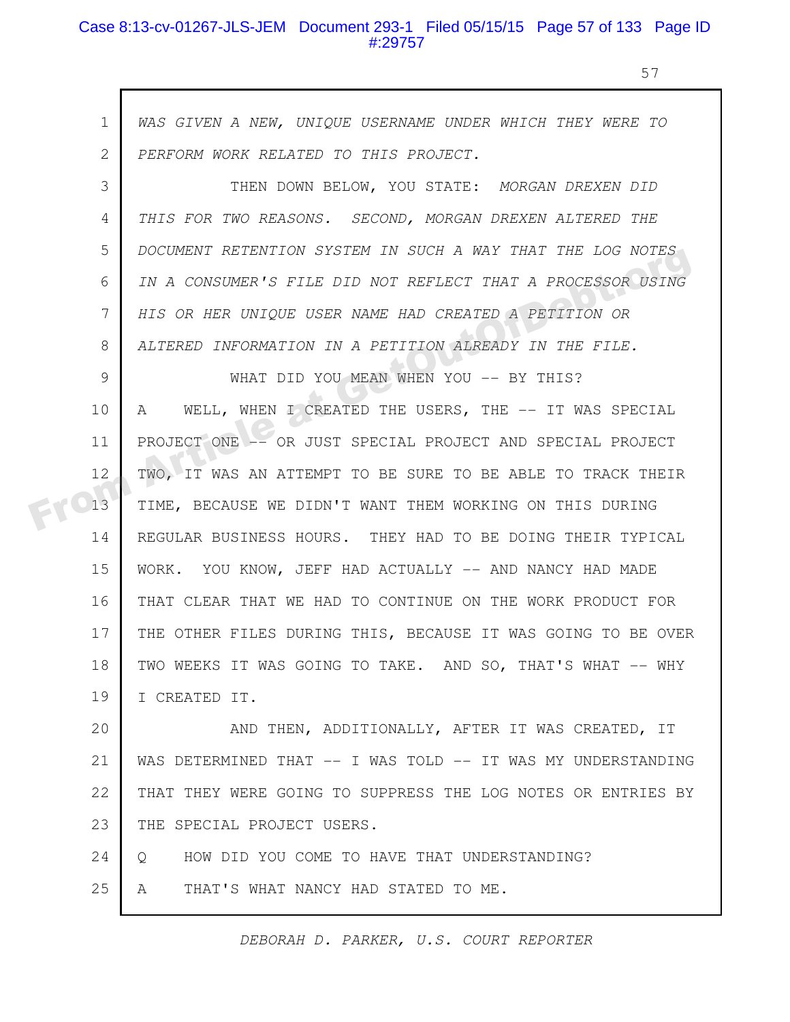#### Case 8:13-cv-01267-JLS-JEM Document 293-1 Filed 05/15/15 Page 57 of 133 Page ID #:29757

57

*WAS GIVEN A NEW, UNIQUE USERNAME UNDER WHICH THEY WERE TO PERFORM WORK RELATED TO THIS PROJECT.* 1 2

THEN DOWN BELOW, YOU STATE: *MORGAN DREXEN DID THIS FOR TWO REASONS. SECOND, MORGAN DREXEN ALTERED THE DOCUMENT RETENTION SYSTEM IN SUCH A WAY THAT THE LOG NOTES IN A CONSUMER'S FILE DID NOT REFLECT THAT A PROCESSOR USING HIS OR HER UNIQUE USER NAME HAD CREATED A PETITION OR ALTERED INFORMATION IN A PETITION ALREADY IN THE FILE.* 3 4 5 6 7 8

WHAT DID YOU MEAN WHEN YOU -- BY THIS? A WELL, WHEN I CREATED THE USERS, THE -- IT WAS SPECIAL PROJECT ONE -- OR JUST SPECIAL PROJECT AND SPECIAL PROJECT TWO, IT WAS AN ATTEMPT TO BE SURE TO BE ABLE TO TRACK THEIR TIME, BECAUSE WE DIDN'T WANT THEM WORKING ON THIS DURING REGULAR BUSINESS HOURS. THEY HAD TO BE DOING THEIR TYPICAL WORK. YOU KNOW, JEFF HAD ACTUALLY -- AND NANCY HAD MADE THAT CLEAR THAT WE HAD TO CONTINUE ON THE WORK PRODUCT FOR THE OTHER FILES DURING THIS, BECAUSE IT WAS GOING TO BE OVER TWO WEEKS IT WAS GOING TO TAKE. AND SO, THAT'S WHAT -- WHY I CREATED IT. 9 10 11 12 13 14 15 16 17 18 19 BUCOMENT REIENTION STSIEM IN SOCH A WAY THAT THE EOG NOTES<br>
IN A CONSUMER'S FILE DID NOT REFLECT THAT A PROCESSOR USING<br>
HIS OR HER UNIQUE USER NAME HAD CREATED A PETITION OR<br>
ALTERED INFORMATION IN A PETITION ALREADY IN T

AND THEN, ADDITIONALLY, AFTER IT WAS CREATED, IT WAS DETERMINED THAT -- I WAS TOLD -- IT WAS MY UNDERSTANDING THAT THEY WERE GOING TO SUPPRESS THE LOG NOTES OR ENTRIES BY THE SPECIAL PROJECT USERS. 20 21 22 23

Q HOW DID YOU COME TO HAVE THAT UNDERSTANDING? 24

A THAT'S WHAT NANCY HAD STATED TO ME. 25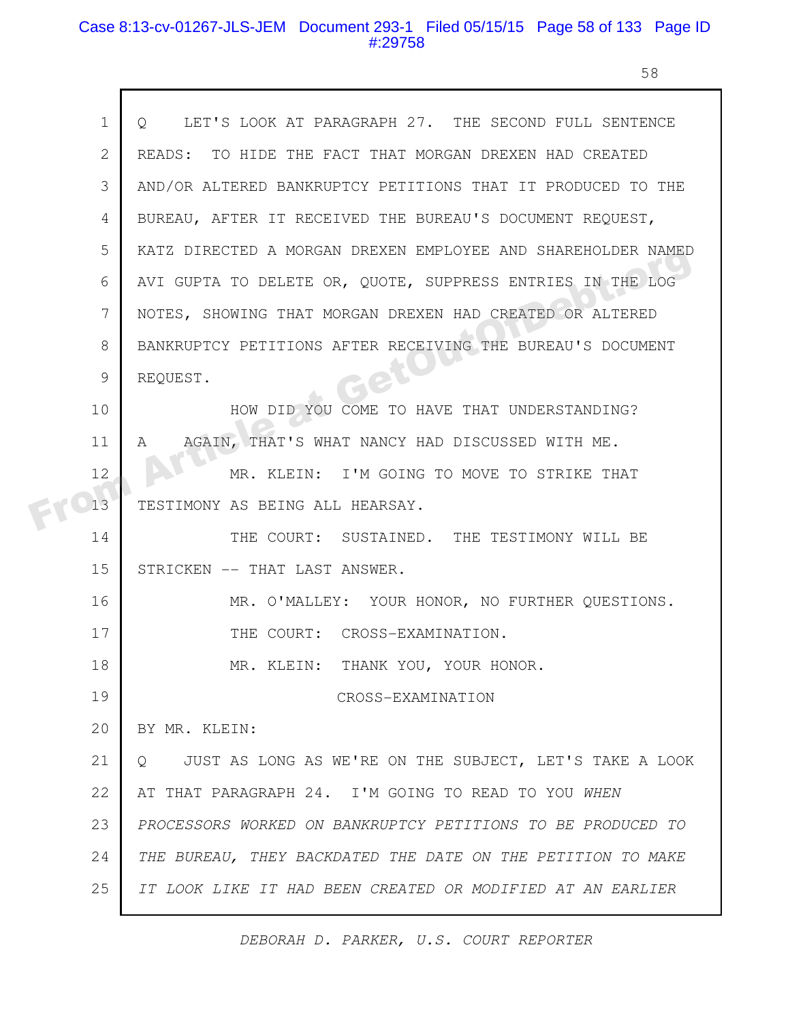#### Case 8:13-cv-01267-JLS-JEM Document 293-1 Filed 05/15/15 Page 58 of 133 Page ID #:29758

 $\mathsf{r}$ 

п

58

| $\mathbf 1$ | LET'S LOOK AT PARAGRAPH 27. THE SECOND FULL SENTENCE<br>$\circ$    |
|-------------|--------------------------------------------------------------------|
| 2           | READS: TO HIDE THE FACT THAT MORGAN DREXEN HAD CREATED             |
| 3           | AND/OR ALTERED BANKRUPTCY PETITIONS THAT IT PRODUCED TO THE        |
| 4           | BUREAU, AFTER IT RECEIVED THE BUREAU'S DOCUMENT REQUEST,           |
| 5           | KATZ DIRECTED A MORGAN DREXEN EMPLOYEE AND SHAREHOLDER NAMED       |
| 6           | AVI GUPTA TO DELETE OR, QUOTE, SUPPRESS ENTRIES IN THE LOG         |
| 7           | NOTES, SHOWING THAT MORGAN DREXEN HAD CREATED OR ALTERED           |
| 8           | BANKRUPTCY PETITIONS AFTER RECEIVING THE BUREAU'S DOCUMENT         |
| 9           | REQUEST.                                                           |
| 10          | HOW DID YOU COME TO HAVE THAT UNDERSTANDING?                       |
| 11          | AGAIN, THAT'S WHAT NANCY HAD DISCUSSED WITH ME.<br>A               |
| 12          | MR. KLEIN: I'M GOING TO MOVE TO STRIKE THAT                        |
| 13          | TESTIMONY AS BEING ALL HEARSAY.                                    |
| 14          | THE COURT: SUSTAINED. THE TESTIMONY WILL BE                        |
| 15          | STRICKEN -- THAT LAST ANSWER.                                      |
| 16          | MR. O'MALLEY: YOUR HONOR, NO FURTHER QUESTIONS.                    |
| 17          | THE COURT: CROSS-EXAMINATION.                                      |
| 18          | MR. KLEIN: THANK YOU, YOUR HONOR.                                  |
| 19          | CROSS-EXAMINATION                                                  |
| 20          | BY MR. KLEIN:                                                      |
| 21          | JUST AS LONG AS WE'RE ON THE SUBJECT, LET'S TAKE A LOOK<br>$\circ$ |
| 22          | AT THAT PARAGRAPH 24. I'M GOING TO READ TO YOU WHEN                |
| 23          | PROCESSORS WORKED ON BANKRUPTCY PETITIONS TO BE PRODUCED TO        |
| 24          | THE BUREAU, THEY BACKDATED THE DATE ON THE PETITION TO MAKE        |
| 25          | IT LOOK LIKE IT HAD BEEN CREATED OR MODIFIED AT AN EARLIER         |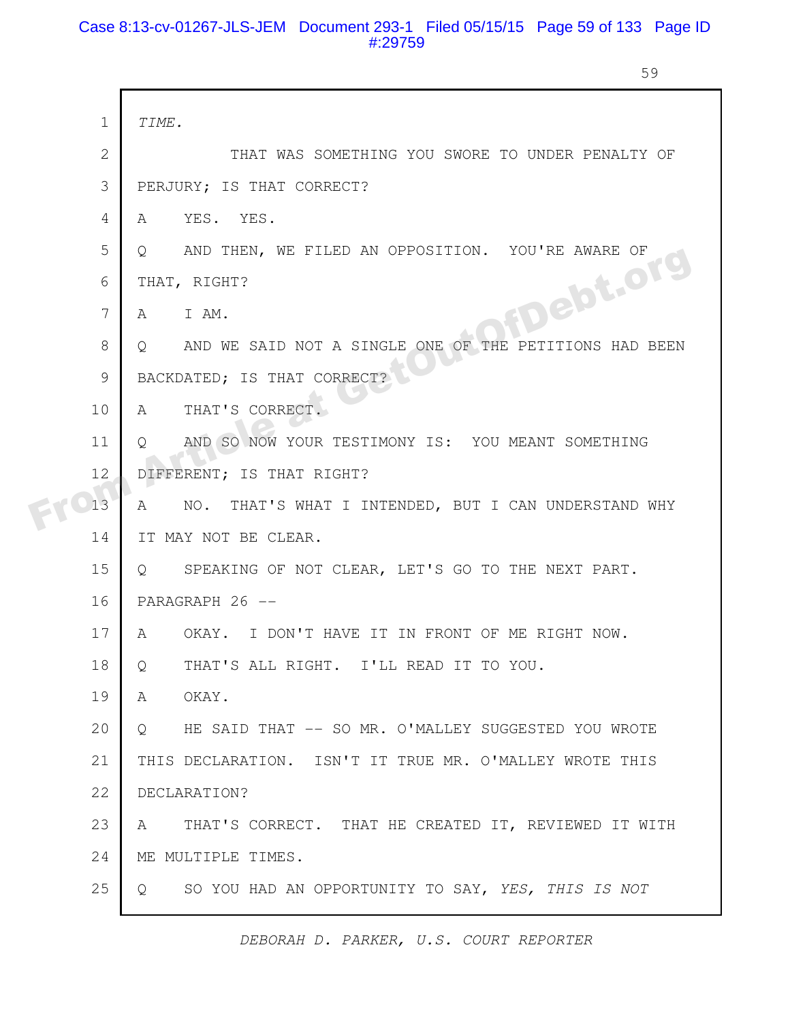#### Case 8:13-cv-01267-JLS-JEM Document 293-1 Filed 05/15/15 Page 59 of 133 Page ID #:29759

59

|  | $\mathbf{1}$   | TIME.                                                                  |
|--|----------------|------------------------------------------------------------------------|
|  | $\overline{2}$ | THAT WAS SOMETHING YOU SWORE TO UNDER PENALTY OF                       |
|  | 3              | PERJURY; IS THAT CORRECT?                                              |
|  | 4              | YES. YES.<br>A                                                         |
|  | 5              | Q AND THEN, WE FILED AN OPPOSITION. YOU'RE AWARE OF                    |
|  | 6              | THAT, RIGHT?                                                           |
|  | 7              | <b>PIDebt.org</b><br>I AM.<br>A                                        |
|  | 8              | Q AND WE SAID NOT A SINGLE ONE OF THE PETITIONS HAD BEEN               |
|  | 9              | BACKDATED; IS THAT CORRECT?                                            |
|  | 10             | THAT'S CORRECT.<br>$\mathbb A$                                         |
|  | 11             | AND SO NOW YOUR TESTIMONY IS: YOU MEANT SOMETHING<br>$\circ$           |
|  | 12             | DIFFERENT; IS THAT RIGHT?                                              |
|  | 13             | NO. THAT'S WHAT I INTENDED, BUT I CAN UNDERSTAND WHY<br>A              |
|  | 14             | IT MAY NOT BE CLEAR.                                                   |
|  | 15             | SPEAKING OF NOT CLEAR, LET'S GO TO THE NEXT PART.<br>$Q \qquad \qquad$ |
|  | 16             | PARAGRAPH 26 --                                                        |
|  | 17             | OKAY. I DON'T HAVE IT IN FRONT OF ME RIGHT NOW.<br>A                   |
|  | 18             | THAT'S ALL RIGHT. I'LL READ IT TO YOU.<br>Q                            |
|  | 19             | A OKAY.                                                                |
|  | 20             | Q HE SAID THAT -- SO MR. O'MALLEY SUGGESTED YOU WROTE                  |
|  | 21             | THIS DECLARATION. ISN'T IT TRUE MR. O'MALLEY WROTE THIS                |
|  | 22             | DECLARATION?                                                           |
|  | 23             | THAT'S CORRECT. THAT HE CREATED IT, REVIEWED IT WITH<br>A              |
|  | 24             | ME MULTIPLE TIMES.                                                     |
|  | 25             | SO YOU HAD AN OPPORTUNITY TO SAY, YES, THIS IS NOT<br>$Q_{\perp}$      |
|  |                |                                                                        |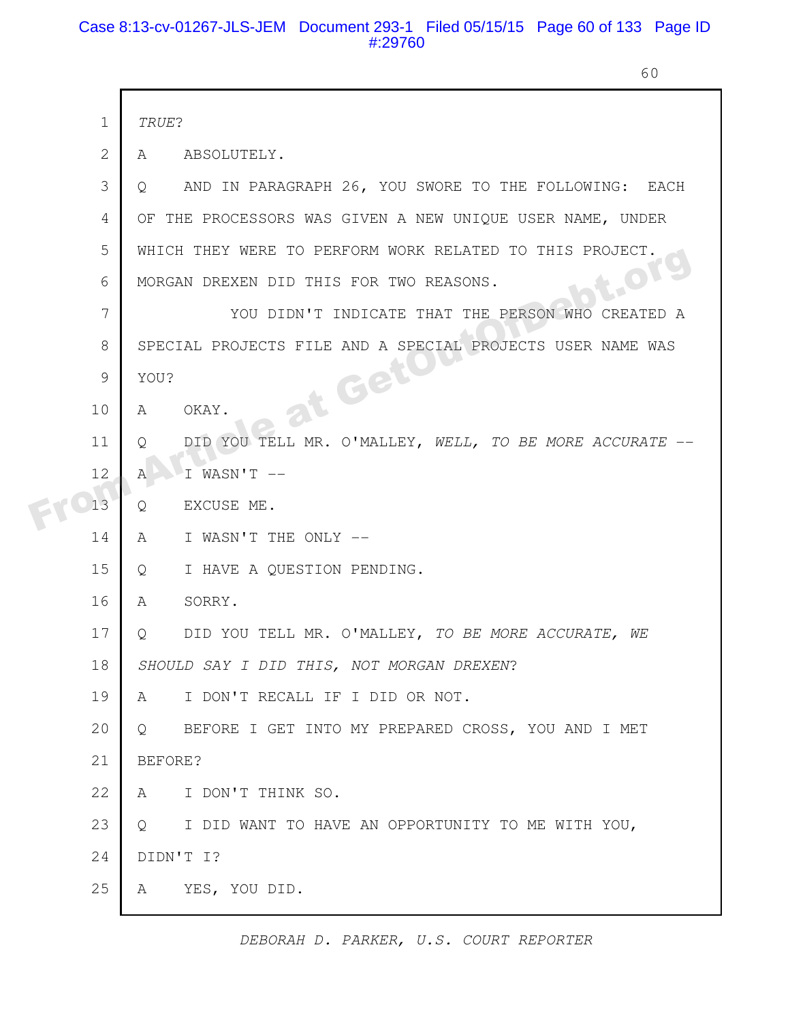#### Case 8:13-cv-01267-JLS-JEM Document 293-1 Filed 05/15/15 Page 60 of 133 Page ID #:29760

60

|  | $\mathbf 1$    | TRUE?                                                            |
|--|----------------|------------------------------------------------------------------|
|  | $\overline{2}$ | ABSOLUTELY.<br>A                                                 |
|  | 3              | AND IN PARAGRAPH 26, YOU SWORE TO THE FOLLOWING: EACH<br>$\circ$ |
|  | 4              | OF THE PROCESSORS WAS GIVEN A NEW UNIQUE USER NAME, UNDER        |
|  | 5              | WHICH THEY WERE TO PERFORM WORK RELATED TO THIS PROJECT.         |
|  | 6              | O <sub>1</sub><br>MORGAN DREXEN DID THIS FOR TWO REASONS.        |
|  | 7              | YOU DIDN'T INDICATE THAT THE PERSON WHO CREATED A                |
|  | 8              | SPECIAL PROJECTS FILE AND A SPECIAL PROJECTS USER NAME WAS       |
|  | 9              | YOU?                                                             |
|  | 10             | at Getl<br>OKAY.<br>A                                            |
|  | 11             | DID YOU TELL MR. O'MALLEY, WELL, TO BE MORE ACCURATE<br>O        |
|  | 12             | $I$ WASN'T $-$<br>$\mathsf{A}$                                   |
|  | 13             | EXCUSE ME.<br>Q                                                  |
|  | 14             | I WASN'T THE ONLY --<br>A                                        |
|  | 15             | I HAVE A QUESTION PENDING.<br>Q                                  |
|  | 16             | SORRY.<br>A                                                      |
|  | 17             | DID YOU TELL MR. O'MALLEY, TO BE MORE ACCURATE, WE<br>Q          |
|  | 18             | SHOULD SAY I DID THIS, NOT MORGAN DREXEN?                        |
|  | 19             | I DON'T RECALL IF I DID OR NOT.<br>A                             |
|  | 20             | BEFORE I GET INTO MY PREPARED CROSS, YOU AND I MET<br>$Q =$      |
|  | 21             | BEFORE?                                                          |
|  | 22             | I DON'T THINK SO.<br>A                                           |
|  | 23             | I DID WANT TO HAVE AN OPPORTUNITY TO ME WITH YOU,<br>Q           |
|  | 24             | DIDN'T I?                                                        |
|  | 25             | YES, YOU DID.<br>A                                               |
|  |                |                                                                  |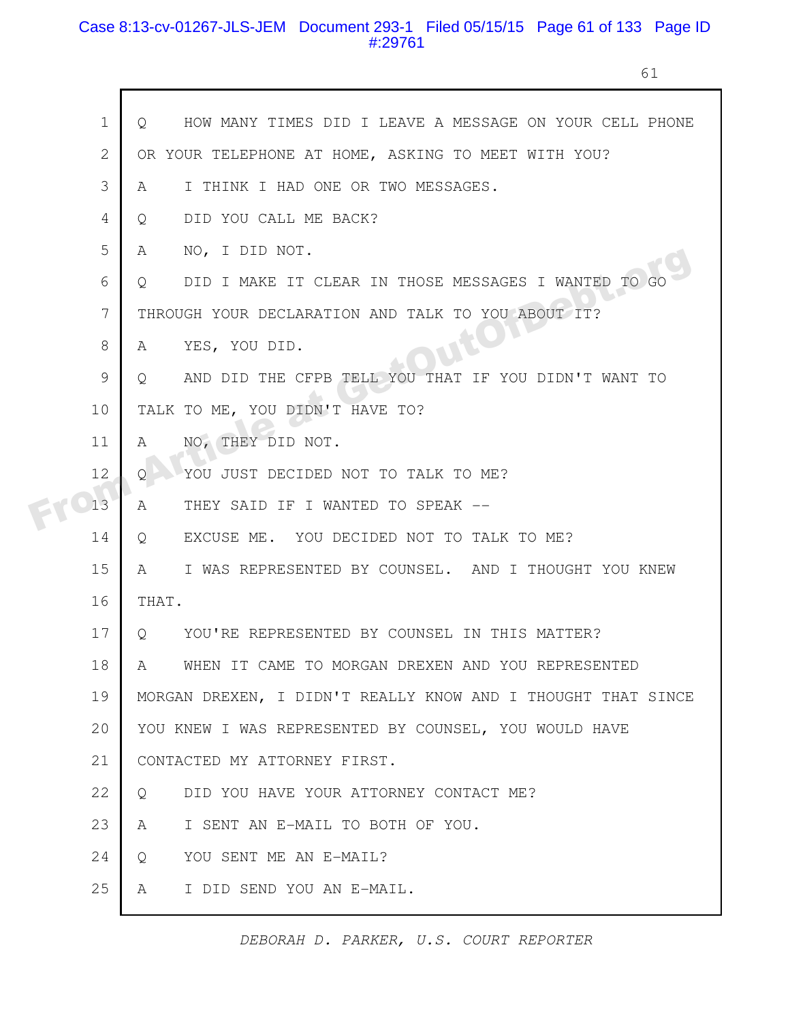#### Case 8:13-cv-01267-JLS-JEM Document 293-1 Filed 05/15/15 Page 61 of 133 Page ID #:29761

61

|  | $\mathbf 1$    | HOW MANY TIMES DID I LEAVE A MESSAGE ON YOUR CELL PHONE<br>Q.   |
|--|----------------|-----------------------------------------------------------------|
|  | $\mathbf{2}$   | OR YOUR TELEPHONE AT HOME, ASKING TO MEET WITH YOU?             |
|  | 3              | I THINK I HAD ONE OR TWO MESSAGES.<br>A                         |
|  | $\overline{4}$ | DID YOU CALL ME BACK?<br>$\circ$                                |
|  | 5              | NO, I DID NOT.<br>A                                             |
|  | 6              | DID I MAKE IT CLEAR IN THOSE MESSAGES I WANTED TO GO<br>$\circ$ |
|  | 7              | THROUGH YOUR DECLARATION AND TALK TO YOU ABOUT IT?              |
|  | 8              | <b>IEU!</b><br>YES, YOU DID.<br>A                               |
|  | $\mathcal{G}$  | AND DID THE CFPB TELL YOU THAT IF YOU DIDN'T WANT TO<br>$\circ$ |
|  | 10             | TALK TO ME, YOU DIDN'T HAVE TO?                                 |
|  | 11             | NO, THEY DID NOT.<br>A                                          |
|  | 12             | YOU JUST DECIDED NOT TO TALK TO ME?<br>0                        |
|  | 13             | THEY SAID IF I WANTED TO SPEAK --<br>A                          |
|  | 14             | EXCUSE ME. YOU DECIDED NOT TO TALK TO ME?<br>Q                  |
|  | 15             | I WAS REPRESENTED BY COUNSEL. AND I THOUGHT YOU KNEW<br>A       |
|  | 16             | THAT.                                                           |
|  | 17             | YOU'RE REPRESENTED BY COUNSEL IN THIS MATTER?<br>Q              |
|  | 18             | WHEN IT CAME TO MORGAN DREXEN AND YOU REPRESENTED<br>A          |
|  | 19             | MORGAN DREXEN, I DIDN'T REALLY KNOW AND I THOUGHT THAT SINCE    |
|  | 20             | YOU KNEW I WAS REPRESENTED BY COUNSEL, YOU WOULD HAVE           |
|  | 21             | CONTACTED MY ATTORNEY FIRST.                                    |
|  | 22             | DID YOU HAVE YOUR ATTORNEY CONTACT ME?<br>Q                     |
|  | 23             | I SENT AN E-MAIL TO BOTH OF YOU.<br>A                           |
|  | 24             | YOU SENT ME AN E-MAIL?<br>$\circ$                               |
|  | 25             | I DID SEND YOU AN E-MAIL.<br>A                                  |
|  |                |                                                                 |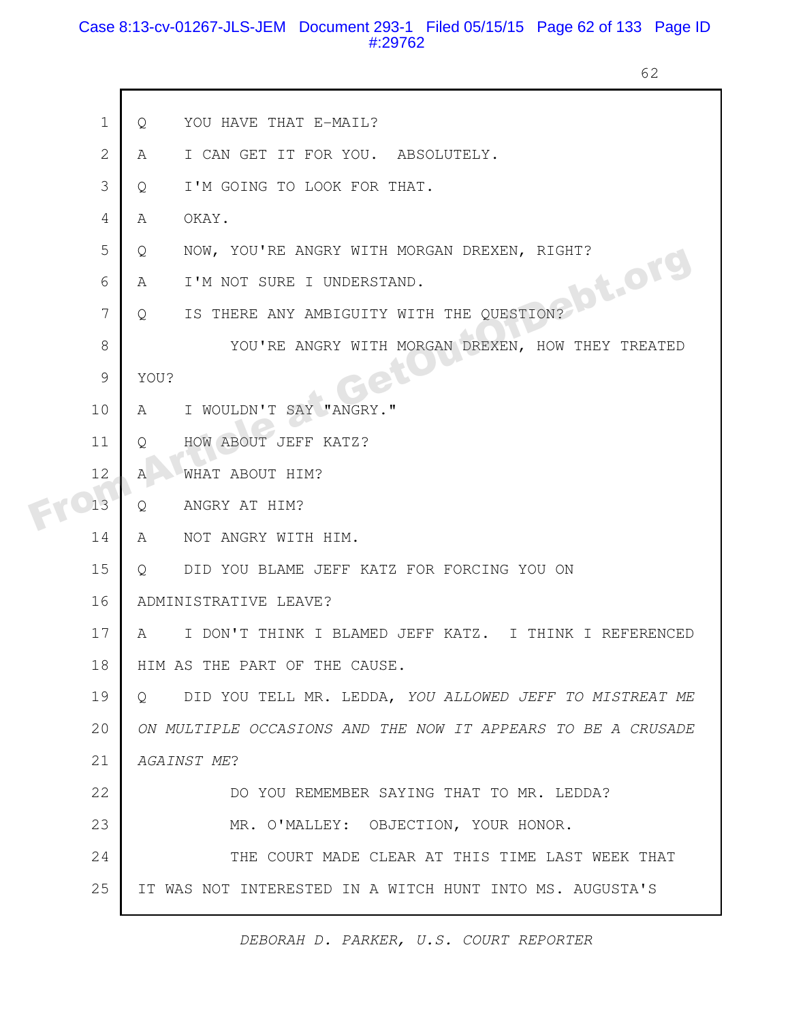#### Case 8:13-cv-01267-JLS-JEM Document 293-1 Filed 05/15/15 Page 62 of 133 Page ID #:29762

62

|  | $\mathbf 1$    | YOU HAVE THAT E-MAIL?<br>Q                                             |
|--|----------------|------------------------------------------------------------------------|
|  | $\overline{2}$ | I CAN GET IT FOR YOU. ABSOLUTELY.<br>A                                 |
|  | 3              | I'M GOING TO LOOK FOR THAT.<br>Q                                       |
|  | 4              | OKAY.<br>$\mathbb{A}$                                                  |
|  | 5              | NOW, YOU'RE ANGRY WITH MORGAN DREXEN, RIGHT?<br>Q                      |
|  | 6              | .Jot.org<br>I'M NOT SURE I UNDERSTAND.<br>A                            |
|  | 7              | IS THERE ANY AMBIGUITY WITH THE QUESTION?<br>$\circ$                   |
|  | 8              | YOU'RE ANGRY WITH MORGAN DREXEN, HOW THEY TREATED                      |
|  | 9              | YOU?                                                                   |
|  | 10             | I WOULDN'T SAY "ANGRY."<br>A                                           |
|  | 11             | HOW ABOUT JEFF KATZ?<br>Q                                              |
|  | 12             | WHAT ABOUT HIM?<br>Α                                                   |
|  | 13             | ANGRY AT HIM?<br>Q                                                     |
|  | 14             | NOT ANGRY WITH HIM.<br>$\mathsf{A}$                                    |
|  | 15             | DID YOU BLAME JEFF KATZ FOR FORCING YOU ON<br>Q.                       |
|  | 16             | ADMINISTRATIVE LEAVE?                                                  |
|  | 17             | I DON'T THINK I BLAMED JEFF KATZ. I THINK I REFERENCED<br>$\mathbb{A}$ |
|  | 18             | HIM AS THE PART OF THE CAUSE.                                          |
|  | 19             | DID YOU TELL MR. LEDDA, YOU ALLOWED JEFF TO MISTREAT ME<br>$\cup$      |
|  | 20             | ON MULTIPLE OCCASIONS AND THE NOW IT APPEARS TO BE A CRUSADE           |
|  | 21             | AGAINST ME?                                                            |
|  | 22             | DO YOU REMEMBER SAYING THAT TO MR. LEDDA?                              |
|  | 23             | MR. O'MALLEY: OBJECTION, YOUR HONOR.                                   |
|  | 24             | THE COURT MADE CLEAR AT THIS TIME LAST WEEK THAT                       |
|  | 25             | IT WAS NOT INTERESTED IN A WITCH HUNT INTO MS. AUGUSTA'S               |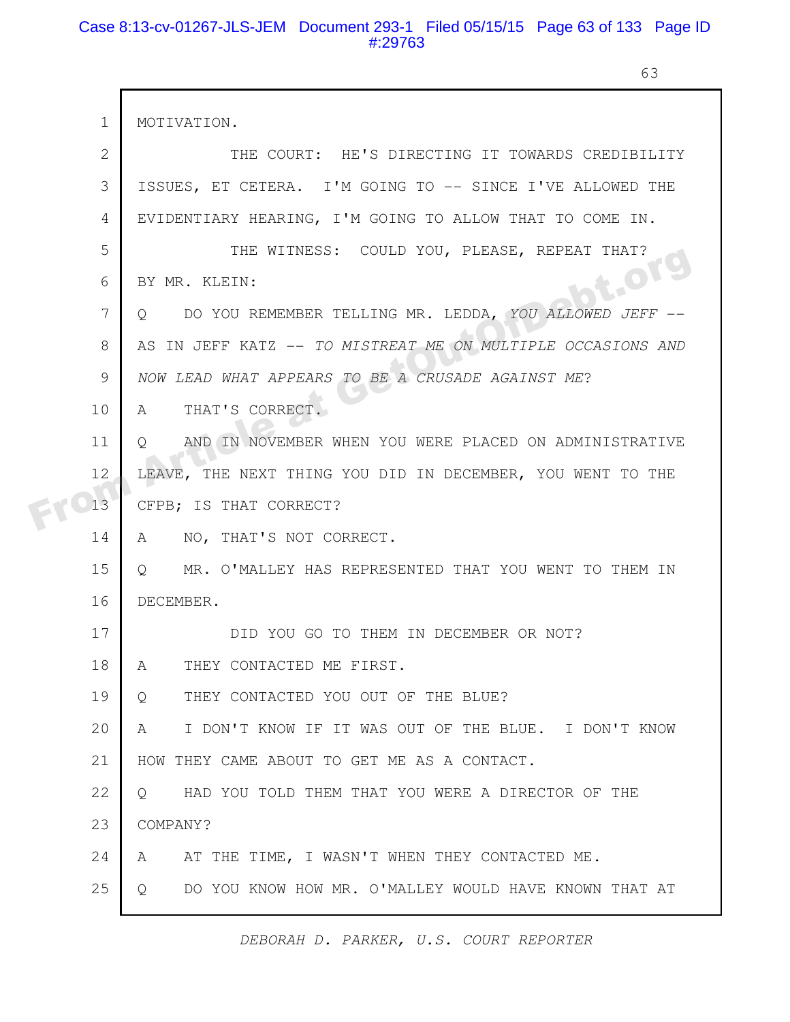#### Case 8:13-cv-01267-JLS-JEM Document 293-1 Filed 05/15/15 Page 63 of 133 Page ID #:29763

 $\mathsf{r}$ 

63

|  | $\mathbf 1$    | MOTIVATION.                                                       |
|--|----------------|-------------------------------------------------------------------|
|  | $\overline{2}$ | THE COURT: HE'S DIRECTING IT TOWARDS CREDIBILITY                  |
|  | 3              | ISSUES, ET CETERA. I'M GOING TO -- SINCE I'VE ALLOWED THE         |
|  | 4              | EVIDENTIARY HEARING, I'M GOING TO ALLOW THAT TO COME IN.          |
|  | 5              | THE WITNESS: COULD YOU, PLEASE, REPEAT THAT?                      |
|  | 6              | t.Org<br>BY MR. KLEIN:                                            |
|  | 7              | DO YOU REMEMBER TELLING MR. LEDDA, YOU ALLOWED JEFF --<br>$\circ$ |
|  | 8              | AS IN JEFF KATZ -- TO MISTREAT ME ON MULTIPLE OCCASIONS AND       |
|  | 9              | NOW LEAD WHAT APPEARS TO BE A CRUSADE AGAINST ME?                 |
|  | 10             | THAT'S CORRECT.<br>A                                              |
|  | 11             | AND IN NOVEMBER WHEN YOU WERE PLACED ON ADMINISTRATIVE<br>$\circ$ |
|  | 12             | LEAVE, THE NEXT THING YOU DID IN DECEMBER, YOU WENT TO THE        |
|  | 13             | CFPB; IS THAT CORRECT?                                            |
|  | 14             | NO, THAT'S NOT CORRECT.<br>A                                      |
|  | 15             | MR. O'MALLEY HAS REPRESENTED THAT YOU WENT TO THEM IN<br>$\circ$  |
|  | 16             | DECEMBER.                                                         |
|  | 17             | DID YOU GO TO THEM IN DECEMBER OR NOT?                            |
|  | 18             | THEY CONTACTED ME FIRST.<br>A                                     |
|  | 19             | THEY CONTACTED YOU OUT OF THE BLUE?<br>$Q_{\cdot}$                |
|  | 20             | I DON'T KNOW IF IT WAS OUT OF THE BLUE. I DON'T KNOW<br>A         |
|  | 21             | HOW THEY CAME ABOUT TO GET ME AS A CONTACT.                       |
|  | 22             | HAD YOU TOLD THEM THAT YOU WERE A DIRECTOR OF THE<br>$\circ$      |
|  | 23             | COMPANY?                                                          |
|  | 24             | AT THE TIME, I WASN'T WHEN THEY CONTACTED ME.<br>A                |
|  | 25             | DO YOU KNOW HOW MR. O'MALLEY WOULD HAVE KNOWN THAT AT<br>Q        |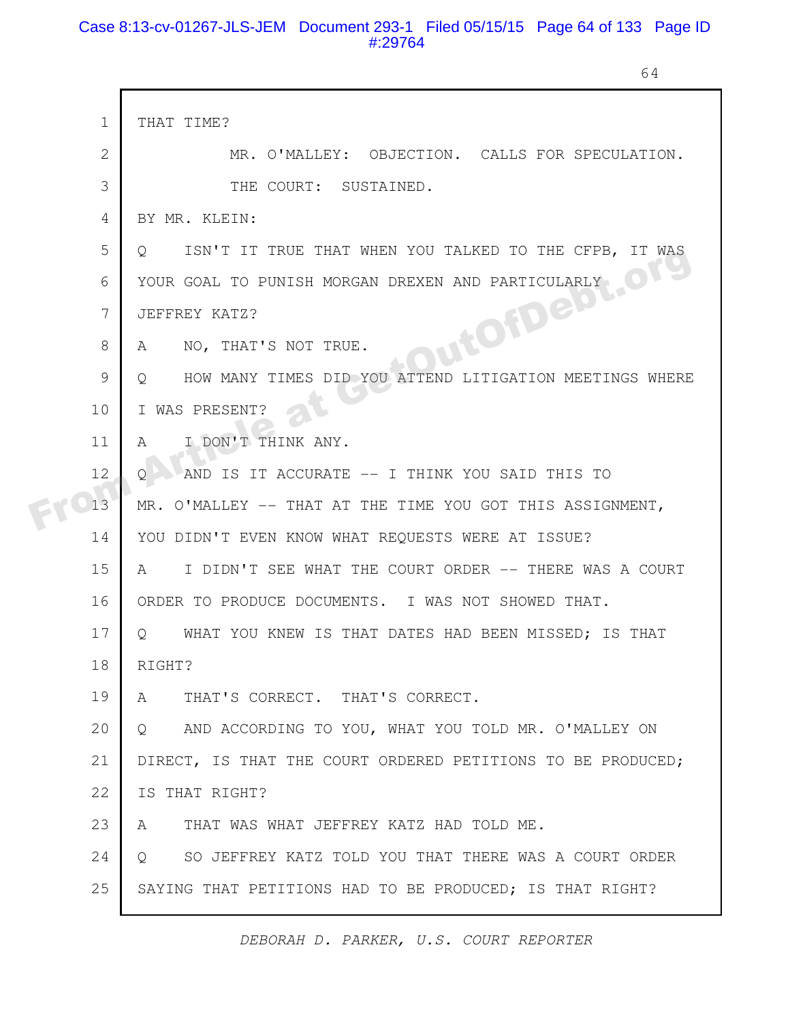#### Case 8:13-cv-01267-JLS-JEM Document 293-1 Filed 05/15/15 Page 64 of 133 Page ID #:29764

64

|  | $\mathbf 1$    | THAT TIME?                                                       |
|--|----------------|------------------------------------------------------------------|
|  | 2              | MR. O'MALLEY: OBJECTION. CALLS FOR SPECULATION.                  |
|  | 3              | THE COURT: SUSTAINED.                                            |
|  | 4              | BY MR. KLEIN:                                                    |
|  | 5              | ISN'T IT TRUE THAT WHEN YOU TALKED TO THE CFPB, IT WAS<br>$\cup$ |
|  | 6              | YOUR GOAL TO PUNISH MORGAN DREXEN AND PARTICULARLY               |
|  | $\overline{7}$ | JUITOTTO CARE<br>JEFFREY KATZ?                                   |
|  | 8              | NO, THAT'S NOT TRUE.<br>A                                        |
|  | 9              | HOW MANY TIMES DID YOU ATTEND LITIGATION MEETINGS WHERE<br>O     |
|  | 10             | I WAS PRESENT?                                                   |
|  | 11             | I DON'T THINK ANY.<br>A                                          |
|  | 12             | AND IS IT ACCURATE -- I THINK YOU SAID THIS TO                   |
|  | 13             | MR. O'MALLEY -- THAT AT THE TIME YOU GOT THIS ASSIGNMENT,        |
|  | 14             | YOU DIDN'T EVEN KNOW WHAT REQUESTS WERE AT ISSUE?                |
|  | 15             | I DIDN'T SEE WHAT THE COURT ORDER -- THERE WAS A COURT<br>A      |
|  | 16             | ORDER TO PRODUCE DOCUMENTS. I WAS NOT SHOWED THAT.               |
|  | 17             | WHAT YOU KNEW IS THAT DATES HAD BEEN MISSED; IS THAT<br>$\circ$  |
|  | 18             | RIGHT?                                                           |
|  | 19             | THAT'S CORRECT. THAT'S CORRECT.<br>A                             |
|  | 20             | AND ACCORDING TO YOU, WHAT YOU TOLD MR. O'MALLEY ON<br>$\circ$   |
|  | 21             | DIRECT, IS THAT THE COURT ORDERED PETITIONS TO BE PRODUCED;      |
|  | 22             | IS THAT RIGHT?                                                   |
|  | 23             | THAT WAS WHAT JEFFREY KATZ HAD TOLD ME.<br>A                     |
|  | 24             | SO JEFFREY KATZ TOLD YOU THAT THERE WAS A COURT ORDER<br>$\circ$ |
|  | 25             | SAYING THAT PETITIONS HAD TO BE PRODUCED; IS THAT RIGHT?         |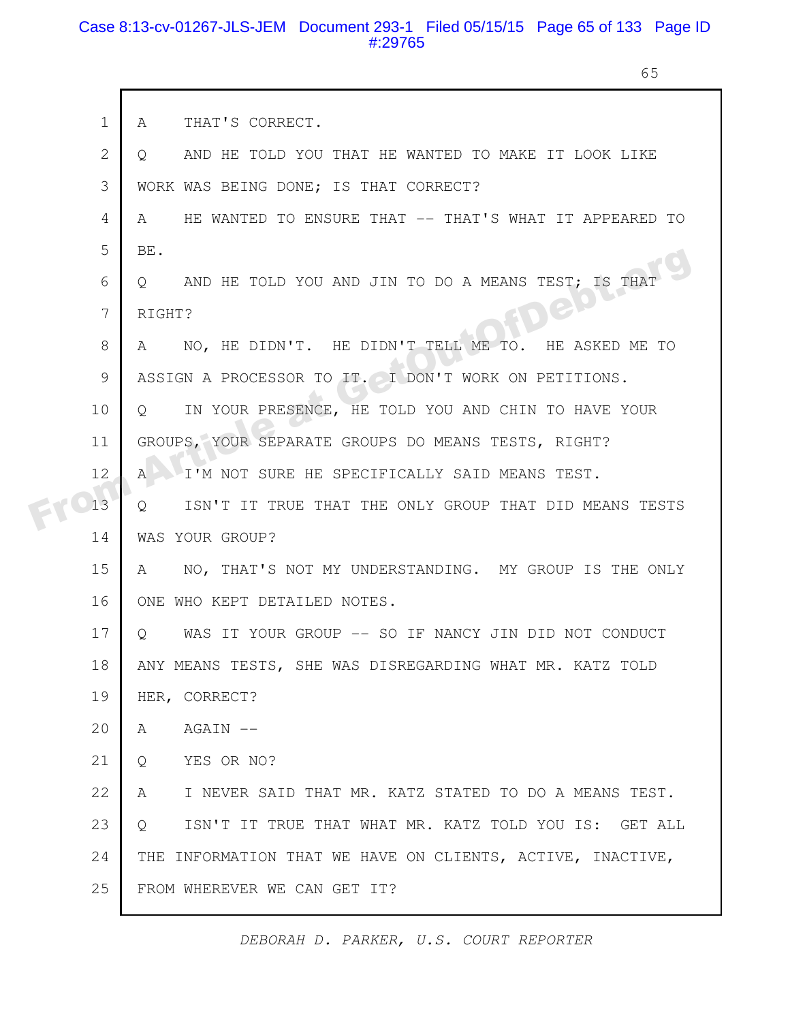#### Case 8:13-cv-01267-JLS-JEM Document 293-1 Filed 05/15/15 Page 65 of 133 Page ID #:29765

 $\Gamma$ 

65

| $\mathbf 1$ | THAT'S CORRECT.<br>A                                                    |
|-------------|-------------------------------------------------------------------------|
| 2           | AND HE TOLD YOU THAT HE WANTED TO MAKE IT LOOK LIKE<br>$\circ$          |
| 3           | WORK WAS BEING DONE; IS THAT CORRECT?                                   |
| 4           | HE WANTED TO ENSURE THAT -- THAT'S WHAT IT APPEARED TO<br>A             |
| 5           | BE.                                                                     |
| 6           | AND HE TOLD YOU AND JIN TO DO A MEANS TEST; IS THAT<br>$\circ$          |
| 7           | BLU<br>RIGHT?                                                           |
| 8           | NO, HE DIDN'T. HE DIDN'T TELL ME TO. HE ASKED ME TO<br>A                |
| 9           | ASSIGN A PROCESSOR TO IT. I DON'T WORK ON PETITIONS.                    |
| 10          | IN YOUR PRESENCE, HE TOLD YOU AND CHIN TO HAVE YOUR<br>$\circ$          |
| 11          | GROUPS, YOUR SEPARATE GROUPS DO MEANS TESTS, RIGHT?                     |
| 12          | I'M NOT SURE HE SPECIFICALLY SAID MEANS TEST.<br>$\mathsf{A}$           |
| 13          | ISN'T IT TRUE THAT THE ONLY GROUP THAT DID MEANS TESTS<br>$Q_{\cdot}$   |
| 14          | WAS YOUR GROUP?                                                         |
| 15          | NO, THAT'S NOT MY UNDERSTANDING. MY GROUP IS THE ONLY<br>A              |
| 16          | ONE WHO KEPT DETAILED NOTES.                                            |
| 17          | WAS IT YOUR GROUP -- SO IF NANCY JIN DID NOT CONDUCT<br>$\circ$         |
| 18          | ANY MEANS TESTS, SHE WAS DISREGARDING WHAT MR. KATZ TOLD                |
| 19          | HER, CORRECT?                                                           |
| 20          | AGAIN --<br>A                                                           |
| 21          | YES OR NO?<br>Q                                                         |
| 22          | I NEVER SAID THAT MR. KATZ STATED TO DO A MEANS TEST.<br>A              |
| 23          | ISN'T IT TRUE THAT WHAT MR. KATZ TOLD YOU IS: GET ALL<br>$\overline{Q}$ |
| 24          | THE INFORMATION THAT WE HAVE ON CLIENTS, ACTIVE, INACTIVE,              |
| 25          | FROM WHEREVER WE CAN GET IT?                                            |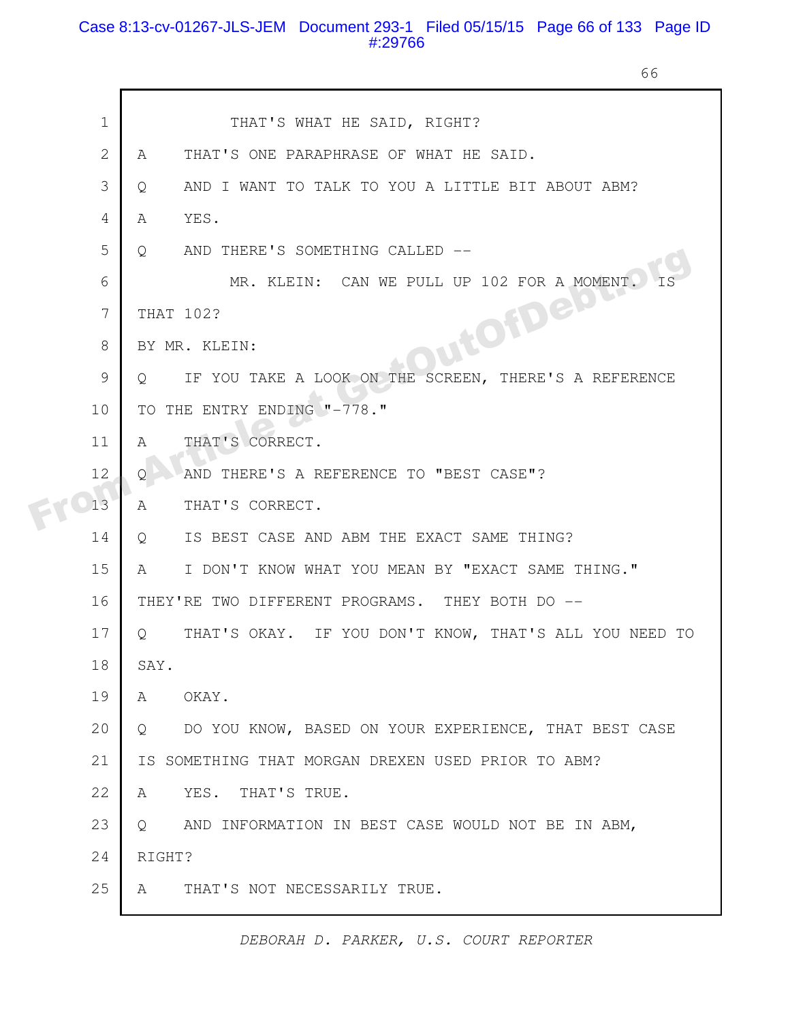#### Case 8:13-cv-01267-JLS-JEM Document 293-1 Filed 05/15/15 Page 66 of 133 Page ID #:29766

66

|  | $\mathbf 1$    | THAT'S WHAT HE SAID, RIGHT?                                       |
|--|----------------|-------------------------------------------------------------------|
|  | $\overline{2}$ | THAT'S ONE PARAPHRASE OF WHAT HE SAID.<br>A                       |
|  | 3              | AND I WANT TO TALK TO YOU A LITTLE BIT ABOUT ABM?<br>Q            |
|  | 4              | YES.<br>A                                                         |
|  | 5              | AND THERE'S SOMETHING CALLED --<br>Q                              |
|  | 6              | MR. KLEIN: CAN WE PULL UP 102 FOR A MOMENT.                       |
|  | 7              | THAT 102?                                                         |
|  | 8              | DutOfDeb<br>BY MR. KLEIN:                                         |
|  | 9              | IF YOU TAKE A LOOK ON THE SCREEN, THERE'S A REFERENCE<br>Q        |
|  | 10             | TO THE ENTRY ENDING "-778."                                       |
|  | 11             | THAT'S CORRECT.<br>$\mathsf{A}$                                   |
|  | 12             | AND THERE'S A REFERENCE TO "BEST CASE"?<br>$\mathsf{Q}$           |
|  | 13             | THAT'S CORRECT.<br>A                                              |
|  | 14             | IS BEST CASE AND ABM THE EXACT SAME THING?<br>Q                   |
|  | 15             | I DON'T KNOW WHAT YOU MEAN BY "EXACT SAME THING."<br>A            |
|  | 16             | THEY'RE TWO DIFFERENT PROGRAMS. THEY BOTH DO --                   |
|  | 17             | THAT'S OKAY. IF YOU DON'T KNOW, THAT'S ALL YOU NEED TO<br>$\circ$ |
|  | 18             | SAY.                                                              |
|  | 19             | A<br>OKAY.                                                        |
|  | 20             | DO YOU KNOW, BASED ON YOUR EXPERIENCE, THAT BEST CASE<br>Q        |
|  | 21             | IS SOMETHING THAT MORGAN DREXEN USED PRIOR TO ABM?                |
|  | 22             | YES.<br>THAT'S TRUE.<br>A                                         |
|  | 23             | AND INFORMATION IN BEST CASE WOULD NOT BE IN ABM,<br>$Q_{\cdot}$  |
|  | 24             | RIGHT?                                                            |
|  | 25             | THAT'S NOT NECESSARILY TRUE.<br>A                                 |
|  |                |                                                                   |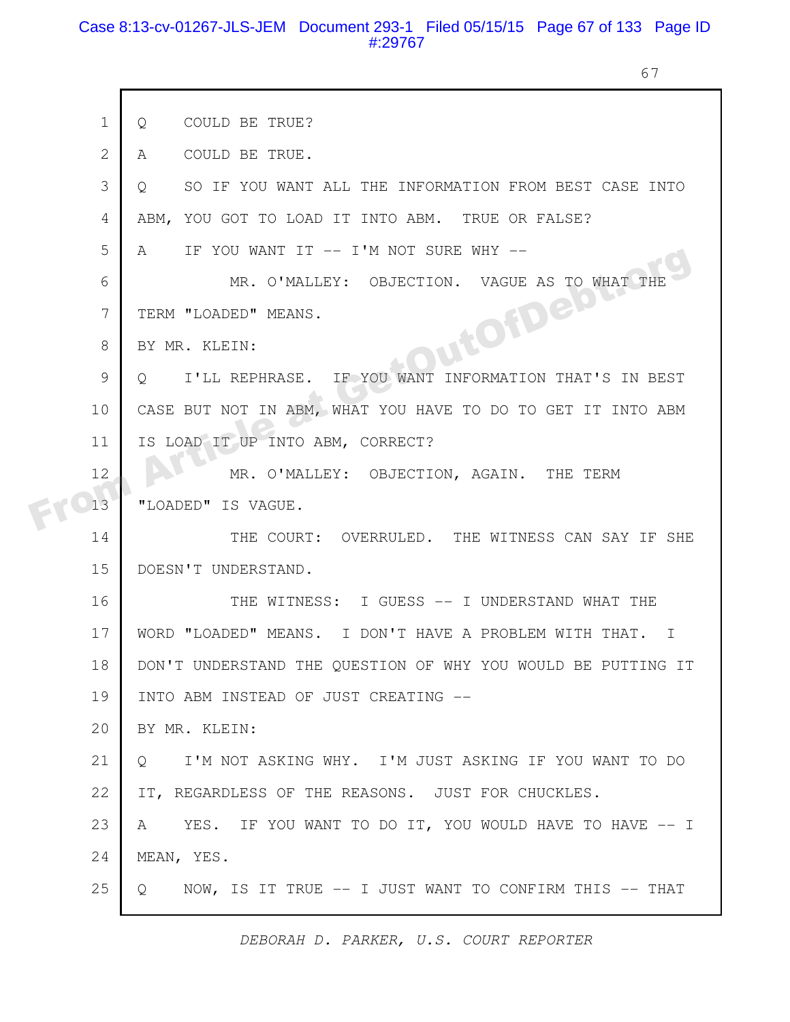#### Case 8:13-cv-01267-JLS-JEM Document 293-1 Filed 05/15/15 Page 67 of 133 Page ID #:29767

 $\Gamma$ 

67

| $\mathbf 1$    | COULD BE TRUE?<br>Q                                                    |
|----------------|------------------------------------------------------------------------|
| $\overline{2}$ | COULD BE TRUE.<br>A                                                    |
| 3              | SO IF YOU WANT ALL THE INFORMATION FROM BEST CASE INTO<br>$\circ$      |
| 4              | YOU GOT TO LOAD IT INTO ABM. TRUE OR FALSE?<br>ABM.                    |
| 5              | IF YOU WANT IT -- I'M NOT SURE WHY --<br>A                             |
| 6              | MR. O'MALLEY: OBJECTION. VAGUE AS TO WHAT<br>THF                       |
| 7              | TERM "LOADED" MEANS.                                                   |
| 8              | PutOfDeb<br>BY MR. KLEIN:                                              |
| $\mathcal{G}$  | I'LL REPHRASE. IF YOU WANT INFORMATION THAT'S IN BEST<br>Q             |
| 10             | CASE BUT NOT IN ABM, WHAT YOU HAVE TO DO TO GET IT INTO ABM            |
| 11             | IS LOAD IT UP INTO ABM, CORRECT?                                       |
| 12             | MR. O'MALLEY: OBJECTION, AGAIN. THE TERM                               |
| 13             | "LOADED" IS VAGUE.                                                     |
| 14             | THE COURT: OVERRULED. THE WITNESS CAN SAY IF SHE                       |
| 15             | DOESN'T UNDERSTAND.                                                    |
| 16             | THE WITNESS: I GUESS -- I UNDERSTAND WHAT THE                          |
| 17             | WORD "LOADED" MEANS. I DON'T HAVE A PROBLEM WITH THAT.<br>$\mathbb{I}$ |
| 18             | DON'T UNDERSTAND THE QUESTION OF WHY YOU WOULD BE PUTTING IT           |
| 19             | INTO ABM INSTEAD OF JUST CREATING --                                   |
| 20             | BY MR. KLEIN:                                                          |
| 21             | I'M NOT ASKING WHY. I'M JUST ASKING IF YOU WANT TO DO<br>$\circ$       |
| 22             | IT, REGARDLESS OF THE REASONS. JUST FOR CHUCKLES.                      |
| 23             | YES. IF YOU WANT TO DO IT, YOU WOULD HAVE TO HAVE -- I<br>A            |
| 24             | MEAN, YES.                                                             |
| 25             | NOW, IS IT TRUE -- I JUST WANT TO CONFIRM THIS -- THAT<br>Q            |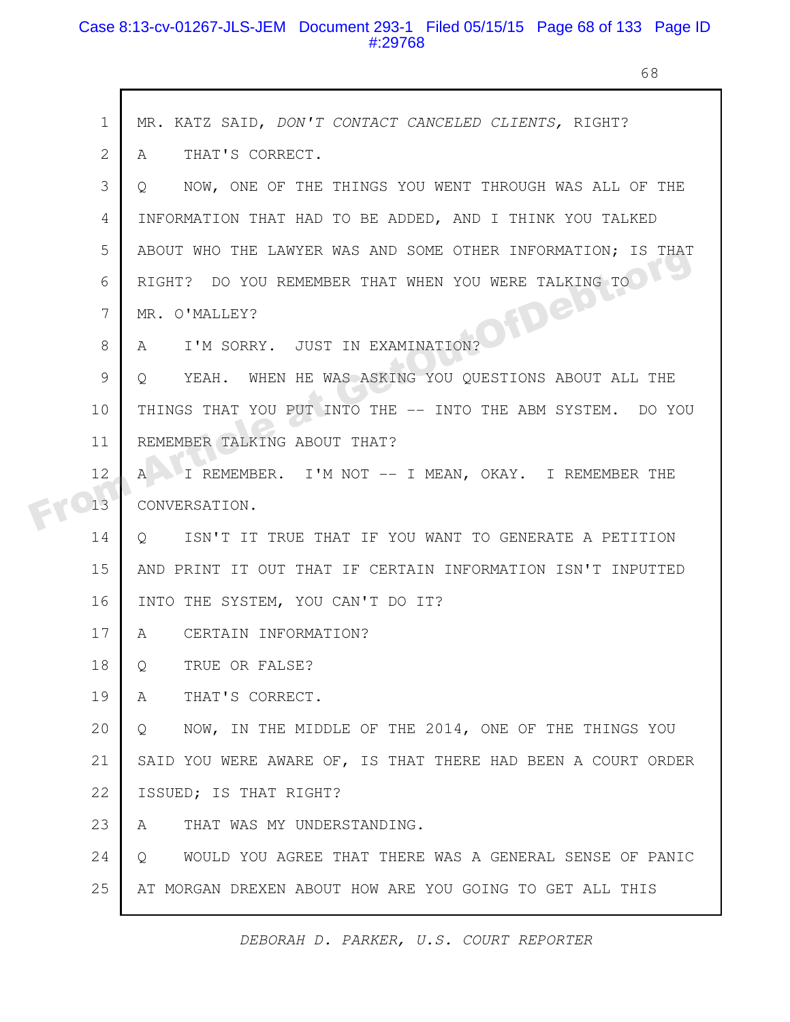#### Case 8:13-cv-01267-JLS-JEM Document 293-1 Filed 05/15/15 Page 68 of 133 Page ID #:29768

68

|  | $\mathbf 1$ | MR. KATZ SAID, DON'T CONTACT CANCELED CLIENTS, RIGHT?              |
|--|-------------|--------------------------------------------------------------------|
|  | 2           | THAT'S CORRECT.<br>A                                               |
|  | 3           | NOW, ONE OF THE THINGS YOU WENT THROUGH WAS ALL OF THE<br>$\circ$  |
|  | 4           | INFORMATION THAT HAD TO BE ADDED, AND I THINK YOU TALKED           |
|  | 5           | ABOUT WHO THE LAWYER WAS AND SOME OTHER INFORMATION; IS THAT       |
|  | 6           | RIGHT? DO YOU REMEMBER THAT WHEN YOU WERE TALKING TO               |
|  | 7           | HOIDE MOT<br>MR. O'MALLEY?                                         |
|  | 8           | I'M SORRY. JUST IN EXAMINATION?<br>A                               |
|  | 9           | YEAH. WHEN HE WAS ASKING YOU QUESTIONS ABOUT ALL THE<br>Q          |
|  | 10          | THINGS THAT YOU PUT INTO THE -- INTO THE ABM SYSTEM. DO YOU        |
|  | 11          | REMEMBER TALKING ABOUT THAT?                                       |
|  | 12          | I REMEMBER. I'M NOT -- I MEAN, OKAY. I REMEMBER THE<br>A           |
|  | 13          | CONVERSATION.                                                      |
|  | 14          | ISN'T IT TRUE THAT IF YOU WANT TO GENERATE A PETITION<br>Q         |
|  | 15          | AND PRINT IT OUT THAT IF CERTAIN INFORMATION ISN'T INPUTTED        |
|  | 16          | INTO THE SYSTEM, YOU CAN'T DO IT?                                  |
|  | 17          | CERTAIN INFORMATION?<br>A                                          |
|  | 18          | TRUE OR FALSE?<br>Q                                                |
|  | 19          | THAT'S CORRECT.<br>A                                               |
|  | 20          | NOW, IN THE MIDDLE OF THE 2014, ONE OF THE THINGS YOU<br>$\circ$   |
|  | 21          | SAID YOU WERE AWARE OF, IS THAT THERE HAD BEEN A COURT ORDER       |
|  | 22          | ISSUED; IS THAT RIGHT?                                             |
|  | 23          | THAT WAS MY UNDERSTANDING.<br>A                                    |
|  | 24          | WOULD YOU AGREE THAT THERE WAS A GENERAL SENSE OF PANIC<br>$\circ$ |
|  | 25          | AT MORGAN DREXEN ABOUT HOW ARE YOU GOING TO GET ALL THIS           |
|  |             |                                                                    |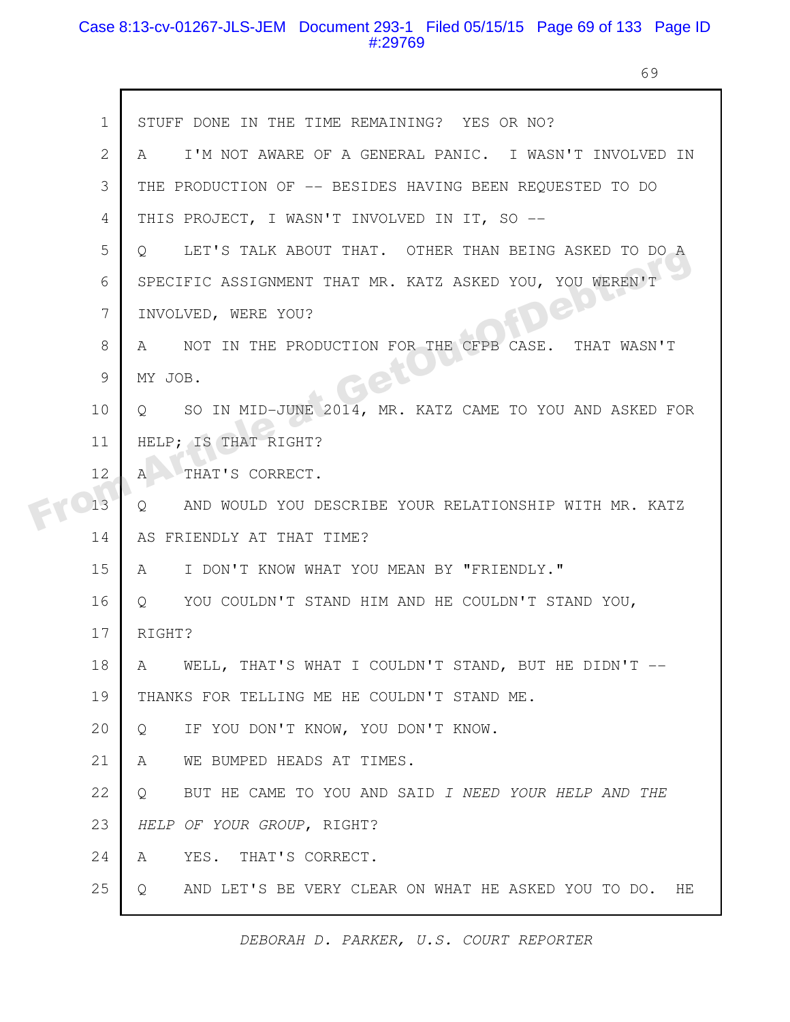#### Case 8:13-cv-01267-JLS-JEM Document 293-1 Filed 05/15/15 Page 69 of 133 Page ID #:29769

69

|  | $\mathbf{1}$ | STUFF DONE IN THE TIME REMAINING? YES OR NO?                        |
|--|--------------|---------------------------------------------------------------------|
|  | $\mathbf{2}$ | I'M NOT AWARE OF A GENERAL PANIC. I WASN'T INVOLVED IN<br>A         |
|  | 3            | THE PRODUCTION OF -- BESIDES HAVING BEEN REQUESTED TO DO            |
|  | 4            | THIS PROJECT, I WASN'T INVOLVED IN IT, SO --                        |
|  | 5            | LET'S TALK ABOUT THAT. OTHER THAN BEING ASKED TO DO A<br>$\circ$    |
|  | 6            | SPECIFIC ASSIGNMENT THAT MR. KATZ ASKED YOU, YOU WEREN'T            |
|  | 7            | BP<br>INVOLVED, WERE YOU?                                           |
|  | 8            | NOT IN THE PRODUCTION FOR THE CFPB CASE.<br>THAT WASN'T<br>A        |
|  | 9            | MY JOB.                                                             |
|  | 10           | SO IN MID-JUNE 2014, MR. KATZ CAME TO YOU AND ASKED FOR<br>$\circ$  |
|  | 11           | HELP; IS THAT RIGHT?                                                |
|  | 12           | $\mathbb{A}$<br>THAT'S CORRECT.                                     |
|  | 13           | Q<br>AND WOULD YOU DESCRIBE YOUR RELATIONSHIP WITH MR. KATZ         |
|  | 14           | AS FRIENDLY AT THAT TIME?                                           |
|  | 15           | I DON'T KNOW WHAT YOU MEAN BY "FRIENDLY."<br>A                      |
|  | 16           | YOU COULDN'T STAND HIM AND HE COULDN'T STAND YOU,<br>$\circ$        |
|  | 17           | RIGHT?                                                              |
|  | 18           | WELL, THAT'S WHAT I COULDN'T STAND, BUT HE DIDN'T --<br>A           |
|  | 19           | THANKS FOR TELLING ME HE COULDN'T STAND ME.                         |
|  | 20           | IF YOU DON'T KNOW, YOU DON'T KNOW.<br>$\circ$                       |
|  | 21           | $\mathsf{A}$<br>WE BUMPED HEADS AT TIMES.                           |
|  | 22           | BUT HE CAME TO YOU AND SAID I NEED YOUR HELP AND THE<br>$Q_{\cdot}$ |
|  | 23           | HELP OF YOUR GROUP, RIGHT?                                          |
|  | 24           | YES. THAT'S CORRECT.<br>A                                           |
|  | 25           | AND LET'S BE VERY CLEAR ON WHAT HE ASKED YOU TO DO. HE<br>Q         |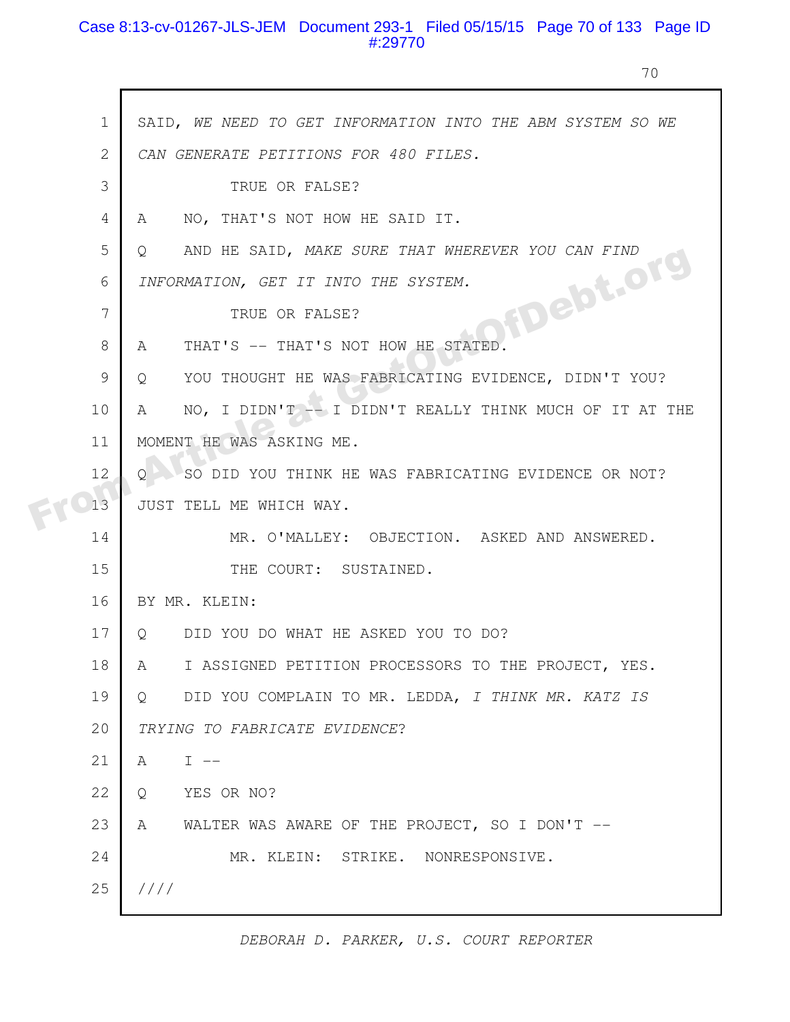### Case 8:13-cv-01267-JLS-JEM Document 293-1 Filed 05/15/15 Page 70 of 133 Page ID #:29770

70

|  | $\mathbf{1}$ | SAID, WE NEED TO GET INFORMATION INTO THE ABM SYSTEM SO WE      |
|--|--------------|-----------------------------------------------------------------|
|  | $\mathbf{2}$ | CAN GENERATE PETITIONS FOR 480 FILES.                           |
|  | 3            | TRUE OR FALSE?                                                  |
|  | 4            | NO, THAT'S NOT HOW HE SAID IT.<br>A                             |
|  | 5            | AND HE SAID, MAKE SURE THAT WHEREVER YOU CAN FIND<br>Q          |
|  | 6            | INFORMATION, GET IT INTO THE SYSTEM.                            |
|  | 7            | fDebt.org<br>TRUE OR FALSE?                                     |
|  | 8            | THAT'S -- THAT'S NOT HOW HE STATED.<br>A                        |
|  | 9            | YOU THOUGHT HE WAS FABRICATING EVIDENCE, DIDN'T YOU?<br>Q       |
|  | 10           | NO, I DIDN'T -- I DIDN'T REALLY THINK MUCH OF IT AT THE<br>A    |
|  | 11           | MOMENT HE WAS ASKING ME.                                        |
|  | 12           | SO DID YOU THINK HE WAS FABRICATING EVIDENCE OR NOT?<br>$\circ$ |
|  | 13           | JUST TELL ME WHICH WAY.                                         |
|  | 14           | MR. O'MALLEY: OBJECTION. ASKED AND ANSWERED.                    |
|  | 15           | THE COURT: SUSTAINED.                                           |
|  | 16           | BY MR. KLEIN:                                                   |
|  | 17           | DID YOU DO WHAT HE ASKED YOU TO DO?<br>$\circ$                  |
|  | 18           | I ASSIGNED PETITION PROCESSORS TO THE PROJECT, YES.<br>A        |
|  | 19           | DID YOU COMPLAIN TO MR. LEDDA, I THINK MR. KATZ IS<br>$\circ$   |
|  | 20           | TRYING TO FABRICATE EVIDENCE?                                   |
|  | 21           | $T = -$<br>A                                                    |
|  | 22           | YES OR NO?<br>Q                                                 |
|  | 23           | WALTER WAS AWARE OF THE PROJECT, SO I DON'T $--$<br>A           |
|  | 24           | MR. KLEIN: STRIKE. NONRESPONSIVE.                               |
|  | 25           | 1111                                                            |
|  |              |                                                                 |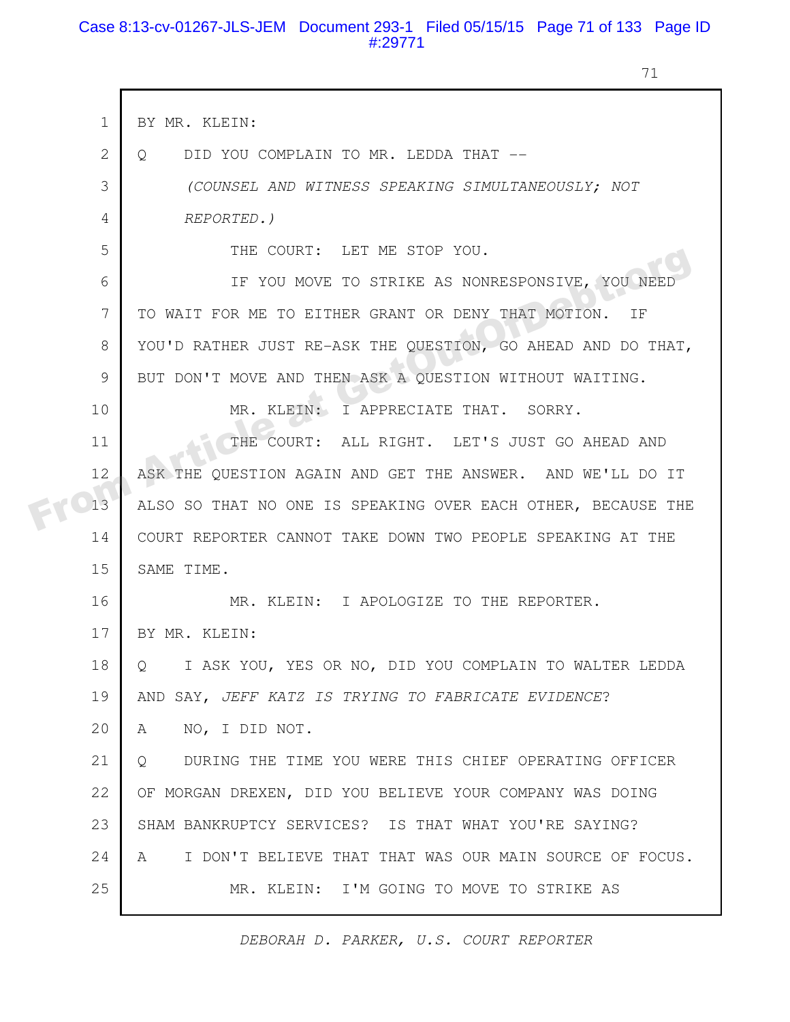#### Case 8:13-cv-01267-JLS-JEM Document 293-1 Filed 05/15/15 Page 71 of 133 Page ID #:29771

71

| $\mathbf 1$    | BY MR. KLEIN:                                                |
|----------------|--------------------------------------------------------------|
| $\overline{2}$ | DID YOU COMPLAIN TO MR. LEDDA THAT --<br>$\circ$             |
| 3              | (COUNSEL AND WITNESS SPEAKING SIMULTANEOUSLY; NOT            |
| 4              | REPORTED.)                                                   |
| 5              | THE COURT: LET ME STOP YOU.                                  |
| 6              | IF YOU MOVE TO STRIKE AS NONRESPONSIVE, YOU NEED             |
| 7              | TO WAIT FOR ME TO EITHER GRANT OR DENY THAT MOTION.<br>ΙF    |
| 8              | YOU'D RATHER JUST RE-ASK THE QUESTION, GO AHEAD AND DO THAT, |
| 9              | BUT DON'T MOVE AND THEN ASK A QUESTION WITHOUT WAITING.      |
| 10             | MR. KLEIN: I APPRECIATE THAT. SORRY.                         |
| 11             | THE COURT: ALL RIGHT. LET'S JUST GO AHEAD AND                |
| 12             | ASK THE QUESTION AGAIN AND GET THE ANSWER. AND WE'LL DO IT   |
| 13             | ALSO SO THAT NO ONE IS SPEAKING OVER EACH OTHER, BECAUSE THE |
| 14             | COURT REPORTER CANNOT TAKE DOWN TWO PEOPLE SPEAKING AT THE   |
| 15             | SAME TIME.                                                   |
| 16             | MR. KLEIN: I APOLOGIZE TO THE REPORTER.                      |
| 17             | BY MR. KLEIN:                                                |
| 18             | I ASK YOU, YES OR NO, DID YOU COMPLAIN TO WALTER LEDDA<br>Q  |
| 19             | AND SAY, JEFF KATZ IS TRYING TO FABRICATE EVIDENCE?          |
| 20             | NO, I DID NOT.<br>A                                          |
| 21             | DURING THE TIME YOU WERE THIS CHIEF OPERATING OFFICER<br>O   |
| 22             | OF MORGAN DREXEN, DID YOU BELIEVE YOUR COMPANY WAS DOING     |
| 23             | SHAM BANKRUPTCY SERVICES? IS THAT WHAT YOU'RE SAYING?        |
| 24             | I DON'T BELIEVE THAT THAT WAS OUR MAIN SOURCE OF FOCUS.<br>A |
| 25             | MR. KLEIN: I'M GOING TO MOVE TO STRIKE AS                    |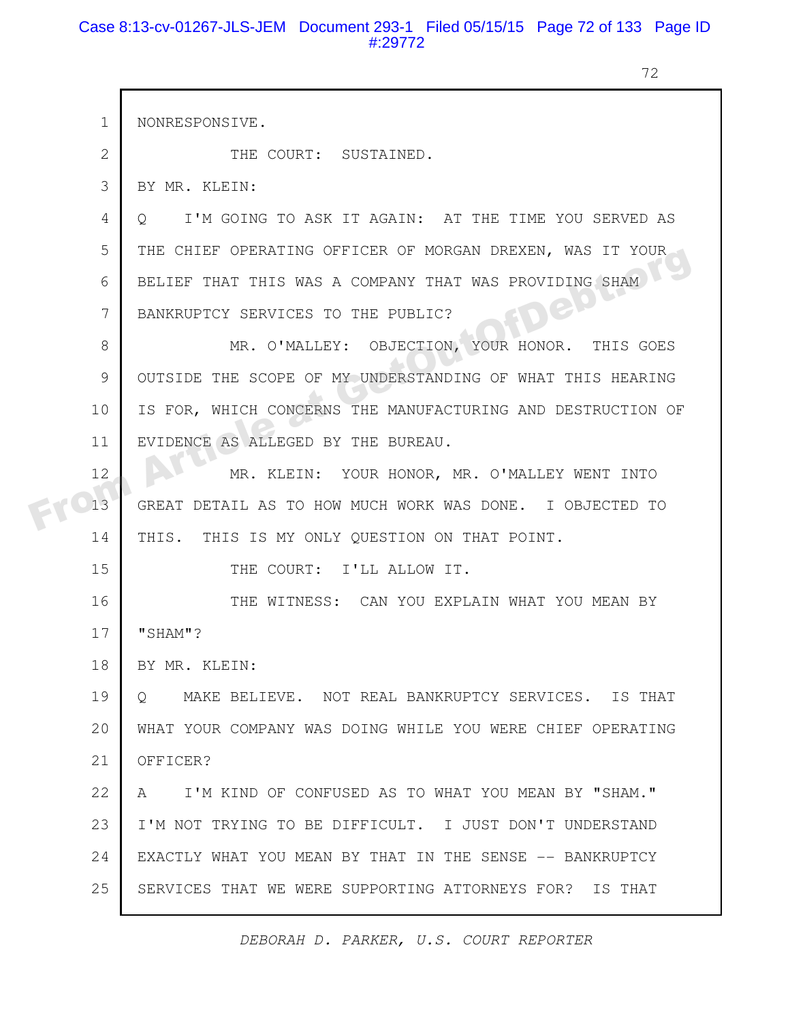#### Case 8:13-cv-01267-JLS-JEM Document 293-1 Filed 05/15/15 Page 72 of 133 Page ID #:29772

h

72

| $\mathbf 1$    | NONRESPONSIVE.                                                 |
|----------------|----------------------------------------------------------------|
|                |                                                                |
| $\overline{2}$ | THE COURT: SUSTAINED.                                          |
| 3              | BY MR. KLEIN:                                                  |
| 4              | I'M GOING TO ASK IT AGAIN: AT THE TIME YOU SERVED AS<br>O      |
| 5              | THE CHIEF OPERATING OFFICER OF MORGAN DREXEN, WAS IT YOUR      |
| 6              | BELIEF THAT THIS WAS A COMPANY THAT WAS PROVIDING SHAM         |
| 7              | ev<br>BANKRUPTCY SERVICES TO THE PUBLIC?                       |
| 8              | MR. O'MALLEY: OBJECTION, YOUR HONOR.<br>THIS GOES              |
| 9              | OUTSIDE THE SCOPE OF MY UNDERSTANDING OF WHAT THIS HEARING     |
| 10             | IS FOR, WHICH CONCERNS THE MANUFACTURING AND DESTRUCTION OF    |
| 11             | EVIDENCE AS ALLEGED BY THE BUREAU.                             |
| 12             | MR. KLEIN: YOUR HONOR, MR. O'MALLEY WENT INTO                  |
| 13             | GREAT DETAIL AS TO HOW MUCH WORK WAS DONE. I OBJECTED TO       |
| 14             | THIS. THIS IS MY ONLY QUESTION ON THAT POINT.                  |
| 15             | THE COURT: I'LL ALLOW IT.                                      |
| 16             | THE WITNESS: CAN YOU EXPLAIN WHAT YOU MEAN BY                  |
| 17             | "SHAM"?                                                        |
| 18             | BY MR. KLEIN:                                                  |
| 19             | MAKE BELIEVE. NOT REAL BANKRUPTCY SERVICES. IS THAT<br>$\circ$ |
| 20             | WHAT YOUR COMPANY WAS DOING WHILE YOU WERE CHIEF OPERATING     |
| 21             | OFFICER?                                                       |
| 22             | I'M KIND OF CONFUSED AS TO WHAT YOU MEAN BY "SHAM."<br>A       |
| 23             | I'M NOT TRYING TO BE DIFFICULT. I JUST DON'T UNDERSTAND        |
| 24             | EXACTLY WHAT YOU MEAN BY THAT IN THE SENSE -- BANKRUPTCY       |
| 25             | SERVICES THAT WE WERE SUPPORTING ATTORNEYS FOR? IS THAT        |
|                |                                                                |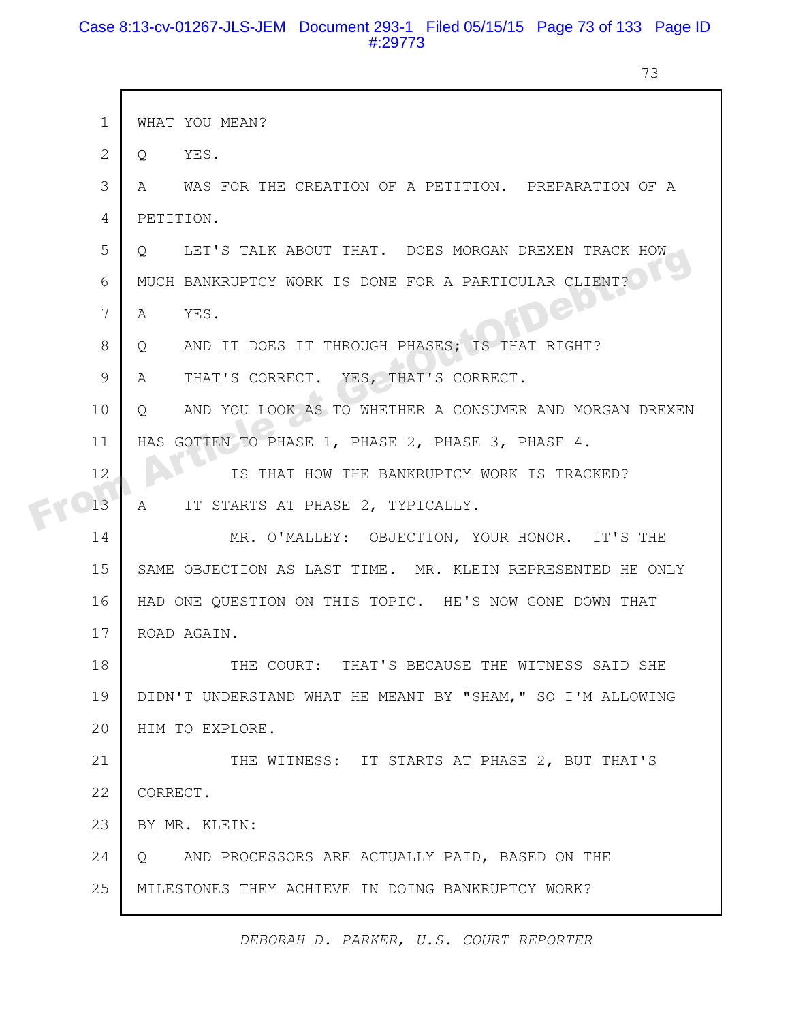# Case 8:13-cv-01267-JLS-JEM Document 293-1 Filed 05/15/15 Page 73 of 133 Page ID #:29773

73

|  | $\mathbf{1}$ | WHAT YOU MEAN?                                                           |
|--|--------------|--------------------------------------------------------------------------|
|  | 2            | YES.<br>$Q_{\perp}$                                                      |
|  | 3            | WAS FOR THE CREATION OF A PETITION. PREPARATION OF A<br>$A \quad \alpha$ |
|  | 4            | PETITION.                                                                |
|  | 5            | LET'S TALK ABOUT THAT. DOES MORGAN DREXEN TRACK HOW<br>$\circ$           |
|  | 6            | MUCH BANKRUPTCY WORK IS DONE FOR A PARTICULAR CLIENT?                    |
|  | 7            | Dep<br>YES.<br>A                                                         |
|  | 8            | AND IT DOES IT THROUGH PHASES; IS THAT RIGHT?<br>$Q \qquad \qquad$       |
|  | 9            | THAT'S CORRECT. YES, THAT'S CORRECT.<br>A                                |
|  | 10           | AND YOU LOOK AS TO WHETHER A CONSUMER AND MORGAN DREXEN<br>$\circ$       |
|  | 11           | HAS GOTTEN TO PHASE 1, PHASE 2, PHASE 3, PHASE 4.                        |
|  | 12           | IS THAT HOW THE BANKRUPTCY WORK IS TRACKED?                              |
|  | 13           | IT STARTS AT PHASE 2, TYPICALLY.<br>A                                    |
|  | 14           | MR. O'MALLEY: OBJECTION, YOUR HONOR. IT'S THE                            |
|  | 15           | SAME OBJECTION AS LAST TIME. MR. KLEIN REPRESENTED HE ONLY               |
|  | 16           | HAD ONE QUESTION ON THIS TOPIC. HE'S NOW GONE DOWN THAT                  |
|  | 17           | ROAD AGAIN.                                                              |
|  | 18           | THE COURT: THAT'S BECAUSE THE WITNESS SAID SHE                           |
|  | 19           | DIDN'T UNDERSTAND WHAT HE MEANT BY "SHAM," SO I'M ALLOWING               |
|  | 20           | HIM TO EXPLORE.                                                          |
|  | 21           | THE WITNESS: IT STARTS AT PHASE 2, BUT THAT'S                            |
|  | 22           | CORRECT.                                                                 |
|  | 23           | BY MR. KLEIN:                                                            |
|  | 24           | AND PROCESSORS ARE ACTUALLY PAID, BASED ON THE<br>$Q_{\rm max}$          |
|  | 25           | MILESTONES THEY ACHIEVE IN DOING BANKRUPTCY WORK?                        |
|  |              |                                                                          |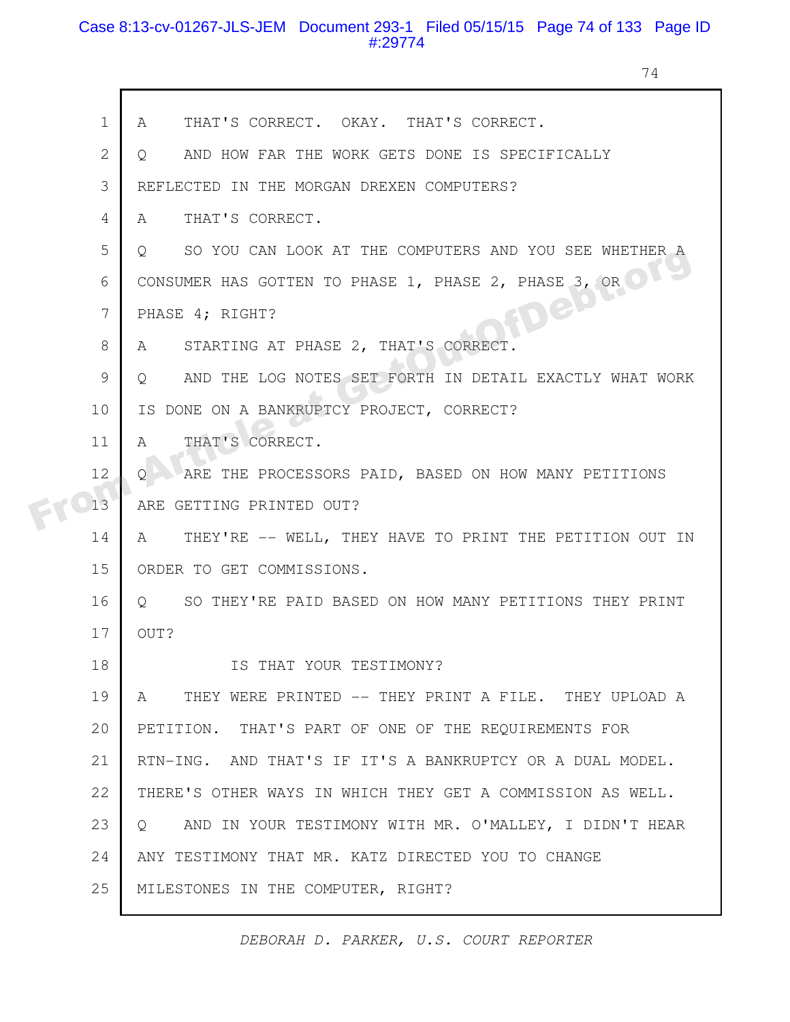# Case 8:13-cv-01267-JLS-JEM Document 293-1 Filed 05/15/15 Page 74 of 133 Page ID #:29774

h

74

|  | $\mathbf 1$  | THAT'S CORRECT. OKAY. THAT'S CORRECT.<br>A                            |
|--|--------------|-----------------------------------------------------------------------|
|  | $\mathbf{2}$ | AND HOW FAR THE WORK GETS DONE IS SPECIFICALLY<br>$\cup$              |
|  | 3            | REFLECTED IN THE MORGAN DREXEN COMPUTERS?                             |
|  | 4            | THAT'S CORRECT.<br>A                                                  |
|  | 5            | SO YOU CAN LOOK AT THE COMPUTERS AND YOU SEE WHETHER A<br>$Q_{\perp}$ |
|  | 6            | CONSUMER HAS GOTTEN TO PHASE 1, PHASE 2, PHASE 3, OR                  |
|  | 7            | FDep<br>PHASE 4; RIGHT?                                               |
|  | 8            | STARTING AT PHASE 2, THAT'S CORRECT.<br>A                             |
|  | 9            | AND THE LOG NOTES SET FORTH IN DETAIL EXACTLY WHAT WORK<br>Q          |
|  | 10           | IS DONE ON A BANKRUPTCY PROJECT, CORRECT?                             |
|  | 11           | THAT'S CORRECT.<br>Α                                                  |
|  | 12           | ARE THE PROCESSORS PAID, BASED ON HOW MANY PETITIONS<br>O             |
|  | 13           | ARE GETTING PRINTED OUT?                                              |
|  | 14           | THEY'RE -- WELL, THEY HAVE TO PRINT THE PETITION OUT IN<br>A          |
|  | 15           | ORDER TO GET COMMISSIONS.                                             |
|  | 16           | O SO THEY'RE PAID BASED ON HOW MANY PETITIONS THEY PRINT              |
|  | 17           | OUT?                                                                  |
|  | 18           | IS THAT YOUR TESTIMONY?                                               |
|  | 19           | THEY WERE PRINTED -- THEY PRINT A FILE. THEY UPLOAD A<br>A            |
|  | 20           | PETITION. THAT'S PART OF ONE OF THE REQUIREMENTS FOR                  |
|  | 21           | RTN-ING. AND THAT'S IF IT'S A BANKRUPTCY OR A DUAL MODEL.             |
|  | 22           | THERE'S OTHER WAYS IN WHICH THEY GET A COMMISSION AS WELL.            |
|  | 23           | AND IN YOUR TESTIMONY WITH MR. O'MALLEY, I DIDN'T HEAR<br>$\circ$     |
|  | 24           | ANY TESTIMONY THAT MR. KATZ DIRECTED YOU TO CHANGE                    |
|  | 25           | MILESTONES IN THE COMPUTER, RIGHT?                                    |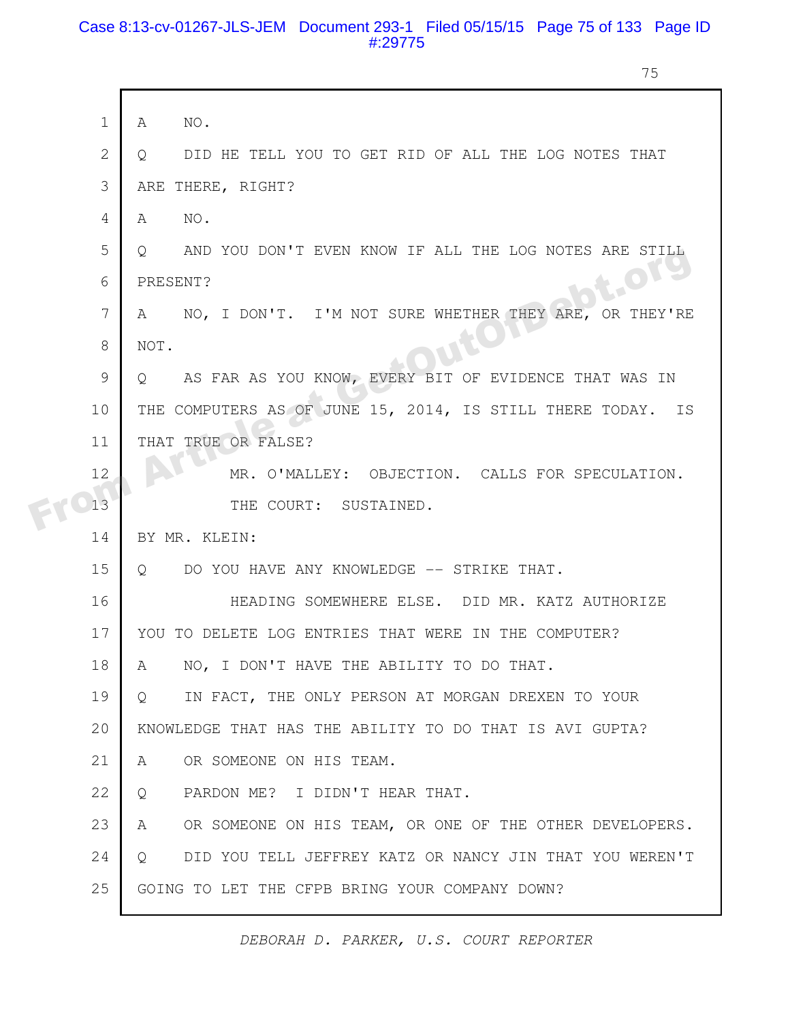### Case 8:13-cv-01267-JLS-JEM Document 293-1 Filed 05/15/15 Page 75 of 133 Page ID #:29775

75

|  | $\mathbf{1}$   | NO.<br>A                                                           |
|--|----------------|--------------------------------------------------------------------|
|  |                |                                                                    |
|  | $\overline{2}$ | DID HE TELL YOU TO GET RID OF ALL THE LOG NOTES THAT<br>$\circ$    |
|  | 3              | ARE THERE, RIGHT?                                                  |
|  | 4              | NO.<br>A                                                           |
|  | 5              | AND YOU DON'T EVEN KNOW IF ALL THE LOG NOTES ARE STILL<br>$\circ$  |
|  | 6              | L.OT!<br>PRESENT?                                                  |
|  | 7              | NO, I DON'T. I'M NOT SURE WHETHER THEY ARE, OR THEY'RE<br>A        |
|  | 8              | NOT.                                                               |
|  | 9              | AS FAR AS YOU KNOW, EVERY BIT OF EVIDENCE THAT WAS IN<br>O         |
|  | 10             | THE COMPUTERS AS OF JUNE 15, 2014, IS STILL THERE TODAY. IS        |
|  | 11             | THAT TRUE OR FALSE?                                                |
|  | 12             | MR. O'MALLEY: OBJECTION. CALLS FOR SPECULATION.                    |
|  | 13             | THE COURT: SUSTAINED.                                              |
|  | 14             | BY MR. KLEIN:                                                      |
|  | 15             | DO YOU HAVE ANY KNOWLEDGE -- STRIKE THAT.<br>$\circ$               |
|  | 16             | HEADING SOMEWHERE ELSE. DID MR. KATZ AUTHORIZE                     |
|  | 17             | YOU TO DELETE LOG ENTRIES THAT WERE IN THE COMPUTER?               |
|  | 18             | NO, I DON'T HAVE THE ABILITY TO DO THAT.<br>A                      |
|  | 19             | IN FACT, THE ONLY PERSON AT MORGAN DREXEN TO YOUR<br>$\circ$       |
|  | 20             | KNOWLEDGE THAT HAS THE ABILITY TO DO THAT IS AVI GUPTA?            |
|  |                |                                                                    |
|  | 21             | OR SOMEONE ON HIS TEAM.<br>A                                       |
|  | 22             | PARDON ME? I DIDN'T HEAR THAT.<br>Q                                |
|  | 23             | OR SOMEONE ON HIS TEAM, OR ONE OF THE OTHER DEVELOPERS.<br>A       |
|  | 24             | DID YOU TELL JEFFREY KATZ OR NANCY JIN THAT YOU WEREN'T<br>$\circ$ |
|  | 25             | GOING TO LET THE CFPB BRING YOUR COMPANY DOWN?                     |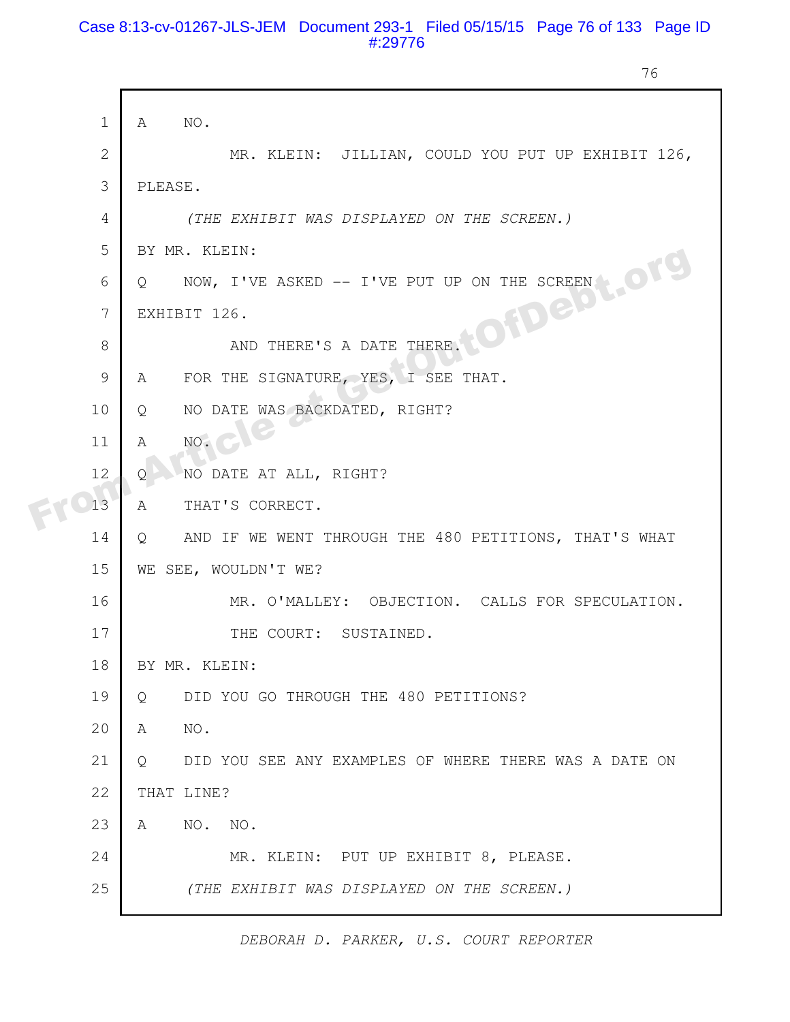# Case 8:13-cv-01267-JLS-JEM Document 293-1 Filed 05/15/15 Page 76 of 133 Page ID #:29776

76

| $\mathbf 1$  | A           | NO.                                                          |
|--------------|-------------|--------------------------------------------------------------|
| $\mathbf{2}$ |             | MR. KLEIN: JILLIAN, COULD YOU PUT UP EXHIBIT 126,            |
| 3            |             | PLEASE.                                                      |
| 4            |             | (THE EXHIBIT WAS DISPLAYED ON THE SCREEN.)                   |
| 5            |             | BY MR. KLEIN:                                                |
| 6            | $\circ$     |                                                              |
| 7            |             | NOW, I'VE ASKED -- I'VE PUT UP ON THE SCREEN<br>EXHIBIT 126. |
| 8            |             |                                                              |
| 9            | A           | FOR THE SIGNATURE, YES, I SEE THAT.                          |
| 10           | Q           | NO DATE WAS BACKDATED, RIGHT?                                |
| 11           | $\mathbb A$ | NO.                                                          |
| 12           | O           | NO DATE AT ALL, RIGHT?                                       |
| 13           | Α           | THAT'S CORRECT.                                              |
| 14           | Q           | AND IF WE WENT THROUGH THE 480 PETITIONS, THAT'S WHAT        |
| 15           |             | WE SEE, WOULDN'T WE?                                         |
| 16           |             | MR. O'MALLEY: OBJECTION. CALLS FOR SPECULATION.              |
| 17           |             | THE COURT: SUSTAINED.                                        |
| 18           |             | BY MR. KLEIN:                                                |
| 19           | Q           | DID YOU GO THROUGH THE 480 PETITIONS?                        |
| 20           | A           | NO.                                                          |
| 21           | $\circ$     | DID YOU SEE ANY EXAMPLES OF WHERE THERE WAS A DATE ON        |
| 22           |             | THAT LINE?                                                   |
| 23           | A           | NO. NO.                                                      |
| 24           |             | MR. KLEIN: PUT UP EXHIBIT 8, PLEASE.                         |
| 25           |             | (THE EXHIBIT WAS DISPLAYED ON THE SCREEN.)                   |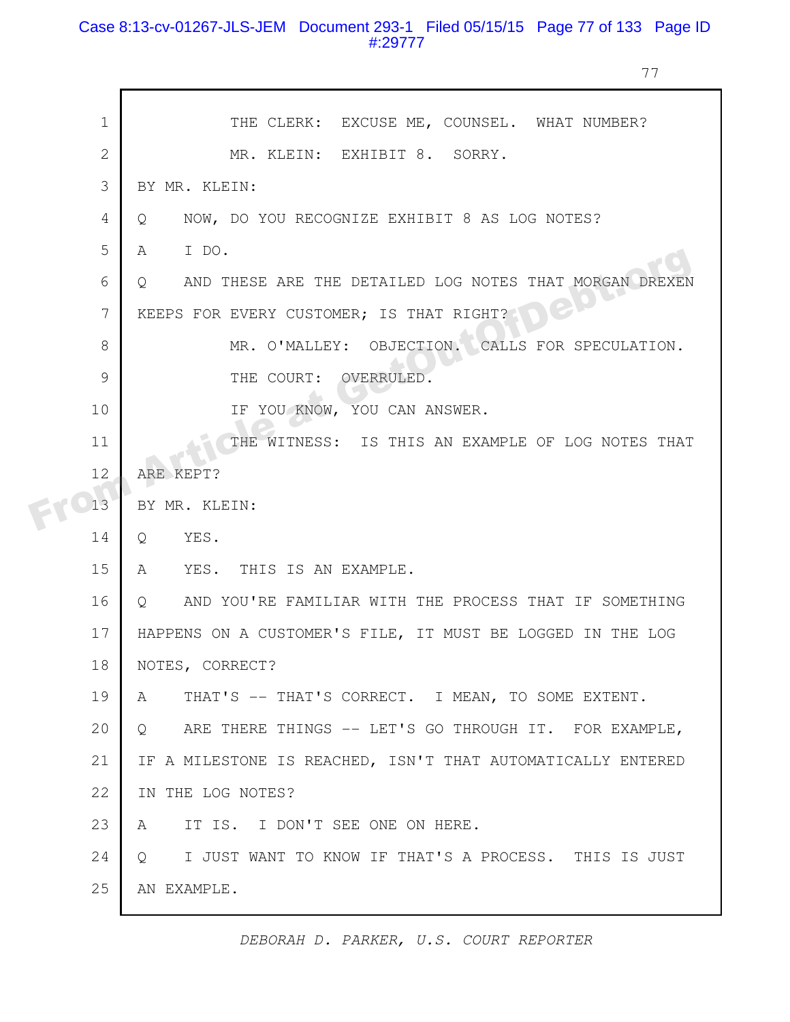# Case 8:13-cv-01267-JLS-JEM Document 293-1 Filed 05/15/15 Page 77 of 133 Page ID #:29777

77

|  | $\mathbf{1}$   | THE CLERK: EXCUSE ME, COUNSEL. WHAT NUMBER?                        |
|--|----------------|--------------------------------------------------------------------|
|  | $\overline{2}$ | MR. KLEIN: EXHIBIT 8. SORRY.                                       |
|  | 3              | BY MR. KLEIN:                                                      |
|  | 4              | NOW, DO YOU RECOGNIZE EXHIBIT 8 AS LOG NOTES?<br>$\circ$           |
|  | 5              | I DO.<br>A                                                         |
|  | 6              | AND THESE ARE THE DETAILED LOG NOTES THAT MORGAN DREXEN<br>$\circ$ |
|  | 7              | KEEPS FOR EVERY CUSTOMER; IS THAT RIGHT?                           |
|  | 8              | MR. O'MALLEY: OBJECTION. CALLS FOR SPECULATION.                    |
|  | 9              | THE COURT: OVERRULED.                                              |
|  | 10             | IF YOU KNOW, YOU CAN ANSWER.                                       |
|  | 11             | THE WITNESS: IS THIS AN EXAMPLE OF LOG NOTES THAT                  |
|  | 12             | ARE KEPT?                                                          |
|  | 13             | BY MR. KLEIN:                                                      |
|  | 14             | YES.<br>Q                                                          |
|  | 15             | YES. THIS IS AN EXAMPLE.<br>A                                      |
|  | 16             | AND YOU'RE FAMILIAR WITH THE PROCESS THAT IF SOMETHING<br>$\circ$  |
|  | 17             | HAPPENS ON A CUSTOMER'S FILE, IT MUST BE LOGGED IN THE LOG         |
|  | 18             | NOTES, CORRECT?                                                    |
|  | 19             | THAT'S -- THAT'S CORRECT. I MEAN, TO SOME EXTENT.<br>$\mathbb{A}$  |
|  | 20             | ARE THERE THINGS -- LET'S GO THROUGH IT. FOR EXAMPLE,<br>$\circ$   |
|  | 21             | IF A MILESTONE IS REACHED, ISN'T THAT AUTOMATICALLY ENTERED        |
|  | 22             | IN THE LOG NOTES?                                                  |
|  | 23             | IT IS. I DON'T SEE ONE ON HERE.<br>A                               |
|  | 24             | I JUST WANT TO KNOW IF THAT'S A PROCESS. THIS IS JUST<br>$\circ$   |
|  | 25             | AN EXAMPLE.                                                        |
|  |                |                                                                    |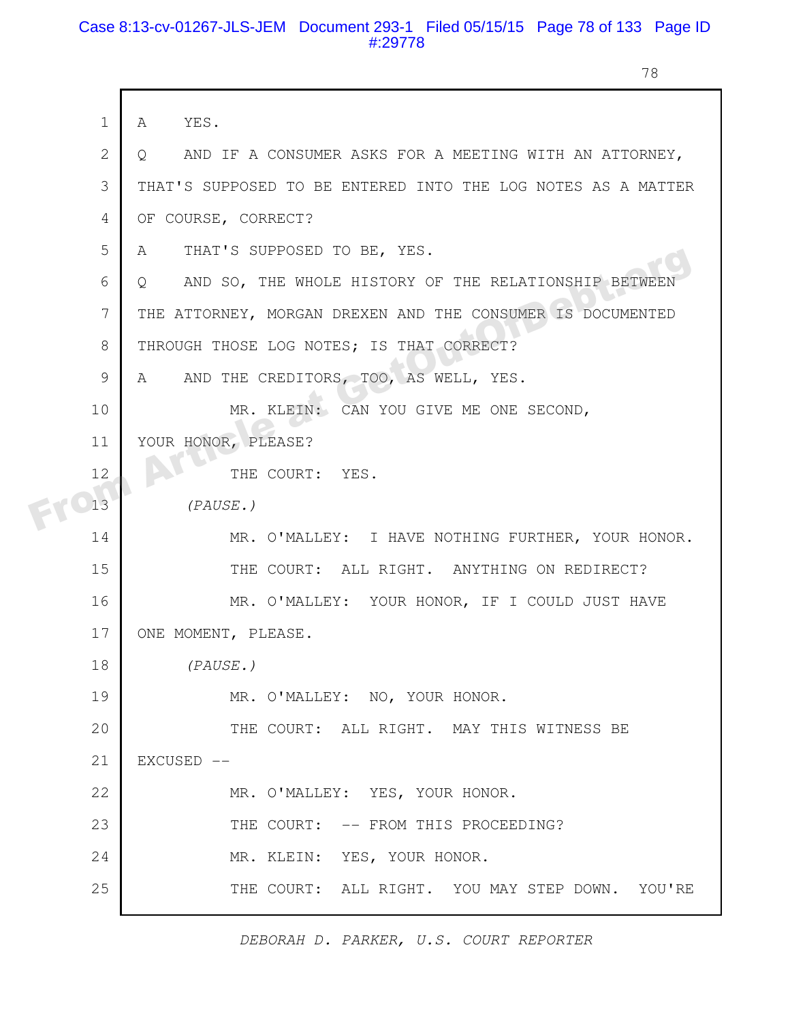### Case 8:13-cv-01267-JLS-JEM Document 293-1 Filed 05/15/15 Page 78 of 133 Page ID #:29778

г

78

|  | $\mathbf 1$   | YES.<br>A                                                        |
|--|---------------|------------------------------------------------------------------|
|  | 2             | AND IF A CONSUMER ASKS FOR A MEETING WITH AN ATTORNEY,<br>O.     |
|  | 3             | THAT'S SUPPOSED TO BE ENTERED INTO THE LOG NOTES AS A MATTER     |
|  | 4             | OF COURSE, CORRECT?                                              |
|  | 5             | THAT'S SUPPOSED TO BE, YES.<br>A                                 |
|  | 6             | AND SO, THE WHOLE HISTORY OF THE RELATIONSHIP BETWEEN<br>$\circ$ |
|  | 7             | THE ATTORNEY, MORGAN DREXEN AND THE CONSUMER IS DOCUMENTED       |
|  | 8             | THROUGH THOSE LOG NOTES; IS THAT CORRECT?                        |
|  | $\mathcal{G}$ | AND THE CREDITORS, TOO, AS WELL, YES.<br>A                       |
|  | 10            | MR. KLEIN: CAN YOU GIVE ME ONE SECOND,                           |
|  | 11            | YOUR HONOR, PLEASE?                                              |
|  | 12            | THE COURT: YES.                                                  |
|  | 13            | (PAUSE.)                                                         |
|  | 14            | MR. O'MALLEY: I HAVE NOTHING FURTHER, YOUR HONOR.                |
|  | 15            | THE COURT: ALL RIGHT. ANYTHING ON REDIRECT?                      |
|  | 16            | MR. O'MALLEY: YOUR HONOR, IF I COULD JUST HAVE                   |
|  | 17            | ONE MOMENT, PLEASE.                                              |
|  | 18            | (PAUSE.)                                                         |
|  | 19            | MR. O'MALLEY: NO, YOUR HONOR.                                    |
|  | 20            | THE COURT: ALL RIGHT. MAY THIS WITNESS BE                        |
|  | 21            | EXCUSED --                                                       |
|  | 22            | MR. O'MALLEY: YES, YOUR HONOR.                                   |
|  | 23            | THE COURT: -- FROM THIS PROCEEDING?                              |
|  | 24            | MR. KLEIN: YES, YOUR HONOR.                                      |
|  | 25            | THE COURT: ALL RIGHT. YOU MAY STEP DOWN. YOU'RE                  |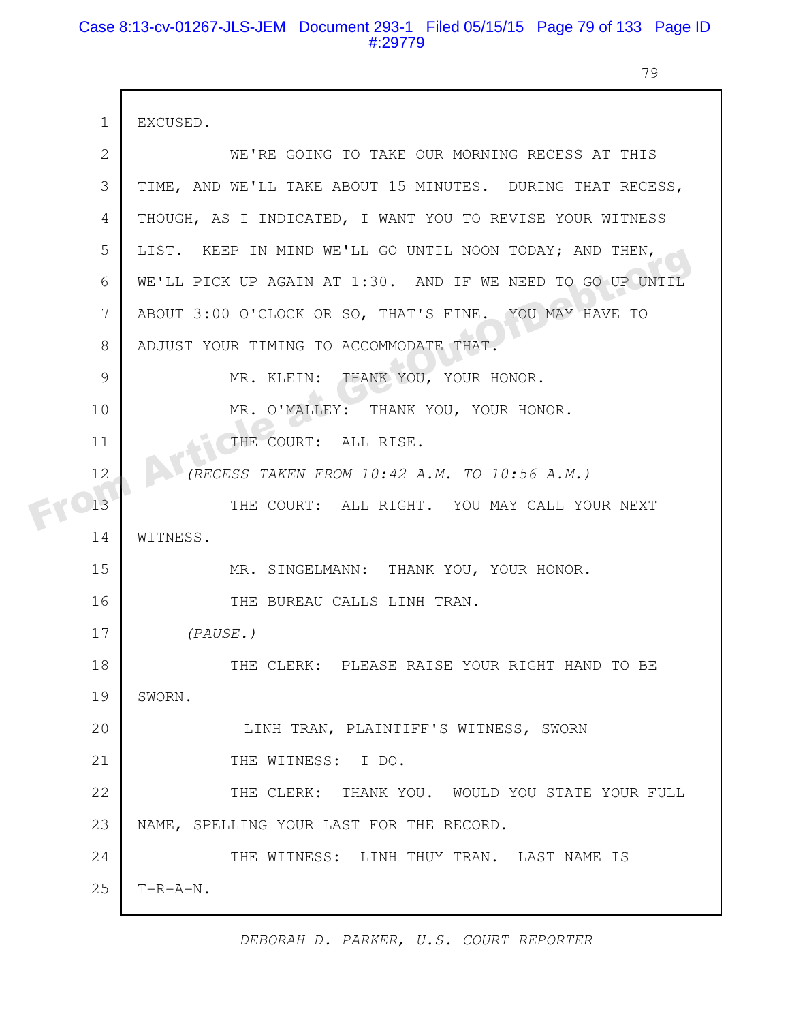# Case 8:13-cv-01267-JLS-JEM Document 293-1 Filed 05/15/15 Page 79 of 133 Page ID #:29779

79

|  | $\mathbf{1}$ | EXCUSED.                                                   |
|--|--------------|------------------------------------------------------------|
|  | 2            | WE'RE GOING TO TAKE OUR MORNING RECESS AT THIS             |
|  | 3            | TIME, AND WE'LL TAKE ABOUT 15 MINUTES. DURING THAT RECESS, |
|  | 4            | THOUGH, AS I INDICATED, I WANT YOU TO REVISE YOUR WITNESS  |
|  | 5            | LIST. KEEP IN MIND WE'LL GO UNTIL NOON TODAY; AND THEN,    |
|  | 6            | WE'LL PICK UP AGAIN AT 1:30. AND IF WE NEED TO GO UP UNTIL |
|  | 7            | ABOUT 3:00 O'CLOCK OR SO, THAT'S FINE. YOU MAY HAVE TO     |
|  | 8            | ADJUST YOUR TIMING TO ACCOMMODATE THAT.                    |
|  | 9            | MR. KLEIN: THANK YOU, YOUR HONOR.                          |
|  | 10           | MR. O'MALLEY: THANK YOU, YOUR HONOR.                       |
|  | 11           | THE COURT: ALL RISE.                                       |
|  | 12           | (RECESS TAKEN FROM 10:42 A.M. TO 10:56 A.M.)               |
|  | 13           | THE COURT: ALL RIGHT. YOU MAY CALL YOUR NEXT               |
|  | 14           | WITNESS.                                                   |
|  | 15           | MR. SINGELMANN: THANK YOU, YOUR HONOR.                     |
|  | 16           | THE BUREAU CALLS LINH TRAN.                                |
|  | 17           | (PAUSE.)                                                   |
|  | 18           | THE CLERK: PLEASE RAISE YOUR RIGHT HAND TO BE              |
|  | 19           | SWORN.                                                     |
|  | 20           | LINH TRAN, PLAINTIFF'S WITNESS, SWORN                      |
|  | 21           | THE WITNESS: I DO.                                         |
|  | 22           | THE CLERK: THANK YOU. WOULD YOU STATE YOUR FULL            |
|  | 23           | NAME, SPELLING YOUR LAST FOR THE RECORD.                   |
|  | 24           | THE WITNESS: LINH THUY TRAN. LAST NAME IS                  |
|  | 25           | $T-R-A-N$ .                                                |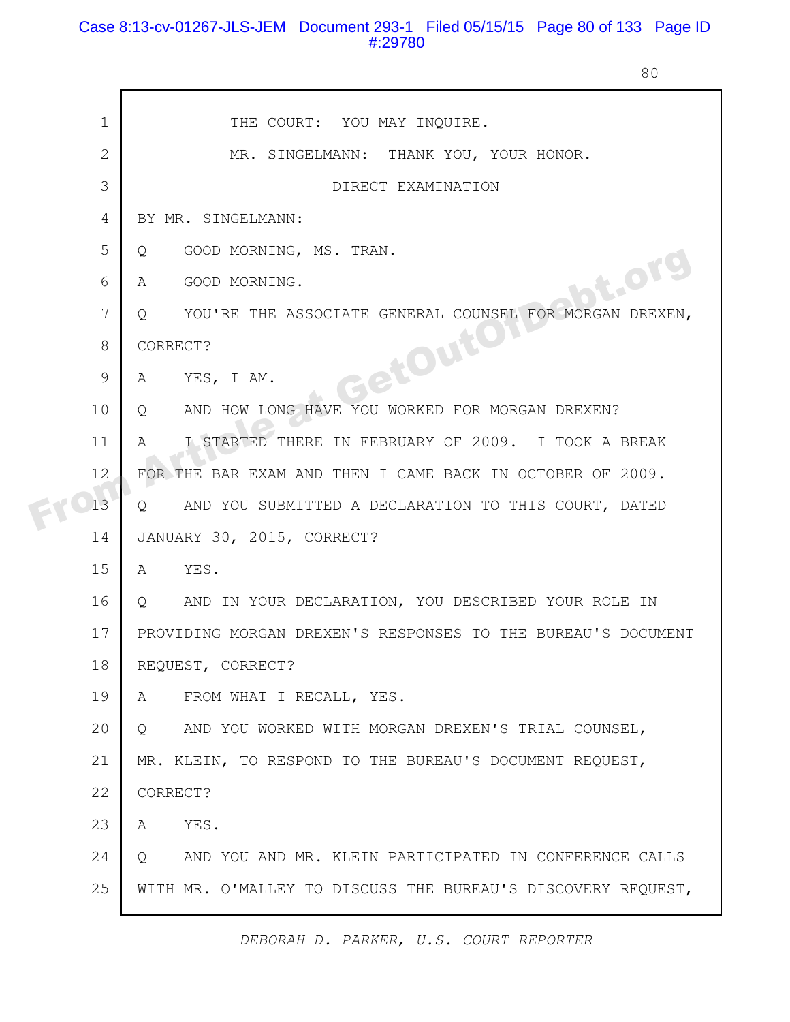# Case 8:13-cv-01267-JLS-JEM Document 293-1 Filed 05/15/15 Page 80 of 133 Page ID #:29780

80

|  | $\mathbf 1$    | THE COURT: YOU MAY INQUIRE.                                              |
|--|----------------|--------------------------------------------------------------------------|
|  | $\overline{2}$ | MR. SINGELMANN: THANK YOU, YOUR HONOR.                                   |
|  | 3              | DIRECT EXAMINATION                                                       |
|  | 4              | BY MR. SINGELMANN:                                                       |
|  | 5              | GOOD MORNING, MS. TRAN.<br>Q                                             |
|  | 6              | bt.org<br>GOOD MORNING.<br>A                                             |
|  | 7              | YOU'RE THE ASSOCIATE GENERAL COUNSEL FOR MORGAN DREXEN,<br>Q             |
|  | 8              | CORRECT?                                                                 |
|  | 9              | GetOuton<br>YES, I AM.<br>A                                              |
|  | 10             | AND HOW LONG HAVE YOU WORKED FOR MORGAN DREXEN?<br>$Q_{\rm max}$         |
|  | 11             | I STARTED THERE IN FEBRUARY OF 2009. I TOOK A BREAK<br>A                 |
|  | 12             | FOR THE BAR EXAM AND THEN I CAME BACK IN OCTOBER OF 2009.                |
|  | 13             | AND YOU SUBMITTED A DECLARATION TO THIS COURT, DATED<br>$\circ$          |
|  | 14             | JANUARY 30, 2015, CORRECT?                                               |
|  | 15             | YES.<br>A                                                                |
|  | 16             | AND IN YOUR DECLARATION, YOU DESCRIBED YOUR ROLE IN<br>$Q \qquad \qquad$ |
|  | 17             | PROVIDING MORGAN DREXEN'S RESPONSES TO THE BUREAU'S DOCUMENT             |
|  | 18             | REQUEST, CORRECT?                                                        |
|  | 19             | FROM WHAT I RECALL, YES.<br>A                                            |
|  | 20             | AND YOU WORKED WITH MORGAN DREXEN'S TRIAL COUNSEL,<br>Q                  |
|  | 21             | MR. KLEIN, TO RESPOND TO THE BUREAU'S DOCUMENT REQUEST,                  |
|  | 22             | CORRECT?                                                                 |
|  | 23             | YES.<br>A                                                                |
|  | 24             | AND YOU AND MR. KLEIN PARTICIPATED IN CONFERENCE CALLS<br>Q              |
|  | 25             | WITH MR. O'MALLEY TO DISCUSS THE BUREAU'S DISCOVERY REQUEST,             |
|  |                |                                                                          |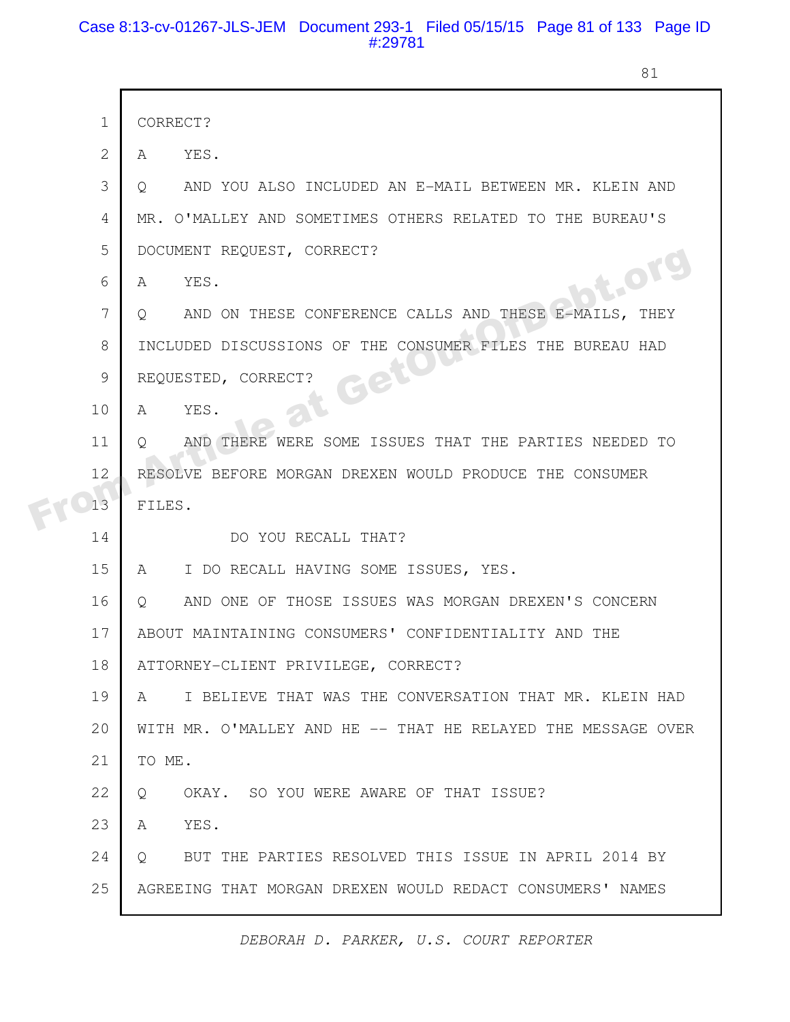# Case 8:13-cv-01267-JLS-JEM Document 293-1 Filed 05/15/15 Page 81 of 133 Page ID #:29781

81

|  | $\mathbf 1$  | CORRECT?                                                         |
|--|--------------|------------------------------------------------------------------|
|  | $\mathbf{2}$ | YES.<br>A                                                        |
|  | 3            | AND YOU ALSO INCLUDED AN E-MAIL BETWEEN MR. KLEIN AND<br>Q.      |
|  | 4            | MR. O'MALLEY AND SOMETIMES OTHERS RELATED TO THE BUREAU'S        |
|  | 5            | DOCUMENT REQUEST, CORRECT?                                       |
|  | 6            | bt.org<br>YES.<br>A                                              |
|  | 7            | AND ON THESE CONFERENCE CALLS AND THESE E-MAILS, THEY<br>Q       |
|  | 8            | INCLUDED DISCUSSIONS OF THE CONSUMER FILES THE BUREAU HAD        |
|  | 9            | Get<br>REQUESTED, CORRECT?                                       |
|  | 10           | YES.<br>A                                                        |
|  | 11           | AND THERE WERE SOME ISSUES THAT THE PARTIES NEEDED TO<br>$\circ$ |
|  | 12           | RESOLVE BEFORE MORGAN DREXEN WOULD PRODUCE THE CONSUMER          |
|  | 13           | FILES.                                                           |
|  | 14           | DO YOU RECALL THAT?                                              |
|  | 15           | I DO RECALL HAVING SOME ISSUES, YES.<br>$\mathsf A$              |
|  | 16           | AND ONE OF THOSE ISSUES WAS MORGAN DREXEN'S CONCERN<br>$\circ$   |
|  | 17           | ABOUT MAINTAINING CONSUMERS' CONFIDENTIALITY AND THE             |
|  | 18           | ATTORNEY-CLIENT PRIVILEGE, CORRECT?                              |
|  | 19           | I BELIEVE THAT WAS THE CONVERSATION THAT MR. KLEIN HAD<br>A      |
|  | 20           | WITH MR. O'MALLEY AND HE -- THAT HE RELAYED THE MESSAGE OVER     |
|  | 21           | TO ME.                                                           |
|  | 22           | OKAY. SO YOU WERE AWARE OF THAT ISSUE?<br>$\circ$                |
|  | 23           | YES.<br>A                                                        |
|  | 24           | BUT THE PARTIES RESOLVED THIS ISSUE IN APRIL 2014 BY<br>$\circ$  |
|  | 25           | AGREEING THAT MORGAN DREXEN WOULD REDACT CONSUMERS' NAMES        |
|  |              |                                                                  |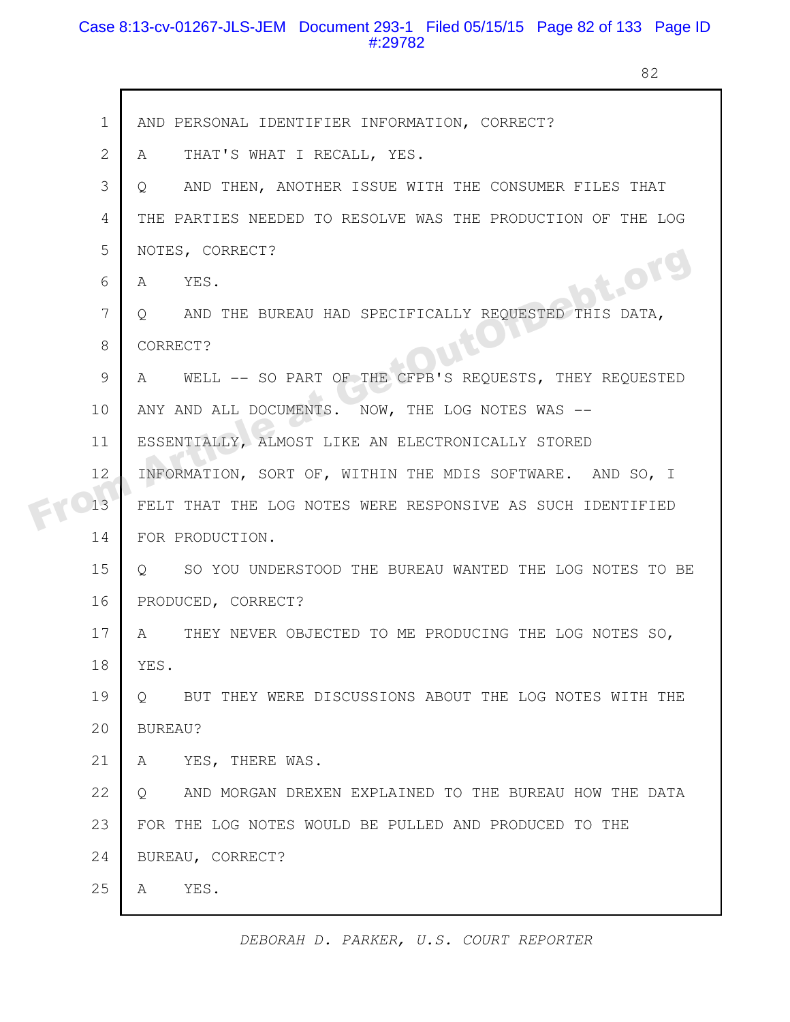# Case 8:13-cv-01267-JLS-JEM Document 293-1 Filed 05/15/15 Page 82 of 133 Page ID #:29782

 $\mathsf{r}$ 

82

| $\mathbf 1$   | AND PERSONAL IDENTIFIER INFORMATION, CORRECT?                            |
|---------------|--------------------------------------------------------------------------|
| $\mathbf{2}$  | THAT'S WHAT I RECALL, YES.<br>A                                          |
| 3             | AND THEN, ANOTHER ISSUE WITH THE CONSUMER FILES THAT<br>$\circ$          |
| 4             | THE PARTIES NEEDED TO RESOLVE WAS THE PRODUCTION OF THE LOG              |
| 5             | NOTES, CORRECT?                                                          |
| 6             | bt.org<br>A YES.                                                         |
| 7             | AND THE BUREAU HAD SPECIFICALLY REQUESTED THIS DATA,<br>$\circ$ $\circ$  |
| 8             | CORRECT?                                                                 |
| $\mathcal{G}$ | WELL -- SO PART OF THE CFPB'S REQUESTS, THEY REQUESTED<br>A              |
| 10            | ANY AND ALL DOCUMENTS. NOW, THE LOG NOTES WAS --                         |
| 11            | ESSENTIALLY, ALMOST LIKE AN ELECTRONICALLY STORED                        |
| 12            | INFORMATION, SORT OF, WITHIN THE MDIS SOFTWARE. AND SO, I                |
| 13            | FELT THAT THE LOG NOTES WERE RESPONSIVE AS SUCH IDENTIFIED               |
| 14            | FOR PRODUCTION.                                                          |
| 15            | SO YOU UNDERSTOOD THE BUREAU WANTED THE LOG NOTES TO BE<br>$\circ$       |
| 16            | PRODUCED, CORRECT?                                                       |
| 17            | THEY NEVER OBJECTED TO ME PRODUCING THE LOG NOTES SO,<br>A               |
| 18            | YES.                                                                     |
| 19            | BUT THEY WERE DISCUSSIONS ABOUT THE LOG NOTES WITH THE<br>$\circ$        |
| 20            | BUREAU?                                                                  |
| 21            | YES, THERE WAS.<br>A                                                     |
| 22            | AND MORGAN DREXEN EXPLAINED TO THE BUREAU HOW THE DATA<br>$\overline{Q}$ |
| 23            | FOR THE LOG NOTES WOULD BE PULLED AND PRODUCED TO THE                    |
| 24            | BUREAU, CORRECT?                                                         |
| 25            | YES.<br>A                                                                |
|               |                                                                          |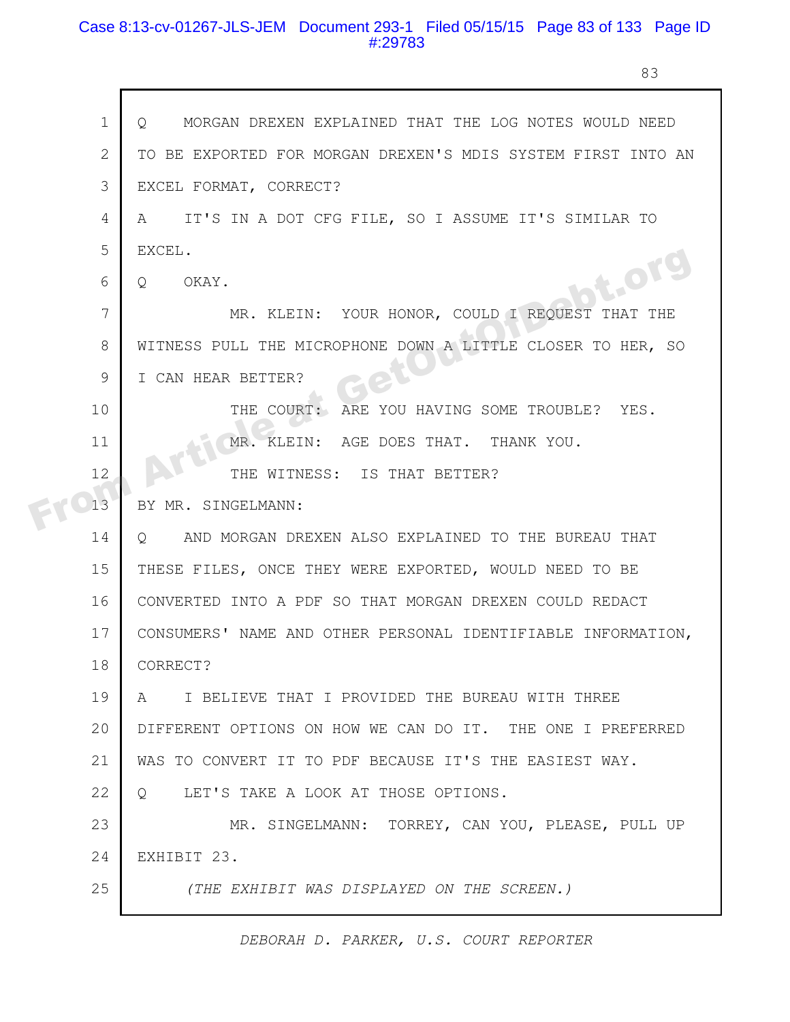# Case 8:13-cv-01267-JLS-JEM Document 293-1 Filed 05/15/15 Page 83 of 133 Page ID #:29783

r

83

| $\mathbf 1$<br>MORGAN DREXEN EXPLAINED THAT THE LOG NOTES WOULD NEED<br>O    |
|------------------------------------------------------------------------------|
| $\mathbf{2}$<br>TO BE EXPORTED FOR MORGAN DREXEN'S MDIS SYSTEM FIRST INTO AN |
| 3<br>EXCEL FORMAT, CORRECT?                                                  |
| IT'S IN A DOT CFG FILE, SO I ASSUME IT'S SIMILAR TO<br>4<br>A                |
| 5<br>EXCEL.                                                                  |
| bt.org<br>6<br>OKAY.<br>$Q_{\cdot}$                                          |
| 7<br>MR. KLEIN: YOUR HONOR, COULD I REQUEST THAT THE                         |
| 8<br>WITNESS PULL THE MICROPHONE DOWN A LITTLE CLOSER TO HER, SO             |
| 9<br>I CAN HEAR BETTER?                                                      |
| 10<br>ARE YOU HAVING SOME TROUBLE?<br>THE COURT:<br>YES.                     |
| 11<br>MR. KLEIN: AGE DOES THAT. THANK YOU.                                   |
| 12<br>THE WITNESS: IS THAT BETTER?                                           |
| 13<br>BY MR. SINGELMANN:                                                     |
| 14<br>AND MORGAN DREXEN ALSO EXPLAINED TO THE BUREAU THAT<br>$\circ$         |
| 15<br>THESE FILES, ONCE THEY WERE EXPORTED, WOULD NEED TO BE                 |
| 16<br>CONVERTED INTO A PDF SO THAT MORGAN DREXEN COULD REDACT                |
| 17<br>CONSUMERS' NAME AND OTHER PERSONAL IDENTIFIABLE INFORMATION,           |
| 18<br>CORRECT?                                                               |
| 19<br>I BELIEVE THAT I PROVIDED THE BUREAU WITH THREE<br>A                   |
| DIFFERENT OPTIONS ON HOW WE CAN DO IT. THE ONE I PREFERRED<br>20             |
| 21<br>WAS TO CONVERT IT TO PDF BECAUSE IT'S THE EASIEST WAY.                 |
| 22<br>LET'S TAKE A LOOK AT THOSE OPTIONS.<br>$\circ$                         |
| 23<br>MR. SINGELMANN: TORREY, CAN YOU, PLEASE, PULL UP                       |
| 24<br>EXHIBIT 23.                                                            |
| 25<br>(THE EXHIBIT WAS DISPLAYED ON THE SCREEN.)                             |
|                                                                              |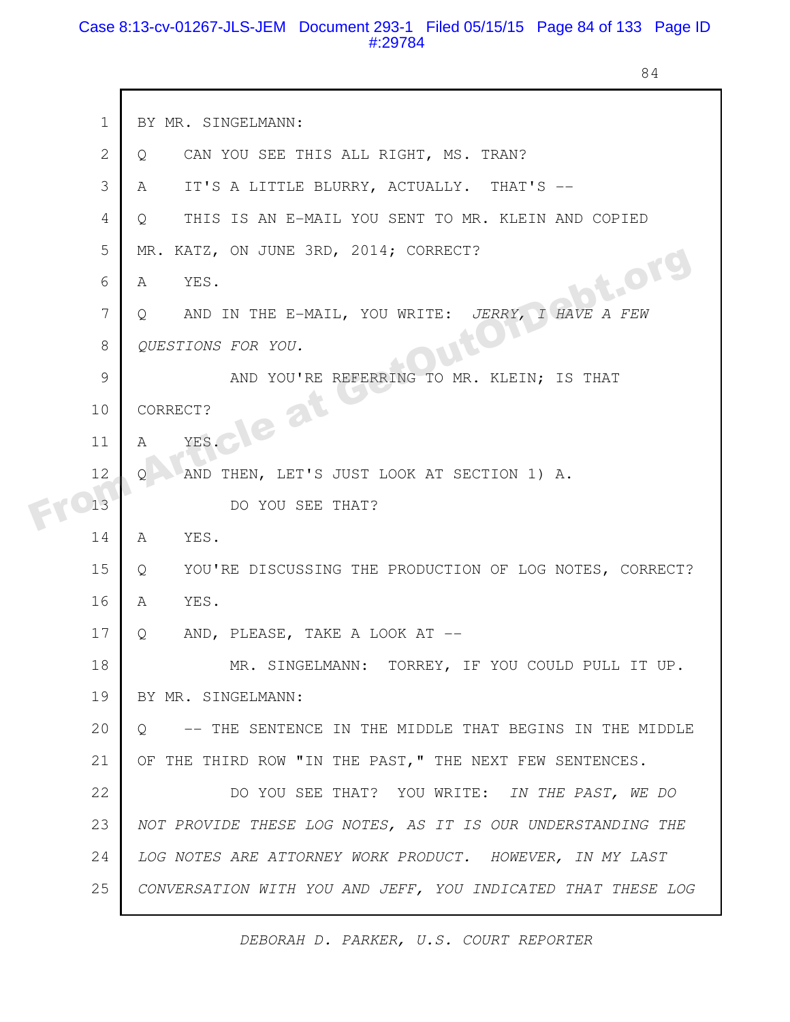### Case 8:13-cv-01267-JLS-JEM Document 293-1 Filed 05/15/15 Page 84 of 133 Page ID #:29784

84

| $\mathbf 1$    | BY MR. SINGELMANN:                                                 |
|----------------|--------------------------------------------------------------------|
| $\mathbf{2}$   | CAN YOU SEE THIS ALL RIGHT, MS. TRAN?<br>Q.                        |
| 3              | IT'S A LITTLE BLURRY, ACTUALLY. THAT'S --<br>A                     |
| $\overline{4}$ | THIS IS AN E-MAIL YOU SENT TO MR. KLEIN AND COPIED<br>Q            |
| 5              | MR. KATZ, ON JUNE 3RD, 2014; CORRECT?                              |
| 6              | <b>bt.org</b><br>YES.<br>A                                         |
| 7              | AND IN THE E-MAIL, YOU WRITE: JERRY, I HAVE A FEW<br>Q             |
| 8              | QUESTIONS FOR YOU.                                                 |
| $\mathcal{G}$  | AND YOU'RE REFERRING TO MR. KLEIN; IS THAT                         |
| 10             | le at<br>CORRECT?                                                  |
| 11             | YES.<br>А                                                          |
| 12             | AND THEN, LET'S JUST LOOK AT SECTION 1) A.<br>Ω                    |
| 13             | DO YOU SEE THAT?                                                   |
| 14             | YES.<br>A                                                          |
| 15             | YOU'RE DISCUSSING THE PRODUCTION OF LOG NOTES, CORRECT?<br>Q       |
| 16             | A<br>YES.                                                          |
| 17             | AND, PLEASE, TAKE A LOOK AT --<br>Q                                |
| 18             | TORREY, IF YOU COULD PULL IT UP.<br>MR. SINGELMANN:                |
| 19             | BY MR. SINGELMANN:                                                 |
| 20             | -- THE SENTENCE IN THE MIDDLE THAT BEGINS IN THE MIDDLE<br>$\circ$ |
| 21             | OF THE THIRD ROW "IN THE PAST," THE NEXT FEW SENTENCES.            |
| 22             | DO YOU SEE THAT? YOU WRITE: IN THE PAST, WE DO                     |
| 23             | NOT PROVIDE THESE LOG NOTES, AS IT IS OUR UNDERSTANDING THE        |
| 24             | LOG NOTES ARE ATTORNEY WORK PRODUCT. HOWEVER, IN MY LAST           |
| 25             | CONVERSATION WITH YOU AND JEFF, YOU INDICATED THAT THESE LOG       |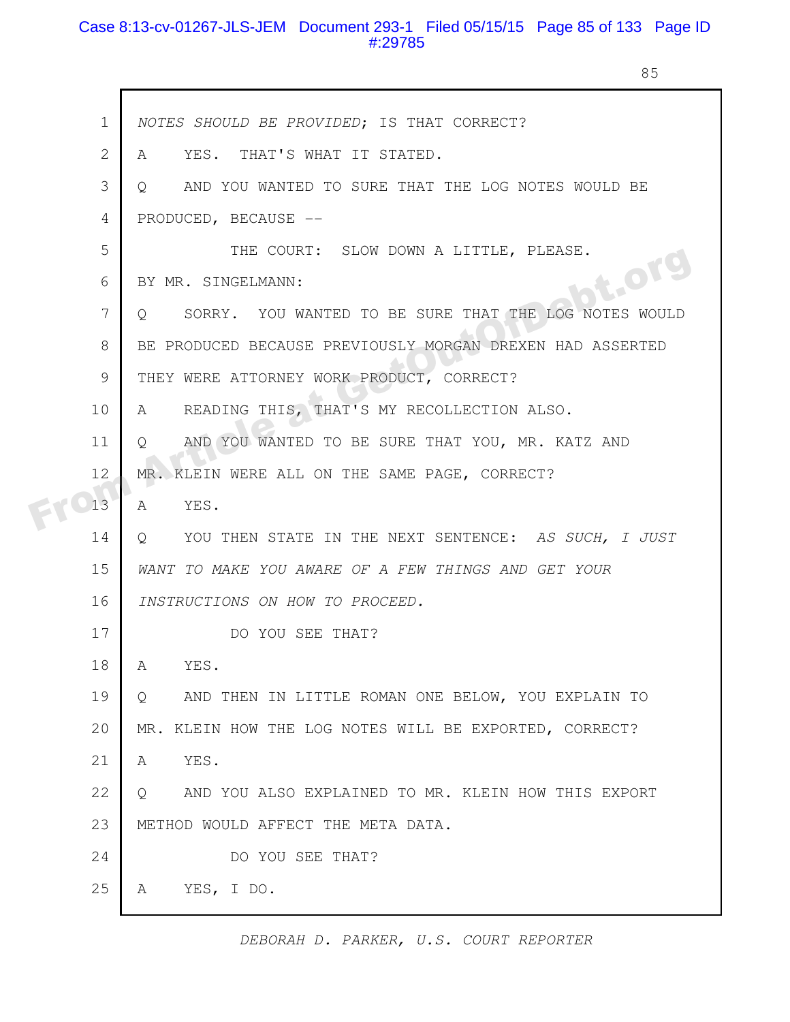# Case 8:13-cv-01267-JLS-JEM Document 293-1 Filed 05/15/15 Page 85 of 133 Page ID #:29785

85

|  | $\mathbf 1$    | NOTES SHOULD BE PROVIDED; IS THAT CORRECT?                       |
|--|----------------|------------------------------------------------------------------|
|  | $\overline{2}$ | YES. THAT'S WHAT IT STATED.<br>A                                 |
|  | 3              | AND YOU WANTED TO SURE THAT THE LOG NOTES WOULD BE<br>$\circ$    |
|  | 4              | PRODUCED, BECAUSE --                                             |
|  | 5              | THE COURT: SLOW DOWN A LITTLE, PLEASE.                           |
|  | 6              | bt.org<br>BY MR. SINGELMANN:                                     |
|  | 7              | SORRY. YOU WANTED TO BE SURE THAT THE LOG NOTES WOULD<br>$\circ$ |
|  | 8              | BE PRODUCED BECAUSE PREVIOUSLY MORGAN DREXEN HAD ASSERTED        |
|  | 9              | THEY WERE ATTORNEY WORK PRODUCT, CORRECT?                        |
|  | 10             | READING THIS, THAT'S MY RECOLLECTION ALSO.<br>A                  |
|  | 11             | AND YOU WANTED TO BE SURE THAT YOU, MR. KATZ AND<br>O            |
|  | 12             | MR. KLEIN WERE ALL ON THE SAME PAGE, CORRECT?                    |
|  | 13             | YES.<br>A                                                        |
|  | 14             | YOU THEN STATE IN THE NEXT SENTENCE: AS SUCH, I JUST<br>Q        |
|  | 15             | WANT TO MAKE YOU AWARE OF A FEW THINGS AND GET YOUR              |
|  | 16             | INSTRUCTIONS ON HOW TO PROCEED.                                  |
|  | 17             | DO YOU SEE THAT?                                                 |
|  | 18             | YES.<br>A                                                        |
|  | 19             | AND THEN IN LITTLE ROMAN ONE BELOW, YOU EXPLAIN TO<br>Q          |
|  | 20             | MR. KLEIN HOW THE LOG NOTES WILL BE EXPORTED, CORRECT?           |
|  | 21             | YES.<br>A                                                        |
|  | 22             | AND YOU ALSO EXPLAINED TO MR. KLEIN HOW THIS EXPORT<br>Q         |
|  | 23             | METHOD WOULD AFFECT THE META DATA.                               |
|  | 24             | DO YOU SEE THAT?                                                 |
|  | 25             | YES, I DO.<br>A                                                  |
|  |                |                                                                  |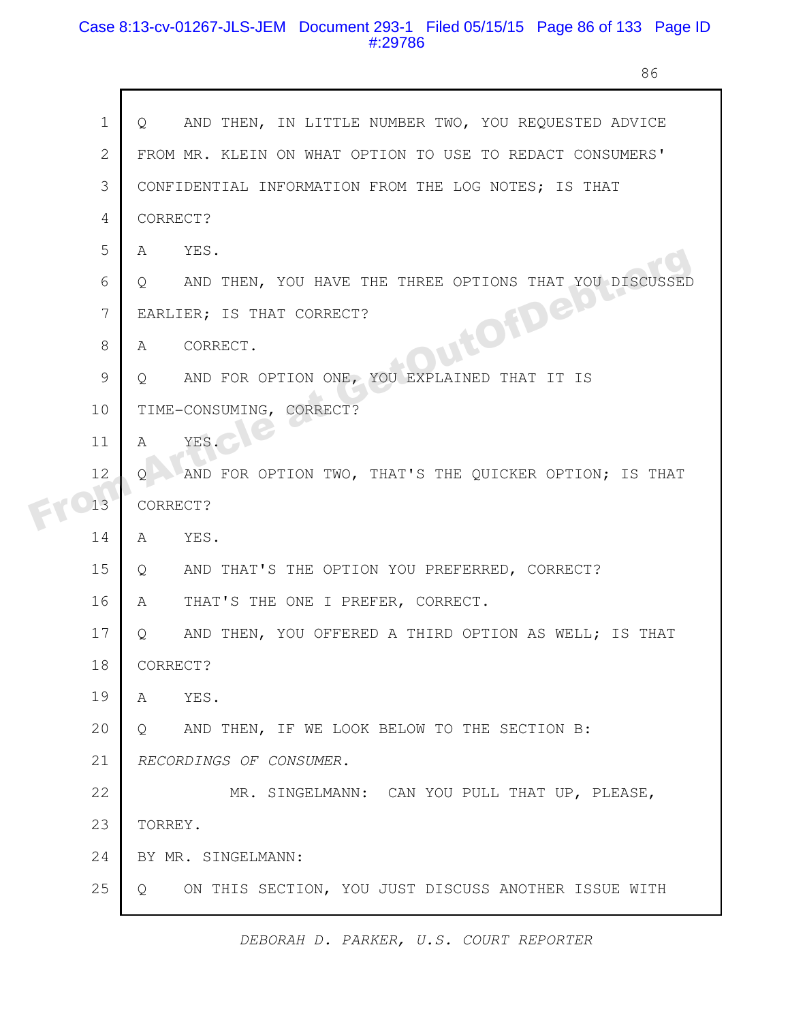### Case 8:13-cv-01267-JLS-JEM Document 293-1 Filed 05/15/15 Page 86 of 133 Page ID #:29786

 $\mathbf{r}$ 

86

| $\mathbf{1}$   | AND THEN, IN LITTLE NUMBER TWO, YOU REQUESTED ADVICE<br>$\circ$ |
|----------------|-----------------------------------------------------------------|
| $\overline{2}$ | FROM MR. KLEIN ON WHAT OPTION TO USE TO REDACT CONSUMERS'       |
| 3              | CONFIDENTIAL INFORMATION FROM THE LOG NOTES; IS THAT            |
| 4              | CORRECT?                                                        |
| 5              | YES.<br>A                                                       |
| 6              | AND THEN, YOU HAVE THE THREE OPTIONS THAT YOU DISCUSSED<br>Q    |
| 7              | <b>QuitOfDefo</b><br>EARLIER; IS THAT CORRECT?                  |
| 8              | CORRECT.<br>A                                                   |
| 9              | AND FOR OPTION ONE, YOU EXPLAINED THAT IT IS<br>Q               |
| 10             | TIME-CONSUMING, CORRECT?                                        |
| 11             | YES.<br>$\mathcal{A}$                                           |
| 12             | AND FOR OPTION TWO, THAT'S THE QUICKER OPTION; IS THAT<br>Ő     |
| 13             | CORRECT?                                                        |
| 14             | YES.<br>A                                                       |
| 15             | AND THAT'S THE OPTION YOU PREFERRED, CORRECT?<br>$\circ$        |
| 16             | THAT'S THE ONE I PREFER, CORRECT.<br>A                          |
| 17             | AND THEN, YOU OFFERED A THIRD OPTION AS WELL; IS THAT<br>Q      |
| 18             | CORRECT?                                                        |
| 19             | YES.<br>A                                                       |
| 20             | AND THEN, IF WE LOOK BELOW TO THE SECTION B:<br>$\circ$         |
| 21             | RECORDINGS OF CONSUMER.                                         |
| 22             | MR. SINGELMANN: CAN YOU PULL THAT UP, PLEASE,                   |
| 23             | TORREY.                                                         |
| 24             | BY MR. SINGELMANN:                                              |
| 25             | ON THIS SECTION, YOU JUST DISCUSS ANOTHER ISSUE WITH<br>$\circ$ |
|                |                                                                 |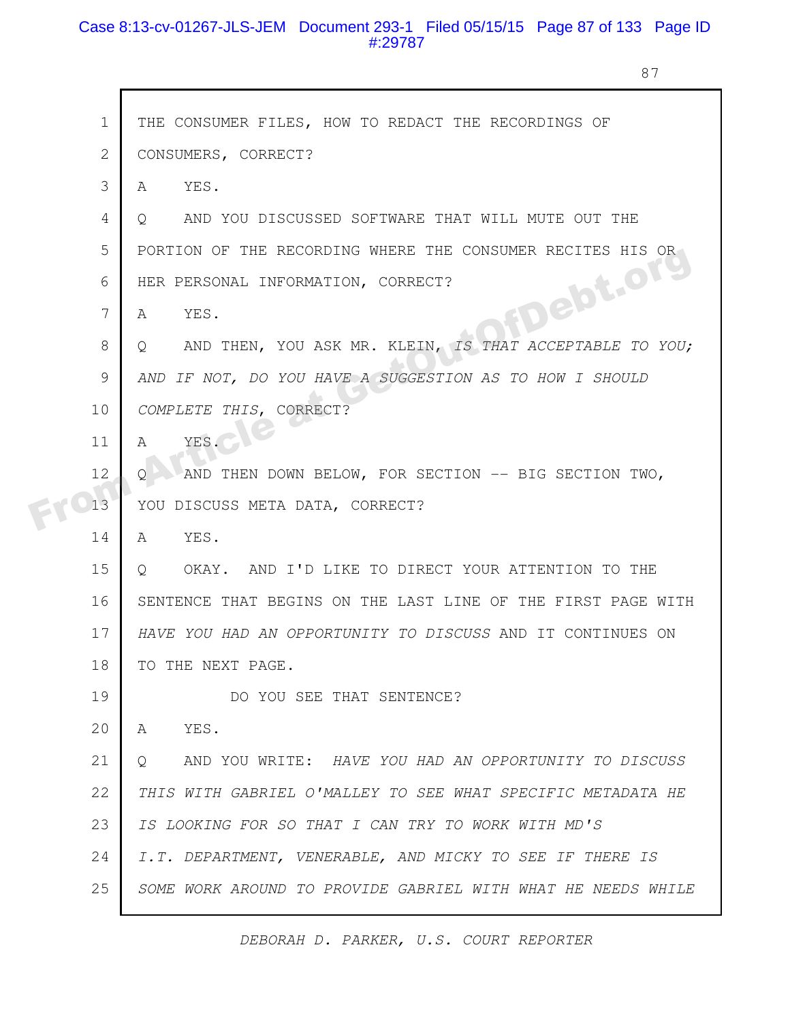# Case 8:13-cv-01267-JLS-JEM Document 293-1 Filed 05/15/15 Page 87 of 133 Page ID #:29787

 $\mathsf{r}$ 

87

| $\mathbf 1$  | THE CONSUMER FILES, HOW TO REDACT THE RECORDINGS OF                |
|--------------|--------------------------------------------------------------------|
| $\mathbf{2}$ | CONSUMERS, CORRECT?                                                |
| 3            | YES.<br>A                                                          |
| 4            | AND YOU DISCUSSED SOFTWARE THAT WILL MUTE OUT THE<br>$\circ$       |
| 5            | PORTION OF THE RECORDING WHERE THE CONSUMER RECITES HIS OR         |
| 6            | FDebt.org<br>HER PERSONAL INFORMATION, CORRECT?                    |
| 7            | YES.<br>A                                                          |
| 8            | AND THEN, YOU ASK MR. KLEIN, IS THAT ACCEPTABLE TO YOU;<br>$\circ$ |
| 9            | AND IF NOT, DO YOU HAVE A SUGGESTION AS TO HOW I SHOULD            |
| 10           | COMPLETE THIS, CORRECT?                                            |
| 11           | YES.<br>$\mathbb A$                                                |
| 12           | AND THEN DOWN BELOW, FOR SECTION -- BIG SECTION TWO,<br>O          |
| 13           | YOU DISCUSS META DATA, CORRECT?                                    |
| 14           | YES.<br>A                                                          |
| 15           | OKAY. AND I'D LIKE TO DIRECT YOUR ATTENTION TO THE<br>$\circ$      |
| 16           | SENTENCE THAT BEGINS ON THE LAST LINE OF THE FIRST PAGE WITH       |
| 17           | HAVE YOU HAD AN OPPORTUNITY TO DISCUSS AND IT CONTINUES ON         |
| 18           | TO THE NEXT PAGE.                                                  |
| 19           | DO YOU SEE THAT SENTENCE?                                          |
| 20           | YES.<br>A                                                          |
| 21           | AND YOU WRITE: HAVE YOU HAD AN OPPORTUNITY TO DISCUSS<br>Ő         |
| 22           | THIS WITH GABRIEL O'MALLEY TO SEE WHAT SPECIFIC METADATA HE        |
| 23           | IS LOOKING FOR SO THAT I CAN TRY TO WORK WITH MD'S                 |
| 24           | I.T. DEPARTMENT, VENERABLE, AND MICKY TO SEE IF THERE IS           |
| 25           | SOME WORK AROUND TO PROVIDE GABRIEL WITH WHAT HE NEEDS WHILE       |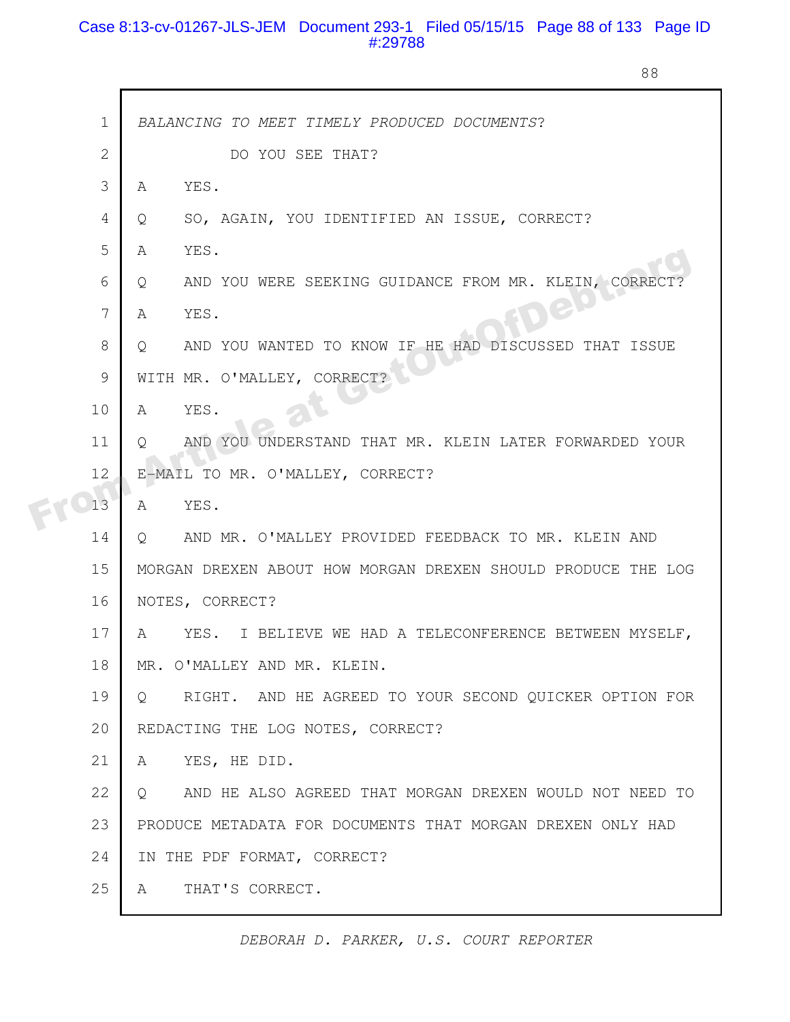# Case 8:13-cv-01267-JLS-JEM Document 293-1 Filed 05/15/15 Page 88 of 133 Page ID #:29788

88

|  | $\mathbf 1$  | BALANCING TO MEET TIMELY PRODUCED DOCUMENTS?                          |
|--|--------------|-----------------------------------------------------------------------|
|  | $\mathbf{2}$ | DO YOU SEE THAT?                                                      |
|  | 3            | YES.<br>A                                                             |
|  | 4            | SO, AGAIN, YOU IDENTIFIED AN ISSUE, CORRECT?<br>Q                     |
|  | 5            | YES.<br>A                                                             |
|  | 6            | AND YOU WERE SEEKING GUIDANCE FROM MR. KLEIN, CORRECT?<br>Q           |
|  | 7            | YES.<br>A                                                             |
|  | 8            | AND YOU WANTED TO KNOW IF HE HAD DISCUSSED THAT ISSUE<br>$\circ$      |
|  | 9            | WITH MR. O'MALLEY, CORRECT?                                           |
|  | 10           | YES.<br>A                                                             |
|  | 11           | AND YOU UNDERSTAND THAT MR. KLEIN LATER FORWARDED YOUR<br>0           |
|  | 12           | E-MAIL TO MR. O'MALLEY, CORRECT?                                      |
|  | 13           | YES.<br>A                                                             |
|  | 14           | AND MR. O'MALLEY PROVIDED FEEDBACK TO MR. KLEIN AND<br>Q              |
|  | 15           | MORGAN DREXEN ABOUT HOW MORGAN DREXEN SHOULD PRODUCE THE LOG          |
|  | 16           | NOTES, CORRECT?                                                       |
|  | 17           | YES. I BELIEVE WE HAD A TELECONFERENCE BETWEEN MYSELF,<br>A           |
|  | 18           | MR. O'MALLEY AND MR. KLEIN.                                           |
|  | 19           | RIGHT. AND HE AGREED TO YOUR SECOND QUICKER OPTION FOR<br>$Q_{\cdot}$ |
|  | 20           | REDACTING THE LOG NOTES, CORRECT?                                     |
|  | 21           | YES, HE DID.<br>A                                                     |
|  | 22           | AND HE ALSO AGREED THAT MORGAN DREXEN WOULD NOT NEED TO<br>Q          |
|  | 23           | PRODUCE METADATA FOR DOCUMENTS THAT MORGAN DREXEN ONLY HAD            |
|  | 24           | IN THE PDF FORMAT, CORRECT?                                           |
|  | 25           | THAT'S CORRECT.<br>Α                                                  |
|  |              |                                                                       |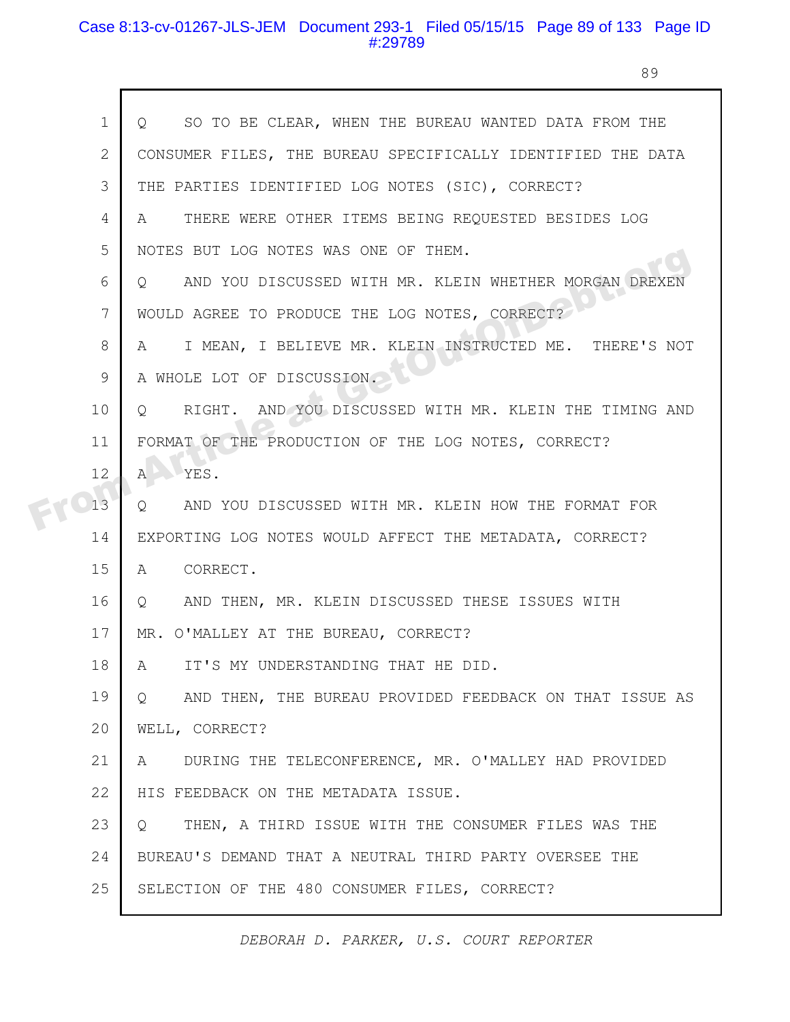# Case 8:13-cv-01267-JLS-JEM Document 293-1 Filed 05/15/15 Page 89 of 133 Page ID #:29789

 $\mathsf{r}$ 

89

| $\mathbf 1$    | SO TO BE CLEAR, WHEN THE BUREAU WANTED DATA FROM THE<br>Q             |
|----------------|-----------------------------------------------------------------------|
| $\overline{2}$ | CONSUMER FILES, THE BUREAU SPECIFICALLY IDENTIFIED THE DATA           |
| 3              | THE PARTIES IDENTIFIED LOG NOTES (SIC), CORRECT?                      |
| 4              | THERE WERE OTHER ITEMS BEING REQUESTED BESIDES LOG<br>A               |
| 5              | NOTES BUT LOG NOTES WAS ONE OF THEM.                                  |
| 6              | AND YOU DISCUSSED WITH MR. KLEIN WHETHER MORGAN DREXEN<br>$\circ$     |
| 7              | WOULD AGREE TO PRODUCE THE LOG NOTES, CORRECT?                        |
| 8              | I MEAN, I BELIEVE MR. KLEIN INSTRUCTED ME. THERE'S NOT<br>A           |
| 9              | A WHOLE LOT OF DISCUSSION.                                            |
| 10             | RIGHT. AND YOU DISCUSSED WITH MR. KLEIN THE TIMING AND<br>$Q_{\cdot}$ |
| 11             | FORMAT OF THE PRODUCTION OF THE LOG NOTES, CORRECT?                   |
| 12             | YES.<br>$\mathbb{A}$                                                  |
| 13             | AND YOU DISCUSSED WITH MR. KLEIN HOW THE FORMAT FOR<br>Q              |
| 14             | EXPORTING LOG NOTES WOULD AFFECT THE METADATA, CORRECT?               |
| 15             | CORRECT.<br>A                                                         |
| 16             | AND THEN, MR. KLEIN DISCUSSED THESE ISSUES WITH<br>Q                  |
| 17             | MR. O'MALLEY AT THE BUREAU, CORRECT?                                  |
| 18             | IT'S MY UNDERSTANDING THAT HE DID.<br>A                               |
| 19             | AND THEN, THE BUREAU PROVIDED FEEDBACK ON THAT ISSUE AS<br>$\circ$    |
| 20             | WELL, CORRECT?                                                        |
| 21             | DURING THE TELECONFERENCE, MR. O'MALLEY HAD PROVIDED<br>A             |
| 22             | HIS FEEDBACK ON THE METADATA ISSUE.                                   |
| 23             | THEN, A THIRD ISSUE WITH THE CONSUMER FILES WAS THE<br>$\circ$        |
| 24             | BUREAU'S DEMAND THAT A NEUTRAL THIRD PARTY OVERSEE THE                |
| 25             | SELECTION OF THE 480 CONSUMER FILES, CORRECT?                         |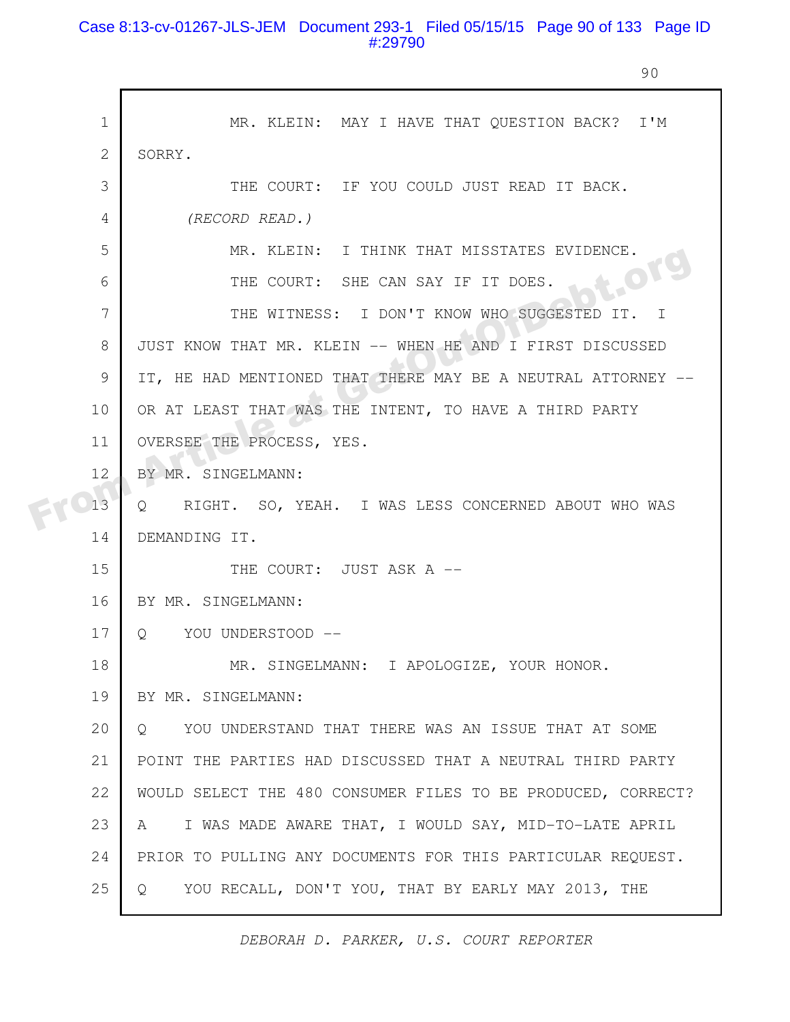# Case 8:13-cv-01267-JLS-JEM Document 293-1 Filed 05/15/15 Page 90 of 133 Page ID #:29790

90

| $\mathbf 1$ | MR. KLEIN: MAY I HAVE THAT QUESTION BACK? I'M                  |
|-------------|----------------------------------------------------------------|
| 2           | SORRY.                                                         |
| 3           | THE COURT: IF YOU COULD JUST READ IT BACK.                     |
| 4           | (RECORD READ.)                                                 |
| 5           | MR. KLEIN: I THINK THAT MISSTATES EVIDENCE.                    |
| 6           | THE COURT: SHE CAN SAY IF IT DOES.                             |
| 7           | THE WITNESS: I DON'T KNOW WHO SUGGESTED IT.<br>$\top$          |
| 8           | JUST KNOW THAT MR. KLEIN -- WHEN HE AND I FIRST DISCUSSED      |
| 9           | IT, HE HAD MENTIONED THAT THERE MAY BE A NEUTRAL ATTORNEY --   |
| 10          | OR AT LEAST THAT WAS THE INTENT, TO HAVE A THIRD PARTY         |
| 11          | OVERSEE THE PROCESS, YES.                                      |
| 12          | BY MR. SINGELMANN:                                             |
| 13          | Q RIGHT. SO, YEAH. I WAS LESS CONCERNED ABOUT WHO WAS          |
| 14          | DEMANDING IT.                                                  |
| 15          | THE COURT: JUST ASK A --                                       |
| 16          | BY MR. SINGELMANN:                                             |
| 17          | Q YOU UNDERSTOOD --                                            |
| 18          | MR. SINGELMANN: I APOLOGIZE, YOUR HONOR.                       |
| 19          | BY MR. SINGELMANN:                                             |
| 20          | YOU UNDERSTAND THAT THERE WAS AN ISSUE THAT AT SOME<br>$\circ$ |
| 21          | POINT THE PARTIES HAD DISCUSSED THAT A NEUTRAL THIRD PARTY     |
| 22          | WOULD SELECT THE 480 CONSUMER FILES TO BE PRODUCED, CORRECT?   |
| 23          | I WAS MADE AWARE THAT, I WOULD SAY, MID-TO-LATE APRIL<br>A     |
| 24          | PRIOR TO PULLING ANY DOCUMENTS FOR THIS PARTICULAR REQUEST.    |
| 25          | YOU RECALL, DON'T YOU, THAT BY EARLY MAY 2013, THE<br>Q.       |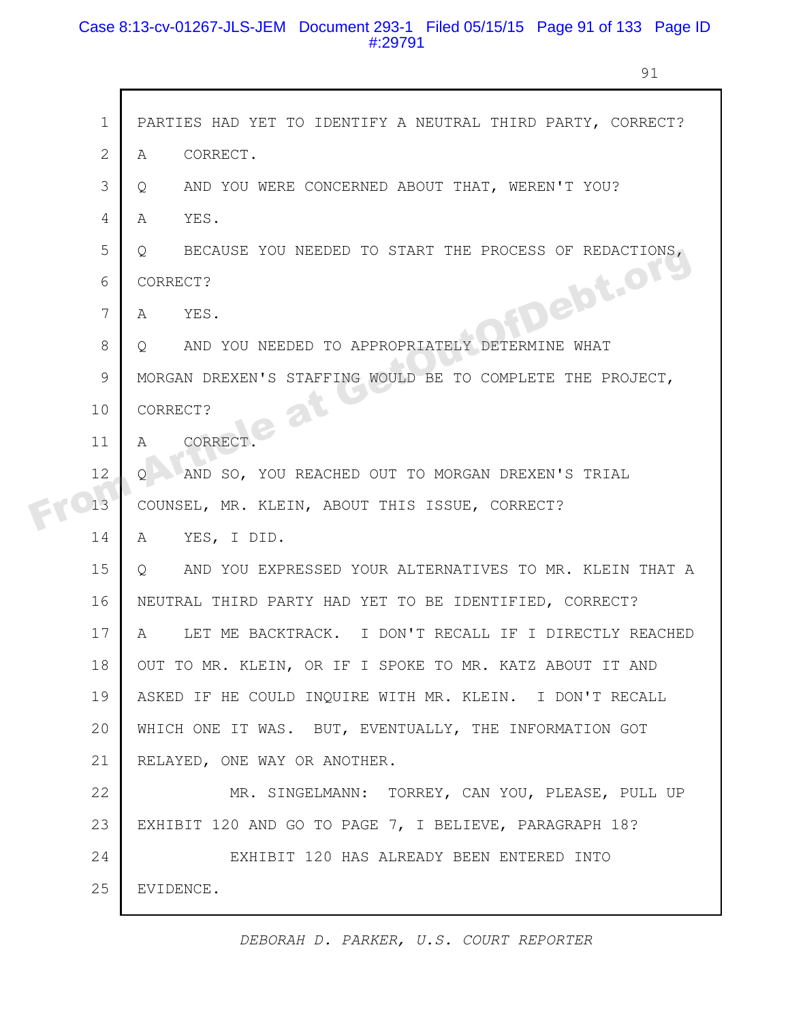# Case 8:13-cv-01267-JLS-JEM Document 293-1 Filed 05/15/15 Page 91 of 133 Page ID #:29791

г

91

| $\mathbf{1}$   | PARTIES HAD YET TO IDENTIFY A NEUTRAL THIRD PARTY, CORRECT?        |
|----------------|--------------------------------------------------------------------|
| $\overline{2}$ | CORRECT.<br>A                                                      |
| 3              | AND YOU WERE CONCERNED ABOUT THAT, WEREN'T YOU?<br>Q.              |
| 4              | YES.<br>A                                                          |
| 5              | BECAUSE YOU NEEDED TO START THE PROCESS OF REDACTIONS,<br>Q        |
| 6              | FDebt.org<br>CORRECT?                                              |
| 7              | YES.<br>$\mathbb{A}$                                               |
| 8              | AND YOU NEEDED TO APPROPRIATELY DETERMINE WHAT<br>$Q_{\cdot}$      |
| 9              | MORGAN DREXEN'S STAFFING WOULD BE TO COMPLETE THE PROJECT,         |
| 10             | CORRECT?<br>$a^{t}$                                                |
| 11             | CORRECT.<br>$\mathcal{A}$                                          |
| 12             | AND SO, YOU REACHED OUT TO MORGAN DREXEN'S TRIAL<br>0              |
| 13             | COUNSEL, MR. KLEIN, ABOUT THIS ISSUE, CORRECT?                     |
| 14             | YES, I DID.<br>A                                                   |
| 15             | AND YOU EXPRESSED YOUR ALTERNATIVES TO MR. KLEIN THAT A<br>$\circ$ |
| 16             | NEUTRAL THIRD PARTY HAD YET TO BE IDENTIFIED, CORRECT?             |
| 17             | LET ME BACKTRACK. I DON'T RECALL IF I DIRECTLY REACHED<br>A        |
| 18             | OUT TO MR. KLEIN, OR IF I SPOKE TO MR. KATZ ABOUT IT AND           |
| 19             | ASKED IF HE COULD INQUIRE WITH MR. KLEIN. I DON'T RECALL           |
| 20             | WHICH ONE IT WAS. BUT, EVENTUALLY, THE INFORMATION GOT             |
| 21             | RELAYED, ONE WAY OR ANOTHER.                                       |
| 22             | MR. SINGELMANN: TORREY, CAN YOU, PLEASE, PULL UP                   |
| 23             | EXHIBIT 120 AND GO TO PAGE 7, I BELIEVE, PARAGRAPH 18?             |
| 24             | EXHIBIT 120 HAS ALREADY BEEN ENTERED INTO                          |
| 25             | EVIDENCE.                                                          |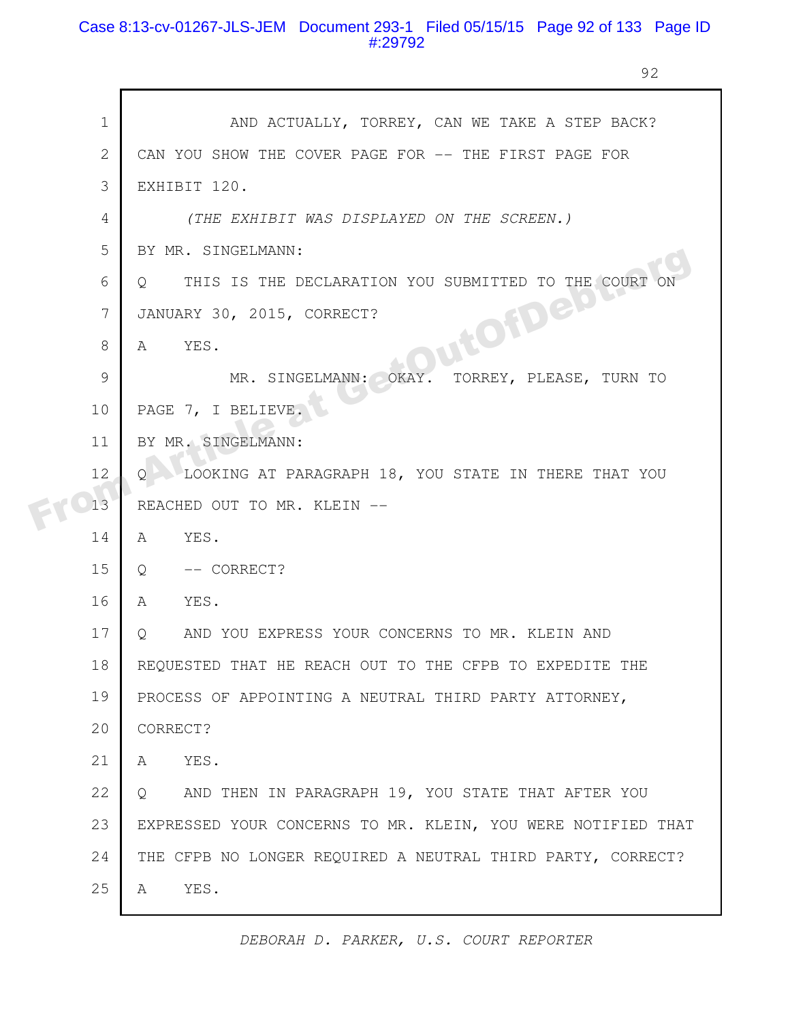# Case 8:13-cv-01267-JLS-JEM Document 293-1 Filed 05/15/15 Page 92 of 133 Page ID #:29792

92

|  | $\mathbf 1$ | AND ACTUALLY, TORREY, CAN WE TAKE A STEP BACK?                   |
|--|-------------|------------------------------------------------------------------|
|  | 2           | CAN YOU SHOW THE COVER PAGE FOR -- THE FIRST PAGE FOR            |
|  | 3           | EXHIBIT 120.                                                     |
|  | 4           | (THE EXHIBIT WAS DISPLAYED ON THE SCREEN.)                       |
|  | 5           | BY MR. SINGELMANN:                                               |
|  | 6           | THIS IS THE DECLARATION YOU SUBMITTED TO THE COURT ON<br>$\circ$ |
|  | 7           | JutofDett<br>JANUARY 30, 2015, CORRECT?                          |
|  | 8           | YES.<br>A                                                        |
|  |             |                                                                  |
|  | 9           | MR. SINGELMANN: OKAY.<br>TORREY, PLEASE, TURN TO                 |
|  | 10          | PAGE 7, I BELIEVE.                                               |
|  | 11          | BY MR. SINGELMANN:                                               |
|  | 12          | LOOKING AT PARAGRAPH 18, YOU STATE IN THERE THAT YOU<br>Ő        |
|  | 13          | REACHED OUT TO MR. KLEIN --                                      |
|  | 14          | YES.<br>A                                                        |
|  | 15          | -- CORRECT?<br>Q                                                 |
|  | 16          | YES.<br>A                                                        |
|  | 17          | AND YOU EXPRESS YOUR CONCERNS TO MR. KLEIN AND<br>$Q_{\rm max}$  |
|  | 18          | REQUESTED THAT HE REACH OUT TO THE CFPB TO EXPEDITE THE          |
|  | 19          | PROCESS OF APPOINTING A NEUTRAL THIRD PARTY ATTORNEY,            |
|  | 20          | CORRECT?                                                         |
|  | 21          | YES.<br>A                                                        |
|  | 22          | AND THEN IN PARAGRAPH 19, YOU STATE THAT AFTER YOU<br>Q          |
|  | 23          | EXPRESSED YOUR CONCERNS TO MR. KLEIN, YOU WERE NOTIFIED THAT     |
|  | 24          | THE CFPB NO LONGER REQUIRED A NEUTRAL THIRD PARTY, CORRECT?      |
|  | 25          | YES.<br>A                                                        |
|  |             |                                                                  |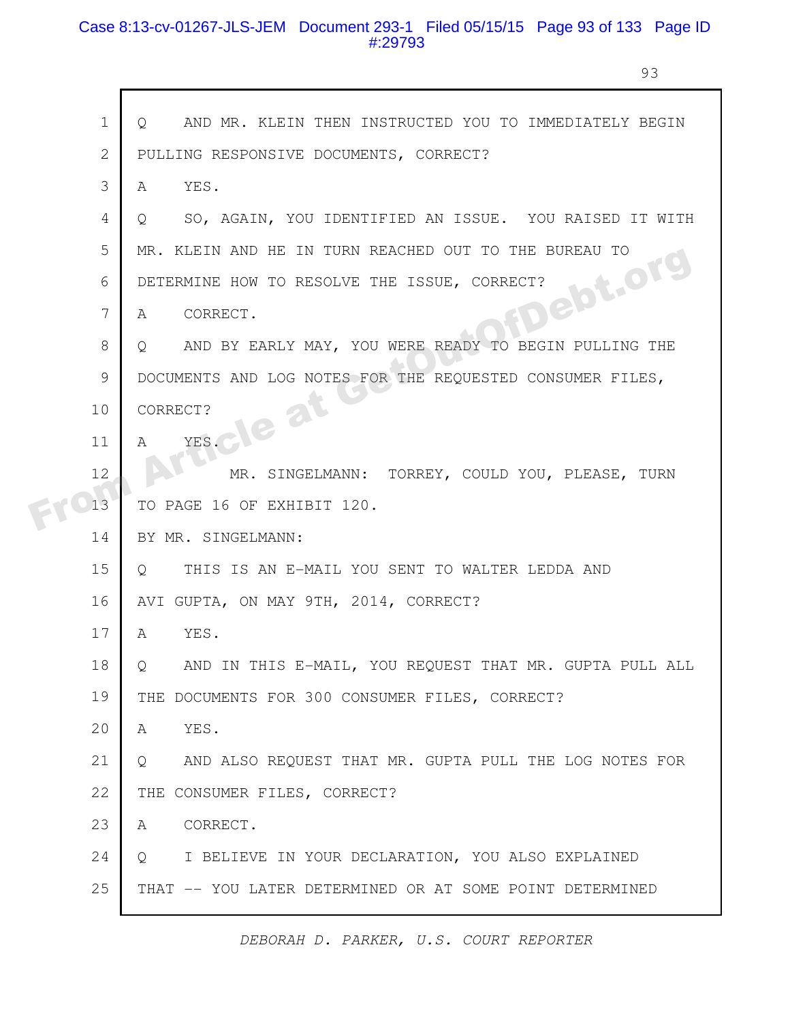# Case 8:13-cv-01267-JLS-JEM Document 293-1 Filed 05/15/15 Page 93 of 133 Page ID #:29793

 $\mathsf{r}$ 

93

| $\overline{2}$<br>PULLING RESPONSIVE DOCUMENTS, CORRECT?<br>3<br>YES.<br>$\mathbb{A}$ |  |
|---------------------------------------------------------------------------------------|--|
|                                                                                       |  |
|                                                                                       |  |
| SO, AGAIN, YOU IDENTIFIED AN ISSUE. YOU RAISED IT WITH<br>4<br>Q.                     |  |
| 5<br>MR. KLEIN AND HE IN TURN REACHED OUT TO THE BUREAU TO                            |  |
| FDebt.or<br>6<br>DETERMINE HOW TO RESOLVE THE ISSUE, CORRECT?                         |  |
| 7<br>CORRECT.<br>A                                                                    |  |
| 8<br>AND BY EARLY MAY, YOU WERE READY TO BEGIN PULLING THE<br>Q.                      |  |
| 9<br>DOCUMENTS AND LOG NOTES FOR THE REQUESTED CONSUMER FILES,                        |  |
| $a^{t}$<br>10<br>CORRECT?<br><b>V2</b>                                                |  |
| YES.<br>11<br>A                                                                       |  |
| 12<br>MR. SINGELMANN: TORREY, COULD YOU, PLEASE, TURN                                 |  |
| 13<br>TO PAGE 16 OF EXHIBIT 120.                                                      |  |
| BY MR. SINGELMANN:<br>14                                                              |  |
| 15<br>THIS IS AN E-MAIL YOU SENT TO WALTER LEDDA AND<br>$\circ$                       |  |
| 16<br>AVI GUPTA, ON MAY 9TH, 2014, CORRECT?                                           |  |
| 17<br>YES.<br>A                                                                       |  |
| 18<br>AND IN THIS E-MAIL, YOU REQUEST THAT MR. GUPTA PULL ALL<br>Q                    |  |
| 19<br>THE DOCUMENTS FOR 300 CONSUMER FILES, CORRECT?                                  |  |
| 20<br>A<br>YES.                                                                       |  |
| 21<br>AND ALSO REQUEST THAT MR. GUPTA PULL THE LOG NOTES FOR<br>Q                     |  |
| 22<br>THE CONSUMER FILES, CORRECT?                                                    |  |
| 23<br>CORRECT.<br>A                                                                   |  |
| 24<br>I BELIEVE IN YOUR DECLARATION, YOU ALSO EXPLAINED<br>Q                          |  |
| 25<br>THAT -- YOU LATER DETERMINED OR AT SOME POINT DETERMINED                        |  |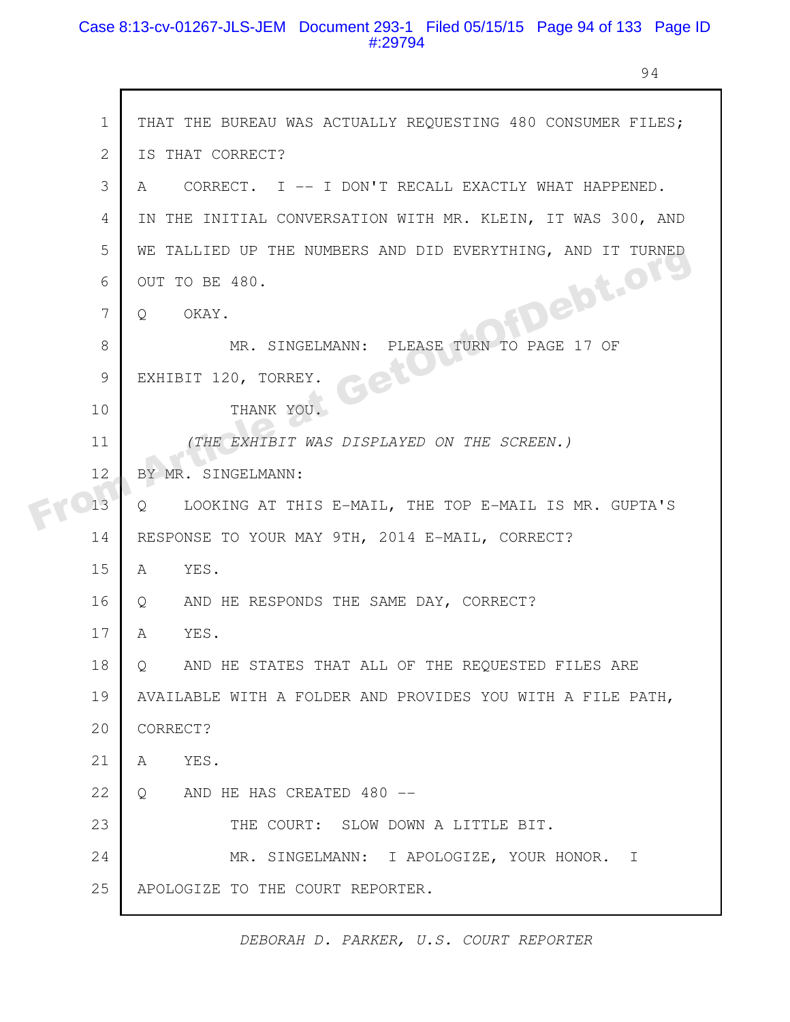# Case 8:13-cv-01267-JLS-JEM Document 293-1 Filed 05/15/15 Page 94 of 133 Page ID #:29794

г

94

|  | $\mathbf 1$    | THAT THE BUREAU WAS ACTUALLY REQUESTING 480 CONSUMER FILES; |
|--|----------------|-------------------------------------------------------------|
|  | $\overline{2}$ | IS THAT CORRECT?                                            |
|  | 3              | CORRECT. I -- I DON'T RECALL EXACTLY WHAT HAPPENED.<br>A    |
|  | 4              | IN THE INITIAL CONVERSATION WITH MR. KLEIN, IT WAS 300, AND |
|  | 5              | WE TALLIED UP THE NUMBERS AND DID EVERYTHING, AND IT TURNED |
|  |                | <b>HDelot.org</b>                                           |
|  | 6              | OUT TO BE 480.                                              |
|  | 7              | OKAY.<br>Q                                                  |
|  | 8              | MR. SINGELMANN: PLEASE TURN TO PAGE 17 OF                   |
|  | 9              | Get<br>EXHIBIT 120, TORREY.                                 |
|  | 10             | THANK YOU.                                                  |
|  | 11             | (THE EXHIBIT WAS DISPLAYED ON THE SCREEN.)                  |
|  | 12             | BY MR. SINGELMANN:                                          |
|  | 13             | LOOKING AT THIS E-MAIL, THE TOP E-MAIL IS MR. GUPTA'S<br>Q  |
|  | 14             | RESPONSE TO YOUR MAY 9TH, 2014 E-MAIL, CORRECT?             |
|  | 15             | YES.<br>$\mathbb A$                                         |
|  | 16             | AND HE RESPONDS THE SAME DAY, CORRECT?<br>Q                 |
|  | 17             | YES.<br>A                                                   |
|  | 18             | AND HE STATES THAT ALL OF THE REQUESTED FILES ARE<br>Q      |
|  | 19             | AVAILABLE WITH A FOLDER AND PROVIDES YOU WITH A FILE PATH,  |
|  | 20             | CORRECT?                                                    |
|  | 21             | YES.<br>A                                                   |
|  | 22             | AND HE HAS CREATED 480 --<br>$Q_{1}$                        |
|  | 23             | THE COURT: SLOW DOWN A LITTLE BIT.                          |
|  | 24             | MR. SINGELMANN: I APOLOGIZE, YOUR HONOR. I                  |
|  | 25             | APOLOGIZE TO THE COURT REPORTER.                            |
|  |                |                                                             |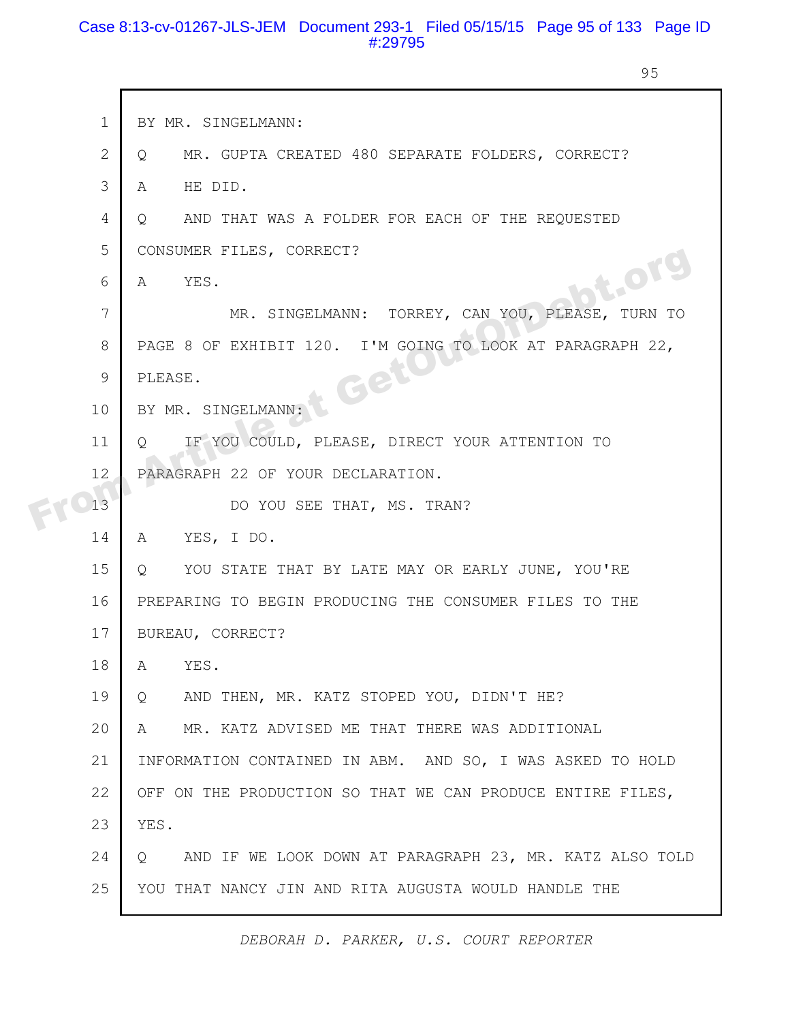### Case 8:13-cv-01267-JLS-JEM Document 293-1 Filed 05/15/15 Page 95 of 133 Page ID #:29795

95

| $\mathbf 1$    | BY MR. SINGELMANN:                                                 |
|----------------|--------------------------------------------------------------------|
| $\overline{2}$ | MR. GUPTA CREATED 480 SEPARATE FOLDERS, CORRECT?<br>$\circ$        |
| 3              | HE DID.<br>A                                                       |
| 4              | AND THAT WAS A FOLDER FOR EACH OF THE REQUESTED<br>$\circ$         |
| 5              | CONSUMER FILES, CORRECT?                                           |
| 6              | bt.or<br>YES.<br>A                                                 |
| 7              | MR. SINGELMANN: TORREY, CAN YOU, PLEASE,<br>TURN TO                |
| 8              | PAGE 8 OF EXHIBIT 120. I'M GOING TO LOOK AT PARAGRAPH 22,          |
| $\mathcal{G}$  | t Gett<br>PLEASE.                                                  |
| 10             | BY MR. SINGELMANN:                                                 |
| 11             | IF YOU COULD, PLEASE, DIRECT YOUR ATTENTION TO<br>$\circ$          |
| 12             | PARAGRAPH 22 OF YOUR DECLARATION.                                  |
| 13             | DO YOU SEE THAT, MS. TRAN?                                         |
| 14             | YES, I DO.<br>A                                                    |
| 15             | YOU STATE THAT BY LATE MAY OR EARLY JUNE, YOU'RE<br>Q              |
| 16             | PREPARING TO BEGIN PRODUCING THE CONSUMER FILES TO THE             |
| 17             | BUREAU, CORRECT?                                                   |
| 18             | YES.<br>A                                                          |
| 19             | AND THEN, MR. KATZ STOPED YOU, DIDN'T HE?<br>$\circ$               |
| 20             | MR. KATZ ADVISED ME THAT THERE WAS ADDITIONAL<br>A                 |
| 21             | INFORMATION CONTAINED IN ABM. AND SO, I WAS ASKED TO HOLD          |
| 22             | OFF ON THE PRODUCTION SO THAT WE CAN PRODUCE ENTIRE FILES,         |
| 23             | YES.                                                               |
| 24             | AND IF WE LOOK DOWN AT PARAGRAPH 23, MR. KATZ ALSO TOLD<br>$\circ$ |
| 25             | YOU THAT NANCY JIN AND RITA AUGUSTA WOULD HANDLE THE               |
|                |                                                                    |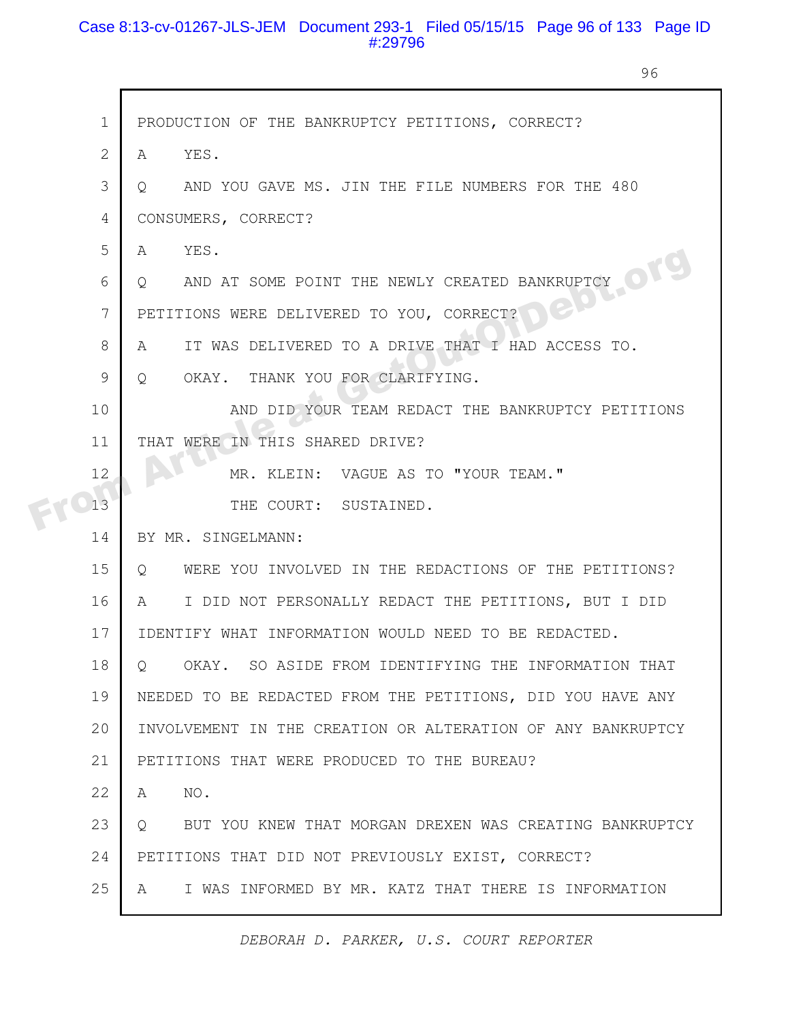# Case 8:13-cv-01267-JLS-JEM Document 293-1 Filed 05/15/15 Page 96 of 133 Page ID #:29796

г

96

| $\mathbf{1}$ | PRODUCTION OF THE BANKRUPTCY PETITIONS, CORRECT?                   |
|--------------|--------------------------------------------------------------------|
| $\mathbf{2}$ | A YES.                                                             |
| 3            | AND YOU GAVE MS. JIN THE FILE NUMBERS FOR THE 480<br>$\circ$       |
| 4            | CONSUMERS, CORRECT?                                                |
| 5            | YES.<br>A                                                          |
| 6            | AND AT SOME POINT THE NEWLY CREATED BANKRUPTCY<br>$\circ$          |
| 7            | GN,<br>PETITIONS WERE DELIVERED TO YOU, CORRECT?                   |
| 8            | IT WAS DELIVERED TO A DRIVE THAT I HAD ACCESS TO.<br>A             |
| 9            | OKAY. THANK YOU FOR CLARIFYING.<br>$Q_{\cdot}$                     |
| 10           | AND DID YOUR TEAM REDACT THE BANKRUPTCY PETITIONS                  |
| 11           | THAT WERE IN THIS SHARED DRIVE?                                    |
| 12           | MR. KLEIN: VAGUE AS TO "YOUR TEAM."                                |
| 13           | THE COURT: SUSTAINED.                                              |
| 14           | BY MR. SINGELMANN:                                                 |
| 15           | WERE YOU INVOLVED IN THE REDACTIONS OF THE PETITIONS?<br>$\circ$   |
| 16           | I DID NOT PERSONALLY REDACT THE PETITIONS, BUT I DID<br>A          |
| 17           | IDENTIFY WHAT INFORMATION WOULD NEED TO BE REDACTED.               |
| 18           | OKAY. SO ASIDE FROM IDENTIFYING THE INFORMATION THAT<br>$\circ$    |
| 19           | NEEDED TO BE REDACTED FROM THE PETITIONS, DID YOU HAVE ANY         |
| 20           | INVOLVEMENT IN THE CREATION OR ALTERATION OF ANY BANKRUPTCY        |
| 21           | PETITIONS THAT WERE PRODUCED TO THE BUREAU?                        |
| 22           | NO.<br>A                                                           |
| 23           | BUT YOU KNEW THAT MORGAN DREXEN WAS CREATING BANKRUPTCY<br>$\circ$ |
| 24           | PETITIONS THAT DID NOT PREVIOUSLY EXIST, CORRECT?                  |
| 25           | I WAS INFORMED BY MR. KATZ THAT THERE IS INFORMATION<br>A          |
|              |                                                                    |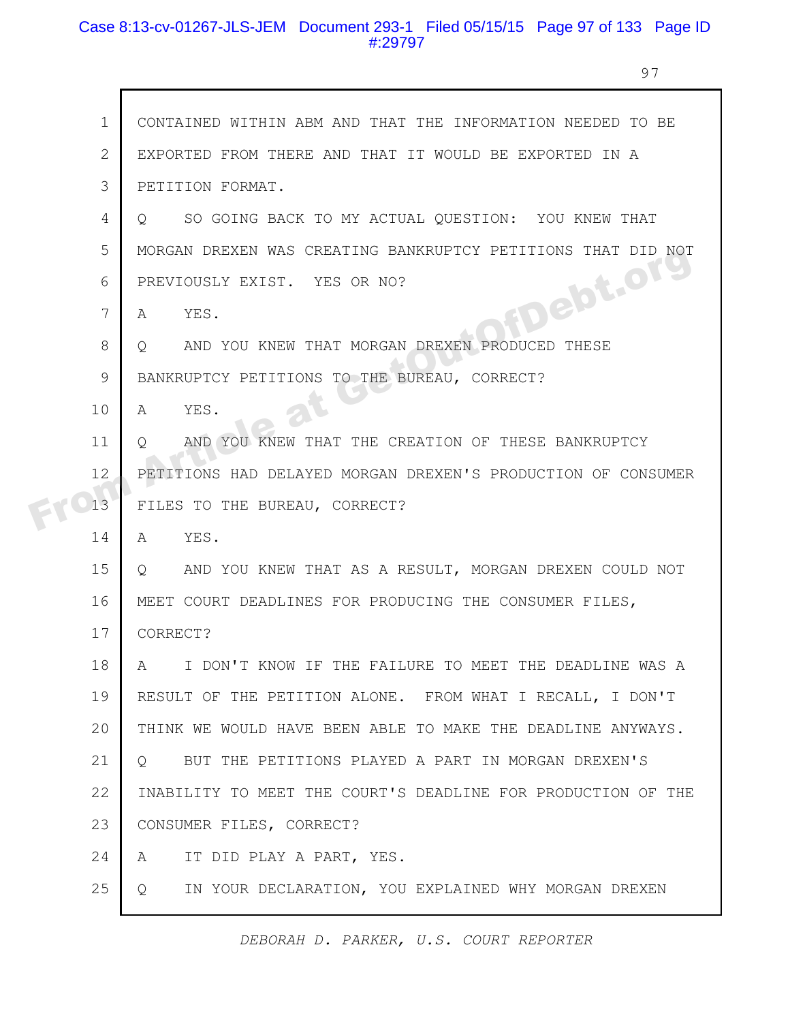### Case 8:13-cv-01267-JLS-JEM Document 293-1 Filed 05/15/15 Page 97 of 133 Page ID #:29797

97

|  | $\mathbf 1$    | CONTAINED WITHIN ABM AND THAT THE INFORMATION NEEDED TO BE        |
|--|----------------|-------------------------------------------------------------------|
|  | $\mathbf{2}$   | EXPORTED FROM THERE AND THAT IT WOULD BE EXPORTED IN A            |
|  | 3              | PETITION FORMAT.                                                  |
|  | $\overline{4}$ | SO GOING BACK TO MY ACTUAL QUESTION: YOU KNEW THAT<br>O           |
|  | 5              | MORGAN DREXEN WAS CREATING BANKRUPTCY PETITIONS THAT DID NOT      |
|  | 6              | PREVIOUSLY EXIST. YES OR NO?                                      |
|  | 7              | FDebt.org<br>YES.<br>A                                            |
|  | 8              | AND YOU KNEW THAT MORGAN DREXEN PRODUCED<br>THESE<br>$\circ$      |
|  | 9              | BANKRUPTCY PETITIONS TO THE BUREAU, CORRECT?                      |
|  | 10             | YES.<br>A                                                         |
|  | 11             | AND YOU KNEW THAT THE CREATION OF THESE BANKRUPTCY<br>$\circ$     |
|  | 12             | PETITIONS HAD DELAYED MORGAN DREXEN'S PRODUCTION OF CONSUMER      |
|  | 13             | FILES TO THE BUREAU, CORRECT?                                     |
|  | 14             | $\mathbb{A}$<br>YES.                                              |
|  | 15             | AND YOU KNEW THAT AS A RESULT, MORGAN DREXEN COULD NOT<br>$\circ$ |
|  | 16             | MEET COURT DEADLINES FOR PRODUCING THE CONSUMER FILES,            |
|  | 17             | CORRECT?                                                          |
|  | 18             | I DON'T KNOW IF THE FAILURE TO MEET THE DEADLINE WAS A<br>A       |
|  | 19             | RESULT OF THE PETITION ALONE. FROM WHAT I RECALL, I DON'T         |
|  | 20             | THINK WE WOULD HAVE BEEN ABLE TO MAKE THE DEADLINE ANYWAYS.       |
|  | 21             | BUT THE PETITIONS PLAYED A PART IN MORGAN DREXEN'S<br>$Q_{\cdot}$ |
|  | 22             | INABILITY TO MEET THE COURT'S DEADLINE FOR PRODUCTION OF THE      |
|  | 23             | CONSUMER FILES, CORRECT?                                          |
|  | 24             | IT DID PLAY A PART, YES.<br>A                                     |
|  | 25             | IN YOUR DECLARATION, YOU EXPLAINED WHY MORGAN DREXEN<br>Q         |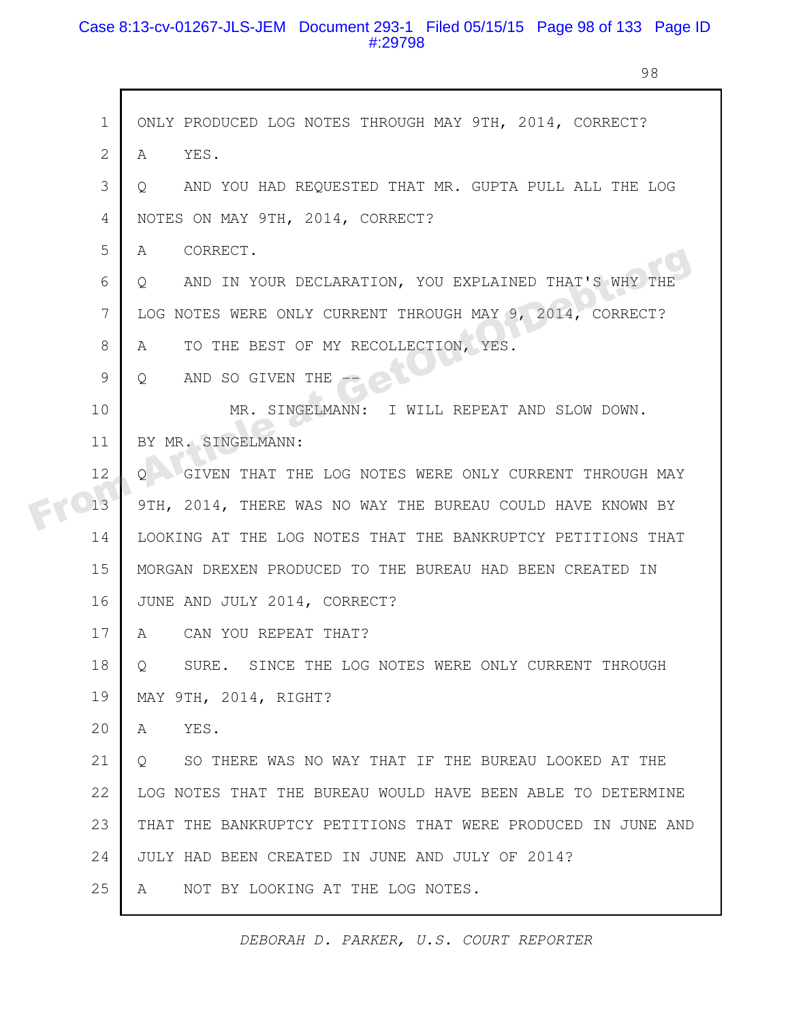# Case 8:13-cv-01267-JLS-JEM Document 293-1 Filed 05/15/15 Page 98 of 133 Page ID #:29798

98

| $\mathbf 1$ | ONLY PRODUCED LOG NOTES THROUGH MAY 9TH, 2014, CORRECT?            |
|-------------|--------------------------------------------------------------------|
| 2           | YES.<br>A                                                          |
| 3           | AND YOU HAD REQUESTED THAT MR. GUPTA PULL ALL THE LOG<br>$\circ$   |
| 4           | NOTES ON MAY 9TH, 2014, CORRECT?                                   |
| 5           | CORRECT.<br>A                                                      |
| 6           | AND IN YOUR DECLARATION, YOU EXPLAINED THAT'S WHY THE<br>Q         |
| 7           | LOG NOTES WERE ONLY CURRENT THROUGH MAY 9, 2014, CORRECT?          |
| 8           | TO THE BEST OF MY RECOLLECTION, YES.<br>A                          |
| 9           | AND SO GIVEN THE<br>$\circ$                                        |
| 10          | MR. SINGELMANN: I WILL REPEAT AND SLOW DOWN.                       |
| 11          | BY MR. SINGELMANN:                                                 |
| 12          | GIVEN THAT THE LOG NOTES WERE ONLY CURRENT THROUGH MAY<br>$\Omega$ |
| 13          | 9TH, 2014, THERE WAS NO WAY THE BUREAU COULD HAVE KNOWN BY         |
| 14          | LOOKING AT THE LOG NOTES THAT THE BANKRUPTCY PETITIONS THAT        |
| 15          | MORGAN DREXEN PRODUCED TO THE BUREAU HAD BEEN CREATED IN           |
| 16          | JUNE AND JULY 2014, CORRECT?                                       |
| 17          | A<br>CAN YOU REPEAT THAT?                                          |
| 18          | SURE. SINCE THE LOG NOTES WERE ONLY CURRENT THROUGH<br>Q.          |
| 19          | MAY 9TH, 2014, RIGHT?                                              |
| 20          | YES.<br>A                                                          |
| 21          | SO THERE WAS NO WAY THAT IF THE BUREAU LOOKED AT THE<br>$\circ$    |
| 22          | LOG NOTES THAT THE BUREAU WOULD HAVE BEEN ABLE TO DETERMINE        |
| 23          | THAT THE BANKRUPTCY PETITIONS THAT WERE PRODUCED IN JUNE AND       |
| 24          | JULY HAD BEEN CREATED IN JUNE AND JULY OF 2014?                    |
| 25          | NOT BY LOOKING AT THE LOG NOTES.<br>A                              |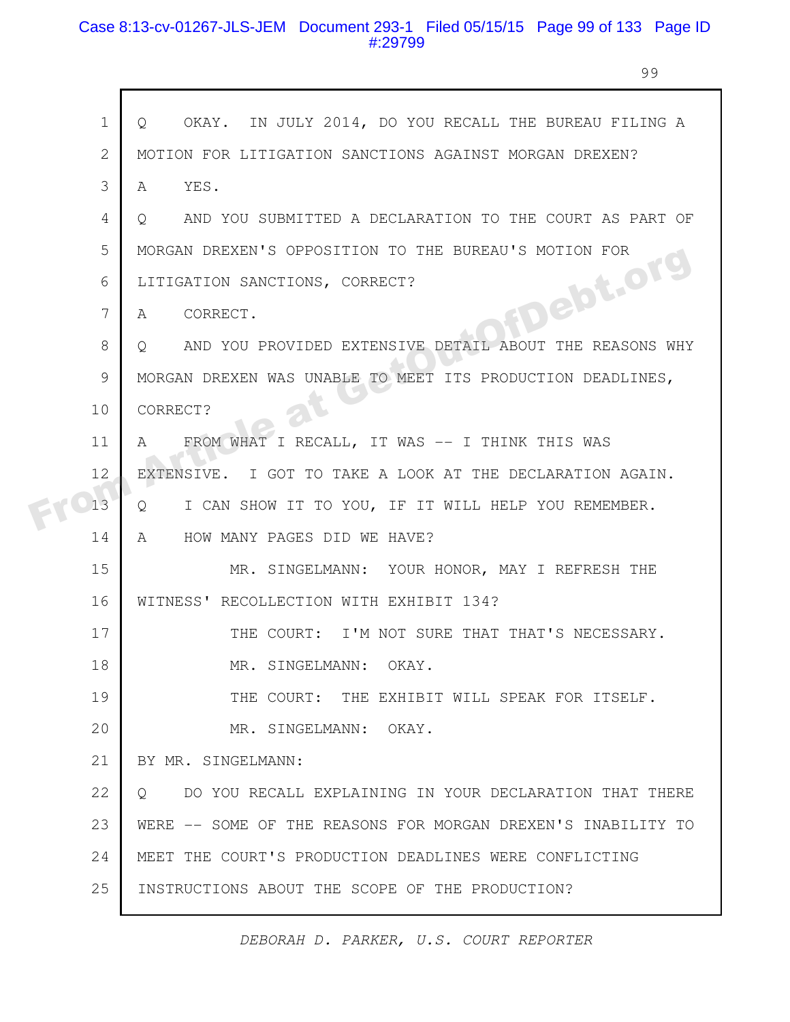# Case 8:13-cv-01267-JLS-JEM Document 293-1 Filed 05/15/15 Page 99 of 133 Page ID #:29799

99

|  | $\mathbf 1$ | OKAY. IN JULY 2014, DO YOU RECALL THE BUREAU FILING A<br>$\circ$   |
|--|-------------|--------------------------------------------------------------------|
|  | 2           | MOTION FOR LITIGATION SANCTIONS AGAINST MORGAN DREXEN?             |
|  | 3           | YES.<br>A                                                          |
|  | 4           | AND YOU SUBMITTED A DECLARATION TO THE COURT AS PART OF<br>$\circ$ |
|  | 5           | MORGAN DREXEN'S OPPOSITION TO THE BUREAU'S MOTION FOR              |
|  | 6           | LITIGATION SANCTIONS, CORRECT?                                     |
|  | 7           | fDebt.org<br>CORRECT.<br>A                                         |
|  | 8           | AND YOU PROVIDED EXTENSIVE DETAIL ABOUT THE REASONS WHY<br>$\circ$ |
|  | 9           | MORGAN DREXEN WAS UNABLE TO MEET ITS PRODUCTION DEADLINES,         |
|  | 10          | CORRECT?                                                           |
|  | 11          | FROM WHAT I RECALL, IT WAS -- I THINK THIS WAS<br>A                |
|  | 12          | EXTENSIVE. I GOT TO TAKE A LOOK AT THE DECLARATION AGAIN.          |
|  | 13          | I CAN SHOW IT TO YOU, IF IT WILL HELP YOU REMEMBER.<br>Q           |
|  | 14          | A<br>HOW MANY PAGES DID WE HAVE?                                   |
|  | 15          | MR. SINGELMANN: YOUR HONOR, MAY I REFRESH THE                      |
|  | 16          | WITNESS' RECOLLECTION WITH EXHIBIT 134?                            |
|  | 17          | THE COURT: I'M NOT SURE THAT THAT'S NECESSARY.                     |
|  | 18          | MR. SINGELMANN: OKAY.                                              |
|  | 19          | THE COURT: THE EXHIBIT WILL SPEAK FOR ITSELF.                      |
|  | 20          | MR. SINGELMANN: OKAY.                                              |
|  | 21          | BY MR. SINGELMANN:                                                 |
|  | 22          | DO YOU RECALL EXPLAINING IN YOUR DECLARATION THAT THERE<br>$\circ$ |
|  | 23          | WERE -- SOME OF THE REASONS FOR MORGAN DREXEN'S INABILITY TO       |
|  | 24          | MEET THE COURT'S PRODUCTION DEADLINES WERE CONFLICTING             |
|  | 25          | INSTRUCTIONS ABOUT THE SCOPE OF THE PRODUCTION?                    |
|  |             |                                                                    |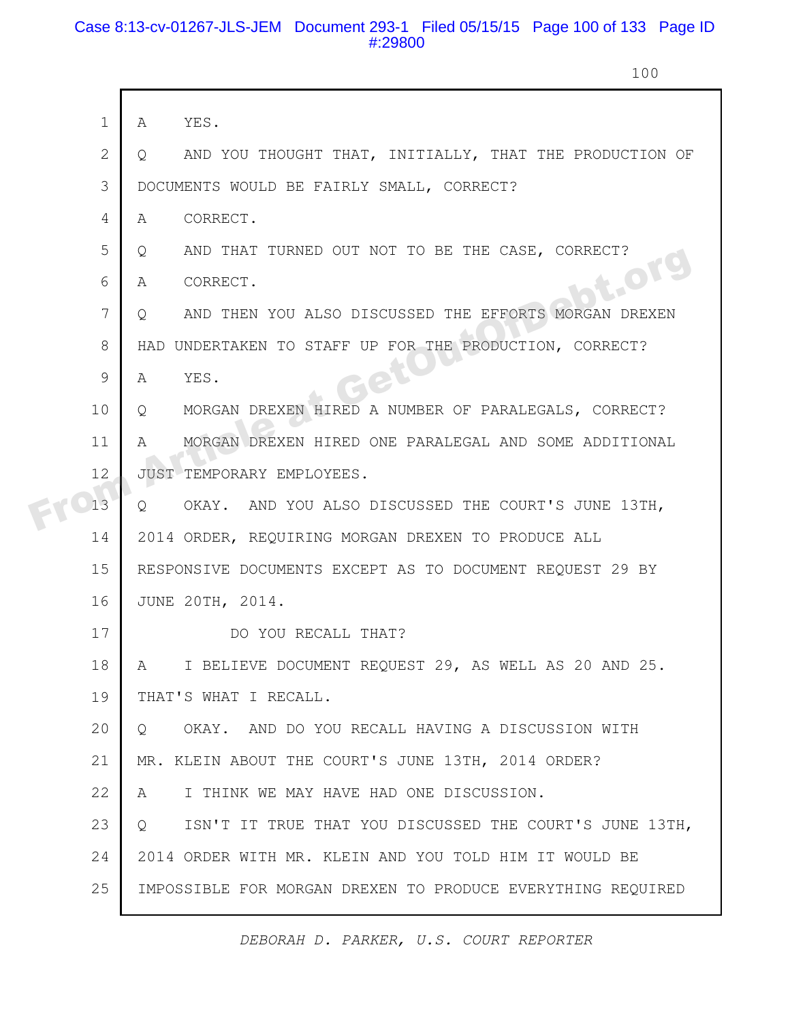# Case 8:13-cv-01267-JLS-JEM Document 293-1 Filed 05/15/15 Page 100 of 133 Page ID #:29800

100

|  | $\mathbf 1$  | YES.<br>A                                                              |
|--|--------------|------------------------------------------------------------------------|
|  | $\mathbf{2}$ | AND YOU THOUGHT THAT, INITIALLY, THAT THE PRODUCTION OF<br>Q           |
|  | 3            | DOCUMENTS WOULD BE FAIRLY SMALL, CORRECT?                              |
|  | 4            | CORRECT.<br>$\mathbb{A}$                                               |
|  | 5            | AND THAT TURNED OUT NOT TO BE THE CASE, CORRECT?<br>Q                  |
|  | 6            | <b>T.OF</b><br>CORRECT.<br>A                                           |
|  | 7            | AND THEN YOU ALSO DISCUSSED THE EFFORTS MORGAN DREXEN<br>O             |
|  | 8            | HAD UNDERTAKEN TO STAFF UP FOR THE PRODUCTION, CORRECT?                |
|  | 9            | YES.<br>A                                                              |
|  | 10           | MORGAN DREXEN HIRED A NUMBER OF PARALEGALS, CORRECT?<br>Q              |
|  | 11           | MORGAN DREXEN HIRED ONE PARALEGAL AND SOME ADDITIONAL<br>$\mathbb{A}$  |
|  | 12           | JUST TEMPORARY EMPLOYEES.                                              |
|  | 13           | OKAY. AND YOU ALSO DISCUSSED THE COURT'S JUNE 13TH,<br>$Q_{1}$         |
|  | 14           | 2014 ORDER, REQUIRING MORGAN DREXEN TO PRODUCE ALL                     |
|  | 15           | RESPONSIVE DOCUMENTS EXCEPT AS TO DOCUMENT REQUEST 29 BY               |
|  | 16           | JUNE 20TH, 2014.                                                       |
|  | 17           | DO YOU RECALL THAT?                                                    |
|  | 18           | I BELIEVE DOCUMENT REQUEST 29, AS WELL AS 20 AND 25.<br>A              |
|  | 19           | THAT'S WHAT I RECALL.                                                  |
|  | 20           | OKAY. AND DO YOU RECALL HAVING A DISCUSSION WITH<br>$\circ$            |
|  | 21           | MR. KLEIN ABOUT THE COURT'S JUNE 13TH, 2014 ORDER?                     |
|  | 22           | I THINK WE MAY HAVE HAD ONE DISCUSSION.<br>A                           |
|  | 23           | ISN'T IT TRUE THAT YOU DISCUSSED THE COURT'S JUNE 13TH,<br>$Q_{\perp}$ |
|  | 24           | 2014 ORDER WITH MR. KLEIN AND YOU TOLD HIM IT WOULD BE                 |
|  | 25           | IMPOSSIBLE FOR MORGAN DREXEN TO PRODUCE EVERYTHING REQUIRED            |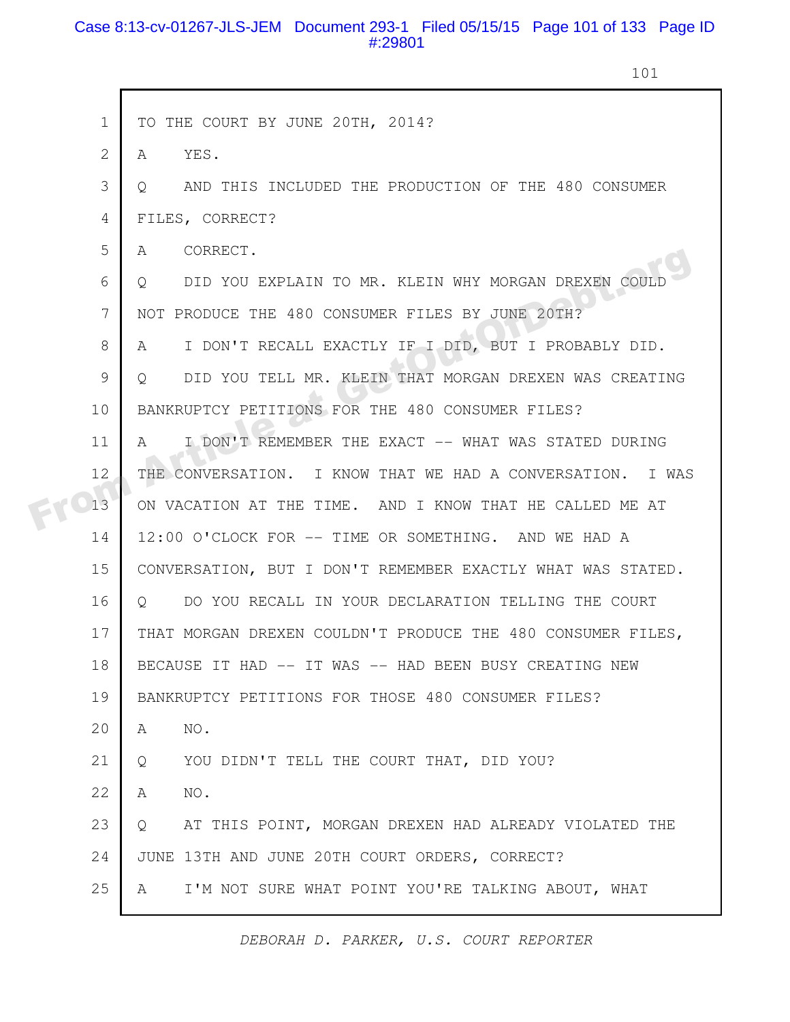### Case 8:13-cv-01267-JLS-JEM Document 293-1 Filed 05/15/15 Page 101 of 133 Page ID #:29801

101

|  | $\mathbf{1}$ | TO THE COURT BY JUNE 20TH, 2014?                                  |
|--|--------------|-------------------------------------------------------------------|
|  | 2            | YES.<br>A                                                         |
|  | 3            | AND THIS INCLUDED THE PRODUCTION OF THE 480 CONSUMER<br>$\circ$   |
|  | 4            | FILES, CORRECT?                                                   |
|  | 5            | CORRECT.<br>A                                                     |
|  | 6            | DID YOU EXPLAIN TO MR. KLEIN WHY MORGAN DREXEN COULD<br>$\circ$   |
|  | 7            | NOT PRODUCE THE 480 CONSUMER FILES BY JUNE 20TH?                  |
|  | 8            | I DON'T RECALL EXACTLY IF I DID, BUT I PROBABLY DID.<br>A         |
|  | 9            | DID YOU TELL MR. KLEIN THAT MORGAN DREXEN WAS CREATING<br>$\circ$ |
|  | 10           | BANKRUPTCY PETITIONS FOR THE 480 CONSUMER FILES?                  |
|  | 11           | I DON'T REMEMBER THE EXACT -- WHAT WAS STATED DURING<br>A         |
|  | 12           | THE CONVERSATION. I KNOW THAT WE HAD A CONVERSATION. I WAS        |
|  | 13           | ON VACATION AT THE TIME. AND I KNOW THAT HE CALLED ME AT          |
|  | 14           | 12:00 O'CLOCK FOR -- TIME OR SOMETHING. AND WE HAD A              |
|  | 15           | CONVERSATION, BUT I DON'T REMEMBER EXACTLY WHAT WAS STATED.       |
|  | 16           | DO YOU RECALL IN YOUR DECLARATION TELLING THE COURT<br>Q          |
|  | 17           | THAT MORGAN DREXEN COULDN'T PRODUCE THE 480 CONSUMER FILES,       |
|  | 18           | BECAUSE IT HAD -- IT WAS -- HAD BEEN BUSY CREATING NEW            |
|  | 19           | BANKRUPTCY PETITIONS FOR THOSE 480 CONSUMER FILES?                |
|  | 20           | NO.<br>A                                                          |
|  | 21           | YOU DIDN'T TELL THE COURT THAT, DID YOU?<br>Q                     |
|  | 22           | NO.<br>A                                                          |
|  | 23           | AT THIS POINT, MORGAN DREXEN HAD ALREADY VIOLATED THE<br>Q        |
|  | 24           | JUNE 13TH AND JUNE 20TH COURT ORDERS, CORRECT?                    |
|  | 25           | I'M NOT SURE WHAT POINT YOU'RE TALKING ABOUT, WHAT<br>A           |
|  |              |                                                                   |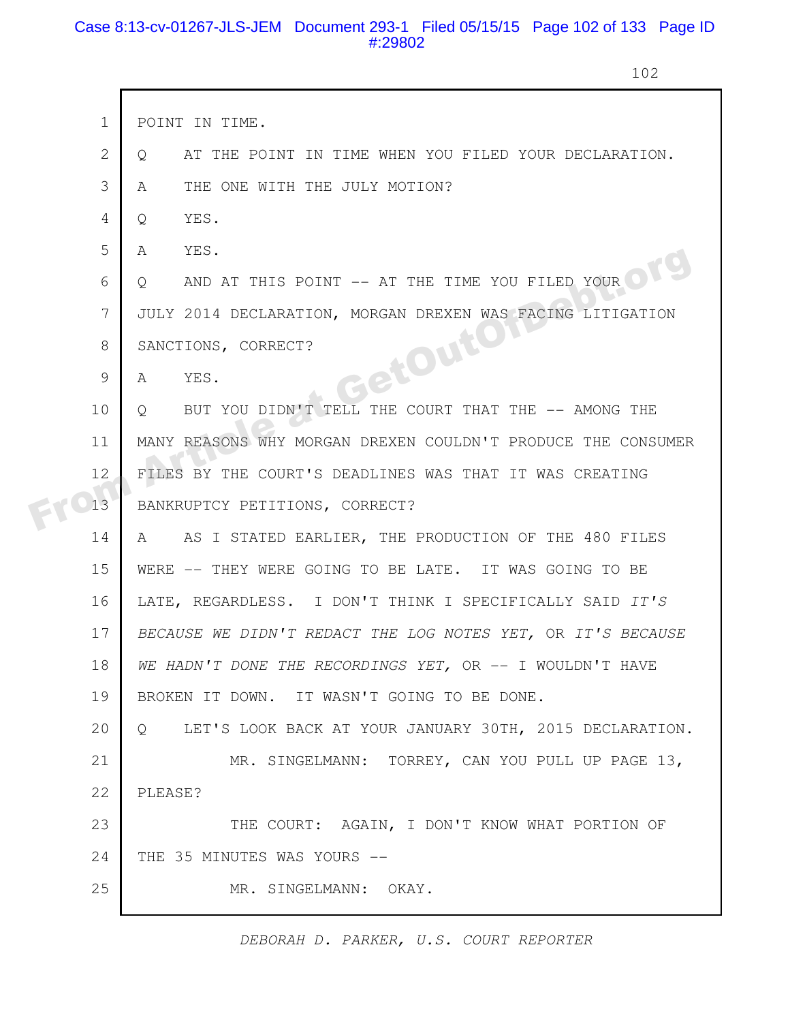# Case 8:13-cv-01267-JLS-JEM Document 293-1 Filed 05/15/15 Page 102 of 133 Page ID #:29802

г

102

|  | $\mathbf{1}$   | POINT IN TIME.                                                     |
|--|----------------|--------------------------------------------------------------------|
|  | $\overline{2}$ | AT THE POINT IN TIME WHEN YOU FILED YOUR DECLARATION.<br>Q         |
|  | 3              | THE ONE WITH THE JULY MOTION?<br>A                                 |
|  | 4              | YES.<br>Q                                                          |
|  | 5              | YES.<br>A                                                          |
|  | 6              | AND AT THIS POINT -- AT THE TIME YOU FILED YOUR<br>$\circ$         |
|  | 7              | JULY 2014 DECLARATION, MORGAN DREXEN WAS FACING LITIGATION         |
|  | 8              | GetOutor<br>SANCTIONS, CORRECT?                                    |
|  | 9              | YES.<br>A                                                          |
|  | 10             | BUT YOU DIDN'T TELL THE COURT THAT THE -- AMONG THE<br>Q.          |
|  | 11             | MANY REASONS WHY MORGAN DREXEN COULDN'T PRODUCE THE CONSUMER       |
|  | 12             | FILES BY THE COURT'S DEADLINES WAS THAT IT WAS CREATING            |
|  | 13             | BANKRUPTCY PETITIONS, CORRECT?                                     |
|  | 14             | AS I STATED EARLIER, THE PRODUCTION OF THE 480 FILES<br>A          |
|  | 15             | WERE -- THEY WERE GOING TO BE LATE. IT WAS GOING TO BE             |
|  | 16             | LATE, REGARDLESS. I DON'T THINK I SPECIFICALLY SAID IT'S           |
|  | 17             | BECAUSE WE DIDN'T REDACT THE LOG NOTES YET, OR IT'S BECAUSE        |
|  | 18             | WE HADN'T DONE THE RECORDINGS YET, OR -- I WOULDN'T HAVE           |
|  | 19             | BROKEN IT DOWN. IT WASN'T GOING TO BE DONE.                        |
|  | 20             | LET'S LOOK BACK AT YOUR JANUARY 30TH, 2015 DECLARATION.<br>$\circ$ |
|  | 21             | MR. SINGELMANN: TORREY, CAN YOU PULL UP PAGE 13,                   |
|  | 22             | PLEASE?                                                            |
|  | 23             | THE COURT: AGAIN, I DON'T KNOW WHAT PORTION OF                     |
|  | 24             | THE 35 MINUTES WAS YOURS --                                        |
|  | 25             | MR. SINGELMANN: OKAY.                                              |
|  |                |                                                                    |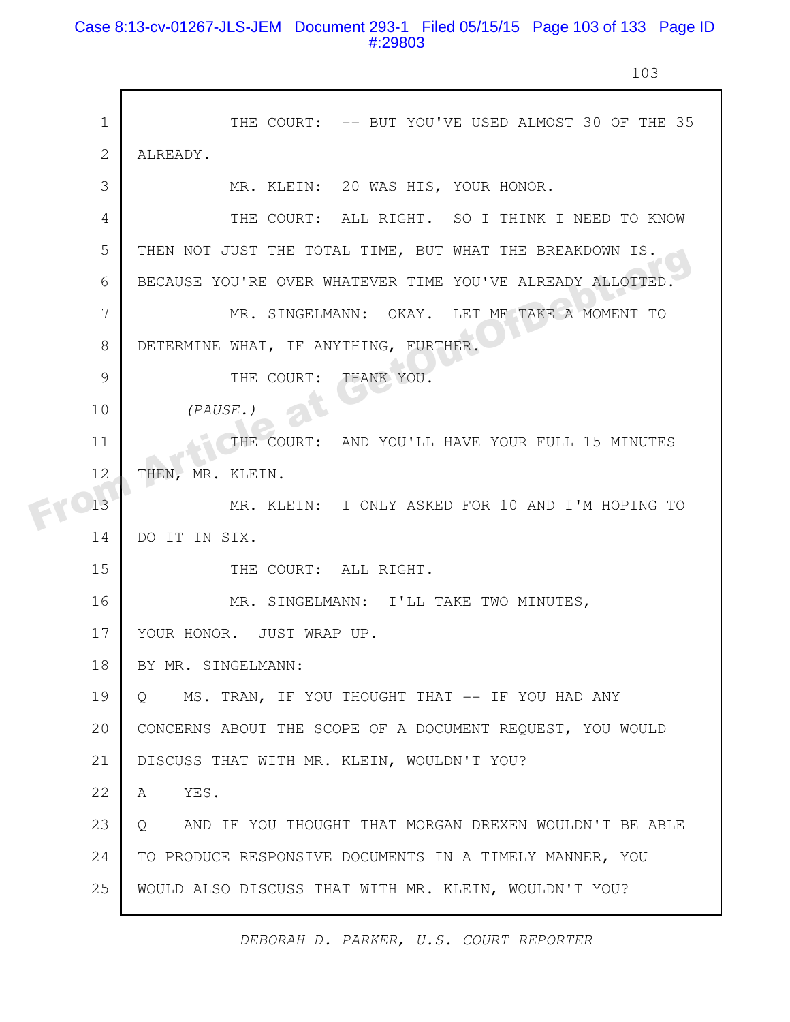# Case 8:13-cv-01267-JLS-JEM Document 293-1 Filed 05/15/15 Page 103 of 133 Page ID #:29803

103

|  | $\mathbf{1}$ | THE COURT: -- BUT YOU'VE USED ALMOST 30 OF THE 35                 |
|--|--------------|-------------------------------------------------------------------|
|  | $\mathbf{2}$ | ALREADY.                                                          |
|  | 3            | MR. KLEIN: 20 WAS HIS, YOUR HONOR.                                |
|  | 4            | THE COURT: ALL RIGHT. SO I THINK I NEED TO KNOW                   |
|  | 5            | THEN NOT JUST THE TOTAL TIME, BUT WHAT THE BREAKDOWN IS.          |
|  | 6            | BECAUSE YOU'RE OVER WHATEVER TIME YOU'VE ALREADY ALLOTTED.        |
|  | 7            | MR. SINGELMANN: OKAY. LET ME TAKE A MOMENT TO                     |
|  | 8            | DETERMINE WHAT, IF ANYTHING, FURTHER.                             |
|  | 9            | THE COURT:<br>THANK YOU.                                          |
|  | 10           | (PAUSE.)                                                          |
|  | 11           | THE COURT: AND YOU'LL HAVE YOUR FULL 15 MINUTES                   |
|  | 12           | THEN, MR. KLEIN.                                                  |
|  | 13           | MR. KLEIN: I ONLY ASKED FOR 10 AND I'M HOPING TO                  |
|  | 14           | DO IT IN SIX.                                                     |
|  | 15           | THE COURT: ALL RIGHT.                                             |
|  | 16           | MR. SINGELMANN: I'LL TAKE TWO MINUTES,                            |
|  | 17           | YOUR HONOR. JUST WRAP UP.                                         |
|  | 18           | BY MR. SINGELMANN:                                                |
|  | 19           | MS. TRAN, IF YOU THOUGHT THAT -- IF YOU HAD ANY<br>O              |
|  | 20           | CONCERNS ABOUT THE SCOPE OF A DOCUMENT REQUEST, YOU WOULD         |
|  | 21           | DISCUSS THAT WITH MR. KLEIN, WOULDN'T YOU?                        |
|  | 22           | YES.<br>A                                                         |
|  | 23           | AND IF YOU THOUGHT THAT MORGAN DREXEN WOULDN'T BE ABLE<br>$\circ$ |
|  | 24           | TO PRODUCE RESPONSIVE DOCUMENTS IN A TIMELY MANNER, YOU           |
|  | 25           | WOULD ALSO DISCUSS THAT WITH MR. KLEIN, WOULDN'T YOU?             |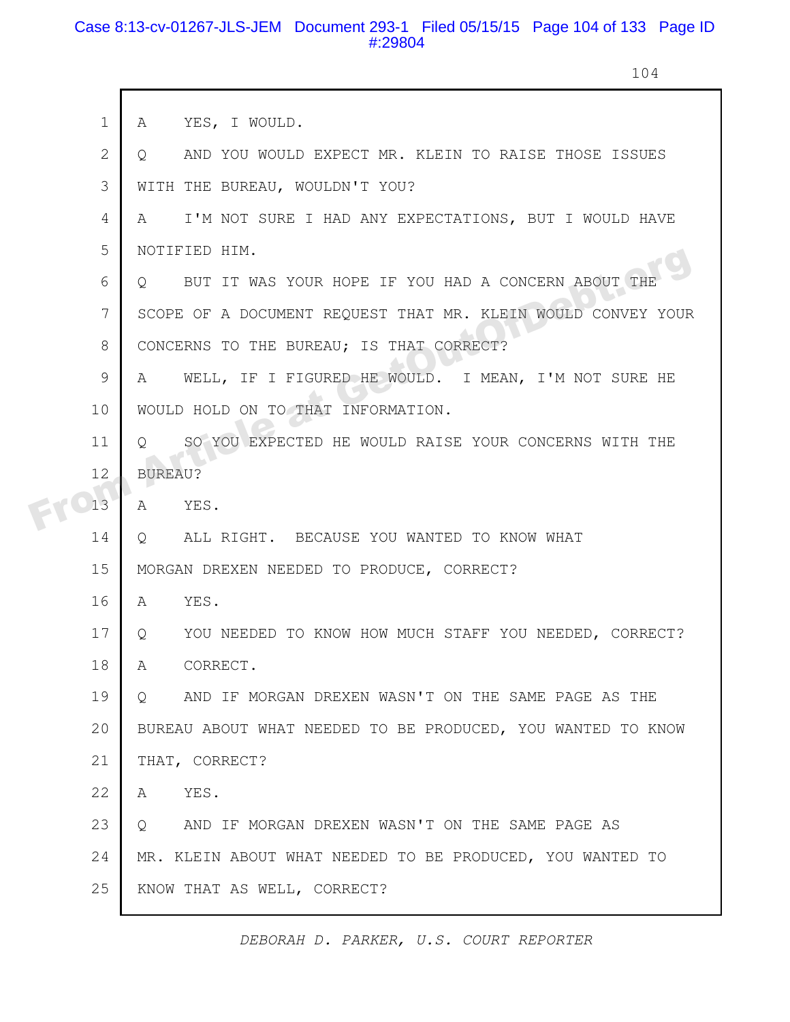### Case 8:13-cv-01267-JLS-JEM Document 293-1 Filed 05/15/15 Page 104 of 133 Page ID #:29804

 $\mathsf{r}$ 

104

|  | $\mathbf 1$ | YES, I WOULD.<br>A                                                  |
|--|-------------|---------------------------------------------------------------------|
|  | 2           | AND YOU WOULD EXPECT MR. KLEIN TO RAISE THOSE ISSUES<br>$Q_{\rm c}$ |
|  | 3           | WITH THE BUREAU, WOULDN'T YOU?                                      |
|  | 4           | I'M NOT SURE I HAD ANY EXPECTATIONS, BUT I WOULD HAVE<br>A          |
|  | 5           | NOTIFIED HIM.                                                       |
|  | 6           | BUT IT WAS YOUR HOPE IF YOU HAD A CONCERN ABOUT THE<br>$\circ$      |
|  | 7           | SCOPE OF A DOCUMENT REQUEST THAT MR. KLEIN WOULD CONVEY YOUR        |
|  | 8           | CONCERNS TO THE BUREAU; IS THAT CORRECT?                            |
|  | 9           | WELL, IF I FIGURED HE WOULD. I MEAN, I'M NOT SURE HE<br>A           |
|  | 10          | WOULD HOLD ON TO THAT INFORMATION.                                  |
|  | 11          | SO YOU EXPECTED HE WOULD RAISE YOUR CONCERNS WITH THE<br>$\circ$    |
|  | 12          | <b>BUREAU?</b>                                                      |
|  | 13          | A YES.                                                              |
|  | 14          | Q ALL RIGHT. BECAUSE YOU WANTED TO KNOW WHAT                        |
|  | 15          | MORGAN DREXEN NEEDED TO PRODUCE, CORRECT?                           |
|  | 16          | YES.<br>A                                                           |
|  | 17          | Q YOU NEEDED TO KNOW HOW MUCH STAFF YOU NEEDED, CORRECT?            |
|  | 18          | CORRECT.<br>A                                                       |
|  | 19          | AND IF MORGAN DREXEN WASN'T ON THE SAME PAGE AS THE<br>$\circ$      |
|  | 20          | BUREAU ABOUT WHAT NEEDED TO BE PRODUCED, YOU WANTED TO KNOW         |
|  | 21          | THAT, CORRECT?                                                      |
|  | 22          | YES.<br>A                                                           |
|  | 23          | AND IF MORGAN DREXEN WASN'T ON THE SAME PAGE AS<br>$\circ$          |
|  | 24          | MR. KLEIN ABOUT WHAT NEEDED TO BE PRODUCED, YOU WANTED TO           |
|  | 25          | KNOW THAT AS WELL, CORRECT?                                         |
|  |             |                                                                     |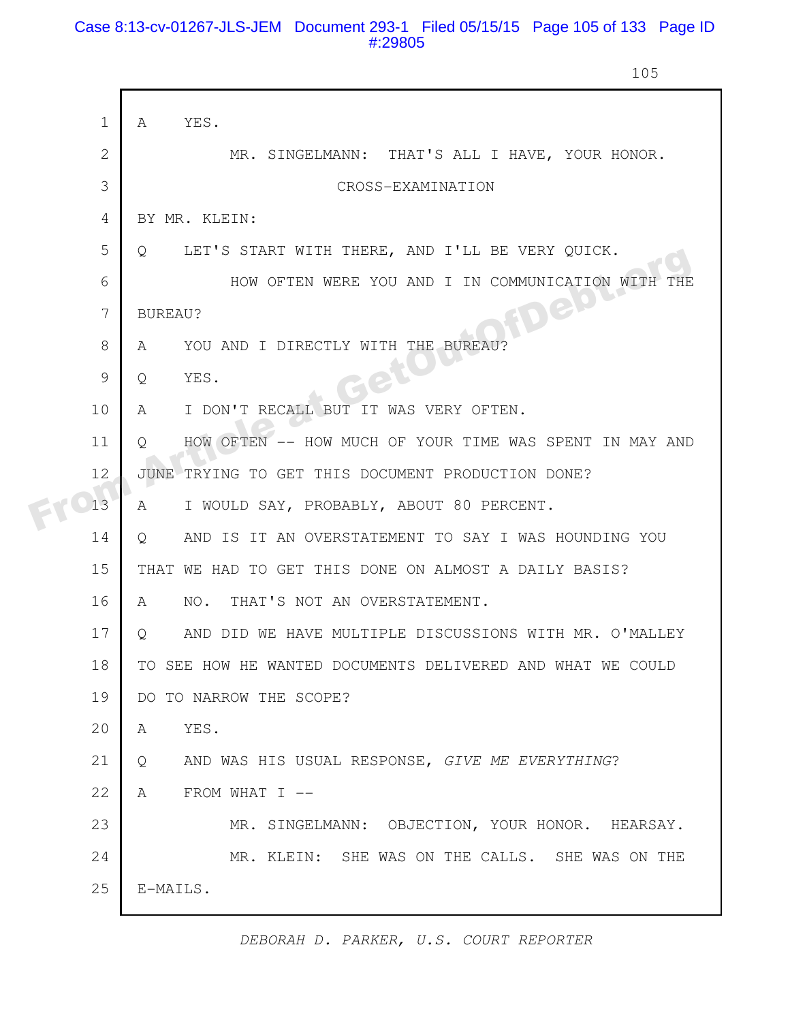### Case 8:13-cv-01267-JLS-JEM Document 293-1 Filed 05/15/15 Page 105 of 133 Page ID #:29805

105

|  | $\mathbf 1$  | YES.<br>A                                                         |
|--|--------------|-------------------------------------------------------------------|
|  | $\mathbf{2}$ | MR. SINGELMANN: THAT'S ALL I HAVE, YOUR HONOR.                    |
|  | 3            | CROSS-EXAMINATION                                                 |
|  | 4            | BY MR. KLEIN:                                                     |
|  | 5            | LET'S START WITH THERE, AND I'LL BE VERY QUICK.<br>$\circ$        |
|  | 6            | HOW OFTEN WERE YOU AND I IN COMMUNICATION WITH                    |
|  | 7            | <b>FDept</b><br>BUREAU?                                           |
|  | 8            | YOU AND I DIRECTLY WITH THE BUREAU?<br>A                          |
|  | 9            | YES.<br>Q                                                         |
|  | 10           | I DON'T RECALL BUT IT WAS VERY OFTEN.<br>A                        |
|  | 11           | HOW OFTEN -- HOW MUCH OF YOUR TIME WAS SPENT IN MAY AND<br>Q      |
|  | 12           | TRYING TO GET THIS DOCUMENT PRODUCTION DONE?<br>JUNE              |
|  | 13           | I WOULD SAY, PROBABLY, ABOUT 80 PERCENT.<br>A                     |
|  | 14           | AND IS IT AN OVERSTATEMENT TO SAY I WAS HOUNDING YOU<br>$\circ$   |
|  | 15           | THAT WE HAD TO GET THIS DONE ON ALMOST A DAILY BASIS?             |
|  | 16           | THAT'S NOT AN OVERSTATEMENT.<br>NO.<br>A                          |
|  | 17           | AND DID WE HAVE MULTIPLE DISCUSSIONS WITH MR. O'MALLEY<br>$\circ$ |
|  | 18           | TO SEE HOW HE WANTED DOCUMENTS DELIVERED AND WHAT WE COULD        |
|  | 19           | DO TO NARROW THE SCOPE?                                           |
|  | 20           | YES.<br>A                                                         |
|  | 21           | AND WAS HIS USUAL RESPONSE, GIVE ME EVERYTHING?<br>Q              |
|  | 22           | FROM WHAT I --<br>A                                               |
|  | 23           | MR. SINGELMANN: OBJECTION, YOUR HONOR. HEARSAY.                   |
|  | 24           | MR. KLEIN: SHE WAS ON THE CALLS. SHE WAS ON THE                   |
|  | 25           | E-MAILS.                                                          |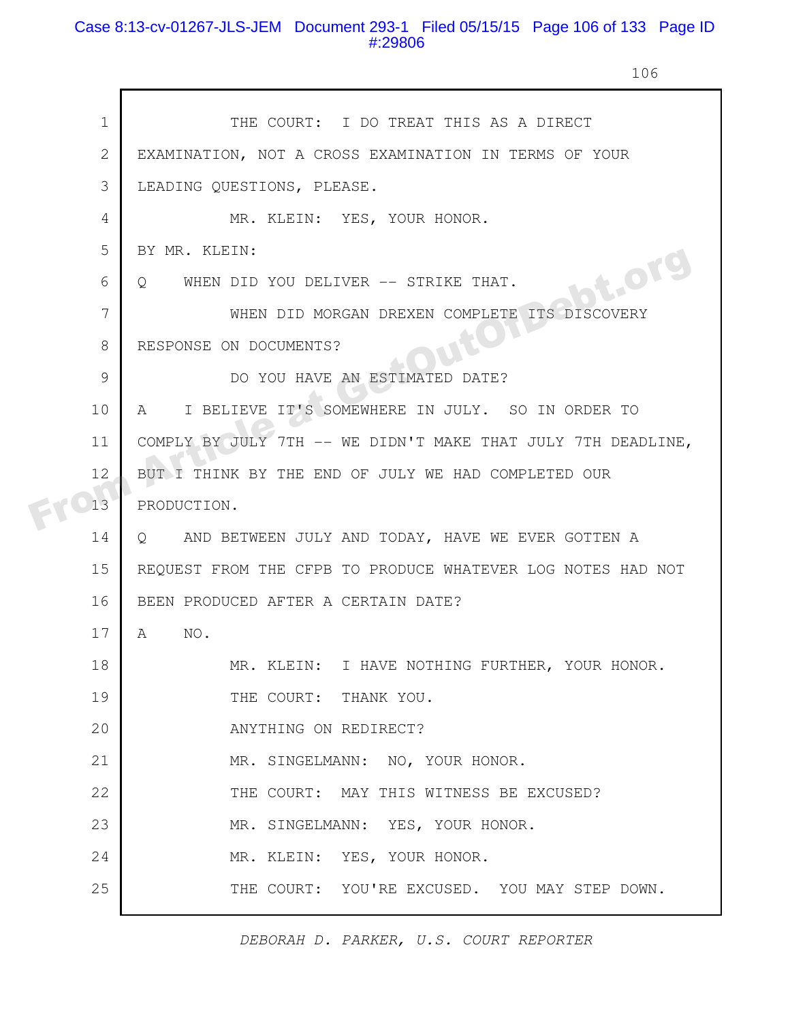# Case 8:13-cv-01267-JLS-JEM Document 293-1 Filed 05/15/15 Page 106 of 133 Page ID #:29806

106

| $\mathbf 1$ | THE COURT: I DO TREAT THIS AS A DIRECT                        |
|-------------|---------------------------------------------------------------|
| 2           | EXAMINATION, NOT A CROSS EXAMINATION IN TERMS OF YOUR         |
| 3           | LEADING QUESTIONS, PLEASE.                                    |
| 4           | MR. KLEIN: YES, YOUR HONOR.                                   |
| 5           | BY MR. KLEIN:                                                 |
| 6           | bt.org<br>WHEN DID YOU DELIVER -- STRIKE THAT.<br>$Q_{\cdot}$ |
| 7           | WHEN DID MORGAN DREXEN COMPLETE ITS DISCOVERY                 |
| 8           | RESPONSE ON DOCUMENTS?                                        |
| 9           | DO YOU HAVE AN ESTIMATED DATE?                                |
| 10          | I BELIEVE IT'S SOMEWHERE IN JULY. SO IN ORDER TO<br>A         |
| 11          | COMPLY BY JULY 7TH -- WE DIDN'T MAKE THAT JULY 7TH DEADLINE,  |
| 12          | BUT I THINK BY THE END OF JULY WE HAD COMPLETED OUR           |
| 13          | PRODUCTION.                                                   |
| 14          | Q AND BETWEEN JULY AND TODAY, HAVE WE EVER GOTTEN A           |
| 15          | REQUEST FROM THE CFPB TO PRODUCE WHATEVER LOG NOTES HAD NOT   |
| 16          | BEEN PRODUCED AFTER A CERTAIN DATE?                           |
| 17          | NO.<br>A                                                      |
| 18          | MR. KLEIN: I HAVE NOTHING FURTHER, YOUR HONOR.                |
| 19          | THE COURT: THANK YOU.                                         |
| 20          | ANYTHING ON REDIRECT?                                         |
| 21          | MR. SINGELMANN: NO, YOUR HONOR.                               |
| 22          | THE COURT: MAY THIS WITNESS BE EXCUSED?                       |
| 23          | MR. SINGELMANN: YES, YOUR HONOR.                              |
| 24          | MR. KLEIN: YES, YOUR HONOR.                                   |
| 25          | THE COURT: YOU'RE EXCUSED. YOU MAY STEP DOWN.                 |
|             |                                                               |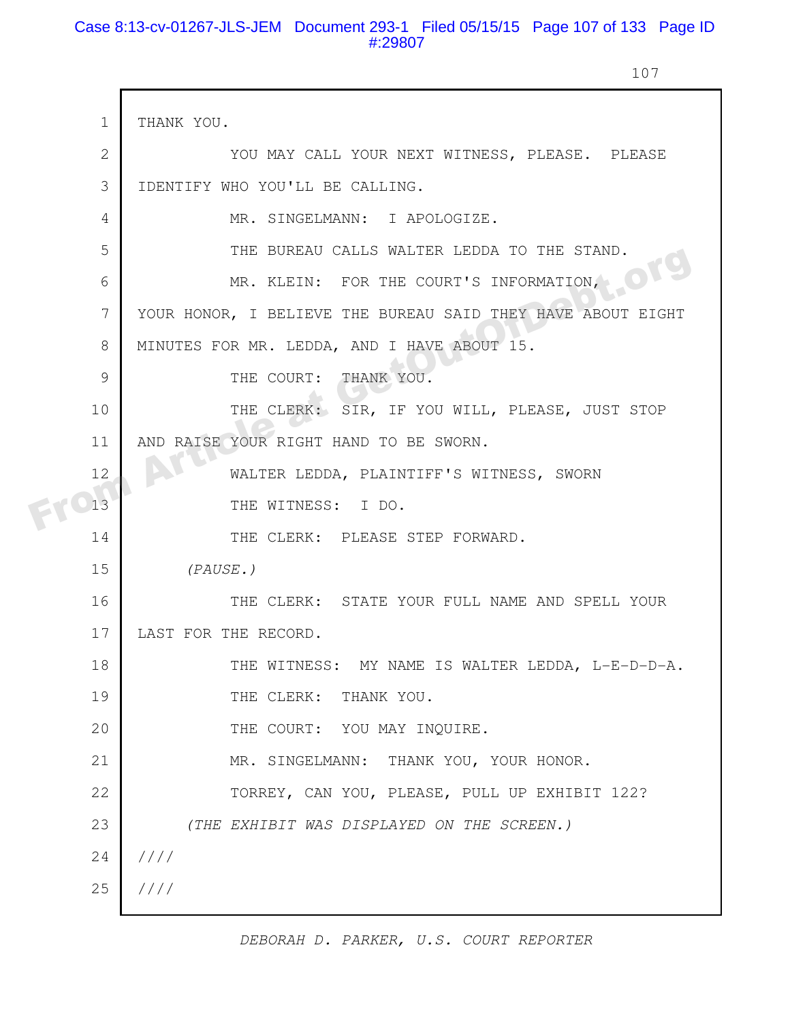# Case 8:13-cv-01267-JLS-JEM Document 293-1 Filed 05/15/15 Page 107 of 133 Page ID #:29807

107

|  | $\mathbf{1}$   | THANK YOU.                                                  |
|--|----------------|-------------------------------------------------------------|
|  | $\overline{2}$ | YOU MAY CALL YOUR NEXT WITNESS, PLEASE. PLEASE              |
|  | 3              | IDENTIFY WHO YOU'LL BE CALLING.                             |
|  | 4              | MR. SINGELMANN: I APOLOGIZE.                                |
|  | 5              | THE BUREAU CALLS WALTER LEDDA TO THE STAND.                 |
|  | 6              | MR. KLEIN: FOR THE COURT'S INFORMATION,                     |
|  | 7              | YOUR HONOR, I BELIEVE THE BUREAU SAID THEY HAVE ABOUT EIGHT |
|  | 8              | MINUTES FOR MR. LEDDA, AND I HAVE ABOUT 15.                 |
|  | 9              | THE COURT: THANK YOU.                                       |
|  | 10             | THE CLERK: SIR, IF YOU WILL, PLEASE, JUST STOP              |
|  | 11             | AND RAISE YOUR RIGHT HAND TO BE SWORN.                      |
|  | 12             | WALTER LEDDA, PLAINTIFF'S WITNESS, SWORN                    |
|  | 13             | THE WITNESS: I DO.                                          |
|  | 14             | THE CLERK: PLEASE STEP FORWARD.                             |
|  | 15             | (PAUSE.)                                                    |
|  | 16             | THE CLERK: STATE YOUR FULL NAME AND SPELL YOUR              |
|  | 17             | LAST FOR THE RECORD.                                        |
|  | 18             | THE WITNESS: MY NAME IS WALTER LEDDA, L-E-D-D-A.            |
|  | 19             | THE CLERK: THANK YOU.                                       |
|  | 20             | THE COURT: YOU MAY INQUIRE.                                 |
|  | 21             | MR. SINGELMANN: THANK YOU, YOUR HONOR.                      |
|  | 22             | TORREY, CAN YOU, PLEASE, PULL UP EXHIBIT 122?               |
|  | 23             | (THE EXHIBIT WAS DISPLAYED ON THE SCREEN.)                  |
|  | 24             | 1111                                                        |
|  | 25             | 1111                                                        |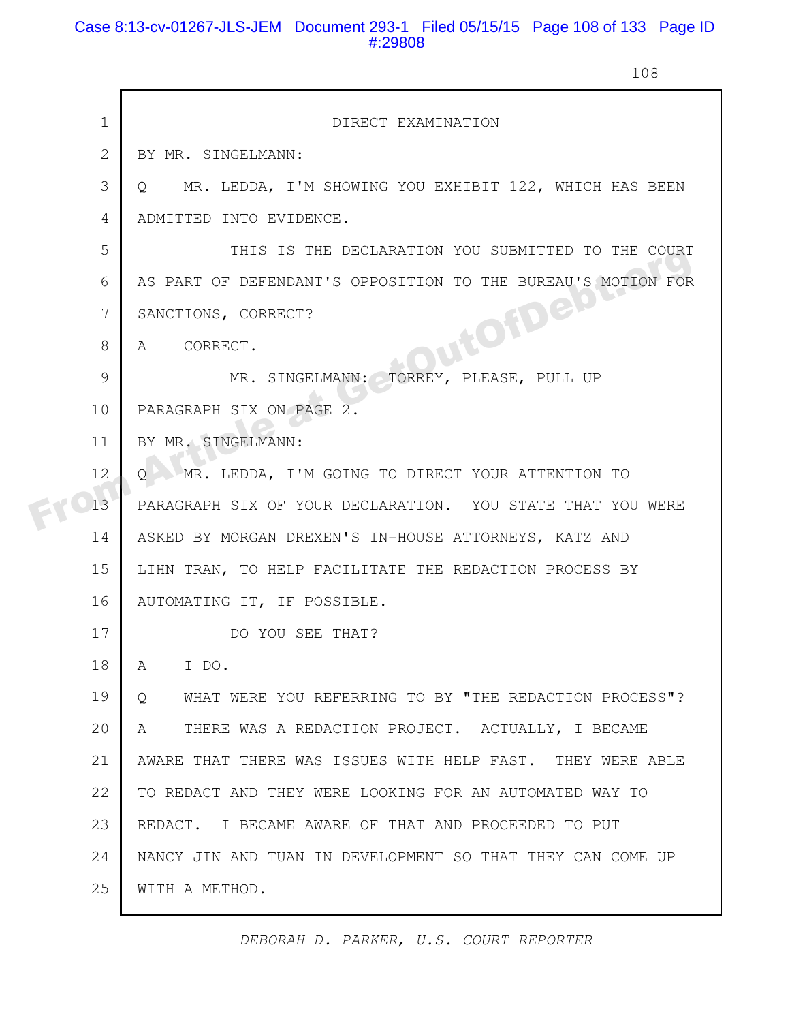# Case 8:13-cv-01267-JLS-JEM Document 293-1 Filed 05/15/15 Page 108 of 133 Page ID #:29808

108

| $\mathbf 1$  | DIRECT EXAMINATION                                                    |
|--------------|-----------------------------------------------------------------------|
| $\mathbf{2}$ | BY MR. SINGELMANN:                                                    |
| 3            | MR. LEDDA, I'M SHOWING YOU EXHIBIT 122, WHICH HAS BEEN<br>$\circ$     |
| 4            | ADMITTED INTO EVIDENCE.                                               |
| 5            | THIS IS THE DECLARATION YOU SUBMITTED TO THE COURT                    |
| 6            | AS PART OF DEFENDANT'S OPPOSITION TO THE BUREAU'S MOTION FOR          |
| 7            | SANCTIONS, CORRECT?                                                   |
| 8            | JutofDeis<br>A CORRECT.                                               |
| 9            | MR. SINGELMANN: TORREY, PLEASE, PULL UP                               |
| 10           | PARAGRAPH SIX ON PAGE 2.                                              |
| 11           | BY MR. SINGELMANN:                                                    |
| 12           | Q MR. LEDDA, I'M GOING TO DIRECT YOUR ATTENTION TO                    |
| 13           | PARAGRAPH SIX OF YOUR DECLARATION. YOU STATE THAT YOU WERE            |
| 14           | ASKED BY MORGAN DREXEN'S IN-HOUSE ATTORNEYS, KATZ AND                 |
| 15           | LIHN TRAN, TO HELP FACILITATE THE REDACTION PROCESS BY                |
| 16           | AUTOMATING IT, IF POSSIBLE.                                           |
| 17           | DO YOU SEE THAT?                                                      |
| 18           | A<br>I DO.                                                            |
| 19           | WHAT WERE YOU REFERRING TO BY "THE REDACTION PROCESS"?<br>$Q_{\perp}$ |
| 20           | THERE WAS A REDACTION PROJECT. ACTUALLY, I BECAME<br>A                |
| 21           | AWARE THAT THERE WAS ISSUES WITH HELP FAST. THEY WERE ABLE            |
| 22           | TO REDACT AND THEY WERE LOOKING FOR AN AUTOMATED WAY TO               |
| 23           | REDACT. I BECAME AWARE OF THAT AND PROCEEDED TO PUT                   |
| 24           | NANCY JIN AND TUAN IN DEVELOPMENT SO THAT THEY CAN COME UP            |
| 25           | WITH A METHOD.                                                        |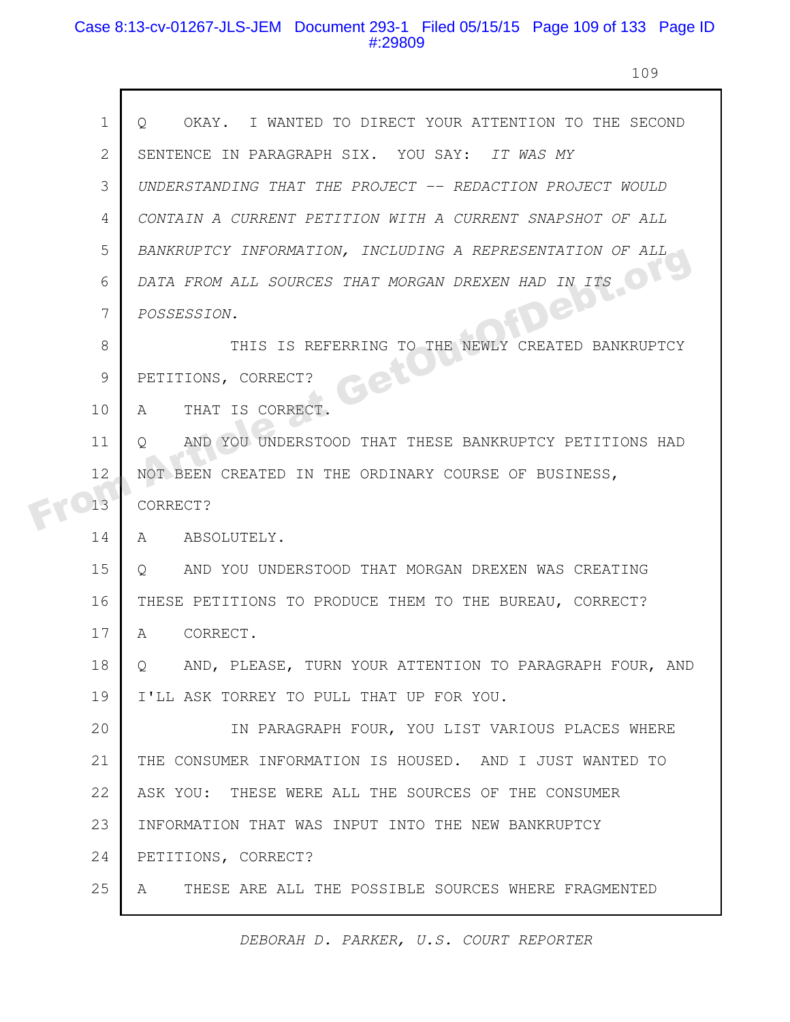# Case 8:13-cv-01267-JLS-JEM Document 293-1 Filed 05/15/15 Page 109 of 133 Page ID #:29809

 $\mathsf{\Gamma}$ 

109

| $\mathbf 1$  | OKAY. I WANTED TO DIRECT YOUR ATTENTION TO THE SECOND<br>$\circ$  |
|--------------|-------------------------------------------------------------------|
| $\mathbf{2}$ | SENTENCE IN PARAGRAPH SIX. YOU SAY: IT WAS MY                     |
| 3            | UNDERSTANDING THAT THE PROJECT -- REDACTION PROJECT WOULD         |
| 4            | CONTAIN A CURRENT PETITION WITH A CURRENT SNAPSHOT OF ALL         |
| 5            | BANKRUPTCY INFORMATION, INCLUDING A REPRESENTATION OF ALL         |
| 6            | DATA FROM ALL SOURCES THAT MORGAN DREXEN HAD IN ITS               |
| 7            | Jep<br>POSSESSION.                                                |
| 8            | THIS IS REFERRING TO THE NEWLY CREATED BANKRUPTCY                 |
| 9            | PETITIONS, CORRECT?                                               |
| 10           | THAT IS CORRECT.<br>A                                             |
| 11           | AND YOU UNDERSTOOD THAT THESE BANKRUPTCY PETITIONS HAD<br>$\circ$ |
| 12           | NOT BEEN CREATED IN THE ORDINARY COURSE OF BUSINESS,              |
| 13           | CORRECT?                                                          |
| 14           | ABSOLUTELY.<br>A                                                  |
| 15           | AND YOU UNDERSTOOD THAT MORGAN DREXEN WAS CREATING<br>Q           |
| 16           | THESE PETITIONS TO PRODUCE THEM TO THE BUREAU, CORRECT?           |
| 17           | CORRECT.<br>$\mathbf{A}$                                          |
| 18           | AND, PLEASE, TURN YOUR ATTENTION TO PARAGRAPH FOUR, AND<br>Q.     |
| 19           | I'LL ASK TORREY TO PULL THAT UP FOR YOU.                          |
| 20           | IN PARAGRAPH FOUR, YOU LIST VARIOUS PLACES WHERE                  |
| 21           | THE CONSUMER INFORMATION IS HOUSED. AND I JUST WANTED TO          |
| 22           | ASK YOU: THESE WERE ALL THE SOURCES OF THE CONSUMER               |
| 23           | INFORMATION THAT WAS INPUT INTO THE NEW BANKRUPTCY                |
| 24           | PETITIONS, CORRECT?                                               |
| 25           | THESE ARE ALL THE POSSIBLE SOURCES WHERE FRAGMENTED<br>A          |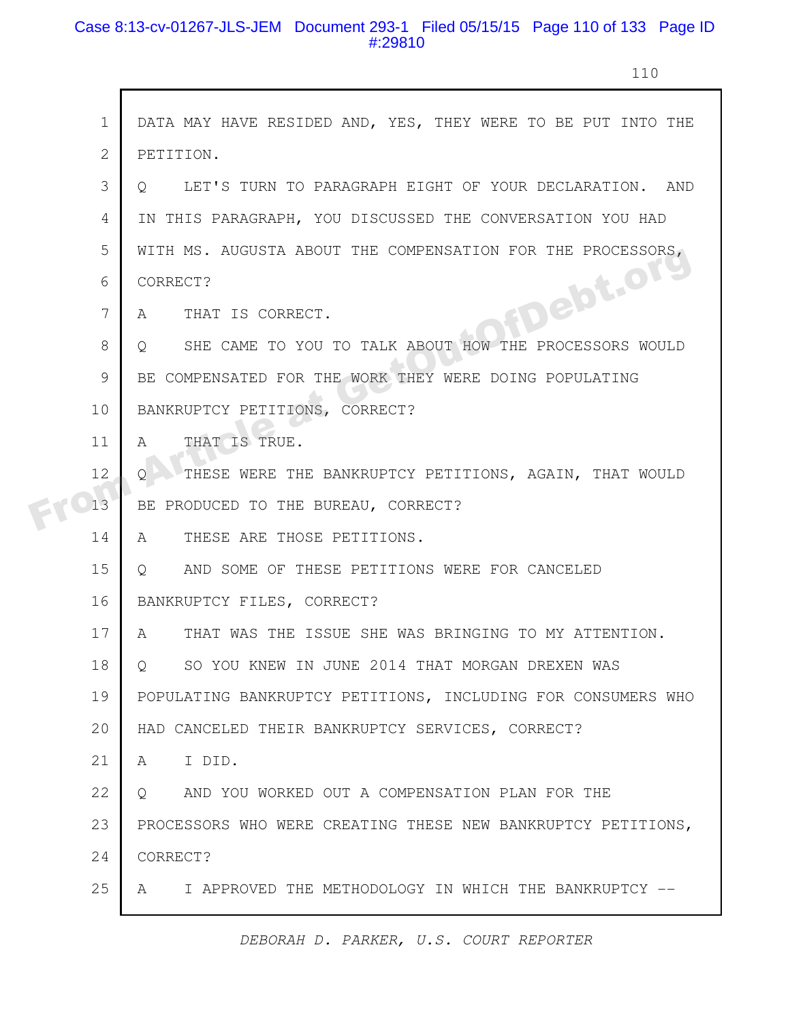# Case 8:13-cv-01267-JLS-JEM Document 293-1 Filed 05/15/15 Page 110 of 133 Page ID #:29810

 $\mathsf{r}$ 

110

|  | $\mathbf 1$    | DATA MAY HAVE RESIDED AND, YES, THEY WERE TO BE PUT INTO THE      |
|--|----------------|-------------------------------------------------------------------|
|  | $\overline{2}$ | PETITION.                                                         |
|  | 3              | LET'S TURN TO PARAGRAPH EIGHT OF YOUR DECLARATION. AND<br>$\circ$ |
|  | 4              | IN THIS PARAGRAPH, YOU DISCUSSED THE CONVERSATION YOU HAD         |
|  | 5              | WITH MS. AUGUSTA ABOUT THE COMPENSATION FOR THE PROCESSORS,       |
|  | 6              | DFDebt.org<br>CORRECT?                                            |
|  | 7              | THAT IS CORRECT.<br>A                                             |
|  | 8              | SHE CAME TO YOU TO TALK ABOUT HOW THE PROCESSORS WOULD<br>$\circ$ |
|  | 9              | BE COMPENSATED FOR THE WORK THEY WERE DOING POPULATING            |
|  | 10             | BANKRUPTCY PETITIONS, CORRECT?                                    |
|  | 11             | THAT IS TRUE.<br>$\mathsf{A}$                                     |
|  | 12             | THESE WERE THE BANKRUPTCY PETITIONS, AGAIN, THAT WOULD<br>Q.      |
|  | 13             | BE PRODUCED TO THE BUREAU, CORRECT?                               |
|  | 14             | THESE ARE THOSE PETITIONS.<br>A                                   |
|  | 15             | AND SOME OF THESE PETITIONS WERE FOR CANCELED<br>$\circ$          |
|  | 16             | BANKRUPTCY FILES, CORRECT?                                        |
|  | 17             | THAT WAS THE ISSUE SHE WAS BRINGING TO MY ATTENTION.<br>A         |
|  | 18             | SO YOU KNEW IN JUNE 2014 THAT MORGAN DREXEN WAS<br>Q              |
|  | 19             | POPULATING BANKRUPTCY PETITIONS, INCLUDING FOR CONSUMERS WHO      |
|  | 20             | HAD CANCELED THEIR BANKRUPTCY SERVICES, CORRECT?                  |
|  | 21             | I DID.<br>A                                                       |
|  | 22             | AND YOU WORKED OUT A COMPENSATION PLAN FOR THE<br>$Q_{\rm c}$     |
|  | 23             | PROCESSORS WHO WERE CREATING THESE NEW BANKRUPTCY PETITIONS,      |
|  | 24             | CORRECT?                                                          |
|  | 25             | I APPROVED THE METHODOLOGY IN WHICH THE BANKRUPTCY --<br>A        |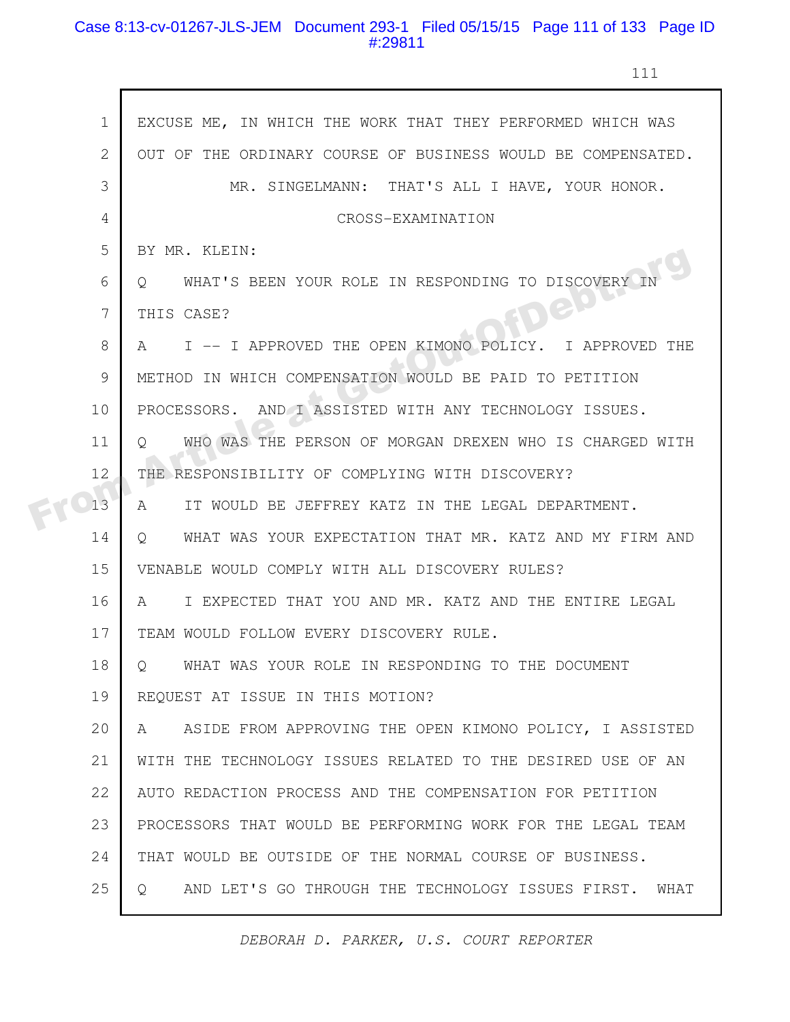# Case 8:13-cv-01267-JLS-JEM Document 293-1 Filed 05/15/15 Page 111 of 133 Page ID #:29811

г

ı

111

|  | $\mathbf 1$    | EXCUSE ME, IN WHICH THE WORK THAT THEY PERFORMED WHICH WAS         |
|--|----------------|--------------------------------------------------------------------|
|  | $\mathbf{2}$   | OUT OF THE ORDINARY COURSE OF BUSINESS WOULD BE COMPENSATED.       |
|  | 3              | MR. SINGELMANN: THAT'S ALL I HAVE, YOUR HONOR.                     |
|  | $\overline{4}$ | CROSS-EXAMINATION                                                  |
|  | 5              | BY MR. KLEIN:                                                      |
|  | 6              | WHAT'S BEEN YOUR ROLE IN RESPONDING TO DISCOVERY<br>O.             |
|  | 7              | FDEP<br>THIS CASE?                                                 |
|  | 8              | I -- I APPROVED THE OPEN KIMONO POLICY. I APPROVED THE<br>A        |
|  | 9              | METHOD IN WHICH COMPENSATION WOULD BE PAID TO PETITION             |
|  | 10             | PROCESSORS. AND I ASSISTED WITH ANY TECHNOLOGY ISSUES.             |
|  | 11             | WHO WAS THE PERSON OF MORGAN DREXEN WHO IS CHARGED WITH<br>Ő       |
|  | 12             | THE RESPONSIBILITY OF COMPLYING WITH DISCOVERY?                    |
|  | 13             | IT WOULD BE JEFFREY KATZ IN THE LEGAL DEPARTMENT.<br>A             |
|  | 14             | WHAT WAS YOUR EXPECTATION THAT MR. KATZ AND MY FIRM AND<br>$\circ$ |
|  | 15             | VENABLE WOULD COMPLY WITH ALL DISCOVERY RULES?                     |
|  | 16             | I EXPECTED THAT YOU AND MR. KATZ AND THE ENTIRE LEGAL<br>A         |
|  | 17             | TEAM WOULD FOLLOW EVERY DISCOVERY RULE.                            |
|  | 18             | WHAT WAS YOUR ROLE IN RESPONDING TO THE DOCUMENT<br>$\circ$        |
|  | 19             | REQUEST AT ISSUE IN THIS MOTION?                                   |
|  | 20             | ASIDE FROM APPROVING THE OPEN KIMONO POLICY, I ASSISTED<br>A       |
|  | 21             | WITH THE TECHNOLOGY ISSUES RELATED TO THE DESIRED USE OF AN        |
|  | 22             | AUTO REDACTION PROCESS AND THE COMPENSATION FOR PETITION           |
|  | 23             | PROCESSORS THAT WOULD BE PERFORMING WORK FOR THE LEGAL TEAM        |
|  | 24             | THAT WOULD BE OUTSIDE OF THE NORMAL COURSE OF BUSINESS.            |
|  | 25             | AND LET'S GO THROUGH THE TECHNOLOGY ISSUES FIRST. WHAT<br>Q        |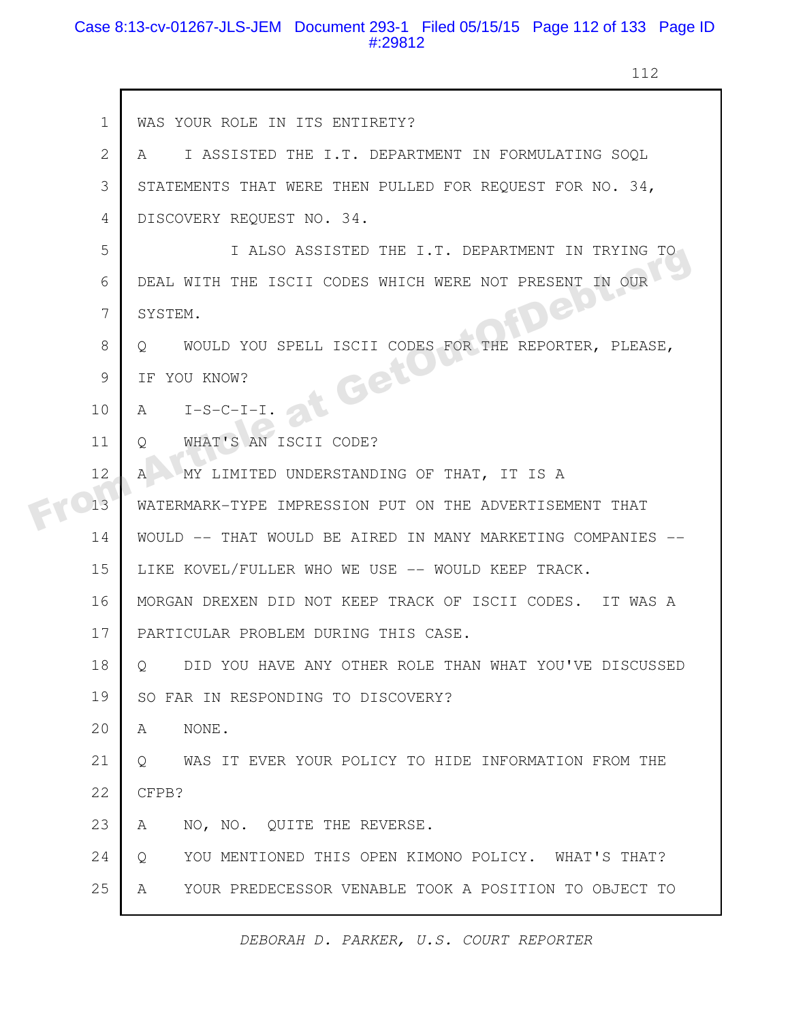# Case 8:13-cv-01267-JLS-JEM Document 293-1 Filed 05/15/15 Page 112 of 133 Page ID #:29812

112

|  | $\mathbf 1$  | WAS YOUR ROLE IN ITS ENTIRETY?                                      |
|--|--------------|---------------------------------------------------------------------|
|  | $\mathbf{2}$ | I ASSISTED THE I.T. DEPARTMENT IN FORMULATING SOOL<br>A             |
|  | 3            | STATEMENTS THAT WERE THEN PULLED FOR REQUEST FOR NO. 34,            |
|  | 4            | DISCOVERY REQUEST NO. 34.                                           |
|  | 5            | I ALSO ASSISTED THE I.T. DEPARTMENT IN TRYING TO                    |
|  | 6            | DEAL WITH THE ISCII CODES WHICH WERE NOT PRESENT IN OUR             |
|  | 7            | GD'<br>SYSTEM.                                                      |
|  | 8            | WOULD YOU SPELL ISCII CODES FOR THE REPORTER, PLEASE,<br>O.         |
|  | 9            | at Get<br>IF YOU KNOW?                                              |
|  | 10           | A<br>$I-S-C-I-I$ .                                                  |
|  | 11           | WHAT'S AN ISCII CODE?<br>Q                                          |
|  | 12           | MY LIMITED UNDERSTANDING OF THAT, IT IS A<br>$\mathsf{A}$           |
|  | 13           | WATERMARK-TYPE IMPRESSION PUT ON THE ADVERTISEMENT THAT             |
|  | 14           | WOULD -- THAT WOULD BE AIRED IN MANY MARKETING COMPANIES            |
|  | 15           | LIKE KOVEL/FULLER WHO WE USE -- WOULD KEEP TRACK.                   |
|  | 16           | MORGAN DREXEN DID NOT KEEP TRACK OF ISCII CODES. IT WAS A           |
|  | 17           | PARTICULAR PROBLEM DURING THIS CASE.                                |
|  | 18           | DID YOU HAVE ANY OTHER ROLE THAN WHAT YOU'VE DISCUSSED<br>Q         |
|  | 19           | SO FAR IN RESPONDING TO DISCOVERY?                                  |
|  | 20           | NONE.<br>A                                                          |
|  | 21           | WAS IT EVER YOUR POLICY TO HIDE INFORMATION FROM THE<br>$Q_{\cdot}$ |
|  | 22           | CFPB?                                                               |
|  | 23           | NO, NO. QUITE THE REVERSE.<br>A                                     |
|  | 24           | YOU MENTIONED THIS OPEN KIMONO POLICY. WHAT'S THAT?<br>$\circ$      |
|  | 25           | YOUR PREDECESSOR VENABLE TOOK A POSITION TO OBJECT TO<br>A          |
|  |              |                                                                     |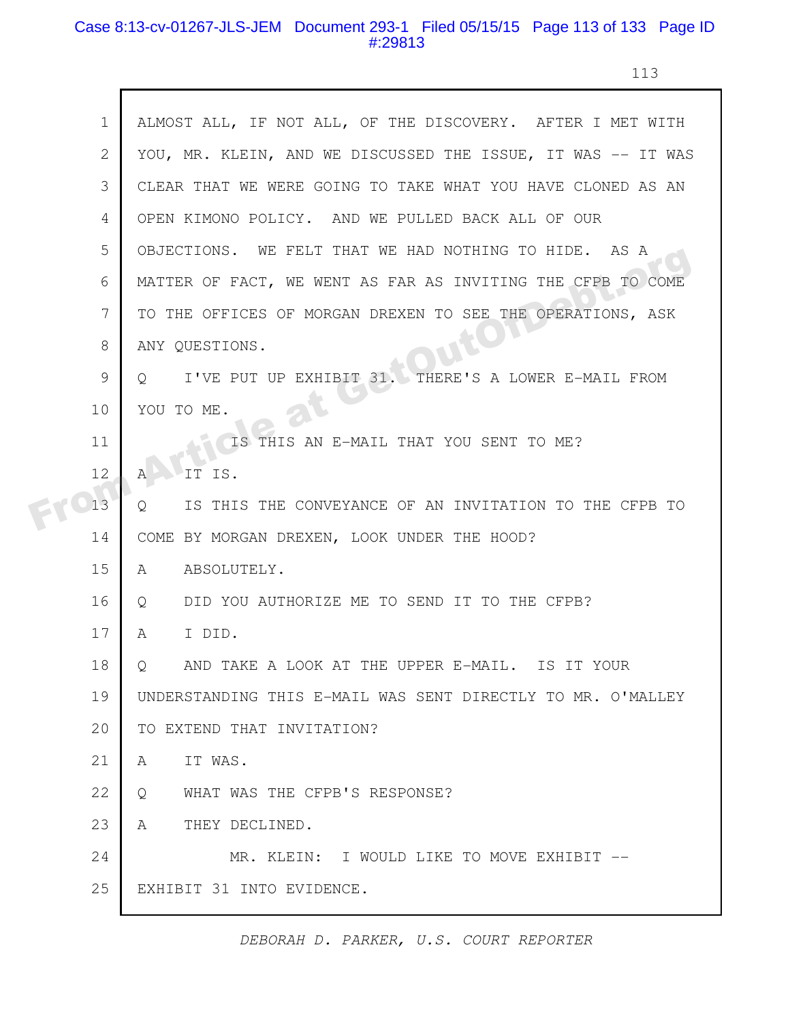#### Case 8:13-cv-01267-JLS-JEM Document 293-1 Filed 05/15/15 Page 113 of 133 Page ID #:29813

113

|  | $\mathbf 1$ | ALMOST ALL, IF NOT ALL, OF THE DISCOVERY. AFTER I MET WITH     |
|--|-------------|----------------------------------------------------------------|
|  | 2           | YOU, MR. KLEIN, AND WE DISCUSSED THE ISSUE, IT WAS -- IT WAS   |
|  | 3           | CLEAR THAT WE WERE GOING TO TAKE WHAT YOU HAVE CLONED AS AN    |
|  | 4           | OPEN KIMONO POLICY. AND WE PULLED BACK ALL OF OUR              |
|  | 5           | OBJECTIONS. WE FELT THAT WE HAD NOTHING TO HIDE. AS A          |
|  | 6           | MATTER OF FACT, WE WENT AS FAR AS INVITING THE CFPB TO COME    |
|  | 7           | TO THE OFFICES OF MORGAN DREXEN TO SEE THE OPERATIONS, ASK     |
|  | 8           | ANY QUESTIONS.                                                 |
|  | 9           | I'VE PUT UP EXHIBIT 31. THERE'S A LOWER E-MAIL FROM<br>$\circ$ |
|  | 10          | YOU TO ME.                                                     |
|  | 11          | IS THIS AN E-MAIL THAT YOU SENT TO ME?                         |
|  | 12          | IT IS.<br>Α                                                    |
|  | 13          | IS THIS THE CONVEYANCE OF AN INVITATION TO THE CFPB TO<br>Q    |
|  | 14          | COME BY MORGAN DREXEN, LOOK UNDER THE HOOD?                    |
|  | 15          | ABSOLUTELY.<br>A                                               |
|  | 16          | DID YOU AUTHORIZE ME TO SEND IT TO THE CFPB?<br>Q              |
|  | 17          | I DID.<br>A                                                    |
|  | 18          | AND TAKE A LOOK AT THE UPPER E-MAIL. IS IT YOUR<br>Q           |
|  | 19          | UNDERSTANDING THIS E-MAIL WAS SENT DIRECTLY TO MR. O'MALLEY    |
|  | 20          | TO EXTEND THAT INVITATION?                                     |
|  | 21          | IT WAS.<br>A                                                   |
|  | 22          | WHAT WAS THE CFPB'S RESPONSE?<br>Q                             |
|  | 23          | THEY DECLINED.<br>A                                            |
|  | 24          | MR. KLEIN: I WOULD LIKE TO MOVE EXHIBIT --                     |
|  | 25          | EXHIBIT 31 INTO EVIDENCE.                                      |
|  |             |                                                                |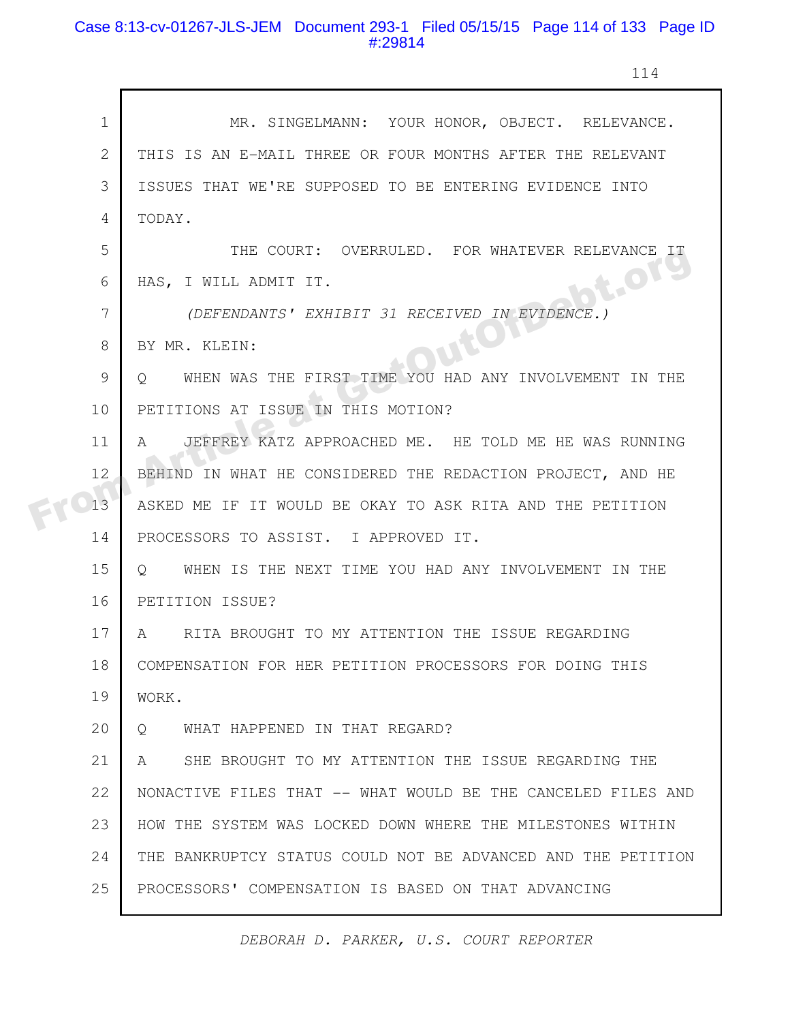# Case 8:13-cv-01267-JLS-JEM Document 293-1 Filed 05/15/15 Page 114 of 133 Page ID #:29814

г

114

| $\mathbf 1$    | MR. SINGELMANN: YOUR HONOR, OBJECT. RELEVANCE.                  |
|----------------|-----------------------------------------------------------------|
| $\overline{2}$ | THIS IS AN E-MAIL THREE OR FOUR MONTHS AFTER THE RELEVANT       |
| 3              | ISSUES THAT WE'RE SUPPOSED TO BE ENTERING EVIDENCE INTO         |
| 4              | TODAY.                                                          |
| 5              | THE COURT: OVERRULED. FOR WHATEVER RELEVANCE IT                 |
| 6              | ot.org<br>HAS, I WILL ADMIT IT.                                 |
| 7              | (DEFENDANTS' EXHIBIT 31 RECEIVED IN EVIDENCE.)                  |
| 8              | BY MR. KLEIN:                                                   |
| 9              | WHEN WAS THE FIRST TIME YOU HAD ANY INVOLVEMENT IN THE<br>O.    |
| 10             | PETITIONS AT ISSUE IN THIS MOTION?                              |
| 11             | JEFFREY KATZ APPROACHED ME. HE TOLD ME HE WAS RUNNING<br>A      |
| 12             | BEHIND IN WHAT HE CONSIDERED THE REDACTION PROJECT, AND HE      |
| 13             | ASKED ME IF IT WOULD BE OKAY TO ASK RITA AND THE PETITION       |
| 14             | PROCESSORS TO ASSIST. I APPROVED IT.                            |
| 15             | WHEN IS THE NEXT TIME YOU HAD ANY INVOLVEMENT IN THE<br>$\circ$ |
| 16             | PETITION ISSUE?                                                 |
| 17             | RITA BROUGHT TO MY ATTENTION THE ISSUE REGARDING<br>A           |
| 18             | COMPENSATION FOR HER PETITION PROCESSORS FOR DOING THIS         |
| 19             | WORK.                                                           |
| 20             | WHAT HAPPENED IN THAT REGARD?<br>$\circ$                        |
| 21             | SHE BROUGHT TO MY ATTENTION THE ISSUE REGARDING THE<br>A        |
| 22             | NONACTIVE FILES THAT -- WHAT WOULD BE THE CANCELED FILES AND    |
| 23             | HOW THE SYSTEM WAS LOCKED DOWN WHERE THE MILESTONES WITHIN      |
| 24             | THE BANKRUPTCY STATUS COULD NOT BE ADVANCED AND THE PETITION    |
| 25             | PROCESSORS' COMPENSATION IS BASED ON THAT ADVANCING             |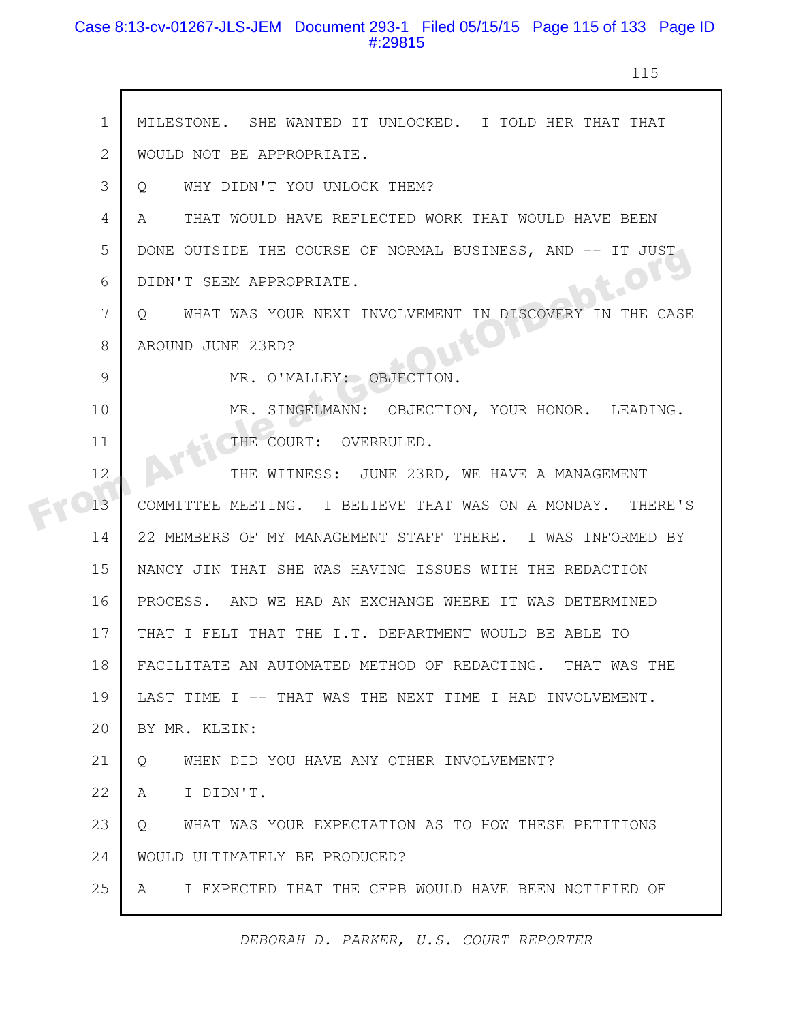# Case 8:13-cv-01267-JLS-JEM Document 293-1 Filed 05/15/15 Page 115 of 133 Page ID #:29815

 $\Gamma$ 

115

| $\mathbf{1}$ | MILESTONE. SHE WANTED IT UNLOCKED. I TOLD HER THAT THAT            |
|--------------|--------------------------------------------------------------------|
| 2            | WOULD NOT BE APPROPRIATE.                                          |
| 3            | WHY DIDN'T YOU UNLOCK THEM?<br>Q                                   |
| 4            | THAT WOULD HAVE REFLECTED WORK THAT WOULD HAVE BEEN<br>A           |
| 5            | DONE OUTSIDE THE COURSE OF NORMAL BUSINESS, AND -- IT JUST         |
| 6            | B.OTS<br>DIDN'T SEEM APPROPRIATE.                                  |
| 7            | WHAT WAS YOUR NEXT INVOLVEMENT IN DISCOVERY IN THE CASE<br>$\circ$ |
| 8            | AROUND JUNE 23RD?                                                  |
| 9            | MR. O'MALLEY: OBJECTION.                                           |
| 10           | MR. SINGELMANN: OBJECTION, YOUR HONOR. LEADING.                    |
| 11           | THE COURT: OVERRULED.                                              |
| 12           | THE WITNESS: JUNE 23RD, WE HAVE A MANAGEMENT                       |
| 13           | COMMITTEE MEETING. I BELIEVE THAT WAS ON A MONDAY. THERE'S         |
| 14           | 22 MEMBERS OF MY MANAGEMENT STAFF THERE. I WAS INFORMED BY         |
| 15           | NANCY JIN THAT SHE WAS HAVING ISSUES WITH THE REDACTION            |
| 16           | PROCESS. AND WE HAD AN EXCHANGE WHERE IT WAS DETERMINED            |
| 17           | THAT I FELT THAT THE I.T. DEPARTMENT WOULD BE ABLE TO              |
| 18           | FACILITATE AN AUTOMATED METHOD OF REDACTING. THAT WAS THE          |
| 19           | LAST TIME I -- THAT WAS THE NEXT TIME I HAD INVOLVEMENT.           |
| 20           | BY MR. KLEIN:                                                      |
| 21           | WHEN DID YOU HAVE ANY OTHER INVOLVEMENT?<br>Q                      |
| 22           | I DIDN'T.<br>A                                                     |
| 23           | WHAT WAS YOUR EXPECTATION AS TO HOW THESE PETITIONS<br>$Q_{\cdot}$ |
| 24           | WOULD ULTIMATELY BE PRODUCED?                                      |
| 25           | I EXPECTED THAT THE CFPB WOULD HAVE BEEN NOTIFIED OF<br>A          |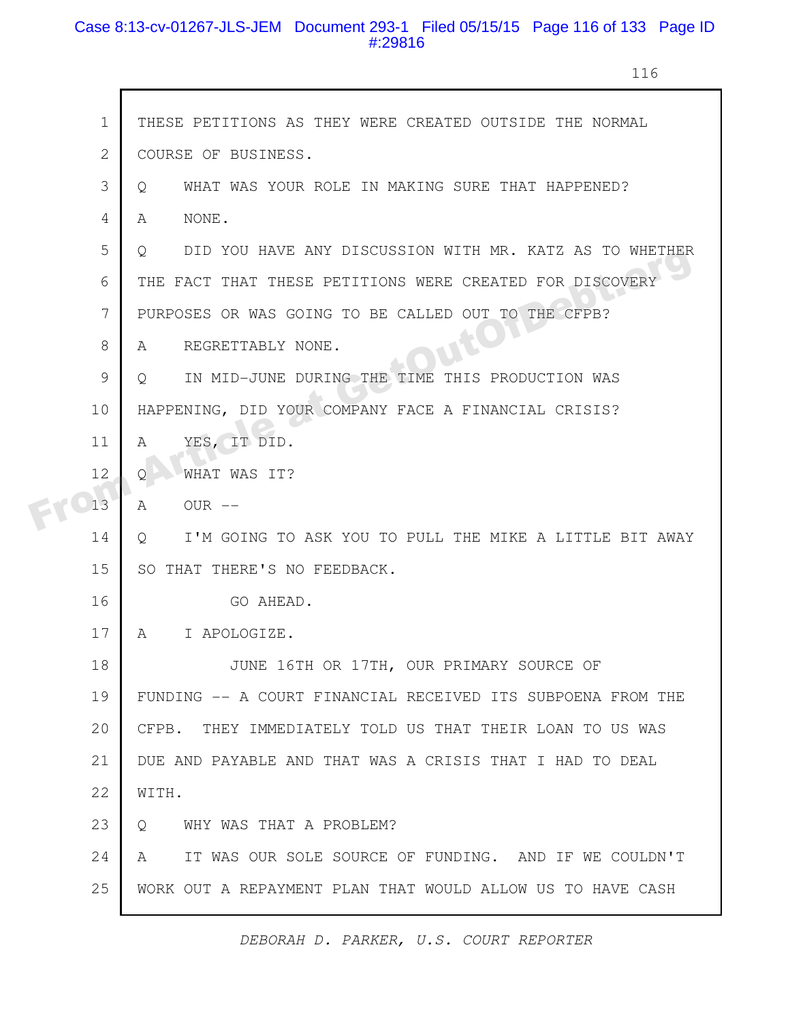# Case 8:13-cv-01267-JLS-JEM Document 293-1 Filed 05/15/15 Page 116 of 133 Page ID #:29816

г

116

|  | $\mathbf 1$    | THESE PETITIONS AS THEY WERE CREATED OUTSIDE THE NORMAL            |
|--|----------------|--------------------------------------------------------------------|
|  | $\overline{2}$ | COURSE OF BUSINESS.                                                |
|  | 3              | WHAT WAS YOUR ROLE IN MAKING SURE THAT HAPPENED?<br>$\circ$        |
|  | 4              | NONE.<br>A                                                         |
|  | 5              | DID YOU HAVE ANY DISCUSSION WITH MR. KATZ AS TO WHETHER<br>$\circ$ |
|  | 6              | THE FACT THAT THESE PETITIONS WERE CREATED FOR DISCOVERY           |
|  | 7              | PURPOSES OR WAS GOING TO BE CALLED OUT TO THE CFPB?                |
|  | 8              | REGRETTABLY NONE.<br>A                                             |
|  | 9              | IN MID-JUNE DURING THE TIME THIS PRODUCTION WAS<br>Q.              |
|  | 10             | HAPPENING, DID YOUR COMPANY FACE A FINANCIAL CRISIS?               |
|  | 11             | YES, IT DID.<br>A                                                  |
|  | 12             | WHAT WAS IT?<br>Ο                                                  |
|  | 13             | $OUR$ $--$<br>A                                                    |
|  | 14             | I'M GOING TO ASK YOU TO PULL THE MIKE A LITTLE BIT AWAY<br>Q       |
|  | 15             | SO THAT THERE'S NO FEEDBACK.                                       |
|  | 16             | GO AHEAD.                                                          |
|  | 17             | A I APOLOGIZE.                                                     |
|  | 18             | JUNE 16TH OR 17TH, OUR PRIMARY SOURCE OF                           |
|  | 19             | FUNDING -- A COURT FINANCIAL RECEIVED ITS SUBPOENA FROM THE        |
|  | 20             | CFPB. THEY IMMEDIATELY TOLD US THAT THEIR LOAN TO US WAS           |
|  | 21             | DUE AND PAYABLE AND THAT WAS A CRISIS THAT I HAD TO DEAL           |
|  | 22             | WITH.                                                              |
|  | 23             | WHY WAS THAT A PROBLEM?<br>$\circ$                                 |
|  | 24             | IT WAS OUR SOLE SOURCE OF FUNDING. AND IF WE COULDN'T<br>A         |
|  | 25             | WORK OUT A REPAYMENT PLAN THAT WOULD ALLOW US TO HAVE CASH         |
|  |                |                                                                    |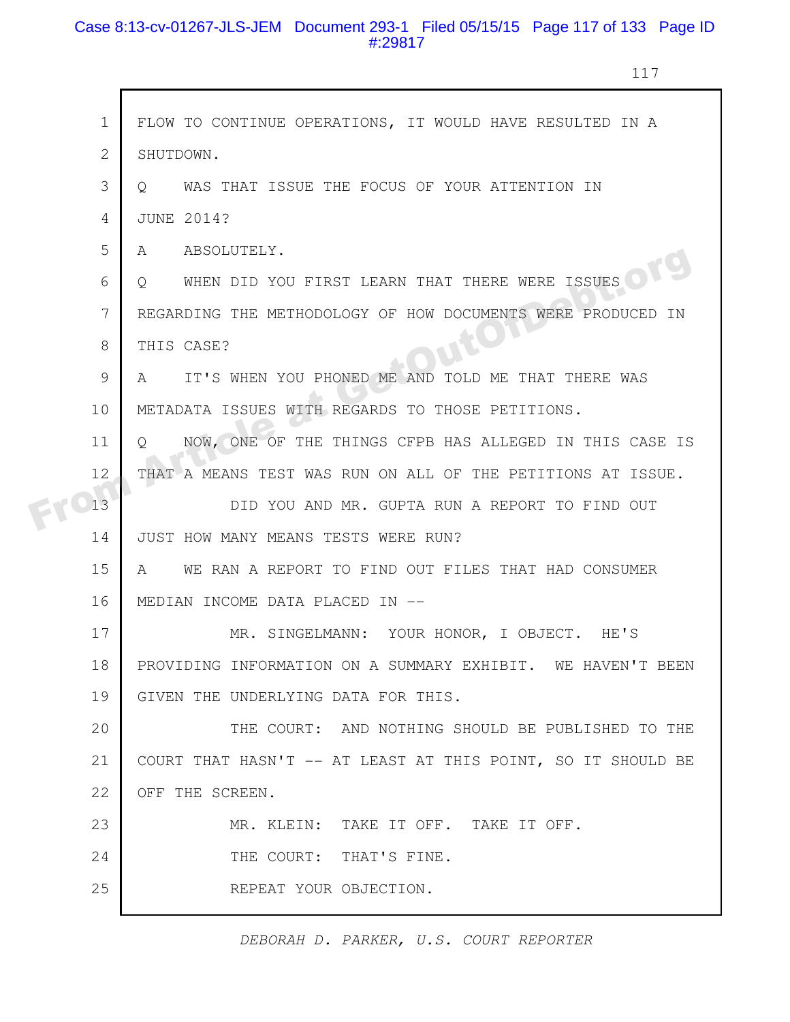# Case 8:13-cv-01267-JLS-JEM Document 293-1 Filed 05/15/15 Page 117 of 133 Page ID #:29817

117

| FLOW TO CONTINUE OPERATIONS, IT WOULD HAVE RESULTED IN A     |
|--------------------------------------------------------------|
|                                                              |
|                                                              |
|                                                              |
|                                                              |
|                                                              |
|                                                              |
| REGARDING THE METHODOLOGY OF HOW DOCUMENTS WERE PRODUCED IN  |
|                                                              |
| IT'S WHEN YOU PHONED ME AND TOLD ME THAT THERE WAS           |
|                                                              |
| NOW, ONE OF THE THINGS CFPB HAS ALLEGED IN THIS CASE IS      |
| THAT A MEANS TEST WAS RUN ON ALL OF THE PETITIONS AT ISSUE.  |
| DID YOU AND MR. GUPTA RUN A REPORT TO FIND OUT               |
|                                                              |
| WE RAN A REPORT TO FIND OUT FILES THAT HAD CONSUMER          |
|                                                              |
| MR. SINGELMANN: YOUR HONOR, I OBJECT. HE'S                   |
| PROVIDING INFORMATION ON A SUMMARY EXHIBIT. WE HAVEN'T BEEN  |
|                                                              |
| THE COURT: AND NOTHING SHOULD BE PUBLISHED TO THE            |
| COURT THAT HASN'T -- AT LEAST AT THIS POINT, SO IT SHOULD BE |
|                                                              |
|                                                              |
|                                                              |
|                                                              |
|                                                              |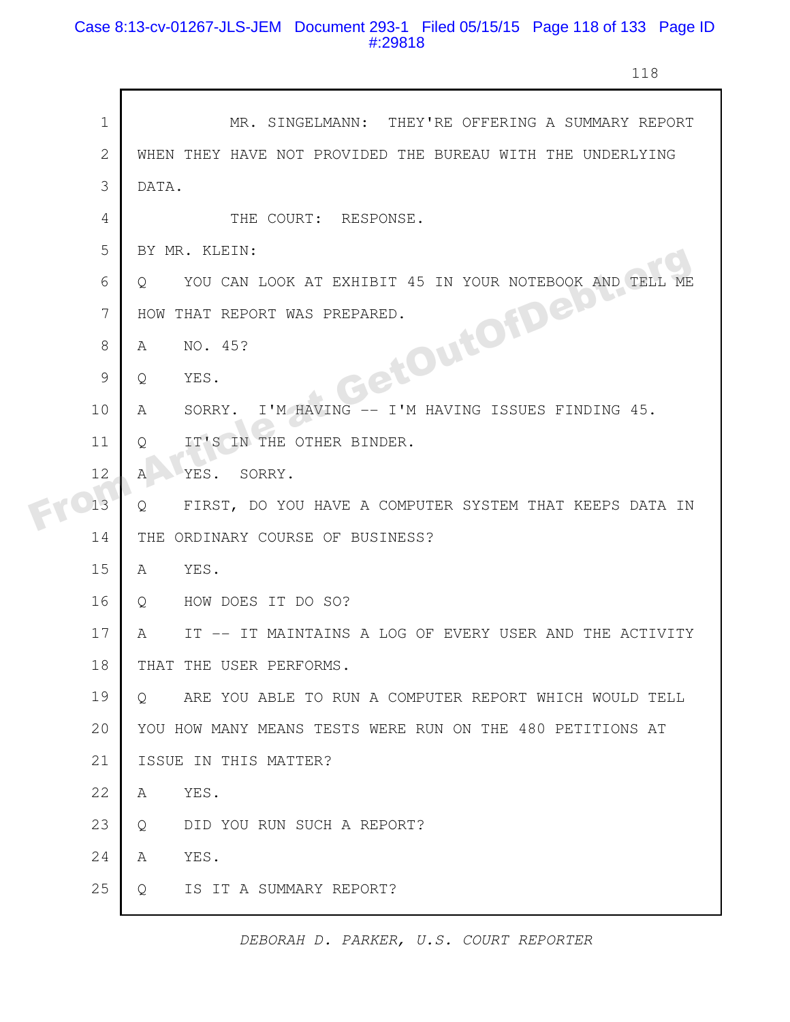# Case 8:13-cv-01267-JLS-JEM Document 293-1 Filed 05/15/15 Page 118 of 133 Page ID #:29818

118

|  | $\mathbf 1$    | MR. SINGELMANN: THEY'RE OFFERING A SUMMARY REPORT                 |
|--|----------------|-------------------------------------------------------------------|
|  | $\mathbf{2}$   | WHEN THEY HAVE NOT PROVIDED THE BUREAU WITH THE UNDERLYING        |
|  | 3              | DATA.                                                             |
|  | $\overline{4}$ | THE COURT: RESPONSE.                                              |
|  | 5              | BY MR. KLEIN:                                                     |
|  | 6              | YOU CAN LOOK AT EXHIBIT 45 IN YOUR NOTEBOOK AND TELL<br>O.        |
|  | 7              | HOW THAT REPORT WAS PREPARED.                                     |
|  | 8              | GetOuton al<br>NO. 45?<br>A                                       |
|  | 9              | YES.<br>Q                                                         |
|  | 10             | I'M HAVING -- I'M HAVING ISSUES FINDING 45.<br>A<br>SORRY.        |
|  | 11             | IT'S IN THE OTHER BINDER.<br>Q                                    |
|  | 12             | YES. SORRY.<br>$\mathbb{A}$                                       |
|  | 13             | FIRST, DO YOU HAVE A COMPUTER SYSTEM THAT KEEPS DATA IN<br>Q      |
|  | 14             | ORDINARY COURSE OF BUSINESS?<br>THE                               |
|  | 15             | YES.<br>A                                                         |
|  | 16             | HOW DOES IT DO SO?<br>$\circ$                                     |
|  | 17             | IT -- IT MAINTAINS A LOG OF EVERY USER AND THE ACTIVITY<br>A      |
|  | 18             | THAT THE USER PERFORMS.                                           |
|  | 19             | ARE YOU ABLE TO RUN A COMPUTER REPORT WHICH WOULD TELL<br>$\circ$ |
|  | 20             | YOU HOW MANY MEANS TESTS WERE RUN ON THE 480 PETITIONS AT         |
|  | 21             | ISSUE IN THIS MATTER?                                             |
|  | 22             | YES.<br>A                                                         |
|  | 23             | DID YOU RUN SUCH A REPORT?<br>Q                                   |
|  | 24             | YES.<br>Α                                                         |
|  | 25             | IS IT A SUMMARY REPORT?<br>Q                                      |
|  |                |                                                                   |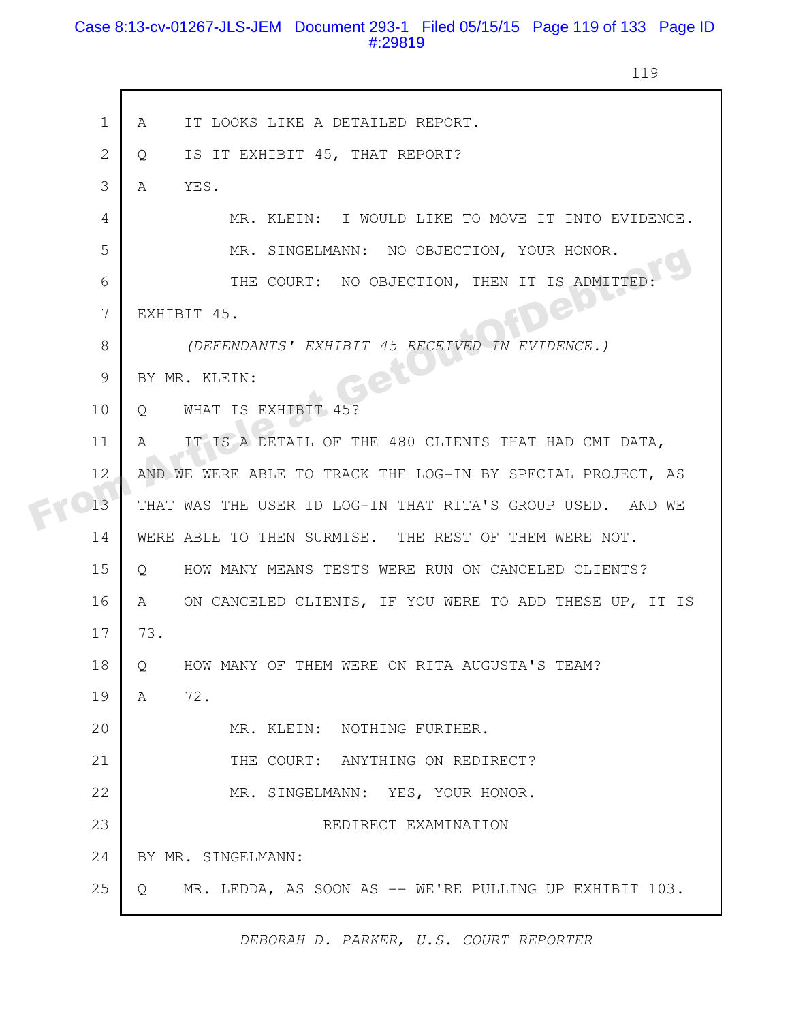# Case 8:13-cv-01267-JLS-JEM Document 293-1 Filed 05/15/15 Page 119 of 133 Page ID #:29819

119

| $\mathbf 1$    | IT LOOKS LIKE A DETAILED REPORT.<br>A                         |
|----------------|---------------------------------------------------------------|
| $\overline{2}$ | IS IT EXHIBIT 45, THAT REPORT?<br>$\circ$                     |
| 3              | A<br>YES.                                                     |
| $\overline{4}$ | MR. KLEIN: I WOULD LIKE TO MOVE IT INTO EVIDENCE.             |
| 5              | MR. SINGELMANN: NO OBJECTION, YOUR HONOR.                     |
| 6              | THE COURT: NO OBJECTION, THEN IT IS ADMITTED                  |
| 7              | <b>Jen</b><br>EXHIBIT 45.                                     |
| 8              | (DEFENDANTS' EXHIBIT 45 RECEIVED IN EVIDENCE.)                |
| $\mathcal{G}$  | BY MR. KLEIN:                                                 |
| 10             | WHAT IS EXHIBIT 45?<br>$Q_{\perp}$                            |
| 11             | IT IS A DETAIL OF THE 480 CLIENTS THAT HAD CMI DATA,<br>A     |
| 12             | AND WE WERE ABLE TO TRACK THE LOG-IN BY SPECIAL PROJECT, AS   |
| 13             | THAT WAS THE USER ID LOG-IN THAT RITA'S GROUP USED. AND WE    |
| 14             | WERE ABLE TO THEN SURMISE. THE REST OF THEM WERE NOT.         |
| 15             | HOW MANY MEANS TESTS WERE RUN ON CANCELED CLIENTS?<br>$\circ$ |
| 16             | ON CANCELED CLIENTS, IF YOU WERE TO ADD THESE UP, IT IS<br>A  |
| 17             | 73.                                                           |
| 18             | HOW MANY OF THEM WERE ON RITA AUGUSTA'S TEAM?<br>$\circ$      |
| 19             | 72.<br>A                                                      |
| 20             | MR. KLEIN: NOTHING FURTHER.                                   |
| 21             | THE COURT: ANYTHING ON REDIRECT?                              |
| 22             | MR. SINGELMANN: YES, YOUR HONOR.                              |
| 23             | REDIRECT EXAMINATION                                          |
| 24             | BY MR. SINGELMANN:                                            |
| 25             | MR. LEDDA, AS SOON AS -- WE'RE PULLING UP EXHIBIT 103.<br>Q   |
|                |                                                               |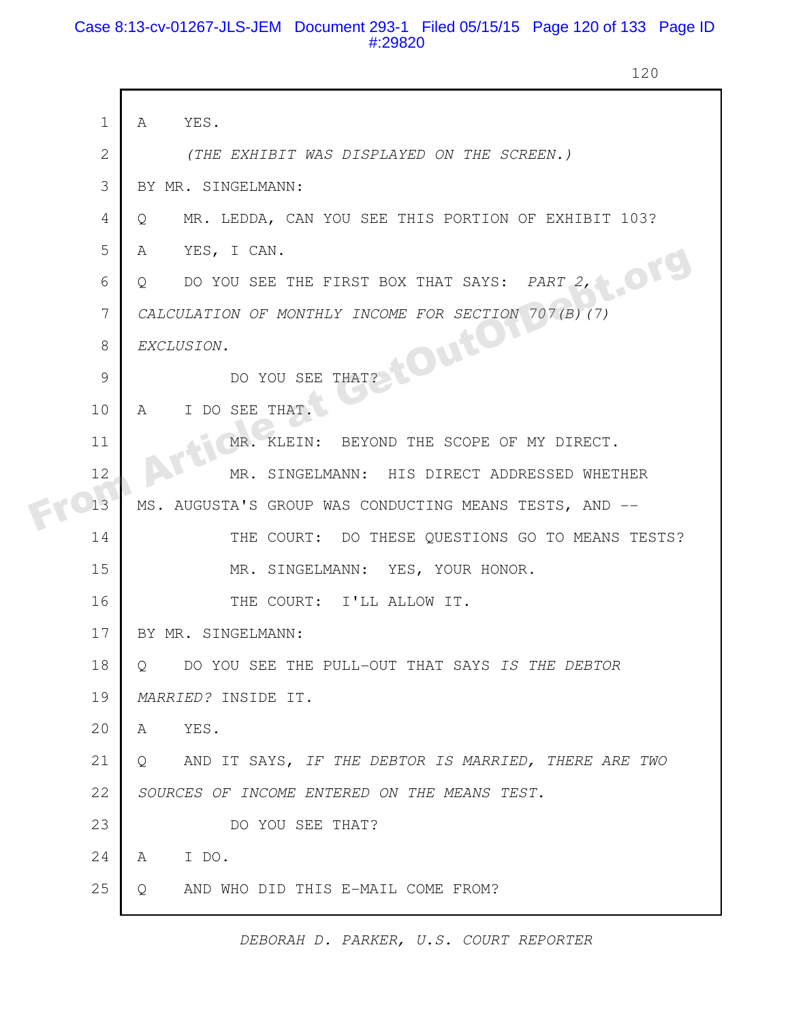# Case 8:13-cv-01267-JLS-JEM Document 293-1 Filed 05/15/15 Page 120 of 133 Page ID #:29820

120

|  | $\mathbf 1$     | YES.<br>A                                                 |
|--|-----------------|-----------------------------------------------------------|
|  | $\mathbf{2}$    | (THE EXHIBIT WAS DISPLAYED ON THE SCREEN.)                |
|  |                 |                                                           |
|  | 3               | BY MR. SINGELMANN:                                        |
|  | 4               | MR. LEDDA, CAN YOU SEE THIS PORTION OF EXHIBIT 103?<br>Q  |
|  | 5               | YES, I CAN.<br>A                                          |
|  | 6               | DO YOU SEE THE FIRST BOX THAT SAYS: PART 2,<br>Q          |
|  | $7\overline{ }$ | CALCULATION OF MONTHLY INCOME FOR SECTION 707(B) (7)      |
|  | 8               | <b>HOUTON</b><br>EXCLUSION.                               |
|  | 9               | THAT?<br>DO YOU SEE                                       |
|  | 10              | I DO SEE THAT.<br>A                                       |
|  | 11              | MR. KLEIN: BEYOND THE SCOPE OF MY DIRECT.                 |
|  | 12              | MR. SINGELMANN: HIS DIRECT ADDRESSED WHETHER              |
|  | 13              | MS. AUGUSTA'S GROUP WAS CONDUCTING MEANS TESTS, AND --    |
|  | 14              | THE COURT: DO THESE QUESTIONS GO TO MEANS TESTS?          |
|  | 15              | MR. SINGELMANN: YES, YOUR HONOR.                          |
|  | 16              | THE COURT: I'LL ALLOW IT.                                 |
|  | 17              | BY MR. SINGELMANN:                                        |
|  | 18              | DO YOU SEE THE PULL-OUT THAT SAYS IS THE DEBTOR<br>$\cup$ |
|  | 19              | MARRIED? INSIDE IT.                                       |
|  | 20              | YES.<br>A                                                 |
|  | 21              | AND IT SAYS, IF THE DEBTOR IS MARRIED, THERE ARE TWO<br>Q |
|  | 22              | SOURCES OF INCOME ENTERED ON THE MEANS TEST.              |
|  | 23              | DO YOU SEE THAT?                                          |
|  | 24              | I DO.<br>A                                                |
|  | 25              | AND WHO DID THIS E-MAIL COME FROM?<br>Q                   |
|  |                 |                                                           |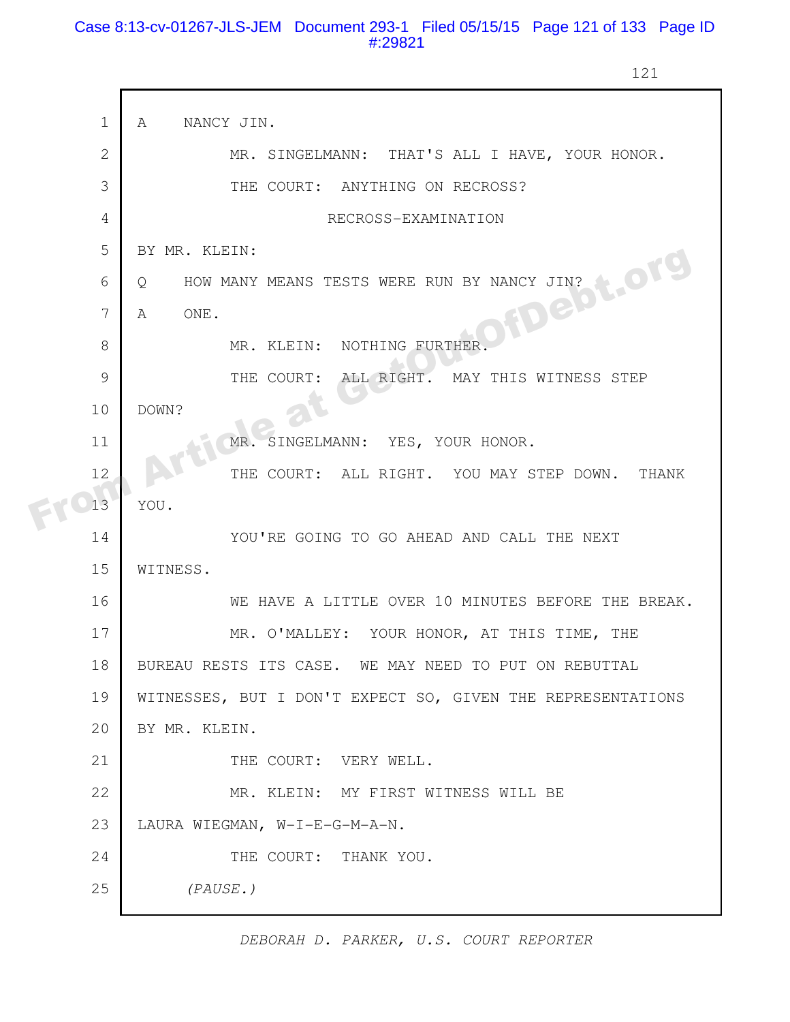# Case 8:13-cv-01267-JLS-JEM Document 293-1 Filed 05/15/15 Page 121 of 133 Page ID #:29821

121

|  | $\mathbf 1$  | NANCY JIN.<br>A                                             |
|--|--------------|-------------------------------------------------------------|
|  | $\mathbf{2}$ | MR. SINGELMANN: THAT'S ALL I HAVE, YOUR HONOR.              |
|  | 3            | THE COURT: ANYTHING ON RECROSS?                             |
|  | 4            | RECROSS-EXAMINATION                                         |
|  | 5            | BY MR. KLEIN:                                               |
|  | 6            | Q                                                           |
|  | 7            | HOW MANY MEANS TESTS WERE RUN BY NANCY JIN?<br>A            |
|  | 8            | MR. KLEIN: NOTHING FURTHER                                  |
|  | 9            | THE COURT:<br>ALL RIGHT. MAY THIS WITNESS STEP              |
|  | 10           | DOWN?                                                       |
|  | 11           | MR. SINGELMANN: YES, YOUR HONOR.                            |
|  | 12           | THE COURT: ALL RIGHT. YOU MAY STEP DOWN.<br>THANK           |
|  | 13           | YOU.                                                        |
|  | 14           | YOU'RE GOING TO GO AHEAD AND CALL THE NEXT                  |
|  | 15           | WITNESS.                                                    |
|  | 16           | WE HAVE A LITTLE OVER 10 MINUTES BEFORE THE BREAK.          |
|  | 17           | MR. O'MALLEY: YOUR HONOR, AT THIS TIME, THE                 |
|  | 18           | BUREAU RESTS ITS CASE. WE MAY NEED TO PUT ON REBUTTAL       |
|  | 19           | WITNESSES, BUT I DON'T EXPECT SO, GIVEN THE REPRESENTATIONS |
|  | 20           | BY MR. KLEIN.                                               |
|  | 21           | THE COURT: VERY WELL.                                       |
|  | 22           | MR. KLEIN: MY FIRST WITNESS WILL BE                         |
|  | 23           | LAURA WIEGMAN, W-I-E-G-M-A-N.                               |
|  | 24           | THE COURT: THANK YOU.                                       |
|  | 25           | (PAUSE.)                                                    |
|  |              |                                                             |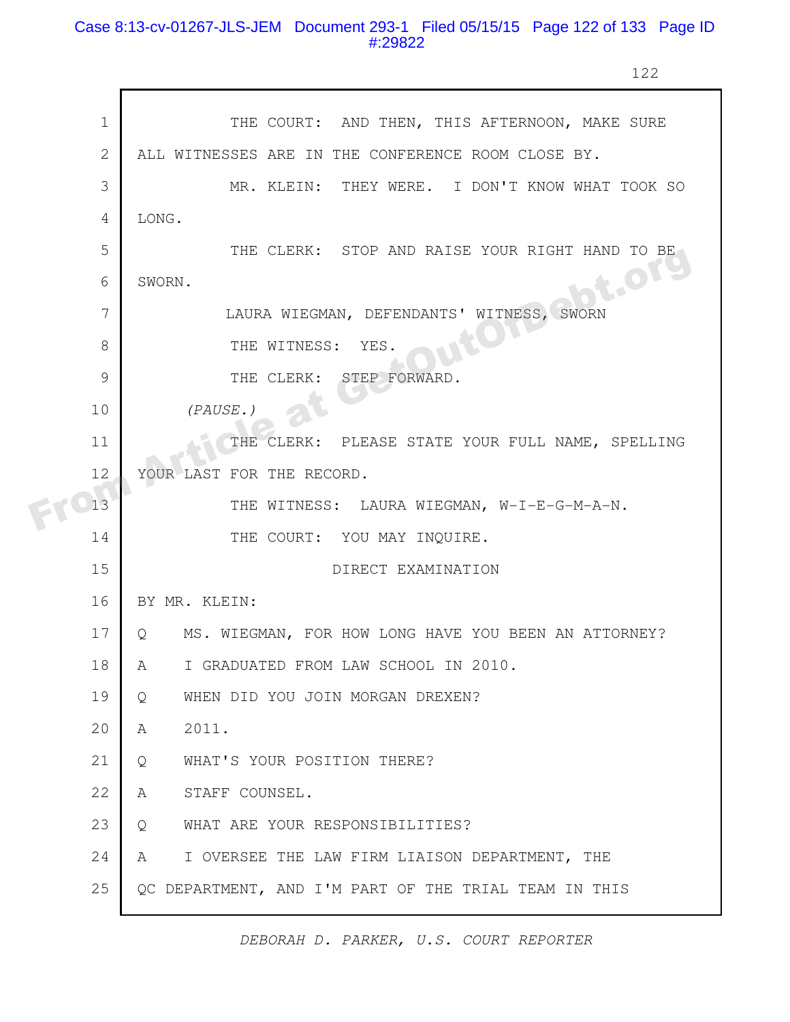# Case 8:13-cv-01267-JLS-JEM Document 293-1 Filed 05/15/15 Page 122 of 133 Page ID #:29822

122

|  | $\mathbf 1$    | THE COURT: AND THEN, THIS AFTERNOON, MAKE SURE            |
|--|----------------|-----------------------------------------------------------|
|  | $\mathbf{2}$   | ALL WITNESSES ARE IN THE CONFERENCE ROOM CLOSE BY.        |
|  | 3              | MR. KLEIN: THEY WERE. I DON'T KNOW WHAT TOOK SO           |
|  | $\overline{4}$ | LONG.                                                     |
|  | 5              | THE CLERK: STOP AND RAISE YOUR RIGHT HAND TO BE           |
|  | 6              | <b>St.OT9</b><br>SWORN.                                   |
|  | 7              | LAURA WIEGMAN, DEFENDANTS' WITNESS, SWORN                 |
|  | 8              | THE WITNESS:<br>YES.                                      |
|  | 9              | THE CLERK: STEP FORWARD.                                  |
|  | 10             | (PAUSE.)                                                  |
|  | 11             | THE CLERK: PLEASE STATE YOUR FULL NAME, SPELLING          |
|  | 12             | YOUR LAST FOR THE RECORD.                                 |
|  | 13             | THE WITNESS: LAURA WIEGMAN, W-I-E-G-M-A-N.                |
|  | 14             | THE COURT: YOU MAY INQUIRE.                               |
|  | 15             | DIRECT EXAMINATION                                        |
|  | 16             | BY MR. KLEIN:                                             |
|  | 17             | MS. WIEGMAN, FOR HOW LONG HAVE YOU BEEN AN ATTORNEY?<br>Q |
|  | 18             | I GRADUATED FROM LAW SCHOOL IN 2010.<br>A                 |
|  | 19             | WHEN DID YOU JOIN MORGAN DREXEN?<br>Q                     |
|  | 20             | 2011.<br>A                                                |
|  | 21             | WHAT'S YOUR POSITION THERE?<br>Q                          |
|  | 22             | STAFF COUNSEL.<br>A                                       |
|  | 23             | WHAT ARE YOUR RESPONSIBILITIES?<br>Q                      |
|  | 24             | I OVERSEE THE LAW FIRM LIAISON DEPARTMENT, THE<br>A       |
|  | 25             | QC DEPARTMENT, AND I'M PART OF THE TRIAL TEAM IN THIS     |
|  |                |                                                           |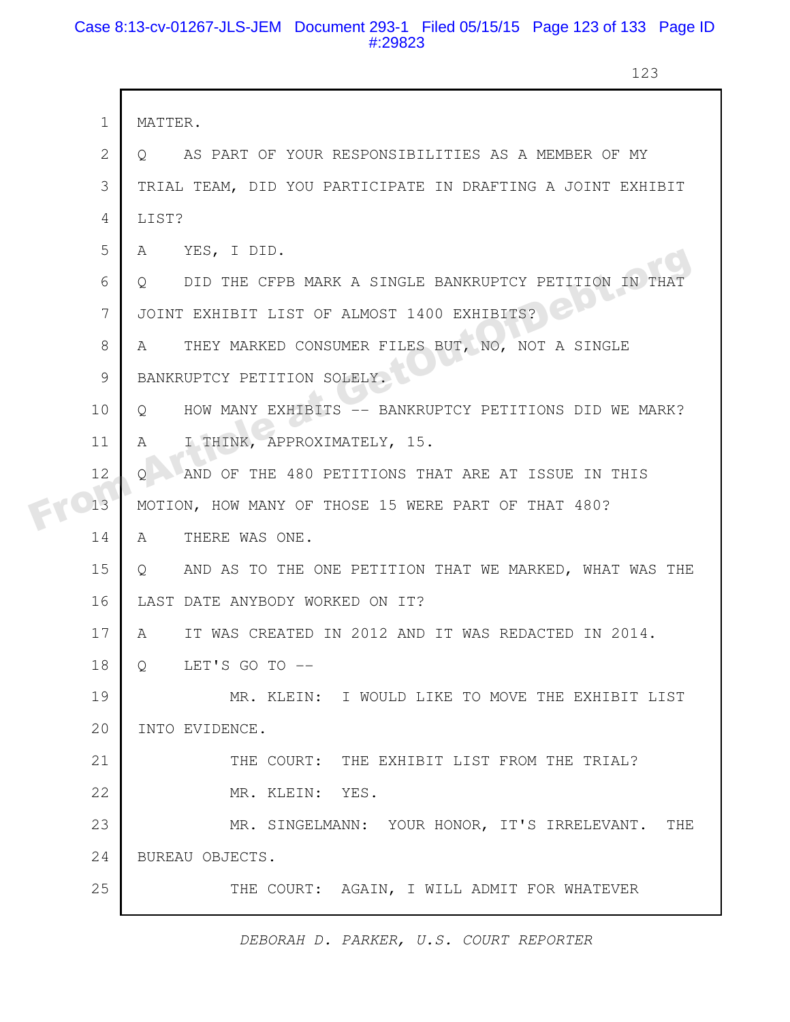# Case 8:13-cv-01267-JLS-JEM Document 293-1 Filed 05/15/15 Page 123 of 133 Page ID #:29823

123

|  | $\mathbf{1}$ | MATTER.                                                               |
|--|--------------|-----------------------------------------------------------------------|
|  | 2            | AS PART OF YOUR RESPONSIBILITIES AS A MEMBER OF MY<br>O –             |
|  | 3            | TRIAL TEAM, DID YOU PARTICIPATE IN DRAFTING A JOINT EXHIBIT           |
|  | 4            | LIST?                                                                 |
|  | 5            | YES, I DID.<br>A                                                      |
|  | 6            | DID THE CFPB MARK A SINGLE BANKRUPTCY PETITION IN THAT<br>$Q_{\cdot}$ |
|  | 7            | JOINT EXHIBIT LIST OF ALMOST 1400 EXHIBITS?                           |
|  | 8            | THEY MARKED CONSUMER FILES BUT, NO, NOT A SINGLE<br>A                 |
|  | 9            | BANKRUPTCY PETITION SOLELY.                                           |
|  | 10           | HOW MANY EXHIBITS -- BANKRUPTCY PETITIONS DID WE MARK?<br>$\circ$     |
|  | 11           | I THINK, APPROXIMATELY, 15.<br>A                                      |
|  | 12           | AND OF THE 480 PETITIONS THAT ARE AT ISSUE IN THIS<br>O               |
|  | 13           | MOTION, HOW MANY OF THOSE 15 WERE PART OF THAT 480?                   |
|  | 14           | THERE WAS ONE.<br>A                                                   |
|  | 15           | AND AS TO THE ONE PETITION THAT WE MARKED, WHAT WAS THE<br>Q          |
|  | 16           | LAST DATE ANYBODY WORKED ON IT?                                       |
|  | 17           | IT WAS CREATED IN 2012 AND IT WAS REDACTED IN 2014.<br>A              |
|  | 18           | LET'S GO TO --<br>Q                                                   |
|  | 19           | MR. KLEIN: I WOULD LIKE TO MOVE THE EXHIBIT LIST                      |
|  | 20           | INTO EVIDENCE.                                                        |
|  | 21           | THE COURT: THE EXHIBIT LIST FROM THE TRIAL?                           |
|  | 22           | MR. KLEIN: YES.                                                       |
|  | 23           | MR. SINGELMANN: YOUR HONOR, IT'S IRRELEVANT. THE                      |
|  | 24           | BUREAU OBJECTS.                                                       |
|  | 25           | THE COURT: AGAIN, I WILL ADMIT FOR WHATEVER                           |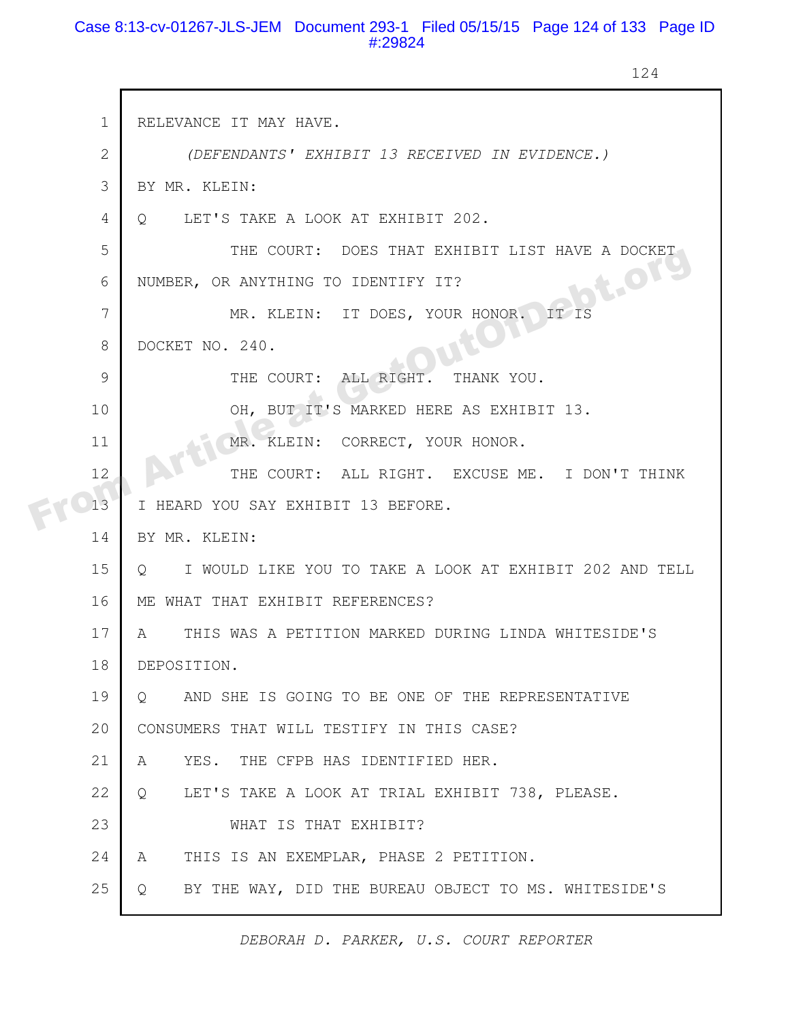# Case 8:13-cv-01267-JLS-JEM Document 293-1 Filed 05/15/15 Page 124 of 133 Page ID #:29824

124

| $\mathbf 1$  | RELEVANCE IT MAY HAVE.                                             |
|--------------|--------------------------------------------------------------------|
| $\mathbf{2}$ | (DEFENDANTS' EXHIBIT 13 RECEIVED IN EVIDENCE.)                     |
| 3            | BY MR. KLEIN:                                                      |
| 4            | LET'S TAKE A LOOK AT EXHIBIT 202.<br>$Q_{\cdot}$                   |
| 5            | THE COURT: DOES THAT EXHIBIT LIST HAVE A DOCKET                    |
| 6            | <b>SE-OTS</b><br>NUMBER, OR ANYTHING TO IDENTIFY IT?               |
| 7            | MR. KLEIN: IT DOES, YOUR HONOR.<br>IT IS                           |
| 8            | DOCKET NO. 240.                                                    |
| 9            | THE COURT: ALL RIGHT.<br>THANK YOU.                                |
| 10           | OH, BUT IT'S MARKED HERE AS EXHIBIT 13.                            |
| 11           | MR. KLEIN: CORRECT, YOUR HONOR.                                    |
| 12           | THE COURT: ALL RIGHT. EXCUSE ME. I DON'T THINK                     |
| 13           | I HEARD YOU SAY EXHIBIT 13 BEFORE.                                 |
| 14           | BY MR. KLEIN:                                                      |
| 15           | I WOULD LIKE YOU TO TAKE A LOOK AT EXHIBIT 202 AND TELL<br>$\circ$ |
| 16           | ME WHAT THAT EXHIBIT REFERENCES?                                   |
| 17           | THIS WAS A PETITION MARKED DURING LINDA WHITESIDE'S<br>A           |
| 18           | DEPOSITION.                                                        |
| 19           | AND SHE IS GOING TO BE ONE OF THE REPRESENTATIVE<br>Q.             |
| 20           | CONSUMERS THAT WILL TESTIFY IN THIS CASE?                          |
| 21           | YES. THE CFPB HAS IDENTIFIED HER.<br>A                             |
| 22           | LET'S TAKE A LOOK AT TRIAL EXHIBIT 738, PLEASE.<br>Q               |
| 23           | WHAT IS THAT EXHIBIT?                                              |
| 24           | THIS IS AN EXEMPLAR, PHASE 2 PETITION.<br>A                        |
| 25           | BY THE WAY, DID THE BUREAU OBJECT TO MS. WHITESIDE'S<br>Q          |

*DEBORAH D. PARKER, U.S. COURT REPORTER*

ı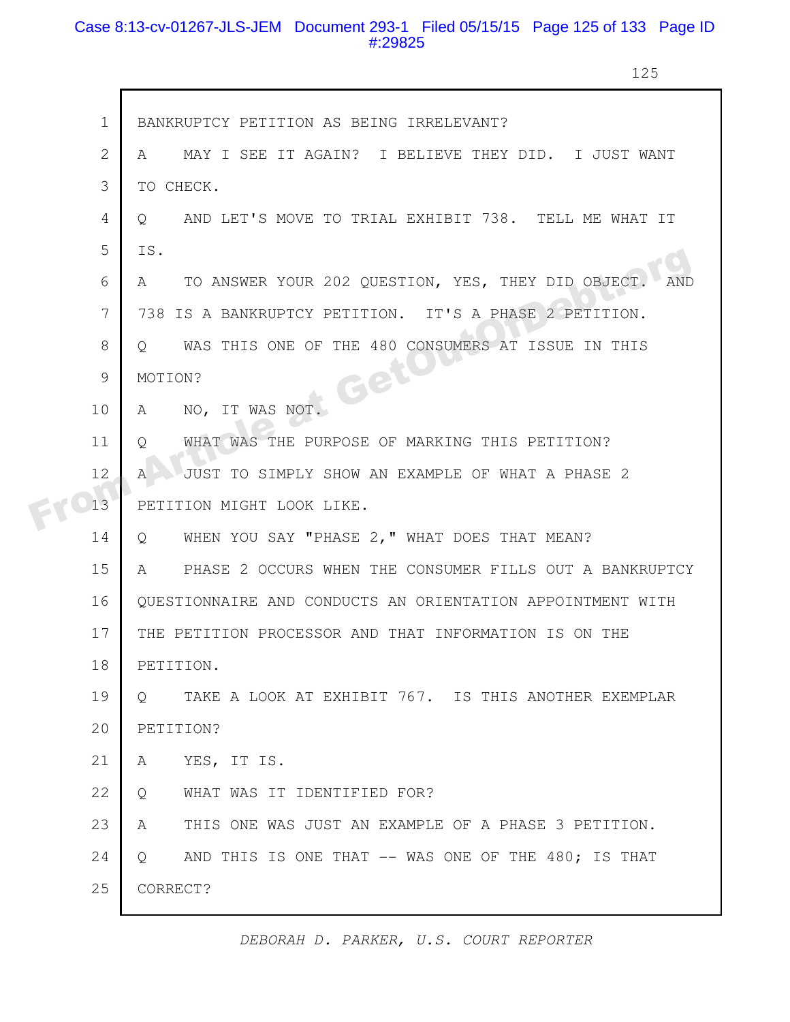# Case 8:13-cv-01267-JLS-JEM Document 293-1 Filed 05/15/15 Page 125 of 133 Page ID #:29825

г

125

|  | $\mathbf 1$  | BANKRUPTCY PETITION AS BEING IRRELEVANT?                        |
|--|--------------|-----------------------------------------------------------------|
|  | $\mathbf{2}$ | MAY I SEE IT AGAIN? I BELIEVE THEY DID. I JUST WANT<br>A        |
|  | 3            | TO CHECK.                                                       |
|  | 4            | AND LET'S MOVE TO TRIAL EXHIBIT 738. TELL ME WHAT IT<br>O       |
|  | 5            | IS.                                                             |
|  | 6            | TO ANSWER YOUR 202 QUESTION, YES, THEY DID OBJECT<br>A          |
|  | 7            | 738 IS A BANKRUPTCY PETITION. IT'S A PHASE 2 PETITION.          |
|  | 8            | WAS THIS ONE OF THE 480 CONSUMERS AT ISSUE IN THIS<br>$\circ$   |
|  | 9            | Get<br>MOTION?                                                  |
|  | 10           | NO, IT WAS NOT.<br>A                                            |
|  | 11           | WHAT WAS THE PURPOSE OF MARKING THIS PETITION?<br>O             |
|  | 12           | JUST TO SIMPLY SHOW AN EXAMPLE OF WHAT A PHASE 2<br>A           |
|  | 13           | PETITION MIGHT LOOK LIKE.                                       |
|  | 14           | WHEN YOU SAY "PHASE 2, " WHAT DOES THAT MEAN?<br>$\circ$        |
|  | 15           | PHASE 2 OCCURS WHEN THE CONSUMER FILLS OUT A BANKRUPTCY<br>A    |
|  | 16           | QUESTIONNAIRE AND CONDUCTS AN ORIENTATION APPOINTMENT WITH      |
|  | 17           | THE PETITION PROCESSOR AND THAT INFORMATION IS ON THE           |
|  | 18           | PETITION.                                                       |
|  | 19           | TAKE A LOOK AT EXHIBIT 767. IS THIS ANOTHER EXEMPLAR<br>$\circ$ |
|  | 20           | PETITION?                                                       |
|  | 21           | YES, IT IS.<br>A                                                |
|  | 22           | WHAT WAS IT IDENTIFIED FOR?<br>Q                                |
|  | 23           | THIS ONE WAS JUST AN EXAMPLE OF A PHASE 3 PETITION.<br>A        |
|  | 24           | AND THIS IS ONE THAT -- WAS ONE OF THE 480; IS THAT<br>$\circ$  |
|  | 25           | CORRECT?                                                        |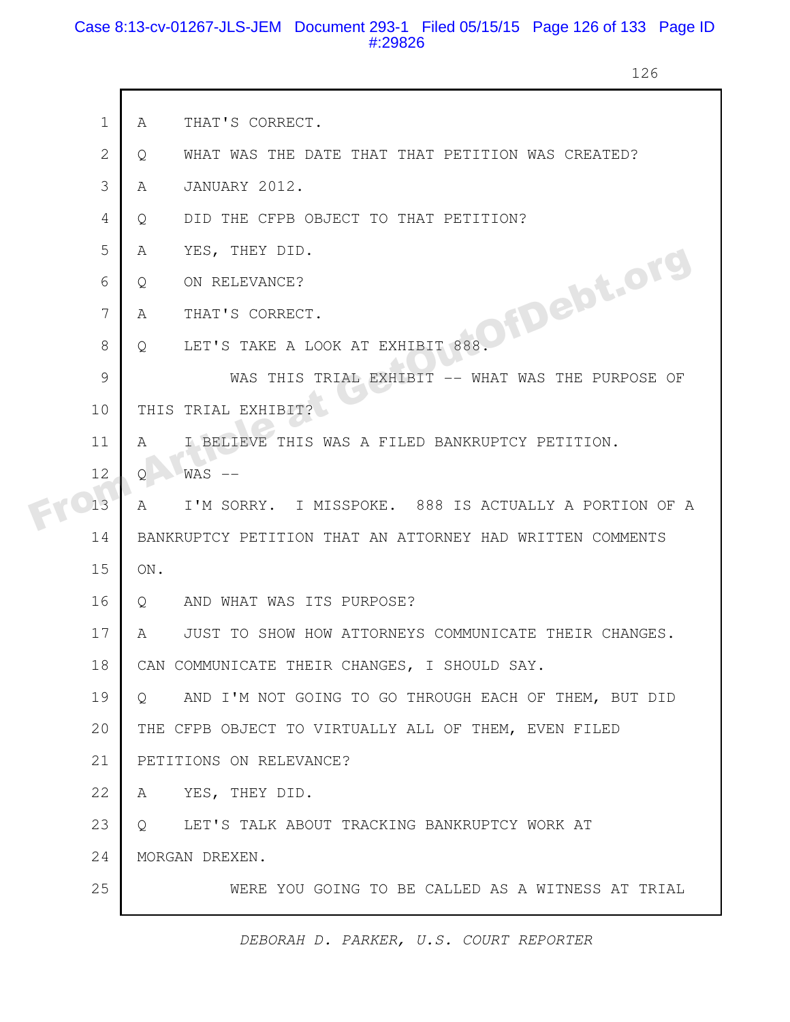# Case 8:13-cv-01267-JLS-JEM Document 293-1 Filed 05/15/15 Page 126 of 133 Page ID #:29826

126

| $\mathbf{1}$   | THAT'S CORRECT.<br>A                                                  |
|----------------|-----------------------------------------------------------------------|
| $\overline{2}$ | WHAT WAS THE DATE THAT THAT PETITION WAS CREATED?<br>Q                |
| 3              | JANUARY 2012.<br>A                                                    |
| 4              | DID THE CFPB OBJECT TO THAT PETITION?<br>$\circ$                      |
| 5              | YES, THEY DID.<br>A                                                   |
| 6              | Q.                                                                    |
| 7              | A                                                                     |
| 8              | LET'S TAKE A LOOK AT EXHIBIT 888.<br>Q.                               |
| 9              |                                                                       |
| 10             | THIS TRIAL EXHIBIT?                                                   |
| 11             | I BELIEVE THIS WAS A FILED BANKRUPTCY PETITION.<br>A                  |
| 12             | $WAS$ $--$<br>Q                                                       |
| 13             | I'M SORRY. I MISSPOKE. 888 IS ACTUALLY A PORTION OF A<br>$\mathbb{A}$ |
| 14             | BANKRUPTCY PETITION THAT AN ATTORNEY HAD WRITTEN COMMENTS             |
| 15             | ON.                                                                   |
| 16             | AND WHAT WAS ITS PURPOSE?<br>Q                                        |
| 17             | JUST TO SHOW HOW ATTORNEYS COMMUNICATE THEIR CHANGES.<br>A            |
| 18             | CAN COMMUNICATE THEIR CHANGES, I SHOULD SAY.                          |
| 19             | AND I'M NOT GOING TO GO THROUGH EACH OF THEM, BUT DID<br>$\circ$      |
| 20             | THE CFPB OBJECT TO VIRTUALLY ALL OF THEM, EVEN FILED                  |
| 21             | PETITIONS ON RELEVANCE?                                               |
| 22             | YES, THEY DID.<br>A                                                   |
| 23             | LET'S TALK ABOUT TRACKING BANKRUPTCY WORK AT<br>Q.                    |
| 24             | MORGAN DREXEN.                                                        |
| 25             | WERE YOU GOING TO BE CALLED AS A WITNESS AT TRIAL                     |
|                |                                                                       |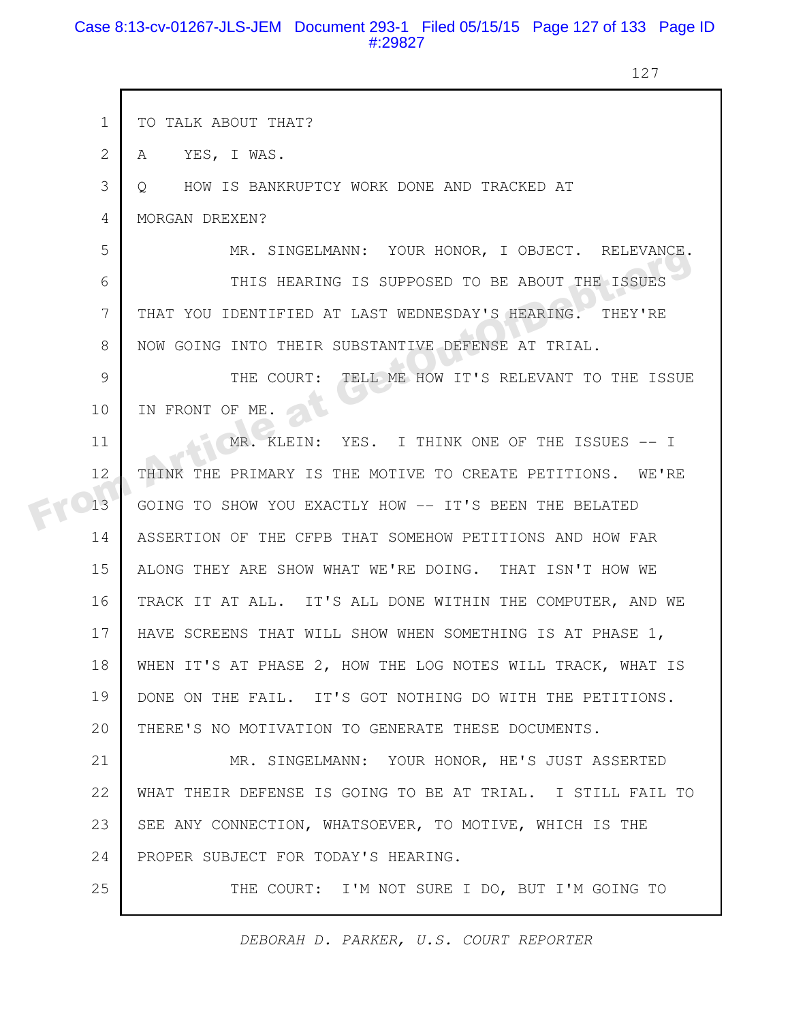#### Case 8:13-cv-01267-JLS-JEM Document 293-1 Filed 05/15/15 Page 127 of 133 Page ID #:29827

 $\mathsf{r}$ 

127

|  | $\mathbf 1$  | TO TALK ABOUT THAT?                                         |
|--|--------------|-------------------------------------------------------------|
|  | $\mathbf{2}$ | YES, I WAS.<br>A                                            |
|  | 3            | HOW IS BANKRUPTCY WORK DONE AND TRACKED AT<br>Q             |
|  | 4            | MORGAN DREXEN?                                              |
|  | 5            | MR. SINGELMANN: YOUR HONOR, I OBJECT. RELEVANCE.            |
|  | 6            | THIS HEARING IS SUPPOSED TO BE ABOUT THE ISSUES             |
|  | 7            | THAT YOU IDENTIFIED AT LAST WEDNESDAY'S HEARING. THEY'RE    |
|  | 8            | NOW GOING INTO THEIR SUBSTANTIVE DEFENSE AT TRIAL.          |
|  | 9            | THE COURT: TELL ME HOW IT'S RELEVANT TO THE ISSUE           |
|  | 10           | IN FRONT OF ME.                                             |
|  | 11           | MR. KLEIN: YES. I THINK ONE OF THE ISSUES -- I              |
|  | 12           | THINK THE PRIMARY IS THE MOTIVE TO CREATE PETITIONS. WE'RE  |
|  | 13           | GOING TO SHOW YOU EXACTLY HOW -- IT'S BEEN THE BELATED      |
|  | 14           | ASSERTION OF THE CFPB THAT SOMEHOW PETITIONS AND HOW FAR    |
|  | 15           | ALONG THEY ARE SHOW WHAT WE'RE DOING. THAT ISN'T HOW WE     |
|  | 16           | TRACK IT AT ALL. IT'S ALL DONE WITHIN THE COMPUTER, AND WE  |
|  | 17           | HAVE SCREENS THAT WILL SHOW WHEN SOMETHING IS AT PHASE 1,   |
|  | 18           | WHEN IT'S AT PHASE 2, HOW THE LOG NOTES WILL TRACK, WHAT IS |
|  | 19           | DONE ON THE FAIL. IT'S GOT NOTHING DO WITH THE PETITIONS.   |
|  | 20           | THERE'S NO MOTIVATION TO GENERATE THESE DOCUMENTS.          |
|  | 21           | MR. SINGELMANN: YOUR HONOR, HE'S JUST ASSERTED              |
|  | 22           | WHAT THEIR DEFENSE IS GOING TO BE AT TRIAL. I STILL FAIL TO |
|  | 23           | SEE ANY CONNECTION, WHATSOEVER, TO MOTIVE, WHICH IS THE     |
|  | 24           | PROPER SUBJECT FOR TODAY'S HEARING.                         |
|  | 25           | THE COURT: I'M NOT SURE I DO, BUT I'M GOING TO              |
|  |              |                                                             |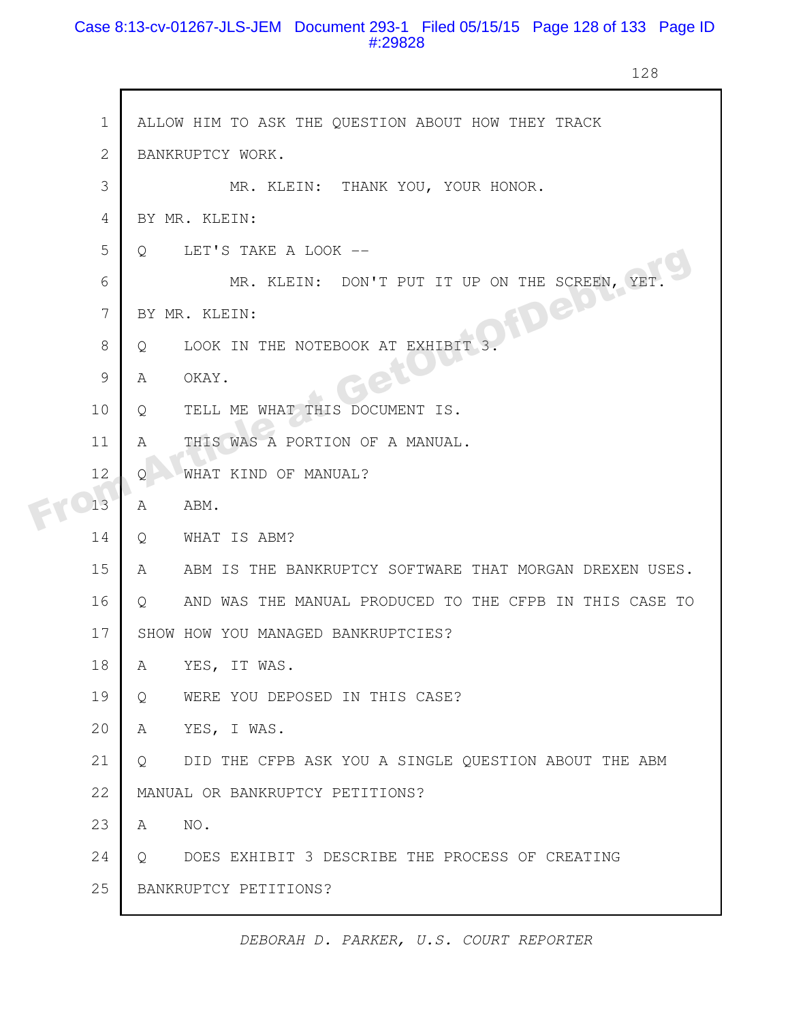# Case 8:13-cv-01267-JLS-JEM Document 293-1 Filed 05/15/15 Page 128 of 133 Page ID #:29828

128

|  | $\mathbf 1$  | ALLOW HIM TO ASK THE QUESTION ABOUT HOW THEY TRACK                  |
|--|--------------|---------------------------------------------------------------------|
|  | $\mathbf{2}$ | BANKRUPTCY WORK.                                                    |
|  | 3            | MR. KLEIN: THANK YOU, YOUR HONOR.                                   |
|  | 4            | BY MR. KLEIN:                                                       |
|  | 5            | LET'S TAKE A LOOK --<br>$\circ$                                     |
|  | 6            | MR. KLEIN: DON'T PUT IT UP ON THE SCREEN, YET                       |
|  | 7            | 3 Deter<br>BY MR. KLEIN:                                            |
|  | 8            | LOOK IN THE NOTEBOOK AT EXHIBIT 3.<br>Q                             |
|  | 9            | OKAY.<br>A                                                          |
|  | 10           | TELL ME WHAT THIS DOCUMENT IS.<br>Q                                 |
|  | 11           | THIS WAS A PORTION OF A MANUAL.<br>A                                |
|  | 12           | WHAT KIND OF MANUAL?<br>Q.                                          |
|  | 13           | A<br>ABM.                                                           |
|  | 14           | WHAT IS ABM?<br>Q                                                   |
|  | 15           | ABM IS THE BANKRUPTCY SOFTWARE THAT MORGAN DREXEN USES.<br>A        |
|  | 16           | AND WAS THE MANUAL PRODUCED TO THE CFPB IN THIS CASE TO<br>$\circ$  |
|  | 17           | SHOW HOW YOU MANAGED BANKRUPTCIES?                                  |
|  | 18           | YES, IT WAS.<br>A                                                   |
|  | 19           | WERE YOU DEPOSED IN THIS CASE?<br>Q                                 |
|  | 20           | YES, I WAS.<br>A                                                    |
|  | 21           | DID THE CFPB ASK YOU A SINGLE QUESTION ABOUT THE ABM<br>$Q_{\cdot}$ |
|  | 22           | MANUAL OR BANKRUPTCY PETITIONS?                                     |
|  | 23           | NO.<br>A                                                            |
|  | 24           | DOES EXHIBIT 3 DESCRIBE THE PROCESS OF CREATING<br>$\circ$          |
|  | 25           | BANKRUPTCY PETITIONS?                                               |
|  |              |                                                                     |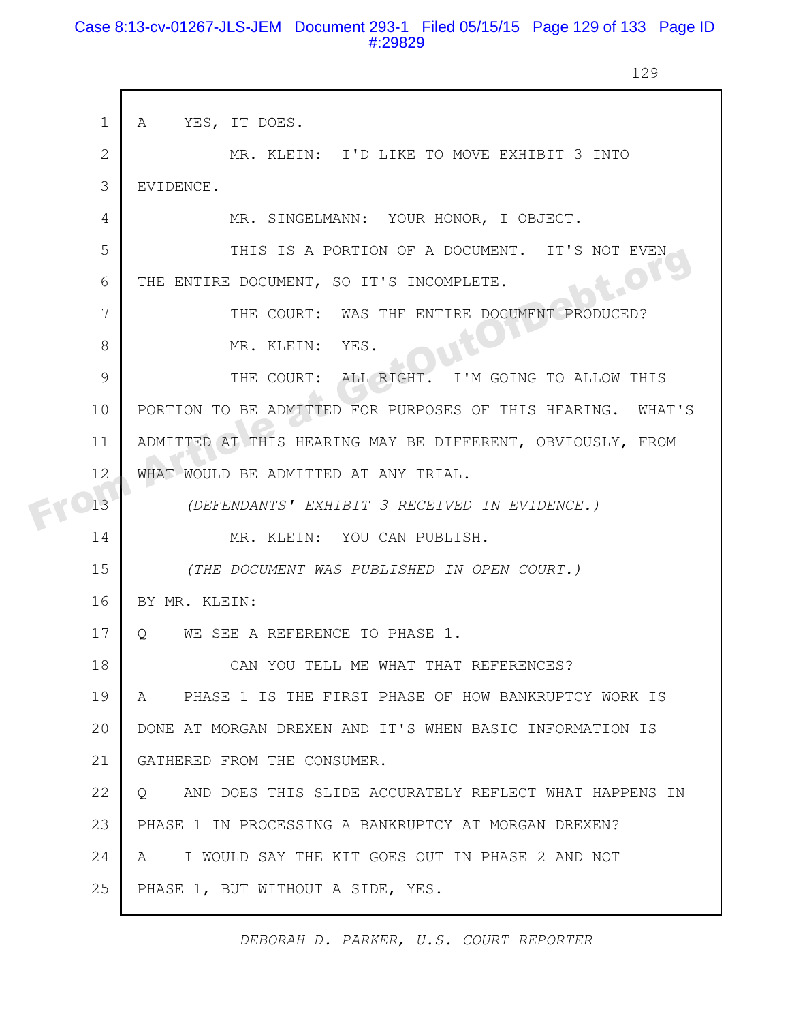#### Case 8:13-cv-01267-JLS-JEM Document 293-1 Filed 05/15/15 Page 129 of 133 Page ID #:29829

129

|  | $\mathbf 1$  | YES, IT DOES.<br>A                                                |
|--|--------------|-------------------------------------------------------------------|
|  | $\mathbf{2}$ | MR. KLEIN: I'D LIKE TO MOVE EXHIBIT 3 INTO                        |
|  | 3            | EVIDENCE.                                                         |
|  | 4            | MR. SINGELMANN: YOUR HONOR, I OBJECT.                             |
|  | 5            | THIS IS A PORTION OF A DOCUMENT. IT'S NOT EVEN                    |
|  | 6            | LOTY<br>THE ENTIRE DOCUMENT, SO IT'S INCOMPLETE.                  |
|  | 7            | THE COURT: WAS THE ENTIRE DOCUMENT PRODUCED?                      |
|  | 8            | MR. KLEIN: YES.                                                   |
|  | 9            | THE COURT: ALL RIGHT.<br>I'M GOING TO ALLOW THIS                  |
|  | 10           | PORTION TO BE ADMITTED FOR PURPOSES OF THIS HEARING. WHAT'S       |
|  | 11           | ADMITTED AT THIS HEARING MAY BE DIFFERENT, OBVIOUSLY, FROM        |
|  | 12           | WHAT WOULD BE ADMITTED AT ANY TRIAL.                              |
|  | 13           | (DEFENDANTS' EXHIBIT 3 RECEIVED IN EVIDENCE.)                     |
|  | 14           | MR. KLEIN: YOU CAN PUBLISH.                                       |
|  | 15           | (THE DOCUMENT WAS PUBLISHED IN OPEN COURT.)                       |
|  | 16           | BY MR. KLEIN:                                                     |
|  | 17           | WE SEE A REFERENCE TO PHASE 1.<br>$\circ$                         |
|  | 18           | CAN YOU TELL ME WHAT THAT REFERENCES?                             |
|  | 19           | PHASE 1 IS THE FIRST PHASE OF HOW BANKRUPTCY WORK IS<br>A         |
|  | 20           | DONE AT MORGAN DREXEN AND IT'S WHEN BASIC INFORMATION IS          |
|  | 21           | GATHERED FROM THE CONSUMER.                                       |
|  | 22           | AND DOES THIS SLIDE ACCURATELY REFLECT WHAT HAPPENS IN<br>$\circ$ |
|  | 23           | PHASE 1 IN PROCESSING A BANKRUPTCY AT MORGAN DREXEN?              |
|  | 24           | I WOULD SAY THE KIT GOES OUT IN PHASE 2 AND NOT<br>A              |
|  | 25           | PHASE 1, BUT WITHOUT A SIDE, YES.                                 |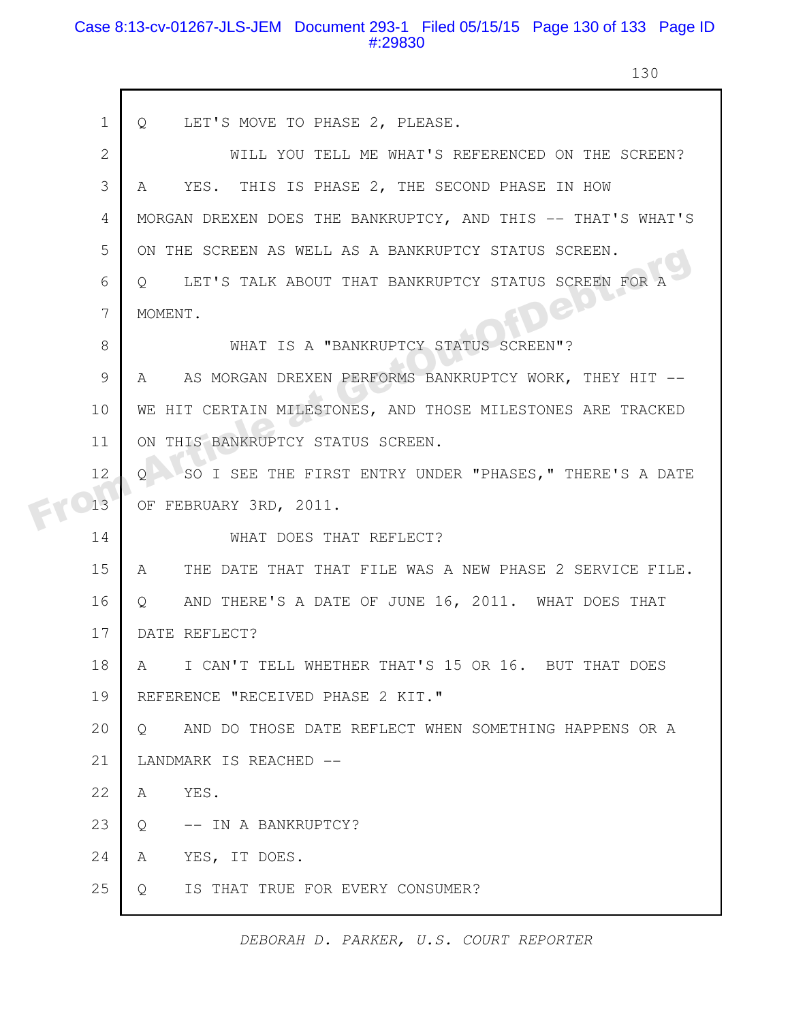# Case 8:13-cv-01267-JLS-JEM Document 293-1 Filed 05/15/15 Page 130 of 133 Page ID #:29830

 $\mathsf{r}$ 

130

|    | $\mathbf 1$<br>LET'S MOVE TO PHASE 2, PLEASE.<br>$Q_{\rm c}$       |
|----|--------------------------------------------------------------------|
|    | $\mathbf{2}$<br>WILL YOU TELL ME WHAT'S REFERENCED ON THE SCREEN?  |
|    | 3<br>YES. THIS IS PHASE 2, THE SECOND PHASE IN HOW<br>$\mathsf A$  |
|    | MORGAN DREXEN DOES THE BANKRUPTCY, AND THIS -- THAT'S WHAT'S<br>4  |
|    | 5<br>ON THE SCREEN AS WELL AS A BANKRUPTCY STATUS SCREEN.          |
|    | LET'S TALK ABOUT THAT BANKRUPTCY STATUS SCREEN FOR<br>6<br>$\circ$ |
|    | Jep<br>7<br>MOMENT.                                                |
|    | 8<br>WHAT IS A "BANKRUPTCY STATUS SCREEN"?                         |
|    | 9<br>AS MORGAN DREXEN PERFORMS BANKRUPTCY WORK, THEY HIT --<br>A   |
| 10 | WE HIT CERTAIN MILESTONES, AND THOSE MILESTONES ARE TRACKED        |
| 11 | ON THIS BANKRUPTCY STATUS SCREEN.                                  |
| 12 | SO I SEE THE FIRST ENTRY UNDER "PHASES, " THERE'S A DATE           |
| 13 | OF FEBRUARY 3RD, 2011.                                             |
| 14 | WHAT DOES THAT REFLECT?                                            |
| 15 | THE DATE THAT THAT FILE WAS A NEW PHASE 2 SERVICE FILE.<br>A       |
| 16 | AND THERE'S A DATE OF JUNE 16, 2011. WHAT DOES THAT<br>Q           |
| 17 | DATE REFLECT?                                                      |
| 18 | I CAN'T TELL WHETHER THAT'S 15 OR 16. BUT THAT DOES<br>A           |
| 19 | REFERENCE "RECEIVED PHASE 2 KIT."                                  |
| 20 | AND DO THOSE DATE REFLECT WHEN SOMETHING HAPPENS OR A<br>$\circ$   |
| 21 | LANDMARK IS REACHED --                                             |
| 22 | YES.<br>A                                                          |
| 23 | -- IN A BANKRUPTCY?<br>Q                                           |
| 24 | YES, IT DOES.<br>A                                                 |
| 25 | IS THAT TRUE FOR EVERY CONSUMER?<br>Q                              |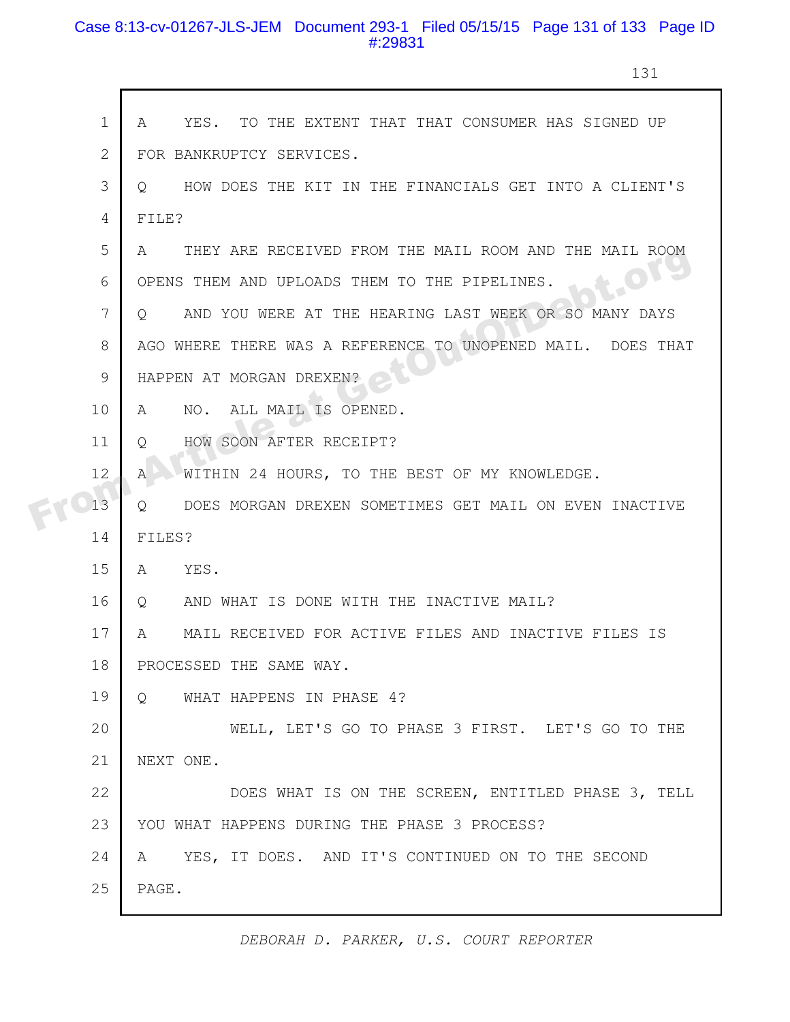# Case 8:13-cv-01267-JLS-JEM Document 293-1 Filed 05/15/15 Page 131 of 133 Page ID #:29831

131

|  | $\mathbf 1$  | YES. TO THE EXTENT THAT THAT CONSUMER HAS SIGNED UP<br>A         |
|--|--------------|------------------------------------------------------------------|
|  | $\mathbf{2}$ | FOR BANKRUPTCY SERVICES.                                         |
|  | 3            | HOW DOES THE KIT IN THE FINANCIALS GET INTO A CLIENT'S<br>O      |
|  | 4            | FILE?                                                            |
|  | 5            | THEY ARE RECEIVED FROM THE MAIL ROOM AND THE MAIL ROOM<br>A      |
|  | 6            | JOL<br>OPENS THEM AND UPLOADS THEM TO THE PIPELINES.             |
|  | 7            | AND YOU WERE AT THE HEARING LAST WEEK OR SO MANY DAYS<br>$\circ$ |
|  | 8            | AGO WHERE THERE WAS A REFERENCE TO UNOPENED MAIL. DOES THAT      |
|  | 9            | HAPPEN AT MORGAN DREXEN?                                         |
|  | 10           | ALL MAIL IS OPENED.<br>A<br>NO.                                  |
|  | 11           | HOW SOON AFTER RECEIPT?<br>Q                                     |
|  | 12           | WITHIN 24 HOURS, TO THE BEST OF MY KNOWLEDGE.<br>A               |
|  | 13           | DOES MORGAN DREXEN SOMETIMES GET MAIL ON EVEN INACTIVE<br>Q      |
|  | 14           | FILES?                                                           |
|  | 15           | A YES.                                                           |
|  | 16           | AND WHAT IS DONE WITH THE INACTIVE MAIL?<br>$\circ$              |
|  | 17           | MAIL RECEIVED FOR ACTIVE FILES AND INACTIVE FILES IS<br>A        |
|  | 18           | PROCESSED THE SAME WAY.                                          |
|  | 19           | $\circ$<br>WHAT HAPPENS IN PHASE 4?                              |
|  | 20           | WELL, LET'S GO TO PHASE 3 FIRST. LET'S GO TO THE                 |
|  | 21           | NEXT ONE.                                                        |
|  | 22           | DOES WHAT IS ON THE SCREEN, ENTITLED PHASE 3, TELL               |
|  | 23           | YOU WHAT HAPPENS DURING THE PHASE 3 PROCESS?                     |
|  | 24           | A YES, IT DOES. AND IT'S CONTINUED ON TO THE SECOND              |
|  | 25           | PAGE.                                                            |
|  |              |                                                                  |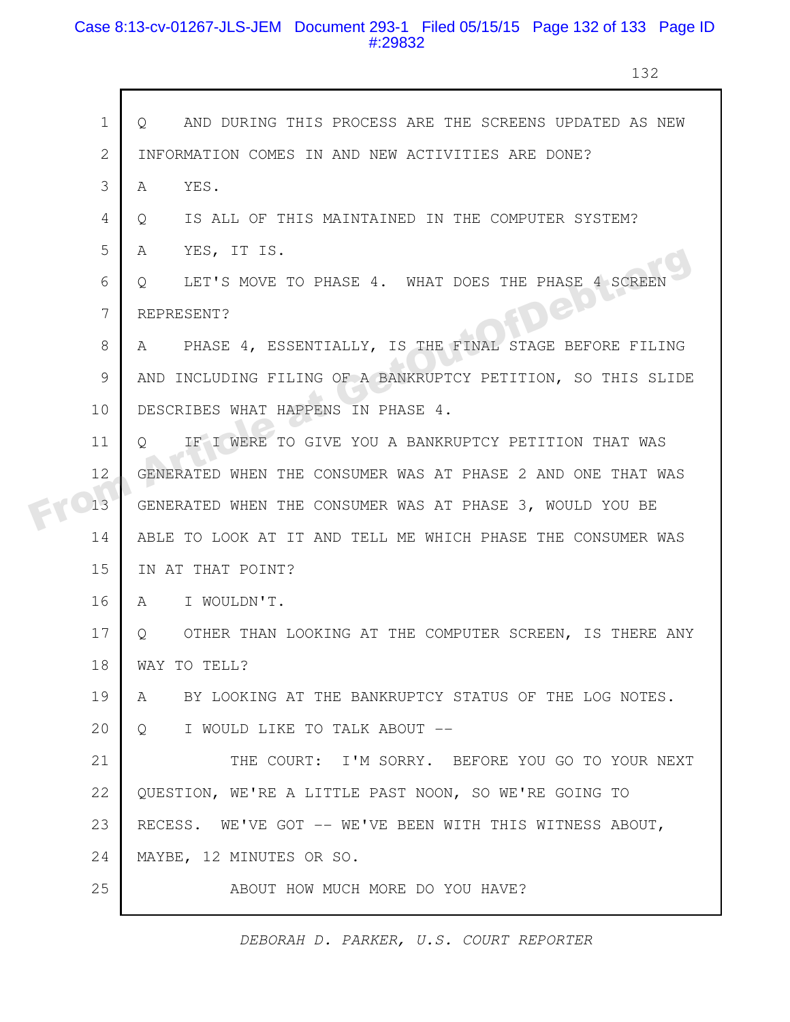# Case 8:13-cv-01267-JLS-JEM Document 293-1 Filed 05/15/15 Page 132 of 133 Page ID #:29832

132

|    | $\mathbf{1}$    | AND DURING THIS PROCESS ARE THE SCREENS UPDATED AS NEW<br>$\circ$ |
|----|-----------------|-------------------------------------------------------------------|
|    | 2               | INFORMATION COMES IN AND NEW ACTIVITIES ARE DONE?                 |
|    | 3               | YES.<br>A                                                         |
|    | 4               | IS ALL OF THIS MAINTAINED IN THE COMPUTER SYSTEM?<br>$\circ$      |
|    | 5               | YES, IT IS.<br>A                                                  |
|    | 6               | LET'S MOVE TO PHASE 4. WHAT DOES THE PHASE 4 SCREE<br>Q           |
|    | $7\overline{ }$ | REPRESENT?                                                        |
|    | 8               | PHASE 4, ESSENTIALLY, IS THE FINAL STAGE BEFORE FILING<br>A       |
|    | 9               | AND INCLUDING FILING OF A BANKRUPTCY PETITION, SO THIS SLIDE      |
| 10 |                 | DESCRIBES WHAT HAPPENS IN PHASE 4.                                |
| 11 |                 | IF I WERE TO GIVE YOU A BANKRUPTCY PETITION THAT WAS<br>$\circ$   |
| 12 |                 | GENERATED WHEN THE CONSUMER WAS AT PHASE 2 AND ONE THAT WAS       |
| 13 |                 | GENERATED WHEN THE CONSUMER WAS AT PHASE 3, WOULD YOU BE          |
| 14 |                 | ABLE TO LOOK AT IT AND TELL ME WHICH PHASE THE CONSUMER WAS       |
| 15 |                 | IN AT THAT POINT?                                                 |
| 16 |                 | I WOULDN'T.<br>A                                                  |
| 17 |                 | OTHER THAN LOOKING AT THE COMPUTER SCREEN, IS THERE ANY<br>O      |
|    | 18              | WAY TO TELL?                                                      |
| 19 |                 | BY LOOKING AT THE BANKRUPTCY STATUS OF THE LOG NOTES.<br>A        |
| 20 |                 | I WOULD LIKE TO TALK ABOUT --<br>$\circ$                          |
| 21 |                 | THE COURT: I'M SORRY. BEFORE YOU GO TO YOUR NEXT                  |
| 22 |                 | QUESTION, WE'RE A LITTLE PAST NOON, SO WE'RE GOING TO             |
| 23 |                 | RECESS. WE'VE GOT -- WE'VE BEEN WITH THIS WITNESS ABOUT,          |
| 24 |                 | MAYBE, 12 MINUTES OR SO.                                          |
| 25 |                 | ABOUT HOW MUCH MORE DO YOU HAVE?                                  |

*DEBORAH D. PARKER, U.S. COURT REPORTER*

ı